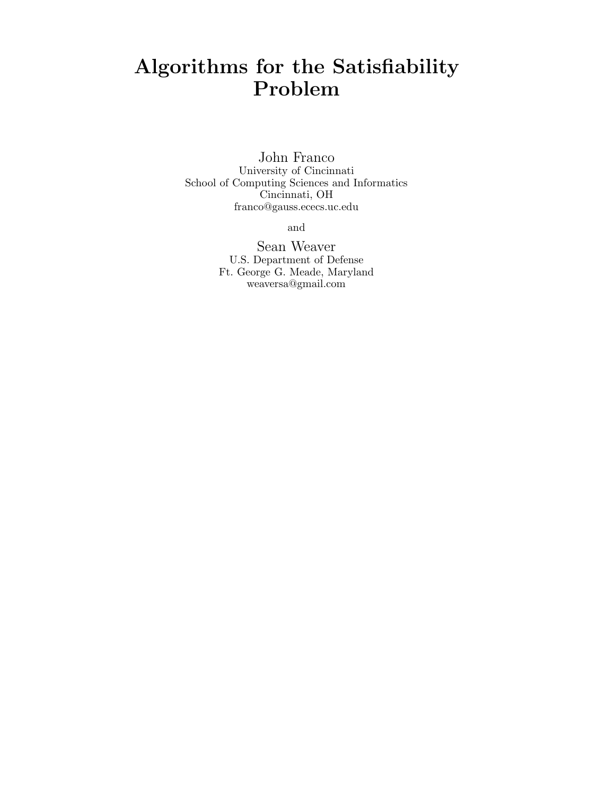# Algorithms for the Satisfiability Problem

John Franco University of Cincinnati School of Computing Sciences and Informatics Cincinnati, OH franco@gauss.ececs.uc.edu

and

Sean Weaver U.S. Department of Defense Ft. George G. Meade, Maryland weaversa@gmail.com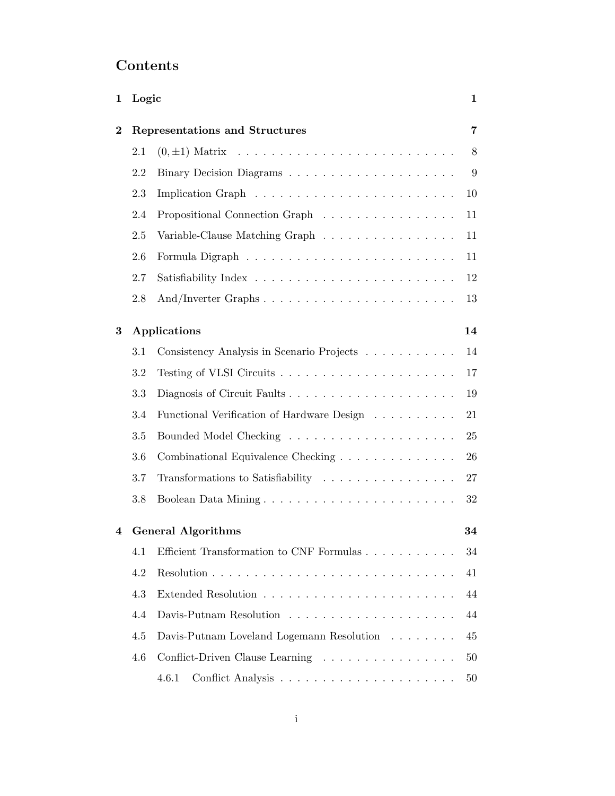## Contents

| 1        | Logic                          |                                            | 1  |  |  |  |  |
|----------|--------------------------------|--------------------------------------------|----|--|--|--|--|
| $\bf{2}$ | Representations and Structures |                                            |    |  |  |  |  |
|          | 2.1                            |                                            | 8  |  |  |  |  |
|          | 2.2                            |                                            | 9  |  |  |  |  |
|          | 2.3                            |                                            | 10 |  |  |  |  |
|          | 2.4                            | Propositional Connection Graph             | 11 |  |  |  |  |
|          | 2.5                            | Variable-Clause Matching Graph             | 11 |  |  |  |  |
|          | 2.6                            |                                            | 11 |  |  |  |  |
|          | 2.7                            |                                            | 12 |  |  |  |  |
|          | 2.8                            | And/Inverter Graphs                        | 13 |  |  |  |  |
| 3        |                                | Applications                               | 14 |  |  |  |  |
|          | 3.1                            | Consistency Analysis in Scenario Projects  | 14 |  |  |  |  |
|          | 3.2                            |                                            | 17 |  |  |  |  |
|          | 3.3                            | Diagnosis of Circuit Faults                | 19 |  |  |  |  |
|          | 3.4                            | Functional Verification of Hardware Design | 21 |  |  |  |  |
|          | 3.5                            |                                            | 25 |  |  |  |  |
|          | 3.6                            | Combinational Equivalence Checking         | 26 |  |  |  |  |
|          | 3.7                            | Transformations to Satisfiability          | 27 |  |  |  |  |
|          | 3.8                            | Boolean Data Mining                        | 32 |  |  |  |  |
| 4        |                                | <b>General Algorithms</b>                  | 34 |  |  |  |  |
|          | 4.1                            | Efficient Transformation to CNF Formulas   | 34 |  |  |  |  |
|          | 4.2                            |                                            | 41 |  |  |  |  |
|          | 4.3                            |                                            | 44 |  |  |  |  |
|          | 4.4                            |                                            | 44 |  |  |  |  |
|          | 4.5                            | Davis-Putnam Loveland Logemann Resolution  | 45 |  |  |  |  |
|          | 4.6                            | Conflict-Driven Clause Learning            | 50 |  |  |  |  |
|          |                                | 4.6.1                                      | 50 |  |  |  |  |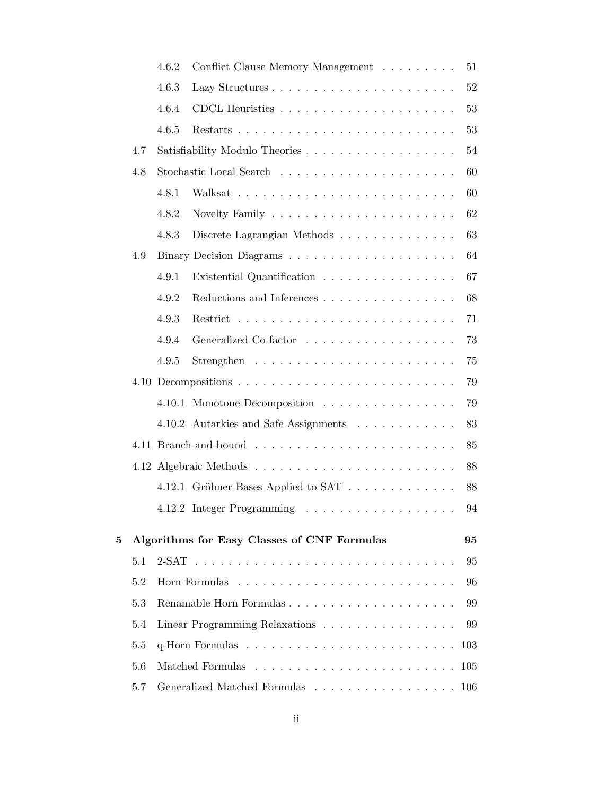|   |     | 4.6.2 | Conflict Clause Memory Management $\ldots \ldots \ldots$                              | 51     |
|---|-----|-------|---------------------------------------------------------------------------------------|--------|
|   |     | 4.6.3 |                                                                                       | 52     |
|   |     | 4.6.4 |                                                                                       | $53\,$ |
|   |     | 4.6.5 |                                                                                       | 53     |
|   | 4.7 |       |                                                                                       | 54     |
|   | 4.8 |       |                                                                                       | 60     |
|   |     | 4.8.1 |                                                                                       | 60     |
|   |     | 4.8.2 |                                                                                       | 62     |
|   |     | 4.8.3 | Discrete Lagrangian Methods                                                           | 63     |
|   | 4.9 |       |                                                                                       | 64     |
|   |     | 4.9.1 | Existential Quantification                                                            | 67     |
|   |     | 4.9.2 |                                                                                       | 68     |
|   |     | 4.9.3 |                                                                                       | 71     |
|   |     | 4.9.4 | Generalized Co-factor                                                                 | 73     |
|   |     | 4.9.5 | Strengthen $\ldots \ldots \ldots \ldots \ldots \ldots \ldots \ldots$                  | 75     |
|   |     |       |                                                                                       | 79     |
|   |     |       | 4.10.1 Monotone Decomposition                                                         | 79     |
|   |     |       | 4.10.2 Autarkies and Safe Assignments                                                 | 83     |
|   |     |       |                                                                                       | 85     |
|   |     |       |                                                                                       | 88     |
|   |     |       | 4.12.1 Gröbner Bases Applied to SAT                                                   | 88     |
|   |     |       | 4.12.2 Integer Programming                                                            | 94     |
|   |     |       |                                                                                       |        |
| 5 |     |       | Algorithms for Easy Classes of CNF Formulas                                           | 95     |
|   | 5.1 |       |                                                                                       | 95     |
|   | 5.2 |       |                                                                                       | 96     |
|   | 5.3 |       |                                                                                       | 99     |
|   | 5.4 |       | Linear Programming Relaxations                                                        | 99     |
|   | 5.5 |       |                                                                                       |        |
|   | 5.6 |       | Matched Formulas $\ldots \ldots \ldots \ldots \ldots \ldots \ldots \ldots \ldots 105$ |        |
|   | 5.7 |       | Generalized Matched Formulas $\ldots \ldots \ldots \ldots \ldots \ldots 106$          |        |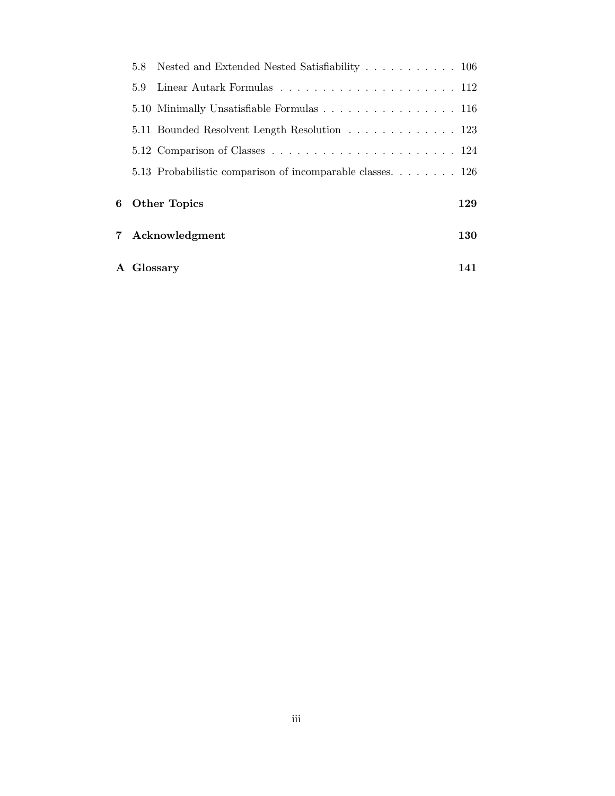|     | A Glossary                                                | 141 |
|-----|-----------------------------------------------------------|-----|
|     | 7 Acknowledgment                                          | 130 |
|     | 6 Other Topics                                            | 129 |
|     | 5.13 Probabilistic comparison of incomparable classes 126 |     |
|     |                                                           |     |
|     | 5.11 Bounded Resolvent Length Resolution 123              |     |
|     | 5.10 Minimally Unsatisfiable Formulas 116                 |     |
|     |                                                           |     |
| 5.8 |                                                           |     |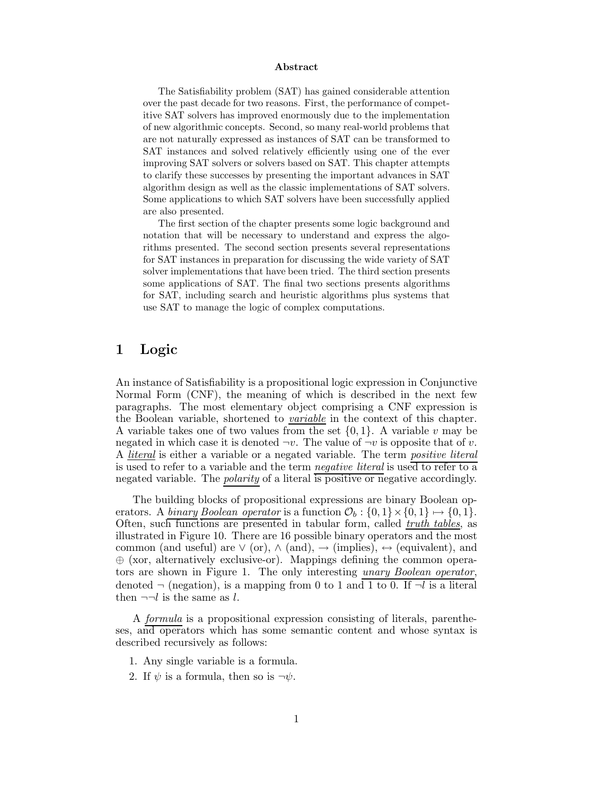#### Abstract

The Satisfiability problem (SAT) has gained considerable attention over the past decade for two reasons. First, the performance of competitive SAT solvers has improved enormously due to the implementation of new algorithmic concepts. Second, so many real-world problems that are not naturally expressed as instances of SAT can be transformed to SAT instances and solved relatively efficiently using one of the ever improving SAT solvers or solvers based on SAT. This chapter attempts to clarify these successes by presenting the important advances in SAT algorithm design as well as the classic implementations of SAT solvers. Some applications to which SAT solvers have been successfully applied are also presented.

The first section of the chapter presents some logic background and notation that will be necessary to understand and express the algorithms presented. The second section presents several representations for SAT instances in preparation for discussing the wide variety of SAT solver implementations that have been tried. The third section presents some applications of SAT. The final two sections presents algorithms for SAT, including search and heuristic algorithms plus systems that use SAT to manage the logic of complex computations.

## 1 Logic

An instance of Satisfiability is a propositional logic expression in Conjunctive Normal Form (CNF), the meaning of which is described in the next few paragraphs. The most elementary object comprising a CNF expression is the Boolean variable, shortened to *variable* in the context of this chapter. A variable takes one of two values from the set  $\{0, 1\}$ . A variable v may be negated in which case it is denoted  $\neg v$ . The value of  $\neg v$  is opposite that of v. A literal is either a variable or a negated variable. The term positive literal is used to refer to a variable and the term negative literal is used to refer to a negated variable. The polarity of a literal is positive or negative accordingly.

The building blocks of propositional expressions are binary Boolean operators. A binary Boolean operator is a function  $\mathcal{O}_b$ :  $\{0,1\} \times \{0,1\} \mapsto \{0,1\}.$ Often, such functions are presented in tabular form, called *truth tables*, as illustrated in Figure 10. There are 16 possible binary operators and the most common (and useful) are  $\vee$  (or),  $\wedge$  (and),  $\rightarrow$  (implies),  $\leftrightarrow$  (equivalent), and ⊕ (xor, alternatively exclusive-or). Mappings defining the common operators are shown in Figure 1. The only interesting unary Boolean operator, denoted  $\neg$  (negation), is a mapping from 0 to 1 and 1 to 0. If  $\neg$  is a literal then  $\neg\neg l$  is the same as l.

A formula is a propositional expression consisting of literals, parentheses, and operators which has some semantic content and whose syntax is described recursively as follows:

- 1. Any single variable is a formula.
- 2. If  $\psi$  is a formula, then so is  $\neg \psi$ .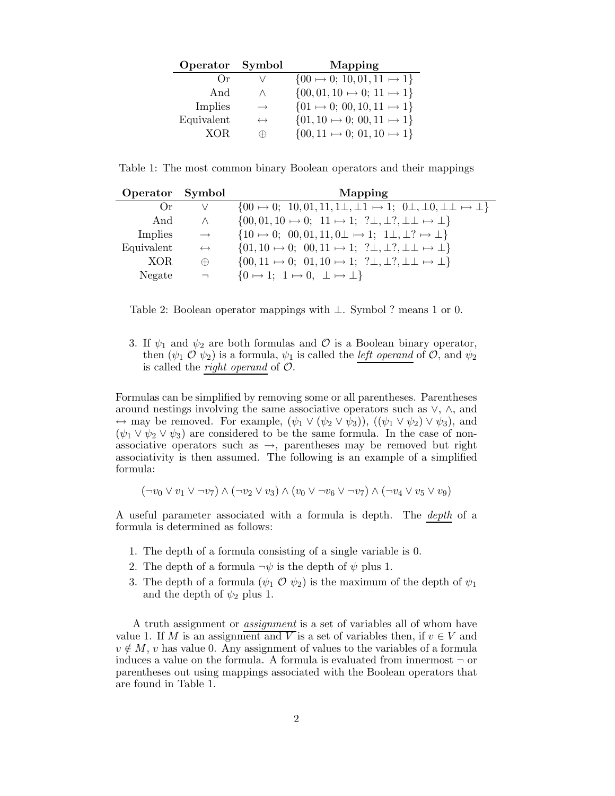| Operator Symbol |                   | Mapping                                  |
|-----------------|-------------------|------------------------------------------|
| Or              |                   | $\{00 \mapsto 0; 10, 01, 11 \mapsto 1\}$ |
| And             | $\wedge$          | $\{00, 01, 10 \mapsto 0; 11 \mapsto 1\}$ |
| Implies         | $\longrightarrow$ | $\{01 \mapsto 0; 00, 10, 11 \mapsto 1\}$ |
| Equivalent      | $\leftrightarrow$ | $\{01, 10 \mapsto 0; 00, 11 \mapsto 1\}$ |
| XOR.            | $\oplus$          | $\{00, 11 \mapsto 0; 01, 10 \mapsto 1\}$ |

Table 1: The most common binary Boolean operators and their mappings

| Operator Symbol |                          | Mapping                                                                                             |
|-----------------|--------------------------|-----------------------------------------------------------------------------------------------------|
| ()r             | V                        | $\{00 \mapsto 0; 10, 01, 11, 11, \perp 1 \mapsto 1; 0 \perp, \perp 0, \perp \perp \mapsto \perp \}$ |
| And             | $\wedge$                 | $\{00, 01, 10 \mapsto 0; 11 \mapsto 1; ? \perp, \perp ?, \perp \perp \mapsto \perp \}$              |
| Implies         | $\longrightarrow$        | $\{10 \mapsto 0; 00, 01, 11, 0 \perp \mapsto 1; 1 \perp, \perp? \mapsto \perp\}$                    |
| Equivalent      | $\leftrightarrow$        | $\{01, 10 \mapsto 0; 00, 11 \mapsto 1; ?\perp, \perp ?, \perp \perp \mapsto \perp \}$               |
| XOR             | $\oplus$                 | $\{00, 11 \mapsto 0; 01, 10 \mapsto 1; ?\perp, \perp ?, \perp \perp \mapsto \perp \}$               |
| Negate          | $\overline{\phantom{0}}$ | $\{0 \mapsto 1; 1 \mapsto 0, \perp \mapsto \perp\}$                                                 |

Table 2: Boolean operator mappings with ⊥. Symbol ? means 1 or 0.

3. If  $\psi_1$  and  $\psi_2$  are both formulas and  $\mathcal O$  is a Boolean binary operator, then  $(\psi_1 \mathcal{O} \psi_2)$  is a formula,  $\psi_1$  is called the *left operand* of  $\mathcal{O}$ , and  $\psi_2$ is called the *right operand* of  $O$ .

Formulas can be simplified by removing some or all parentheses. Parentheses around nestings involving the same associative operators such as ∨, ∧, and  $\leftrightarrow$  may be removed. For example,  $(\psi_1 \lor (\psi_2 \lor \psi_3))$ ,  $((\psi_1 \lor \psi_2) \lor \psi_3)$ , and  $(\psi_1 \vee \psi_2 \vee \psi_3)$  are considered to be the same formula. In the case of nonassociative operators such as  $\rightarrow$ , parentheses may be removed but right associativity is then assumed. The following is an example of a simplified formula:

$$
(\neg v_0 \lor v_1 \lor \neg v_7) \land (\neg v_2 \lor v_3) \land (v_0 \lor \neg v_6 \lor \neg v_7) \land (\neg v_4 \lor v_5 \lor v_9)
$$

A useful parameter associated with a formula is depth. The depth of a formula is determined as follows:

- 1. The depth of a formula consisting of a single variable is 0.
- 2. The depth of a formula  $\neg \psi$  is the depth of  $\psi$  plus 1.
- 3. The depth of a formula  $(\psi_1 \mathcal{O} \psi_2)$  is the maximum of the depth of  $\psi_1$ and the depth of  $\psi_2$  plus 1.

A truth assignment or assignment is a set of variables all of whom have value 1. If M is an assignment and V is a set of variables then, if  $v \in V$  and  $v \notin M$ , v has value 0. Any assignment of values to the variables of a formula induces a value on the formula. A formula is evaluated from innermost  $\neg$  or parentheses out using mappings associated with the Boolean operators that are found in Table 1.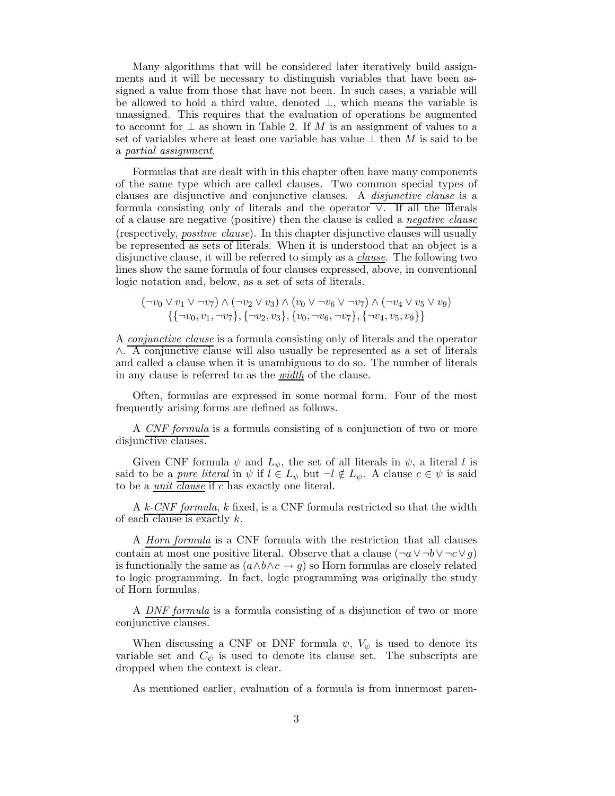Many algorithms that will be considered later iteratively build assignments and it will be necessary to distinguish variables that have been assigned a value from those that have not been. In such cases, a variable will be allowed to hold a third value, denoted ⊥, which means the variable is unassigned. This requires that the evaluation of operations be augmented to account for  $\perp$  as shown in Table 2. If M is an assignment of values to a set of variables where at least one variable has value  $\perp$  then M is said to be a partial assignment.

Formulas that are dealt with in this chapter often have many components of the same type which are called clauses. Two common special types of clauses are disjunctive and conjunctive clauses. A disjunctive clause is a formula consisting only of literals and the operator  $\overline{\vee}$ . If all the literals of a clause are negative (positive) then the clause is called a negative clause (respectively, positive clause). In this chapter disjunctive clauses will usually be represented as sets of literals. When it is understood that an object is a disjunctive clause, it will be referred to simply as a clause. The following two lines show the same formula of four clauses expressed, above, in conventional logic notation and, below, as a set of sets of literals.

$$
(\neg v_0 \lor v_1 \lor \neg v_7) \land (\neg v_2 \lor v_3) \land (v_0 \lor \neg v_6 \lor \neg v_7) \land (\neg v_4 \lor v_5 \lor v_9)
$$
  
{ $\{\neg v_0, v_1, \neg v_7\}, \{\neg v_2, v_3\}, \{v_0, \neg v_6, \neg v_7\}, \{\neg v_4, v_5, v_9\}\}\$ 

A conjunctive clause is a formula consisting only of literals and the operator ∧. A conjunctive clause will also usually be represented as a set of literals and called a clause when it is unambiguous to do so. The number of literals in any clause is referred to as the  $width$  of the clause.

Often, formulas are expressed in some normal form. Four of the most frequently arising forms are defined as follows.

A CNF formula is a formula consisting of a conjunction of two or more disjunctive clauses.

Given CNF formula  $\psi$  and  $L_{\psi}$ , the set of all literals in  $\psi$ , a literal l is said to be a *pure literal* in  $\psi$  if  $l \in L_{\psi}$  but  $\neg l \notin L_{\psi}$ . A clause  $c \in \psi$  is said to be a *unit clause* if  $c$  has exactly one literal.

A k-CNF formula, k fixed, is a CNF formula restricted so that the width of each clause is exactly  $k$ .

A Horn formula is a CNF formula with the restriction that all clauses contain at most one positive literal. Observe that a clause  $(\neg a \lor \neg b \lor \neg c \lor q)$ is functionally the same as  $(a \wedge b \wedge c \rightarrow g)$  so Horn formulas are closely related to logic programming. In fact, logic programming was originally the study of Horn formulas.

A DNF formula is a formula consisting of a disjunction of two or more conjunctive clauses.

When discussing a CNF or DNF formula  $\psi$ ,  $V_{\psi}$  is used to denote its variable set and  $C_{\psi}$  is used to denote its clause set. The subscripts are dropped when the context is clear.

As mentioned earlier, evaluation of a formula is from innermost paren-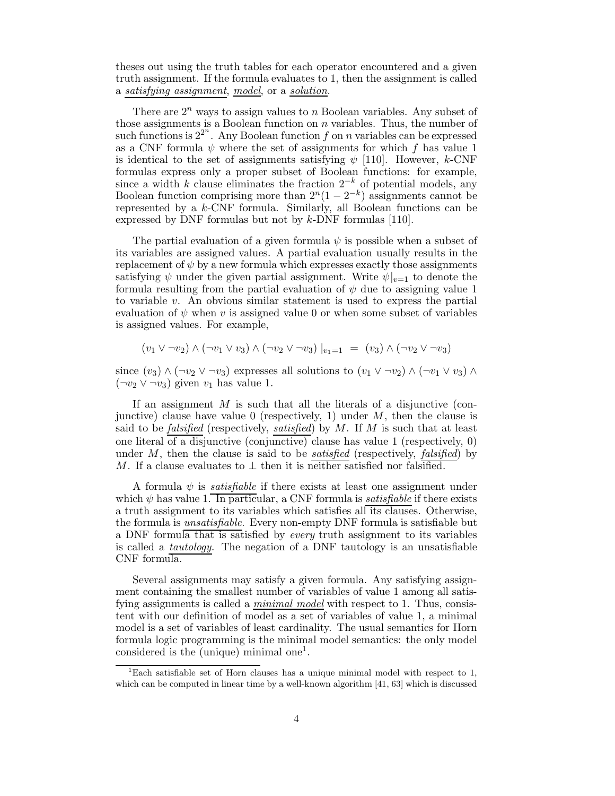theses out using the truth tables for each operator encountered and a given truth assignment. If the formula evaluates to 1, then the assignment is called a *satisfying assignment*, *model*, or a *solution*.

There are  $2^n$  ways to assign values to n Boolean variables. Any subset of those assignments is a Boolean function on  $n$  variables. Thus, the number of such functions is  $2^{2^n}$ . Any Boolean function f on n variables can be expressed as a CNF formula  $\psi$  where the set of assignments for which f has value 1 is identical to the set of assignments satisfying  $\psi$  [110]. However, k-CNF formulas express only a proper subset of Boolean functions: for example, since a width k clause eliminates the fraction  $2^{-k}$  of potential models, any Boolean function comprising more than  $2^{n}(1-2^{-k})$  assignments cannot be represented by a k-CNF formula. Similarly, all Boolean functions can be expressed by DNF formulas but not by k-DNF formulas [110].

The partial evaluation of a given formula  $\psi$  is possible when a subset of its variables are assigned values. A partial evaluation usually results in the replacement of  $\psi$  by a new formula which expresses exactly those assignments satisfying  $\psi$  under the given partial assignment. Write  $\psi|_{v=1}$  to denote the formula resulting from the partial evaluation of  $\psi$  due to assigning value 1 to variable v. An obvious similar statement is used to express the partial evaluation of  $\psi$  when v is assigned value 0 or when some subset of variables is assigned values. For example,

$$
(v_1 \vee \neg v_2) \wedge (\neg v_1 \vee v_3) \wedge (\neg v_2 \vee \neg v_3) |_{v_1=1} = (v_3) \wedge (\neg v_2 \vee \neg v_3)
$$

since  $(v_3) \wedge (\neg v_2 \vee \neg v_3)$  expresses all solutions to  $(v_1 \vee \neg v_2) \wedge (\neg v_1 \vee v_3) \wedge$  $(\neg v_2 \lor \neg v_3)$  given  $v_1$  has value 1.

If an assignment  $M$  is such that all the literals of a disjunctive (conjunctive) clause have value 0 (respectively, 1) under  $M$ , then the clause is said to be *falsified* (respectively, *satisfied*) by  $M$ . If  $M$  is such that at least one literal of a disjunctive (conjunctive) clause has value 1 (respectively, 0) under  $M$ , then the clause is said to be *satisfied* (respectively, *falsified*) by M. If a clause evaluates to  $\perp$  then it is neither satisfied nor falsified.

A formula  $\psi$  is *satisfiable* if there exists at least one assignment under which  $\psi$  has value 1. In particular, a CNF formula is *satisfiable* if there exists a truth assignment to its variables which satisfies all its clauses. Otherwise, the formula is unsatisfiable. Every non-empty DNF formula is satisfiable but a DNF formula that is satisfied by every truth assignment to its variables is called a tautology. The negation of a DNF tautology is an unsatisfiable CNF formula.

Several assignments may satisfy a given formula. Any satisfying assignment containing the smallest number of variables of value 1 among all satisfying assignments is called a *minimal model* with respect to 1. Thus, consistent with our definition of model as a set of variables of value 1, a minimal model is a set of variables of least cardinality. The usual semantics for Horn formula logic programming is the minimal model semantics: the only model considered is the (unique) minimal one<sup>1</sup>.

<sup>&</sup>lt;sup>1</sup>Each satisfiable set of Horn clauses has a unique minimal model with respect to 1, which can be computed in linear time by a well-known algorithm [41, 63] which is discussed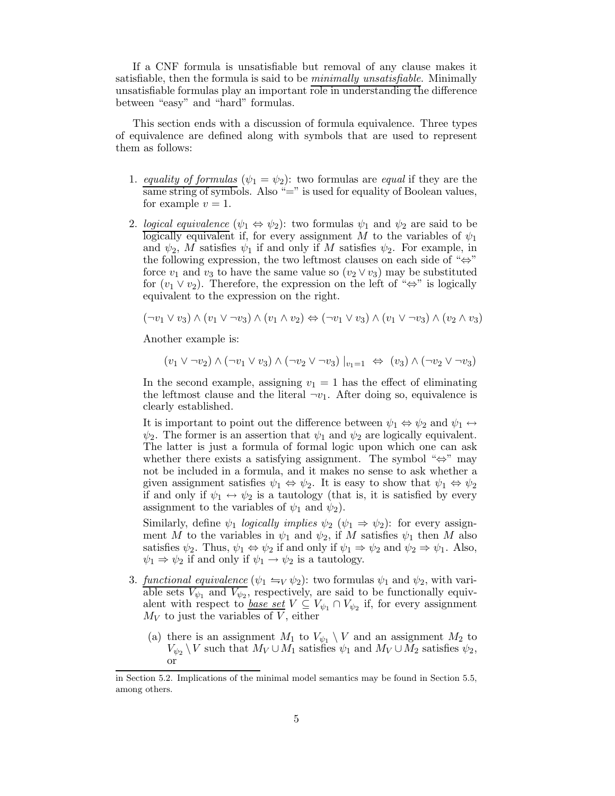If a CNF formula is unsatisfiable but removal of any clause makes it satisfiable, then the formula is said to be minimally unsatisfiable. Minimally unsatisfiable formulas play an important role in understanding the difference between "easy" and "hard" formulas.

This section ends with a discussion of formula equivalence. Three types of equivalence are defined along with symbols that are used to represent them as follows:

- 1. equality of formulas  $(\psi_1 = \psi_2)$ : two formulas are equal if they are the same string of symbols. Also "=" is used for equality of Boolean values, for example  $v = 1$ .
- 2. logical equivalence  $(\psi_1 \Leftrightarrow \psi_2)$ : two formulas  $\psi_1$  and  $\psi_2$  are said to be logically equivalent if, for every assignment M to the variables of  $\psi_1$ and  $\psi_2$ , M satisfies  $\psi_1$  if and only if M satisfies  $\psi_2$ . For example, in the following expression, the two leftmost clauses on each side of " $\Leftrightarrow$ " force  $v_1$  and  $v_3$  to have the same value so  $(v_2 \vee v_3)$  may be substituted for  $(v_1 \vee v_2)$ . Therefore, the expression on the left of " $\Leftrightarrow$ " is logically equivalent to the expression on the right.

$$
(\neg v_1 \lor v_3) \land (v_1 \lor \neg v_3) \land (v_1 \land v_2) \Leftrightarrow (\neg v_1 \lor v_3) \land (v_1 \lor \neg v_3) \land (v_2 \land v_3)
$$

Another example is:

$$
(v_1 \vee \neg v_2) \wedge (\neg v_1 \vee v_3) \wedge (\neg v_2 \vee \neg v_3) |_{v_1=1} \Leftrightarrow (v_3) \wedge (\neg v_2 \vee \neg v_3)
$$

In the second example, assigning  $v_1 = 1$  has the effect of eliminating the leftmost clause and the literal  $\neg v_1$ . After doing so, equivalence is clearly established.

It is important to point out the difference between  $\psi_1 \Leftrightarrow \psi_2$  and  $\psi_1 \leftrightarrow \psi_2$  $\psi_2$ . The former is an assertion that  $\psi_1$  and  $\psi_2$  are logically equivalent. The latter is just a formula of formal logic upon which one can ask whether there exists a satisfying assignment. The symbol "⇔" may not be included in a formula, and it makes no sense to ask whether a given assignment satisfies  $\psi_1 \Leftrightarrow \psi_2$ . It is easy to show that  $\psi_1 \Leftrightarrow \psi_2$ if and only if  $\psi_1 \leftrightarrow \psi_2$  is a tautology (that is, it is satisfied by every assignment to the variables of  $\psi_1$  and  $\psi_2$ ).

Similarly, define  $\psi_1$  *logically implies*  $\psi_2$  ( $\psi_1 \Rightarrow \psi_2$ ): for every assignment M to the variables in  $\psi_1$  and  $\psi_2$ , if M satisfies  $\psi_1$  then M also satisfies  $\psi_2$ . Thus,  $\psi_1 \Leftrightarrow \psi_2$  if and only if  $\psi_1 \Rightarrow \psi_2$  and  $\psi_2 \Rightarrow \psi_1$ . Also,  $\psi_1 \Rightarrow \psi_2$  if and only if  $\psi_1 \rightarrow \psi_2$  is a tautology.

- 3. functional equivalence  $(\psi_1 \leftrightharpoons_V \psi_2)$ : two formulas  $\psi_1$  and  $\psi_2$ , with variable sets  $V_{\psi_1}$  and  $V_{\psi_2}$ , respectively, are said to be functionally equivalent with respect to <u>base set</u>  $V \subseteq V_{\psi_1} \cap V_{\psi_2}$  if, for every assignment  $M_V$  to just the variables of  $V$ , either
	- (a) there is an assignment  $M_1$  to  $V_{\psi_1} \setminus V$  and an assignment  $M_2$  to  $V_{\psi_2} \setminus V$  such that  $M_V \cup M_1$  satisfies  $\psi_1$  and  $M_V \cup M_2$  satisfies  $\psi_2$ , or

in Section 5.2. Implications of the minimal model semantics may be found in Section 5.5, among others.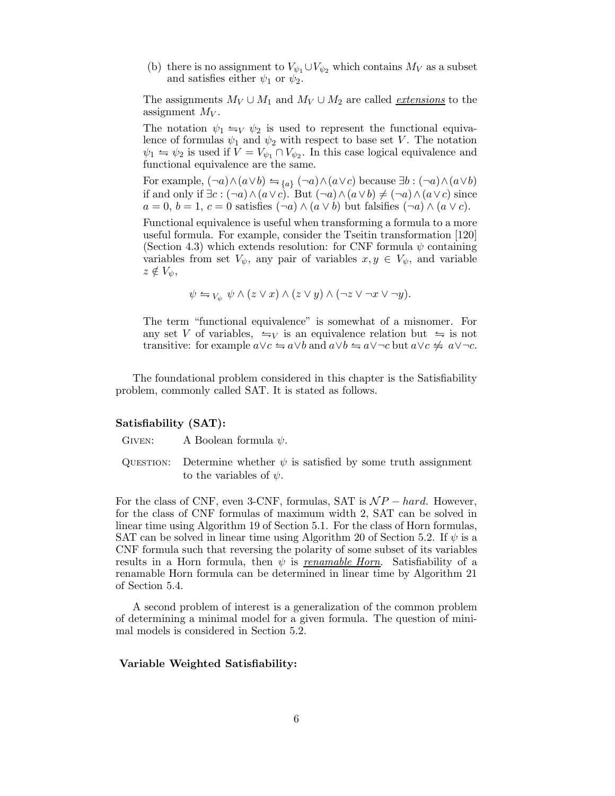(b) there is no assignment to  $V_{\psi_1} \cup V_{\psi_2}$  which contains  $M_V$  as a subset and satisfies either  $\psi_1$  or  $\psi_2$ .

The assignments  $M_V \cup M_1$  and  $M_V \cup M_2$  are called *extensions* to the assignment  $M_V$ .

The notation  $\psi_1 \leftrightharpoons_V \psi_2$  is used to represent the functional equivalence of formulas  $\psi_1$  and  $\psi_2$  with respect to base set V. The notation  $\psi_1 \Leftrightarrow \psi_2$  is used if  $V = V_{\psi_1} \cap V_{\psi_2}$ . In this case logical equivalence and functional equivalence are the same.

For example,  $(\neg a) \land (a \lor b) \Leftrightarrow_{\{a\}} (\neg a) \land (a \lor c)$  because  $\exists b : (\neg a) \land (a \lor b)$ if and only if  $\exists c : (\neg a) \land (a \lor c)$ . But  $(\neg a) \land (a \lor b) \neq (\neg a) \land (a \lor c)$  since  $a = 0, b = 1, c = 0$  satisfies  $(\neg a) \wedge (a \vee b)$  but falsifies  $(\neg a) \wedge (a \vee c)$ .

Functional equivalence is useful when transforming a formula to a more useful formula. For example, consider the Tseitin transformation [120] (Section 4.3) which extends resolution: for CNF formula  $\psi$  containing variables from set  $V_{\psi}$ , any pair of variables  $x, y \in V_{\psi}$ , and variable  $z \notin V_{\psi},$ 

$$
\psi \leftrightharpoons_{V_{\psi}} \psi \land (z \lor x) \land (z \lor y) \land (\neg z \lor \neg x \lor \neg y).
$$

The term "functional equivalence" is somewhat of a misnomer. For any set V of variables,  $\Rightarrow$  is an equivalence relation but  $\Rightarrow$  is not transitive: for example  $a \lor c = a \lor b$  and  $a \lor b = a \lor \neg c$  but  $a \lor c \neq a \lor \neg c$ .

The foundational problem considered in this chapter is the Satisfiability problem, commonly called SAT. It is stated as follows.

#### Satisfiability (SAT):

GIVEN: A Boolean formula  $\psi$ .

Question: Determine whether  $\psi$  is satisfied by some truth assignment to the variables of  $\psi$ .

For the class of CNF, even 3-CNF, formulas, SAT is  $\mathcal{NP}$  – hard. However, for the class of CNF formulas of maximum width 2, SAT can be solved in linear time using Algorithm 19 of Section 5.1. For the class of Horn formulas, SAT can be solved in linear time using Algorithm 20 of Section 5.2. If  $\psi$  is a CNF formula such that reversing the polarity of some subset of its variables results in a Horn formula, then  $\psi$  is *renamable Horn*. Satisfiability of a renamable Horn formula can be determined in linear time by Algorithm 21 of Section 5.4.

A second problem of interest is a generalization of the common problem of determining a minimal model for a given formula. The question of minimal models is considered in Section 5.2.

#### Variable Weighted Satisfiability: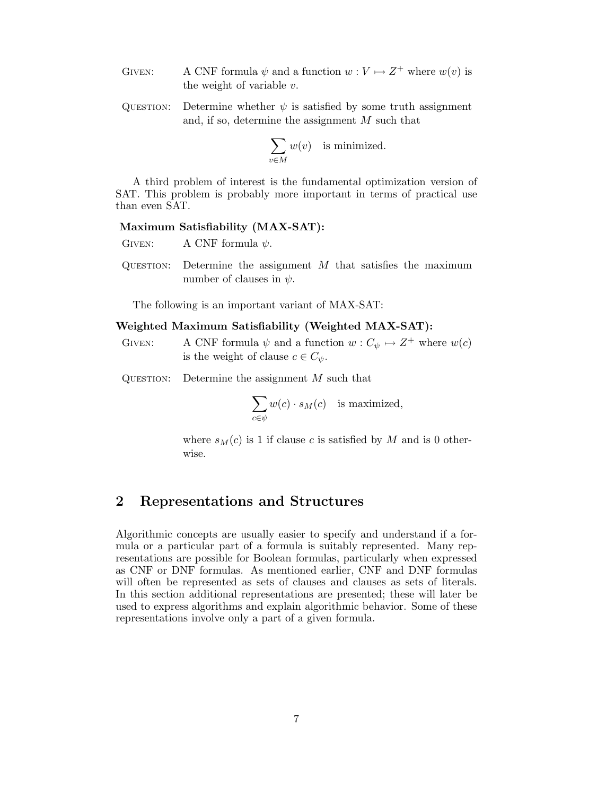- GIVEN: A CNF formula  $\psi$  and a function  $w: V \mapsto Z^+$  where  $w(v)$  is the weight of variable  $v$ .
- QUESTION: Determine whether  $\psi$  is satisfied by some truth assignment and, if so, determine the assignment M such that

$$
\sum_{v \in M} w(v) \quad \text{is minimized.}
$$

A third problem of interest is the fundamental optimization version of SAT. This problem is probably more important in terms of practical use than even SAT.

#### Maximum Satisfiability (MAX-SAT):

- GIVEN: A CNF formula  $\psi$ .
- QUESTION: Determine the assignment  $M$  that satisfies the maximum number of clauses in  $\psi$ .

The following is an important variant of MAX-SAT:

#### Weighted Maximum Satisfiability (Weighted MAX-SAT):

GIVEN: A CNF formula  $\psi$  and a function  $w: C_{\psi} \mapsto Z^+$  where  $w(c)$ is the weight of clause  $c \in C_{\psi}$ .

QUESTION: Determine the assignment  $M$  such that

$$
\sum_{c \in \psi} w(c) \cdot s_M(c) \quad \text{is maximized},
$$

where  $s_M(c)$  is 1 if clause c is satisfied by M and is 0 otherwise.

## 2 Representations and Structures

Algorithmic concepts are usually easier to specify and understand if a formula or a particular part of a formula is suitably represented. Many representations are possible for Boolean formulas, particularly when expressed as CNF or DNF formulas. As mentioned earlier, CNF and DNF formulas will often be represented as sets of clauses and clauses as sets of literals. In this section additional representations are presented; these will later be used to express algorithms and explain algorithmic behavior. Some of these representations involve only a part of a given formula.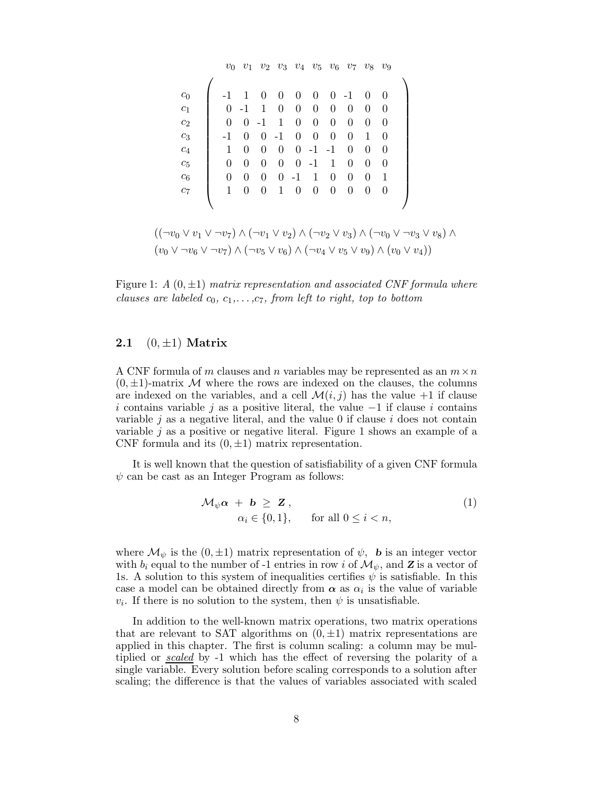v<sup>0</sup> v<sup>1</sup> v<sup>2</sup> v<sup>3</sup> v<sup>4</sup> v<sup>5</sup> v<sup>6</sup> v<sup>7</sup> v<sup>8</sup> v<sup>9</sup> c0 c1 c2 c3 c4 c5 c6 c7 -1 1 0 0 0 0 0 -1 0 0 0 -1 1 0 0 0 0 0 0 0 0 0 -1 1 0 0 0 0 0 0 -1 0 0 -1 0 0 0 0 1 0 1 0 0 0 0 -1 -1 0 0 0 0 0 0 0 0 -1 1 0 0 0 0 0 0 0 -1 1 0 0 0 1 1 0 0 1 0 0 0 0 0 0 ((¬v<sup>0</sup> ∨ v<sup>1</sup> ∨ ¬v7) ∧ (¬v<sup>1</sup> ∨ v2) ∧ (¬v<sup>2</sup> ∨ v3) ∧ (¬v<sup>0</sup> ∨ ¬v<sup>3</sup> ∨ v8) ∧ (v<sup>0</sup> ∨ ¬v<sup>6</sup> ∨ ¬v7) ∧ (¬v<sup>5</sup> ∨ v6) ∧ (¬v<sup>4</sup> ∨ v<sup>5</sup> ∨ v9) ∧ (v<sup>0</sup> ∨ v4))

Figure 1:  $A(0,\pm 1)$  matrix representation and associated CNF formula where clauses are labeled  $c_0, c_1, \ldots, c_7$ , from left to right, top to bottom

## **2.1**  $(0, \pm 1)$  Matrix

A CNF formula of m clauses and n variables may be represented as an  $m \times n$  $(0, \pm 1)$ -matrix M where the rows are indexed on the clauses, the columns are indexed on the variables, and a cell  $\mathcal{M}(i,j)$  has the value +1 if clause i contains variable j as a positive literal, the value  $-1$  if clause i contains variable  $j$  as a negative literal, and the value 0 if clause  $i$  does not contain variable  $j$  as a positive or negative literal. Figure 1 shows an example of a CNF formula and its  $(0, \pm 1)$  matrix representation.

It is well known that the question of satisfiability of a given CNF formula  $\psi$  can be cast as an Integer Program as follows:

$$
\mathcal{M}_{\psi}\alpha + b \geq \mathbf{Z},
$$
  
\n
$$
\alpha_i \in \{0, 1\}, \quad \text{for all } 0 \leq i < n,
$$
\n
$$
(1)
$$

where  $\mathcal{M}_{\psi}$  is the  $(0, \pm 1)$  matrix representation of  $\psi$ , **b** is an integer vector with  $b_i$  equal to the number of -1 entries in row i of  $\mathcal{M}_{\psi}$ , and **Z** is a vector of 1s. A solution to this system of inequalities certifies  $\psi$  is satisfiable. In this case a model can be obtained directly from  $\alpha$  as  $\alpha_i$  is the value of variable  $v_i$ . If there is no solution to the system, then  $\psi$  is unsatisfiable.

In addition to the well-known matrix operations, two matrix operations that are relevant to SAT algorithms on  $(0, \pm 1)$  matrix representations are applied in this chapter. The first is column scaling: a column may be multiplied or scaled by -1 which has the effect of reversing the polarity of a single variable. Every solution before scaling corresponds to a solution after scaling; the difference is that the values of variables associated with scaled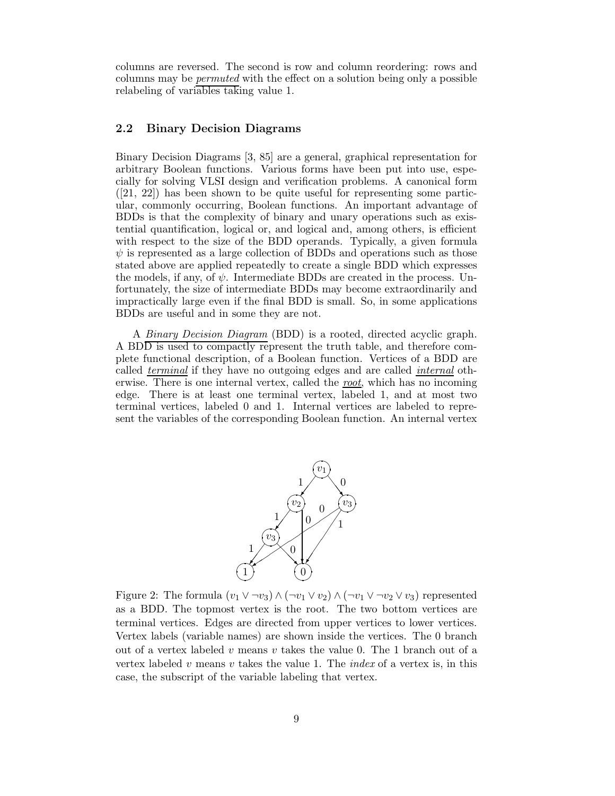columns are reversed. The second is row and column reordering: rows and columns may be permuted with the effect on a solution being only a possible relabeling of variables taking value 1.

#### 2.2 Binary Decision Diagrams

Binary Decision Diagrams [3, 85] are a general, graphical representation for arbitrary Boolean functions. Various forms have been put into use, especially for solving VLSI design and verification problems. A canonical form  $([21, 22])$  has been shown to be quite useful for representing some particular, commonly occurring, Boolean functions. An important advantage of BDDs is that the complexity of binary and unary operations such as existential quantification, logical or, and logical and, among others, is efficient with respect to the size of the BDD operands. Typically, a given formula  $\psi$  is represented as a large collection of BDDs and operations such as those stated above are applied repeatedly to create a single BDD which expresses the models, if any, of  $\psi$ . Intermediate BDDs are created in the process. Unfortunately, the size of intermediate BDDs may become extraordinarily and impractically large even if the final BDD is small. So, in some applications BDDs are useful and in some they are not.

A Binary Decision Diagram (BDD) is a rooted, directed acyclic graph. A BDD is used to compactly represent the truth table, and therefore complete functional description, of a Boolean function. Vertices of a BDD are called *terminal* if they have no outgoing edges and are called *internal* otherwise. There is one internal vertex, called the <u>root</u>, which has no incoming edge. There is at least one terminal vertex, labeled 1, and at most two terminal vertices, labeled 0 and 1. Internal vertices are labeled to represent the variables of the corresponding Boolean function. An internal vertex



Figure 2: The formula  $(v_1 \vee \neg v_3) \wedge (\neg v_1 \vee v_2) \wedge (\neg v_1 \vee \neg v_2 \vee v_3)$  represented as a BDD. The topmost vertex is the root. The two bottom vertices are terminal vertices. Edges are directed from upper vertices to lower vertices. Vertex labels (variable names) are shown inside the vertices. The 0 branch out of a vertex labeled v means v takes the value 0. The 1 branch out of a vertex labeled  $v$  means  $v$  takes the value 1. The *index* of a vertex is, in this case, the subscript of the variable labeling that vertex.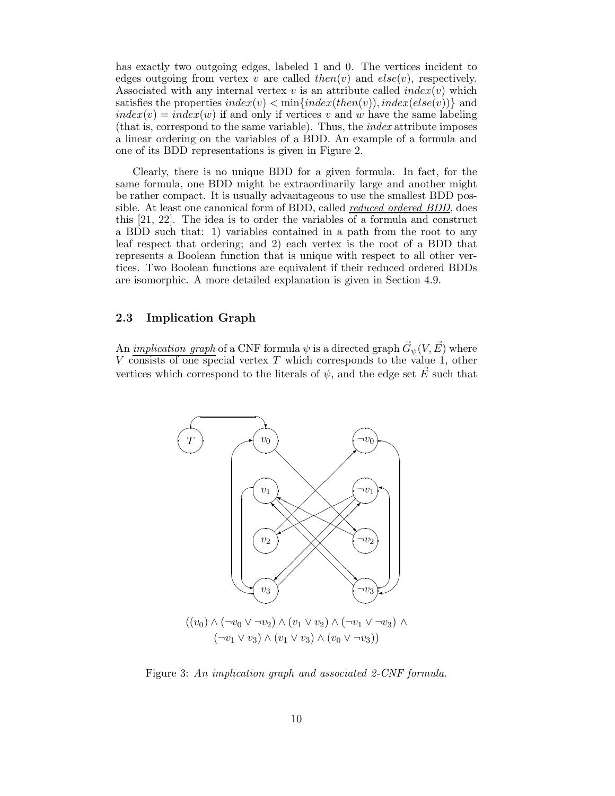has exactly two outgoing edges, labeled 1 and 0. The vertices incident to edges outgoing from vertex v are called then(v) and  $else(v)$ , respectively. Associated with any internal vertex v is an attribute called  $index(v)$  which satisfies the properties  $index(v) < min{index(then(v))}, index(else(v))$ } and  $index(v) = index(w)$  if and only if vertices v and w have the same labeling (that is, correspond to the same variable). Thus, the index attribute imposes a linear ordering on the variables of a BDD. An example of a formula and one of its BDD representations is given in Figure 2.

Clearly, there is no unique BDD for a given formula. In fact, for the same formula, one BDD might be extraordinarily large and another might be rather compact. It is usually advantageous to use the smallest BDD possible. At least one canonical form of BDD, called reduced ordered BDD, does this [21, 22]. The idea is to order the variables of a formula and construct a BDD such that: 1) variables contained in a path from the root to any leaf respect that ordering; and 2) each vertex is the root of a BDD that represents a Boolean function that is unique with respect to all other vertices. Two Boolean functions are equivalent if their reduced ordered BDDs are isomorphic. A more detailed explanation is given in Section 4.9.

#### 2.3 Implication Graph

An  $\emph{implication graph}$  of a CNF formula  $\psi$  is a directed graph  $\vec{G}_{\psi}(V,\vec{E})$  where V consists of one special vertex  $T$  which corresponds to the value 1, other vertices which correspond to the literals of  $\psi$ , and the edge set E such that



Figure 3: An implication graph and associated 2-CNF formula.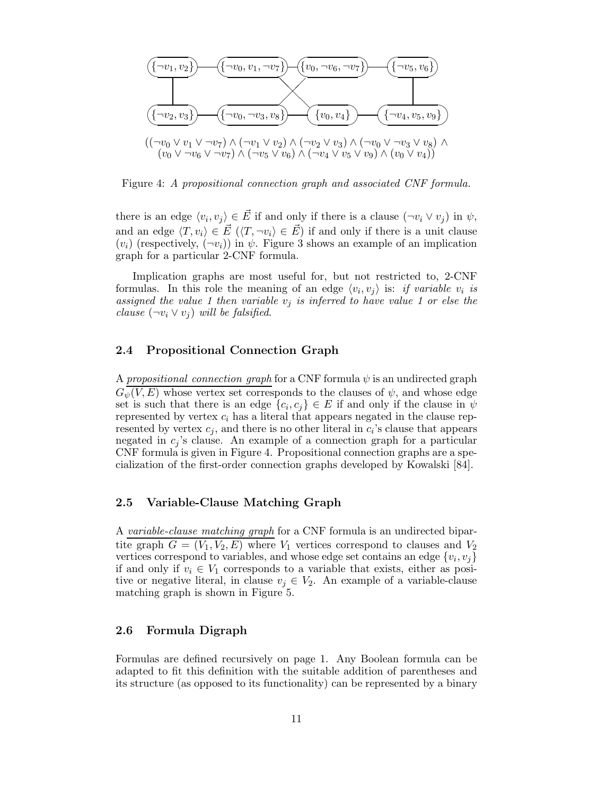

Figure 4: A propositional connection graph and associated CNF formula.

there is an edge  $\langle v_i, v_j \rangle \in \vec{E}$  if and only if there is a clause  $(\neg v_i \vee v_j)$  in  $\psi$ , and an edge  $\langle T,v_i\rangle \in \vec{E}$   $(\langle T,\neg v_i\rangle \in \vec{E})$  if and only if there is a unit clause  $(v_i)$  (respectively,  $(\neg v_i)$ ) in  $\psi$ . Figure 3 shows an example of an implication graph for a particular 2-CNF formula.

Implication graphs are most useful for, but not restricted to, 2-CNF formulas. In this role the meaning of an edge  $\langle v_i, v_j \rangle$  is: if variable  $v_i$  is assigned the value 1 then variable  $v_i$  is inferred to have value 1 or else the clause  $(\neg v_i \vee v_j)$  will be falsified.

#### 2.4 Propositional Connection Graph

A propositional connection graph for a CNF formula  $\psi$  is an undirected graph  $G_{\psi}(V,E)$  whose vertex set corresponds to the clauses of  $\psi$ , and whose edge set is such that there is an edge  $\{c_i, c_j\} \in E$  if and only if the clause in  $\psi$ represented by vertex  $c_i$  has a literal that appears negated in the clause represented by vertex  $c_j$ , and there is no other literal in  $c_i$ 's clause that appears negated in  $c_j$ 's clause. An example of a connection graph for a particular CNF formula is given in Figure 4. Propositional connection graphs are a specialization of the first-order connection graphs developed by Kowalski [84].

#### 2.5 Variable-Clause Matching Graph

A variable-clause matching graph for a CNF formula is an undirected bipartite graph  $G = (V_1, V_2, E)$  where  $V_1$  vertices correspond to clauses and  $V_2$ vertices correspond to variables, and whose edge set contains an edge  $\{v_i, v_j\}$ if and only if  $v_i \in V_1$  corresponds to a variable that exists, either as positive or negative literal, in clause  $v_i \in V_2$ . An example of a variable-clause matching graph is shown in Figure 5.

#### 2.6 Formula Digraph

Formulas are defined recursively on page 1. Any Boolean formula can be adapted to fit this definition with the suitable addition of parentheses and its structure (as opposed to its functionality) can be represented by a binary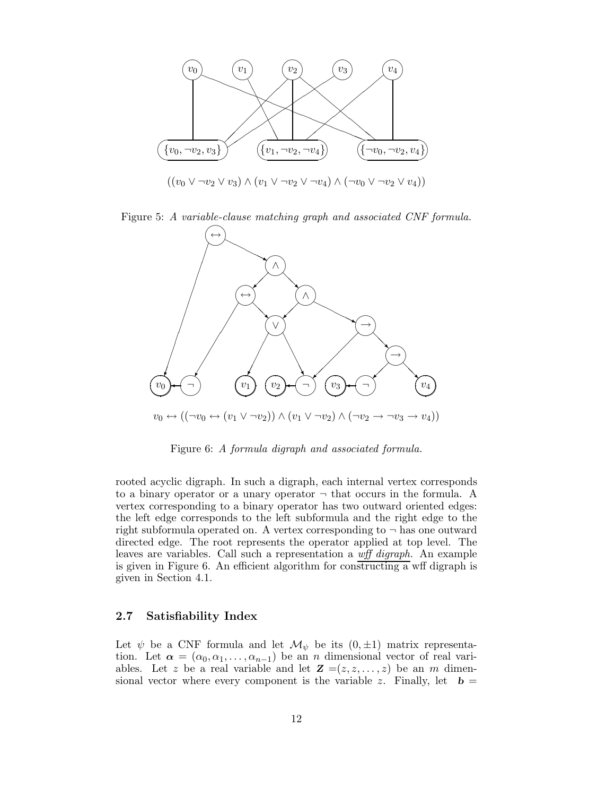

Figure 5: A variable-clause matching graph and associated CNF formula.



Figure 6: A formula digraph and associated formula.

rooted acyclic digraph. In such a digraph, each internal vertex corresponds to a binary operator or a unary operator  $\neg$  that occurs in the formula. A vertex corresponding to a binary operator has two outward oriented edges: the left edge corresponds to the left subformula and the right edge to the right subformula operated on. A vertex corresponding to  $\neg$  has one outward directed edge. The root represents the operator applied at top level. The leaves are variables. Call such a representation a wff digraph. An example is given in Figure 6. An efficient algorithm for constructing a wff digraph is given in Section 4.1.

#### 2.7 Satisfiability Index

Let  $\psi$  be a CNF formula and let  $\mathcal{M}_{\psi}$  be its  $(0, \pm 1)$  matrix representation. Let  $\alpha = (\alpha_0, \alpha_1, \ldots, \alpha_{n-1})$  be an *n* dimensional vector of real variables. Let z be a real variable and let  $\mathbf{Z} = (z, z, \dots, z)$  be an m dimensional vector where every component is the variable z. Finally, let  $\mathbf{b} =$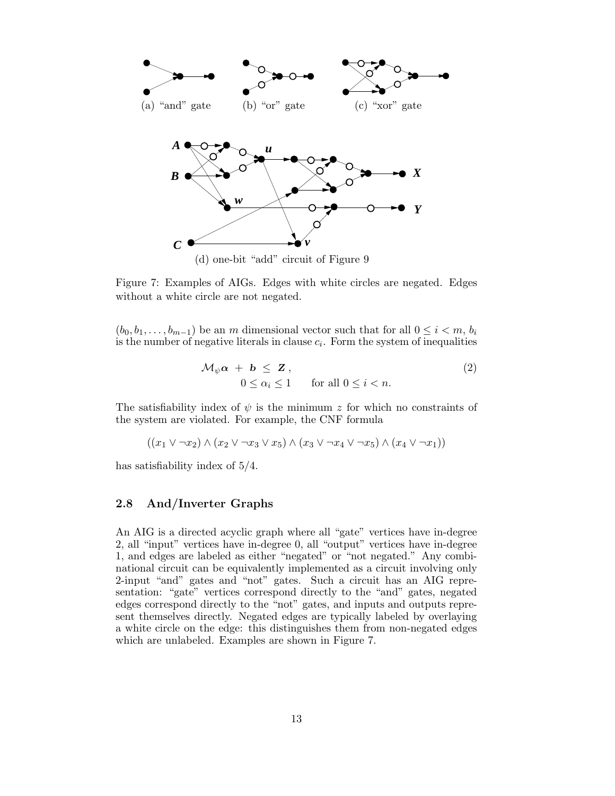

Figure 7: Examples of AIGs. Edges with white circles are negated. Edges without a white circle are not negated.

 $(b_0, b_1, \ldots, b_{m-1})$  be an m dimensional vector such that for all  $0 \leq i < m$ ,  $b_i$ is the number of negative literals in clause  $c_i$ . Form the system of inequalities

$$
\mathcal{M}_{\psi}\alpha + \mathbf{b} \leq \mathbf{Z},
$$
  
 
$$
0 \leq \alpha_i \leq 1 \quad \text{for all } 0 \leq i < n. \tag{2}
$$

The satisfiability index of  $\psi$  is the minimum z for which no constraints of the system are violated. For example, the CNF formula

$$
((x_1 \vee \neg x_2) \wedge (x_2 \vee \neg x_3 \vee x_5) \wedge (x_3 \vee \neg x_4 \vee \neg x_5) \wedge (x_4 \vee \neg x_1))
$$

has satisfiability index of 5/4.

#### 2.8 And/Inverter Graphs

An AIG is a directed acyclic graph where all "gate" vertices have in-degree 2, all "input" vertices have in-degree 0, all "output" vertices have in-degree 1, and edges are labeled as either "negated" or "not negated." Any combinational circuit can be equivalently implemented as a circuit involving only 2-input "and" gates and "not" gates. Such a circuit has an AIG representation: "gate" vertices correspond directly to the "and" gates, negated edges correspond directly to the "not" gates, and inputs and outputs represent themselves directly. Negated edges are typically labeled by overlaying a white circle on the edge: this distinguishes them from non-negated edges which are unlabeled. Examples are shown in Figure 7.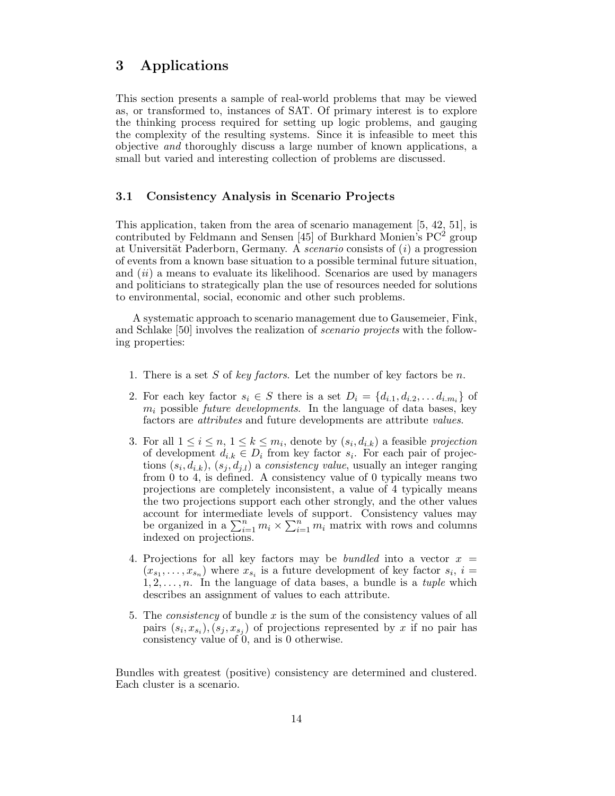## 3 Applications

This section presents a sample of real-world problems that may be viewed as, or transformed to, instances of SAT. Of primary interest is to explore the thinking process required for setting up logic problems, and gauging the complexity of the resulting systems. Since it is infeasible to meet this objective and thoroughly discuss a large number of known applications, a small but varied and interesting collection of problems are discussed.

#### 3.1 Consistency Analysis in Scenario Projects

This application, taken from the area of scenario management [5, 42, 51], is contributed by Feldmann and Sensen [45] of Burkhard Monien's  $PC<sup>2</sup>$  group at Universität Paderborn, Germany. A scenario consists of  $(i)$  a progression of events from a known base situation to a possible terminal future situation, and  $(ii)$  a means to evaluate its likelihood. Scenarios are used by managers and politicians to strategically plan the use of resources needed for solutions to environmental, social, economic and other such problems.

A systematic approach to scenario management due to Gausemeier, Fink, and Schlake [50] involves the realization of scenario projects with the following properties:

- 1. There is a set S of key factors. Let the number of key factors be n.
- 2. For each key factor  $s_i \in S$  there is a set  $D_i = \{d_{i,1}, d_{i,2}, \ldots d_{i,m_i}\}\$  of  $m_i$  possible *future developments*. In the language of data bases, key factors are *attributes* and future developments are attribute *values*.
- 3. For all  $1 \leq i \leq n, 1 \leq k \leq m_i$ , denote by  $(s_i, d_{i,k})$  a feasible projection of development  $d_{i,k} \in D_i$  from key factor  $s_i$ . For each pair of projections  $(s_i, d_{i,k}), (s_j, d_{j,l})$  a consistency value, usually an integer ranging from 0 to 4, is defined. A consistency value of 0 typically means two projections are completely inconsistent, a value of 4 typically means the two projections support each other strongly, and the other values account for intermediate levels of support. Consistency values may be organized in a  $\sum_{i=1}^{n} m_i \times \sum_{i=1}^{n} m_i$  matrix with rows and columns indexed on projections.
- 4. Projections for all key factors may be *bundled* into a vector  $x =$  $(x_{s_1},...,x_{s_n})$  where  $x_{s_i}$  is a future development of key factor  $s_i$ ,  $i =$  $1, 2, \ldots, n$ . In the language of data bases, a bundle is a *tuple* which describes an assignment of values to each attribute.
- 5. The *consistency* of bundle  $x$  is the sum of the consistency values of all pairs  $(s_i, x_{s_i}), (s_j, x_{s_j})$  of projections represented by x if no pair has consistency value of 0, and is 0 otherwise.

Bundles with greatest (positive) consistency are determined and clustered. Each cluster is a scenario.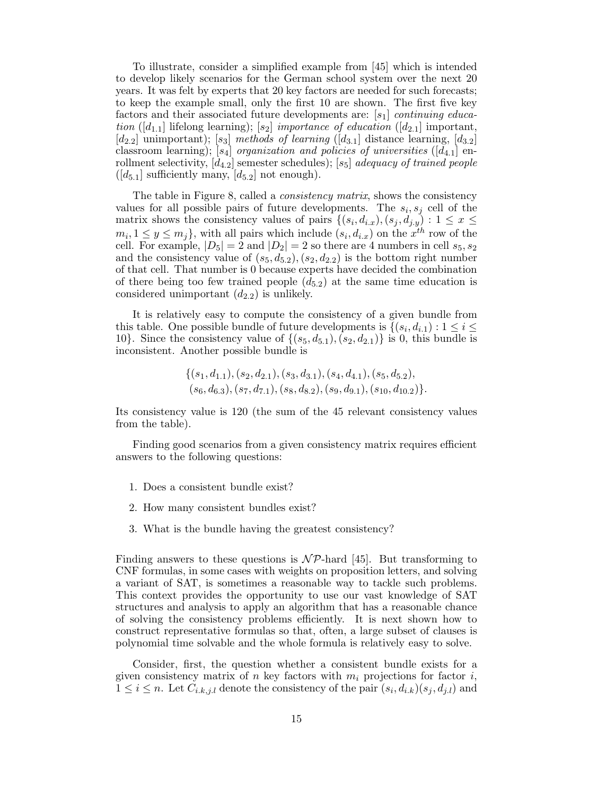To illustrate, consider a simplified example from [45] which is intended to develop likely scenarios for the German school system over the next 20 years. It was felt by experts that 20 key factors are needed for such forecasts; to keep the example small, only the first 10 are shown. The first five key factors and their associated future developments are:  $[s_1]$  continuing education ([d<sub>1.1</sub>] lifelong learning); [s<sub>2</sub>] importance of education ([d<sub>2.1</sub>] important,  $[d_{2,2}]$  unimportant);  $[s_3]$  methods of learning  $([d_{3,1}]$  distance learning,  $[d_{3,2}]$ classroom learning); [s<sub>4</sub>] *organization and policies of universities* ([ $d_{4,1}$ ] enrollment selectivity,  $[d_{4.2}]$  semester schedules); [ $s_5]$  adequacy of trained people  $([d_{5.1}]$  sufficiently many,  $[d_{5.2}]$  not enough).

The table in Figure 8, called a *consistency matrix*, shows the consistency values for all possible pairs of future developments. The  $s_i, s_j$  cell of the matrix shows the consistency values of pairs  $\{(s_i, d_{i.x}), (s_j, d_{j.y}) : 1 \leq x \leq$  $m_i, 1 \leq y \leq m_j$ , with all pairs which include  $(s_i, d_{i.x})$  on the  $x^{th}$  row of the cell. For example,  $|D_5| = 2$  and  $|D_2| = 2$  so there are 4 numbers in cell  $s_5, s_2$ and the consistency value of  $(s_5, d_{5.2})$ ,  $(s_2, d_{2.2})$  is the bottom right number of that cell. That number is 0 because experts have decided the combination of there being too few trained people  $(d_{5.2})$  at the same time education is considered unimportant  $(d_{2,2})$  is unlikely.

It is relatively easy to compute the consistency of a given bundle from this table. One possible bundle of future developments is  $\{(s_i, d_{i,1}) : 1 \leq i \leq n\}$ 10. Since the consistency value of  $\{(s_5,d_{5.1}), (s_2,d_{2.1})\}$  is 0, this bundle is inconsistent. Another possible bundle is

$$
\{(s_1, d_{1.1}), (s_2, d_{2.1}), (s_3, d_{3.1}), (s_4, d_{4.1}), (s_5, d_{5.2}), (s_6, d_{6.3}), (s_7, d_{7.1}), (s_8, d_{8.2}), (s_9, d_{9.1}), (s_{10}, d_{10.2})\}.
$$

Its consistency value is 120 (the sum of the 45 relevant consistency values from the table).

Finding good scenarios from a given consistency matrix requires efficient answers to the following questions:

- 1. Does a consistent bundle exist?
- 2. How many consistent bundles exist?
- 3. What is the bundle having the greatest consistency?

Finding answers to these questions is  $\mathcal{NP}$ -hard [45]. But transforming to CNF formulas, in some cases with weights on proposition letters, and solving a variant of SAT, is sometimes a reasonable way to tackle such problems. This context provides the opportunity to use our vast knowledge of SAT structures and analysis to apply an algorithm that has a reasonable chance of solving the consistency problems efficiently. It is next shown how to construct representative formulas so that, often, a large subset of clauses is polynomial time solvable and the whole formula is relatively easy to solve.

Consider, first, the question whether a consistent bundle exists for a given consistency matrix of n key factors with  $m_i$  projections for factor i,  $1 \leq i \leq n$ . Let  $C_{i,k,j,l}$  denote the consistency of the pair  $(s_i, d_{i,k})(s_j, d_{j,l})$  and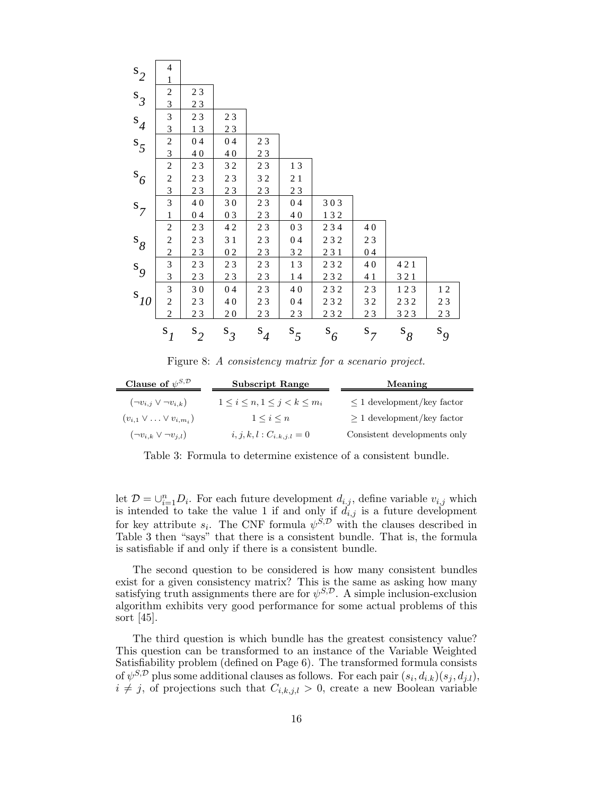| $s_{2}$           | 4                       |                |                |         |                |         |                |              |             |
|-------------------|-------------------------|----------------|----------------|---------|----------------|---------|----------------|--------------|-------------|
|                   | $\,1\,$                 |                |                |         |                |         |                |              |             |
|                   | $\overline{\mathbf{c}}$ | 23             |                |         |                |         |                |              |             |
| $s_{3}$           | $\overline{3}$          | 23             |                |         |                |         |                |              |             |
| $s_{4}$           | $\mathfrak{Z}$          | 23             | 23             |         |                |         |                |              |             |
|                   | $\overline{\mathbf{3}}$ | 13             | 23             |         |                |         |                |              |             |
| s <sub>5</sub>    | $\overline{c}$          | 04             | 04             | 23      |                |         |                |              |             |
|                   | $\overline{3}$          | 40             | 40             | 23      |                |         |                |              |             |
|                   | $\overline{c}$          | 23             | 32             | 23      | 13             |         |                |              |             |
| $s_{6}$           | $\overline{c}$          | 23             | 23             | $3\;2$  | 21             |         |                |              |             |
|                   | $\overline{\mathbf{3}}$ | 23             | 23             | 23      | 23             |         |                |              |             |
| s <sub>7</sub>    | $\overline{3}$          | 40             | $3\,0$         | 23      | 04             | 303     |                |              |             |
|                   | $\mathbf{1}$            | 04             | 03             | $2\;3$  | 40             | 132     |                |              |             |
|                   | $\overline{c}$          | 23             | 42             | 23      | 03             | 234     | 40             |              |             |
| $s_{\delta}$      | $\overline{c}$          | 23             | 31             | $2\;3$  | 04             | 232     | 23             |              |             |
|                   | $\overline{2}$          | $2\;3$         | 02             | $2\;3$  | $3\;2$         | 231     | 04             |              |             |
| $s_{\mathcal{Q}}$ | $\overline{\mathbf{3}}$ | 23             | 23             | $2\;3$  | 13             | 232     | 40             | 421          |             |
|                   | $\overline{\mathbf{3}}$ | 23             | 23             | 23      | 14             | 232     | 41             | 321          |             |
|                   | $\overline{\mathbf{3}}$ | 30             | 04             | 23      | 40             | 232     | 23             | 123          | 12          |
| $s_{10}$          | $\overline{c}$          | 23             | 40             | 23      | 04             | 232     | 32             | 232          | 23          |
|                   | $\overline{c}$          | 23             | $2\;0$         | 23      | 23             | 232     | 23             | 323          | 23          |
|                   | s <sub>I</sub>          | s <sub>2</sub> | s <sub>3</sub> | $s_{4}$ | s <sub>5</sub> | $s_{6}$ | s <sub>7</sub> | $s_{\delta}$ | $s_{\rm g}$ |

Figure 8: A consistency matrix for a scenario project.

| Clause of $\psi^{S,D}$                 | <b>Subscript Range</b>                      | Meaning                         |
|----------------------------------------|---------------------------------------------|---------------------------------|
| $(\neg v_{i,j} \vee \neg v_{i,k})$     | $1 \leq i \leq n, 1 \leq j \leq k \leq m_i$ | $\leq$ 1 development/key factor |
| $(v_{i,1} \vee \ldots \vee v_{i,m_i})$ | $1 \leq i \leq n$                           | $\geq 1$ development/key factor |
| $(\neg v_{i,k} \vee \neg v_{i,l})$     | $i, j, k, l: C_{i,k,j,l} = 0$               | Consistent developments only    |

Table 3: Formula to determine existence of a consistent bundle.

let  $\mathcal{D} = \bigcup_{i=1}^n D_i$ . For each future development  $d_{i,j}$ , define variable  $v_{i,j}$  which is intended to take the value 1 if and only if  $d_{i,j}$  is a future development for key attribute  $s_i$ . The CNF formula  $\psi^{S,D}$  with the clauses described in Table 3 then "says" that there is a consistent bundle. That is, the formula is satisfiable if and only if there is a consistent bundle.

The second question to be considered is how many consistent bundles exist for a given consistency matrix? This is the same as asking how many satisfying truth assignments there are for  $\psi^{S,D}$ . A simple inclusion-exclusion algorithm exhibits very good performance for some actual problems of this sort [45].

The third question is which bundle has the greatest consistency value? This question can be transformed to an instance of the Variable Weighted Satisfiability problem (defined on Page 6). The transformed formula consists of  $\psi^{S,D}$  plus some additional clauses as follows. For each pair  $(s_i, d_{i,k})(s_j, d_{j,l}),$  $i \neq j$ , of projections such that  $C_{i,k,j,l} > 0$ , create a new Boolean variable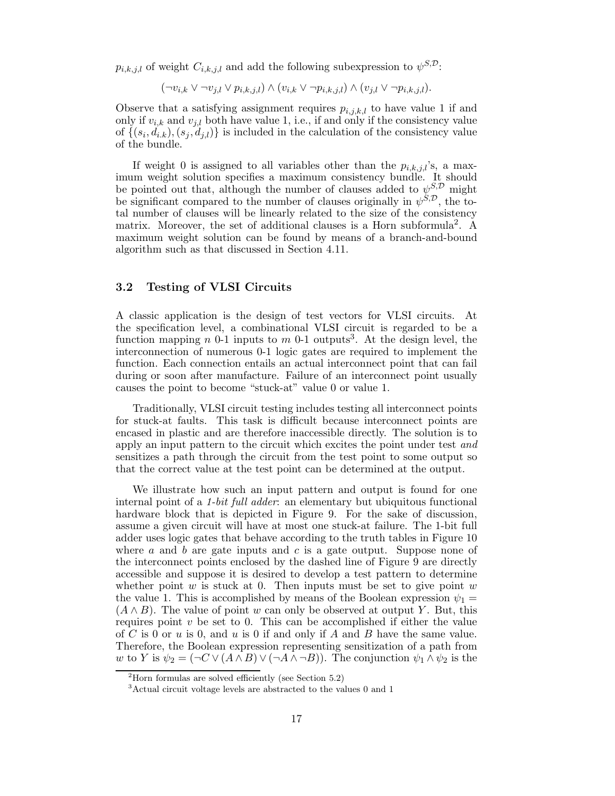$p_{i,k,j,l}$  of weight  $C_{i,k,j,l}$  and add the following subexpression to  $\psi^{S,\mathcal{D}}$ :

$$
(\neg v_{i,k} \lor \neg v_{j,l} \lor p_{i,k,j,l}) \land (v_{i,k} \lor \neg p_{i,k,j,l}) \land (v_{j,l} \lor \neg p_{i,k,j,l}).
$$

Observe that a satisfying assignment requires  $p_{i,j,k,l}$  to have value 1 if and only if  $v_{i,k}$  and  $v_{j,l}$  both have value 1, i.e., if and only if the consistency value of  $\{(s_i, d_{i,k}), (s_j, d_{j,l})\}$  is included in the calculation of the consistency value of the bundle.

If weight 0 is assigned to all variables other than the  $p_{i,k,j,l}$ 's, a maximum weight solution specifies a maximum consistency bundle. It should be pointed out that, although the number of clauses added to  $\psi^{S,D}$  might be significant compared to the number of clauses originally in  $\psi^{S,D}$ , the total number of clauses will be linearly related to the size of the consistency matrix. Moreover, the set of additional clauses is a Horn subformula<sup>2</sup>. A maximum weight solution can be found by means of a branch-and-bound algorithm such as that discussed in Section 4.11.

#### 3.2 Testing of VLSI Circuits

A classic application is the design of test vectors for VLSI circuits. At the specification level, a combinational VLSI circuit is regarded to be a function mapping n 0-1 inputs to m 0-1 outputs<sup>3</sup>. At the design level, the interconnection of numerous 0-1 logic gates are required to implement the function. Each connection entails an actual interconnect point that can fail during or soon after manufacture. Failure of an interconnect point usually causes the point to become "stuck-at" value 0 or value 1.

Traditionally, VLSI circuit testing includes testing all interconnect points for stuck-at faults. This task is difficult because interconnect points are encased in plastic and are therefore inaccessible directly. The solution is to apply an input pattern to the circuit which excites the point under test and sensitizes a path through the circuit from the test point to some output so that the correct value at the test point can be determined at the output.

We illustrate how such an input pattern and output is found for one internal point of a 1-bit full adder: an elementary but ubiquitous functional hardware block that is depicted in Figure 9. For the sake of discussion, assume a given circuit will have at most one stuck-at failure. The 1-bit full adder uses logic gates that behave according to the truth tables in Figure 10 where  $a$  and  $b$  are gate inputs and  $c$  is a gate output. Suppose none of the interconnect points enclosed by the dashed line of Figure 9 are directly accessible and suppose it is desired to develop a test pattern to determine whether point w is stuck at 0. Then inputs must be set to give point  $w$ the value 1. This is accomplished by means of the Boolean expression  $\psi_1 =$  $(A \wedge B)$ . The value of point w can only be observed at output Y. But, this requires point  $v$  be set to 0. This can be accomplished if either the value of C is 0 or u is 0, and u is 0 if and only if A and B have the same value. Therefore, the Boolean expression representing sensitization of a path from w to Y is  $\psi_2 = (\neg C \vee (A \wedge B) \vee (\neg A \wedge \neg B))$ . The conjunction  $\psi_1 \wedge \psi_2$  is the

 $2$ Horn formulas are solved efficiently (see Section 5.2)

 ${}^{3}\mathrm{Actual}$  circuit voltage levels are abstracted to the values 0 and 1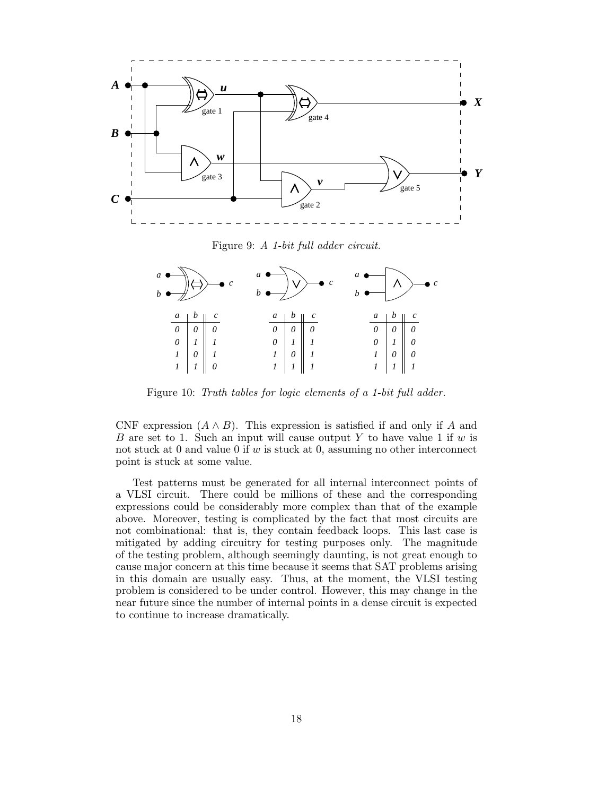

Figure 9: A 1-bit full adder circuit.



Figure 10: Truth tables for logic elements of a 1-bit full adder.

CNF expression  $(A \wedge B)$ . This expression is satisfied if and only if A and B are set to 1. Such an input will cause output Y to have value 1 if w is not stuck at  $0$  and value  $0$  if  $w$  is stuck at  $0$ , assuming no other interconnect point is stuck at some value.

Test patterns must be generated for all internal interconnect points of a VLSI circuit. There could be millions of these and the corresponding expressions could be considerably more complex than that of the example above. Moreover, testing is complicated by the fact that most circuits are not combinational: that is, they contain feedback loops. This last case is mitigated by adding circuitry for testing purposes only. The magnitude of the testing problem, although seemingly daunting, is not great enough to cause major concern at this time because it seems that SAT problems arising in this domain are usually easy. Thus, at the moment, the VLSI testing problem is considered to be under control. However, this may change in the near future since the number of internal points in a dense circuit is expected to continue to increase dramatically.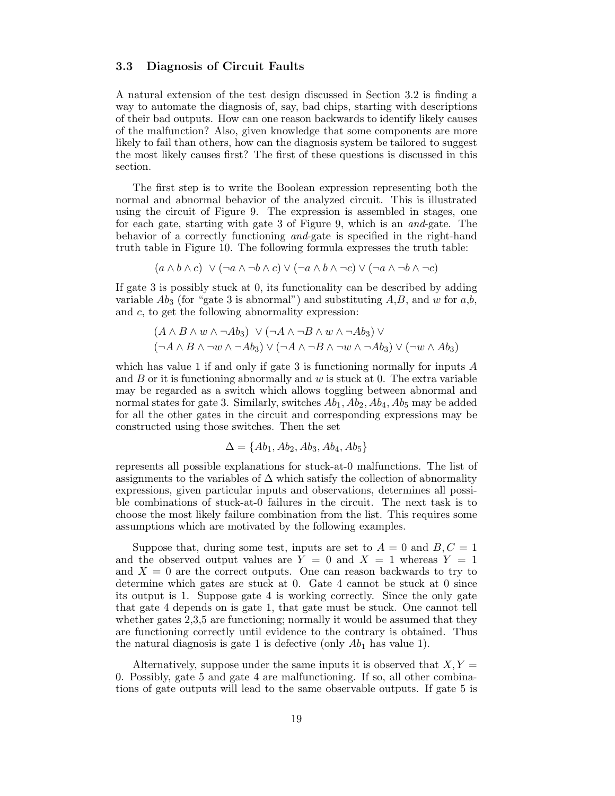#### 3.3 Diagnosis of Circuit Faults

A natural extension of the test design discussed in Section 3.2 is finding a way to automate the diagnosis of, say, bad chips, starting with descriptions of their bad outputs. How can one reason backwards to identify likely causes of the malfunction? Also, given knowledge that some components are more likely to fail than others, how can the diagnosis system be tailored to suggest the most likely causes first? The first of these questions is discussed in this section.

The first step is to write the Boolean expression representing both the normal and abnormal behavior of the analyzed circuit. This is illustrated using the circuit of Figure 9. The expression is assembled in stages, one for each gate, starting with gate 3 of Figure 9, which is an and-gate. The behavior of a correctly functioning and-gate is specified in the right-hand truth table in Figure 10. The following formula expresses the truth table:

$$
(a \land b \land c) \lor (\neg a \land \neg b \land c) \lor (\neg a \land b \land \neg c) \lor (\neg a \land \neg b \land \neg c)
$$

If gate 3 is possibly stuck at 0, its functionality can be described by adding variable  $Ab_3$  (for "gate 3 is abnormal") and substituting  $A, B$ , and w for a,b, and c, to get the following abnormality expression:

$$
(A \land B \land w \land \neg Ab_3) \lor (\neg A \land \neg B \land w \land \neg Ab_3) \lor (\neg A \land B \land \neg w \land \neg Ab_3) \lor (\neg A \land \neg B \land \neg w \land \neg Ab_3) \lor (\neg w \land Ab_3)
$$

which has value 1 if and only if gate 3 is functioning normally for inputs A and  $B$  or it is functioning abnormally and  $w$  is stuck at 0. The extra variable may be regarded as a switch which allows toggling between abnormal and normal states for gate 3. Similarly, switches  $Ab_1, Ab_2, Ab_4, Ab_5$  may be added for all the other gates in the circuit and corresponding expressions may be constructed using those switches. Then the set

$$
\Delta = \{Ab_1, Ab_2, Ab_3, Ab_4, Ab_5\}
$$

represents all possible explanations for stuck-at-0 malfunctions. The list of assignments to the variables of  $\Delta$  which satisfy the collection of abnormality expressions, given particular inputs and observations, determines all possible combinations of stuck-at-0 failures in the circuit. The next task is to choose the most likely failure combination from the list. This requires some assumptions which are motivated by the following examples.

Suppose that, during some test, inputs are set to  $A = 0$  and  $B, C = 1$ and the observed output values are  $Y = 0$  and  $X = 1$  whereas  $Y = 1$ and  $X = 0$  are the correct outputs. One can reason backwards to try to determine which gates are stuck at 0. Gate 4 cannot be stuck at 0 since its output is 1. Suppose gate 4 is working correctly. Since the only gate that gate 4 depends on is gate 1, that gate must be stuck. One cannot tell whether gates 2,3,5 are functioning; normally it would be assumed that they are functioning correctly until evidence to the contrary is obtained. Thus the natural diagnosis is gate 1 is defective (only  $Ab<sub>1</sub>$  has value 1).

Alternatively, suppose under the same inputs it is observed that  $X, Y =$ 0. Possibly, gate 5 and gate 4 are malfunctioning. If so, all other combinations of gate outputs will lead to the same observable outputs. If gate 5 is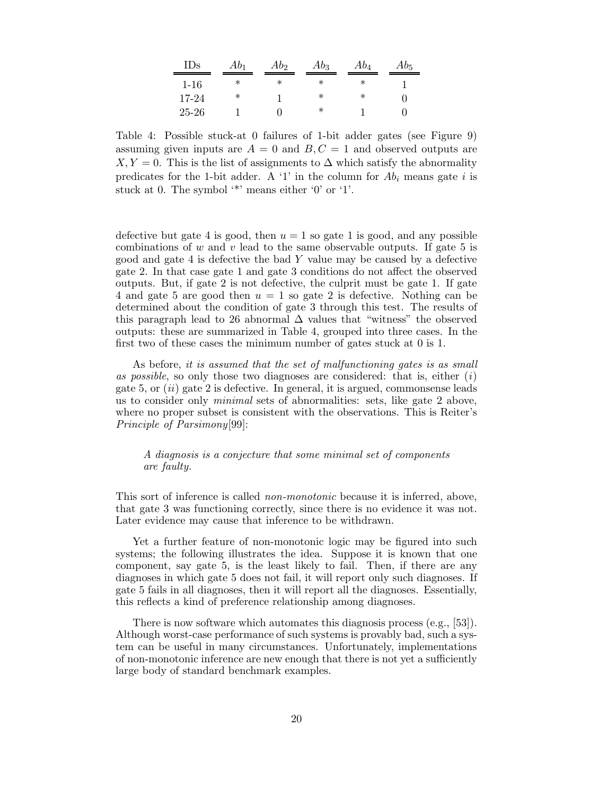| IDs       | $Ab_1$ | $Ab_2$  | $Ab_3$ | $Ab_4$  | $Ab_5$ |
|-----------|--------|---------|--------|---------|--------|
| $1 - 16$  |        | $^\ast$ |        |         |        |
| 17-24     | ∗      |         | ∗      | $^\ast$ |        |
| $25 - 26$ |        |         |        |         |        |

Table 4: Possible stuck-at 0 failures of 1-bit adder gates (see Figure 9) assuming given inputs are  $A = 0$  and  $B, C = 1$  and observed outputs are  $X, Y = 0$ . This is the list of assignments to  $\Delta$  which satisfy the abnormality predicates for the 1-bit adder. A '1' in the column for  $Ab<sub>i</sub>$  means gate i is stuck at 0. The symbol '\*' means either '0' or '1'.

defective but gate 4 is good, then  $u = 1$  so gate 1 is good, and any possible combinations of  $w$  and  $v$  lead to the same observable outputs. If gate 5 is good and gate 4 is defective the bad Y value may be caused by a defective gate 2. In that case gate 1 and gate 3 conditions do not affect the observed outputs. But, if gate 2 is not defective, the culprit must be gate 1. If gate 4 and gate 5 are good then  $u = 1$  so gate 2 is defective. Nothing can be determined about the condition of gate 3 through this test. The results of this paragraph lead to 26 abnormal  $\Delta$  values that "witness" the observed outputs: these are summarized in Table 4, grouped into three cases. In the first two of these cases the minimum number of gates stuck at 0 is 1.

As before, it is assumed that the set of malfunctioning gates is as small as possible, so only those two diagnoses are considered: that is, either  $(i)$ gate 5, or  $(ii)$  gate 2 is defective. In general, it is argued, commonsense leads us to consider only minimal sets of abnormalities: sets, like gate 2 above, where no proper subset is consistent with the observations. This is Reiter's Principle of Parsimony[99]:

A diagnosis is a conjecture that some minimal set of components are faulty.

This sort of inference is called non-monotonic because it is inferred, above, that gate 3 was functioning correctly, since there is no evidence it was not. Later evidence may cause that inference to be withdrawn.

Yet a further feature of non-monotonic logic may be figured into such systems; the following illustrates the idea. Suppose it is known that one component, say gate 5, is the least likely to fail. Then, if there are any diagnoses in which gate 5 does not fail, it will report only such diagnoses. If gate 5 fails in all diagnoses, then it will report all the diagnoses. Essentially, this reflects a kind of preference relationship among diagnoses.

There is now software which automates this diagnosis process (e.g., [53]). Although worst-case performance of such systems is provably bad, such a system can be useful in many circumstances. Unfortunately, implementations of non-monotonic inference are new enough that there is not yet a sufficiently large body of standard benchmark examples.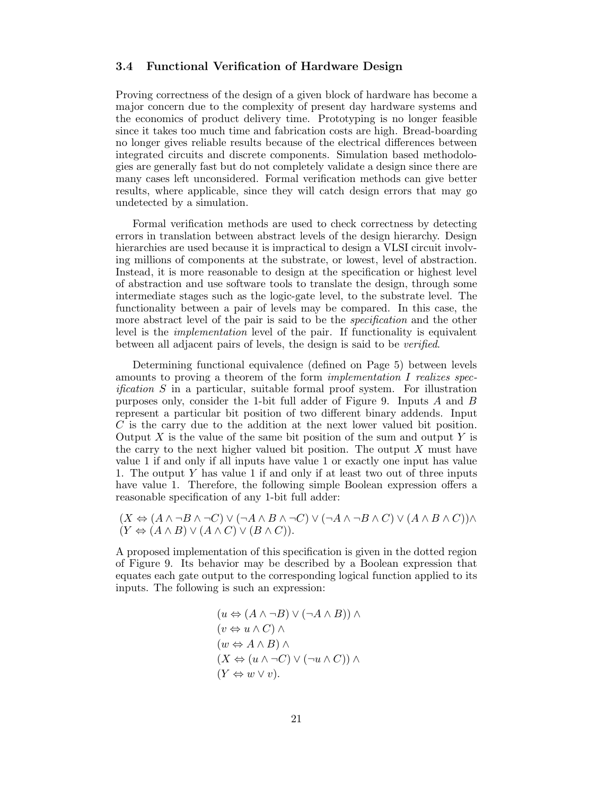#### 3.4 Functional Verification of Hardware Design

Proving correctness of the design of a given block of hardware has become a major concern due to the complexity of present day hardware systems and the economics of product delivery time. Prototyping is no longer feasible since it takes too much time and fabrication costs are high. Bread-boarding no longer gives reliable results because of the electrical differences between integrated circuits and discrete components. Simulation based methodologies are generally fast but do not completely validate a design since there are many cases left unconsidered. Formal verification methods can give better results, where applicable, since they will catch design errors that may go undetected by a simulation.

Formal verification methods are used to check correctness by detecting errors in translation between abstract levels of the design hierarchy. Design hierarchies are used because it is impractical to design a VLSI circuit involving millions of components at the substrate, or lowest, level of abstraction. Instead, it is more reasonable to design at the specification or highest level of abstraction and use software tools to translate the design, through some intermediate stages such as the logic-gate level, to the substrate level. The functionality between a pair of levels may be compared. In this case, the more abstract level of the pair is said to be the *specification* and the other level is the implementation level of the pair. If functionality is equivalent between all adjacent pairs of levels, the design is said to be verified.

Determining functional equivalence (defined on Page 5) between levels amounts to proving a theorem of the form implementation I realizes specification S in a particular, suitable formal proof system. For illustration purposes only, consider the 1-bit full adder of Figure 9. Inputs A and B represent a particular bit position of two different binary addends. Input C is the carry due to the addition at the next lower valued bit position. Output X is the value of the same bit position of the sum and output Y is the carry to the next higher valued bit position. The output  $X$  must have value 1 if and only if all inputs have value 1 or exactly one input has value 1. The output Y has value 1 if and only if at least two out of three inputs have value 1. Therefore, the following simple Boolean expression offers a reasonable specification of any 1-bit full adder:

$$
(X \Leftrightarrow (A \land \neg B \land \neg C) \lor (\neg A \land B \land \neg C) \lor (\neg A \land \neg B \land C) \lor (A \land B \land C)) \land (Y \Leftrightarrow (A \land B) \lor (A \land C) \lor (B \land C)).
$$

A proposed implementation of this specification is given in the dotted region of Figure 9. Its behavior may be described by a Boolean expression that equates each gate output to the corresponding logical function applied to its inputs. The following is such an expression:

$$
(u \Leftrightarrow (A \wedge \neg B) \vee (\neg A \wedge B)) \wedge
$$
  
\n
$$
(v \Leftrightarrow u \wedge C) \wedge
$$
  
\n
$$
(w \Leftrightarrow A \wedge B) \wedge
$$
  
\n
$$
(X \Leftrightarrow (u \wedge \neg C) \vee (\neg u \wedge C)) \wedge
$$
  
\n
$$
(Y \Leftrightarrow w \vee v).
$$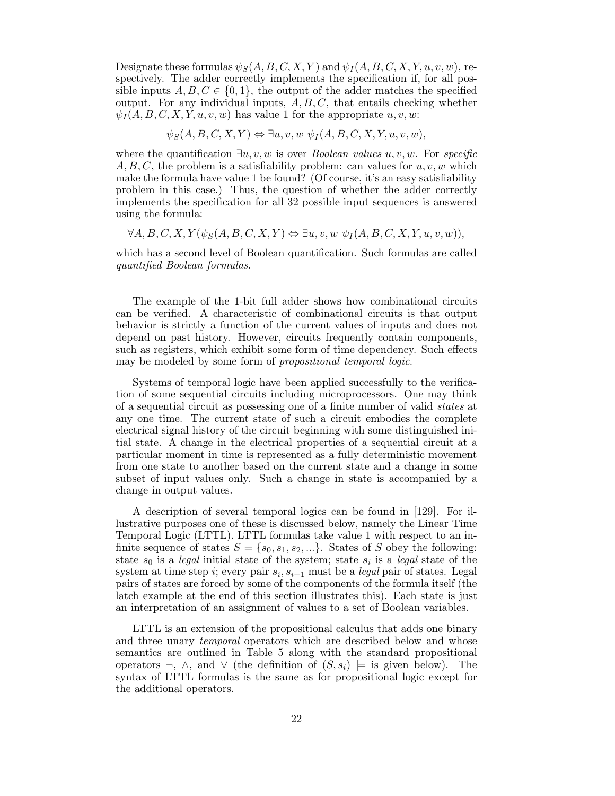Designate these formulas  $\psi_S(A, B, C, X, Y)$  and  $\psi_I(A, B, C, X, Y, u, v, w)$ , respectively. The adder correctly implements the specification if, for all possible inputs  $A, B, C \in \{0, 1\}$ , the output of the adder matches the specified output. For any individual inputs,  $A, B, C$ , that entails checking whether  $\psi_I(A, B, C, X, Y, u, v, w)$  has value 1 for the appropriate  $u, v, w$ :

$$
\psi_S(A, B, C, X, Y) \Leftrightarrow \exists u, v, w \ \psi_I(A, B, C, X, Y, u, v, w),
$$

where the quantification  $\exists u, v, w$  is over *Boolean values u,v,w.* For *specific*  $A, B, C$ , the problem is a satisfiability problem: can values for  $u, v, w$  which make the formula have value 1 be found? (Of course, it's an easy satisfiability problem in this case.) Thus, the question of whether the adder correctly implements the specification for all 32 possible input sequences is answered using the formula:

 $\forall A, B, C, X, Y(\psi_S(A, B, C, X, Y) \Leftrightarrow \exists u, v, w \ \psi_I(A, B, C, X, Y, u, v, w)),$ 

which has a second level of Boolean quantification. Such formulas are called quantified Boolean formulas.

The example of the 1-bit full adder shows how combinational circuits can be verified. A characteristic of combinational circuits is that output behavior is strictly a function of the current values of inputs and does not depend on past history. However, circuits frequently contain components, such as registers, which exhibit some form of time dependency. Such effects may be modeled by some form of *propositional temporal logic*.

Systems of temporal logic have been applied successfully to the verification of some sequential circuits including microprocessors. One may think of a sequential circuit as possessing one of a finite number of valid states at any one time. The current state of such a circuit embodies the complete electrical signal history of the circuit beginning with some distinguished initial state. A change in the electrical properties of a sequential circuit at a particular moment in time is represented as a fully deterministic movement from one state to another based on the current state and a change in some subset of input values only. Such a change in state is accompanied by a change in output values.

A description of several temporal logics can be found in [129]. For illustrative purposes one of these is discussed below, namely the Linear Time Temporal Logic (LTTL). LTTL formulas take value 1 with respect to an infinite sequence of states  $S = \{s_0, s_1, s_2, ...\}$ . States of S obey the following: state  $s_0$  is a *legal* initial state of the system; state  $s_i$  is a *legal* state of the system at time step *i*; every pair  $s_i$ ,  $s_{i+1}$  must be a *legal* pair of states. Legal pairs of states are forced by some of the components of the formula itself (the latch example at the end of this section illustrates this). Each state is just an interpretation of an assignment of values to a set of Boolean variables.

LTTL is an extension of the propositional calculus that adds one binary and three unary temporal operators which are described below and whose semantics are outlined in Table 5 along with the standard propositional operators  $\neg$ ,  $\wedge$ , and  $\vee$  (the definition of  $(S, s_i)$ ) = is given below). The syntax of LTTL formulas is the same as for propositional logic except for the additional operators.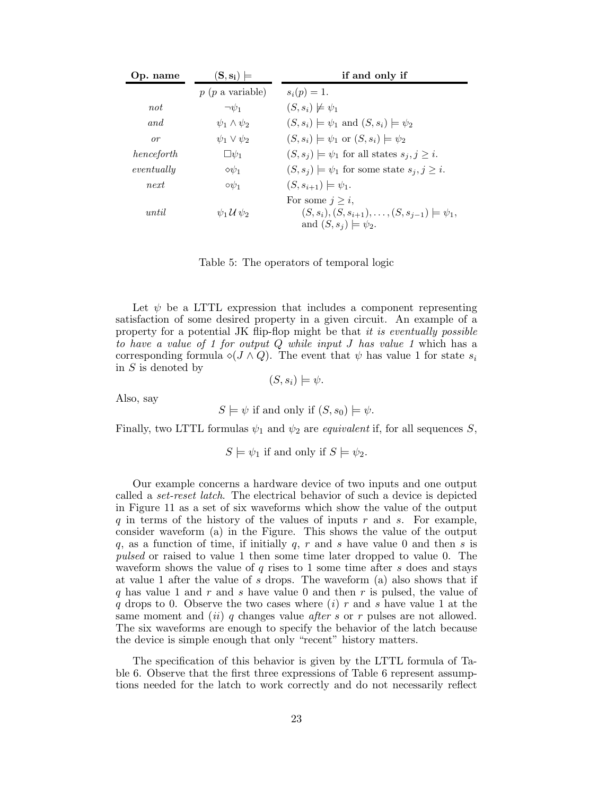| Op. name        | $(\mathbf{S},\mathbf{s_i}) \models$ | if and only if                                                                                                          |
|-----------------|-------------------------------------|-------------------------------------------------------------------------------------------------------------------------|
|                 | $p(p \text{ a variable})$           | $s_i(p) = 1.$                                                                                                           |
| not             | $\neg \psi_1$                       | $(S,s_i)\not\models \psi_1$                                                                                             |
| and             | $\psi_1 \wedge \psi_2$              | $(S, s_i) \models \psi_1$ and $(S, s_i) \models \psi_2$                                                                 |
| $\overline{or}$ | $\psi_1 \vee \psi_2$                | $(S, s_i) \models \psi_1$ or $(S, s_i) \models \psi_2$                                                                  |
| henceforth      | $\square\psi_1$                     | $(S, s_i) \models \psi_1$ for all states $s_i, j \geq i$ .                                                              |
| eventually      | $\infty \psi_1$                     | $(S, s_i) \models \psi_1$ for some state $s_i, j \geq i$ .                                                              |
| next            | $\circ \psi_1$                      | $(S, s_{i+1}) \models \psi_1.$                                                                                          |
| until           | $\psi_1\mathcal{U}\psi_2$           | For some $i > i$ ,<br>$(S, s_i), (S, s_{i+1}), \ldots, (S, s_{i-1}) \models \psi_1,$<br>and $(S, s_i) \models \psi_2$ . |

Table 5: The operators of temporal logic

Let  $\psi$  be a LTTL expression that includes a component representing satisfaction of some desired property in a given circuit. An example of a property for a potential JK flip-flop might be that it is eventually possible to have a value of 1 for output Q while input J has value 1 which has a corresponding formula  $\diamond (J \wedge Q)$ . The event that  $\psi$  has value 1 for state  $s_i$ in  $S$  is denoted by

 $(S,s_i) \models \psi$ .

Also, say

 $S \models \psi$  if and only if  $(S, s_0) \models \psi$ .

Finally, two LTTL formulas  $\psi_1$  and  $\psi_2$  are *equivalent* if, for all sequences S,

 $S \models \psi_1$  if and only if  $S \models \psi_2$ .

Our example concerns a hardware device of two inputs and one output called a set-reset latch. The electrical behavior of such a device is depicted in Figure 11 as a set of six waveforms which show the value of the output q in terms of the history of the values of inputs  $r$  and  $s$ . For example, consider waveform (a) in the Figure. This shows the value of the output q, as a function of time, if initially q, r and s have value 0 and then s is pulsed or raised to value 1 then some time later dropped to value 0. The waveform shows the value of  $q$  rises to 1 some time after  $s$  does and stays at value 1 after the value of s drops. The waveform (a) also shows that if q has value 1 and r and s have value 0 and then r is pulsed, the value of q drops to 0. Observe the two cases where  $(i)$  r and s have value 1 at the same moment and  $(ii)$  q changes value after s or r pulses are not allowed. The six waveforms are enough to specify the behavior of the latch because the device is simple enough that only "recent" history matters.

The specification of this behavior is given by the LTTL formula of Table 6. Observe that the first three expressions of Table 6 represent assumptions needed for the latch to work correctly and do not necessarily reflect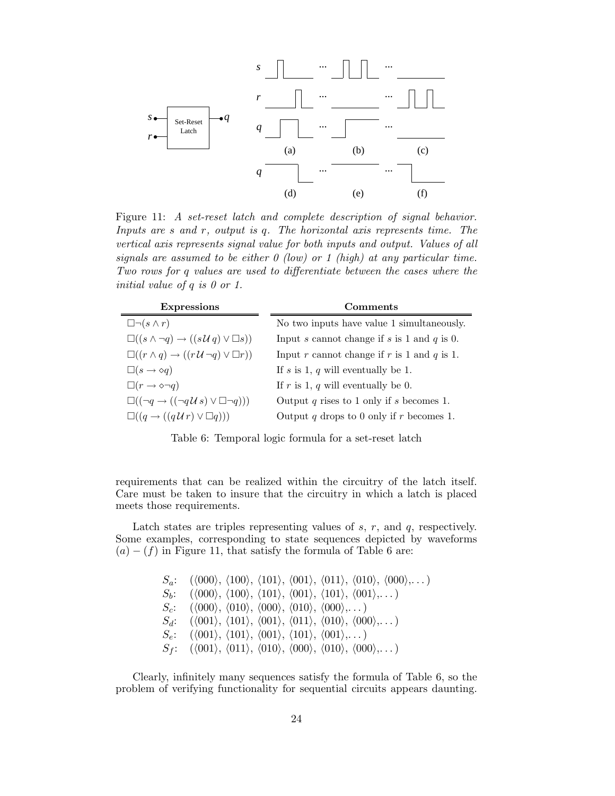

Figure 11: A set-reset latch and complete description of signal behavior. Inputs are s and r, output is q. The horizontal axis represents time. The vertical axis represents signal value for both inputs and output. Values of all signals are assumed to be either  $\theta$  (low) or 1 (high) at any particular time. Two rows for q values are used to differentiate between the cases where the initial value of q is 0 or 1.

| <b>Expressions</b>                                                    | Comments                                        |
|-----------------------------------------------------------------------|-------------------------------------------------|
| $\Box \neg (s \land r)$                                               | No two inputs have value 1 simultaneously.      |
| $\Box((s \land \neg q) \rightarrow ((s \mathcal{U} q) \lor \Box s))$  | Input s cannot change if $s$ is 1 and $q$ is 0. |
| $\Box((r \land q) \rightarrow ((r\mathcal{U} \neg q) \lor \Box r))$   | Input r cannot change if r is 1 and q is 1.     |
| $\square(s \rightarrow \diamond q)$                                   | If $s$ is 1, $q$ will eventually be 1.          |
| $\Box(r \rightarrow \Diamond \neg q)$                                 | If $r$ is 1, $q$ will eventually be 0.          |
| $\Box((\neg q \rightarrow ((\neg q \mathcal{U}s) \vee \Box \neg q)))$ | Output $q$ rises to 1 only if $s$ becomes 1.    |
| $\Box((q \rightarrow ((q \mathcal{U} r) \vee \Box q)))$               | Output $q$ drops to 0 only if $r$ becomes 1.    |

Table 6: Temporal logic formula for a set-reset latch

requirements that can be realized within the circuitry of the latch itself. Care must be taken to insure that the circuitry in which a latch is placed meets those requirements.

Latch states are triples representing values of  $s, r$ , and  $q$ , respectively. Some examples, corresponding to state sequences depicted by waveforms  $(a) - (f)$  in Figure 11, that satisfy the formula of Table 6 are:

| $S_a$ : ( $\langle 000 \rangle$ , $\langle 100 \rangle$ , $\langle 101 \rangle$ , $\langle 001 \rangle$ , $\langle 011 \rangle$ , $\langle 010 \rangle$ , $\langle 000 \rangle$ ,) |
|------------------------------------------------------------------------------------------------------------------------------------------------------------------------------------|
| $S_b$ : ( $\langle 000 \rangle$ , $\langle 100 \rangle$ , $\langle 101 \rangle$ , $\langle 001 \rangle$ , $\langle 101 \rangle$ , $\langle 001 \rangle$ ,                          |
| $S_c$ : $(\langle 000 \rangle, \langle 010 \rangle, \langle 000 \rangle, \langle 010 \rangle, \langle 000 \rangle, )$                                                              |
| $S_d$ : ( $\langle 001 \rangle$ , $\langle 101 \rangle$ , $\langle 001 \rangle$ , $\langle 011 \rangle$ , $\langle 010 \rangle$ , $\langle 000 \rangle$ ,                          |
| $S_e$ : $(\langle 001 \rangle, \langle 101 \rangle, \langle 001 \rangle, \langle 101 \rangle, \langle 001 \rangle, )$                                                              |
| $S_f$ : $(\langle 001 \rangle, \langle 011 \rangle, \langle 010 \rangle, \langle 000 \rangle, \langle 010 \rangle, \langle 000 \rangle, )$                                         |

Clearly, infinitely many sequences satisfy the formula of Table 6, so the problem of verifying functionality for sequential circuits appears daunting.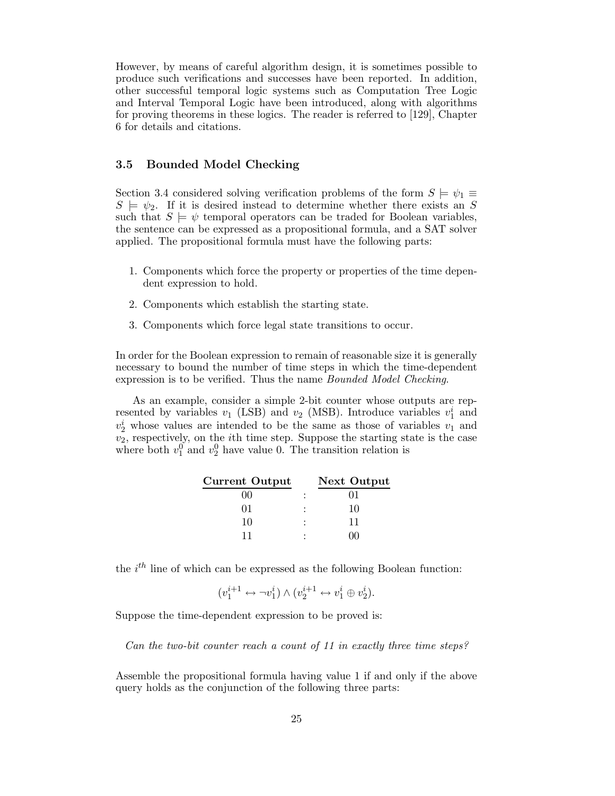However, by means of careful algorithm design, it is sometimes possible to produce such verifications and successes have been reported. In addition, other successful temporal logic systems such as Computation Tree Logic and Interval Temporal Logic have been introduced, along with algorithms for proving theorems in these logics. The reader is referred to [129], Chapter 6 for details and citations.

#### 3.5 Bounded Model Checking

Section 3.4 considered solving verification problems of the form  $S \models \psi_1 \equiv$  $S \models \psi_2$ . If it is desired instead to determine whether there exists an S such that  $S \models \psi$  temporal operators can be traded for Boolean variables, the sentence can be expressed as a propositional formula, and a SAT solver applied. The propositional formula must have the following parts:

- 1. Components which force the property or properties of the time dependent expression to hold.
- 2. Components which establish the starting state.
- 3. Components which force legal state transitions to occur.

In order for the Boolean expression to remain of reasonable size it is generally necessary to bound the number of time steps in which the time-dependent expression is to be verified. Thus the name Bounded Model Checking.

As an example, consider a simple 2-bit counter whose outputs are represented by variables  $v_1$  (LSB) and  $v_2$  (MSB). Introduce variables  $v_1^i$  and  $v_2^i$  whose values are intended to be the same as those of variables  $v_1$  and  $v_2$ , respectively, on the *i*th time step. Suppose the starting state is the case where both  $v_1^0$  and  $v_2^0$  have value 0. The transition relation is

| <b>Current Output</b> |   | Next Output |
|-----------------------|---|-------------|
|                       |   | 01          |
| 01                    | ٠ | 10          |
| 10                    |   | 11          |
|                       | ٠ | <b>M</b>    |

the  $i^{th}$  line of which can be expressed as the following Boolean function:

$$
(v_1^{i+1} \leftrightarrow \neg v_1^i) \land (v_2^{i+1} \leftrightarrow v_1^i \oplus v_2^i).
$$

Suppose the time-dependent expression to be proved is:

Can the two-bit counter reach a count of 11 in exactly three time steps?

Assemble the propositional formula having value 1 if and only if the above query holds as the conjunction of the following three parts: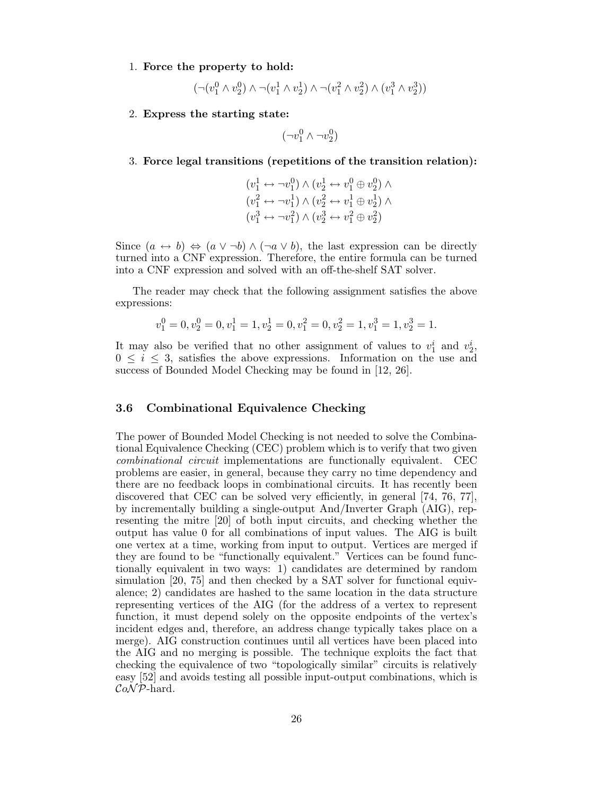1. Force the property to hold:

$$
(\neg(v_1^0 \land v_2^0) \land \neg(v_1^1 \land v_2^1) \land \neg(v_1^2 \land v_2^2) \land (v_1^3 \land v_2^3))
$$

2. Express the starting state:

 $(\neg v_1^0 \wedge \neg v_2^0)$ 

3. Force legal transitions (repetitions of the transition relation):

$$
(v_1^1 \leftrightarrow \neg v_1^0) \land (v_2^1 \leftrightarrow v_1^0 \oplus v_2^0) \land (v_1^2 \leftrightarrow \neg v_1^1) \land (v_2^2 \leftrightarrow v_1^1 \oplus v_2^1) \land (v_1^3 \leftrightarrow \neg v_1^2) \land (v_2^3 \leftrightarrow v_1^2 \oplus v_2^2)
$$

Since  $(a \leftrightarrow b) \Leftrightarrow (a \lor \neg b) \land (\neg a \lor b)$ , the last expression can be directly turned into a CNF expression. Therefore, the entire formula can be turned into a CNF expression and solved with an off-the-shelf SAT solver.

The reader may check that the following assignment satisfies the above expressions:

$$
v_1^0 = 0, v_2^0 = 0, v_1^1 = 1, v_2^1 = 0, v_1^2 = 0, v_2^2 = 1, v_1^3 = 1, v_2^3 = 1.
$$

It may also be verified that no other assignment of values to  $v_1^i$  and  $v_2^i$ ,  $0 \leq i \leq 3$ , satisfies the above expressions. Information on the use and success of Bounded Model Checking may be found in [12, 26].

#### 3.6 Combinational Equivalence Checking

The power of Bounded Model Checking is not needed to solve the Combinational Equivalence Checking (CEC) problem which is to verify that two given combinational circuit implementations are functionally equivalent. CEC problems are easier, in general, because they carry no time dependency and there are no feedback loops in combinational circuits. It has recently been discovered that CEC can be solved very efficiently, in general [74, 76, 77], by incrementally building a single-output And/Inverter Graph (AIG), representing the mitre [20] of both input circuits, and checking whether the output has value 0 for all combinations of input values. The AIG is built one vertex at a time, working from input to output. Vertices are merged if they are found to be "functionally equivalent." Vertices can be found functionally equivalent in two ways: 1) candidates are determined by random simulation [20, 75] and then checked by a SAT solver for functional equivalence; 2) candidates are hashed to the same location in the data structure representing vertices of the AIG (for the address of a vertex to represent function, it must depend solely on the opposite endpoints of the vertex's incident edges and, therefore, an address change typically takes place on a merge). AIG construction continues until all vertices have been placed into the AIG and no merging is possible. The technique exploits the fact that checking the equivalence of two "topologically similar" circuits is relatively easy [52] and avoids testing all possible input-output combinations, which is  $CoN\overline{P}$ -hard.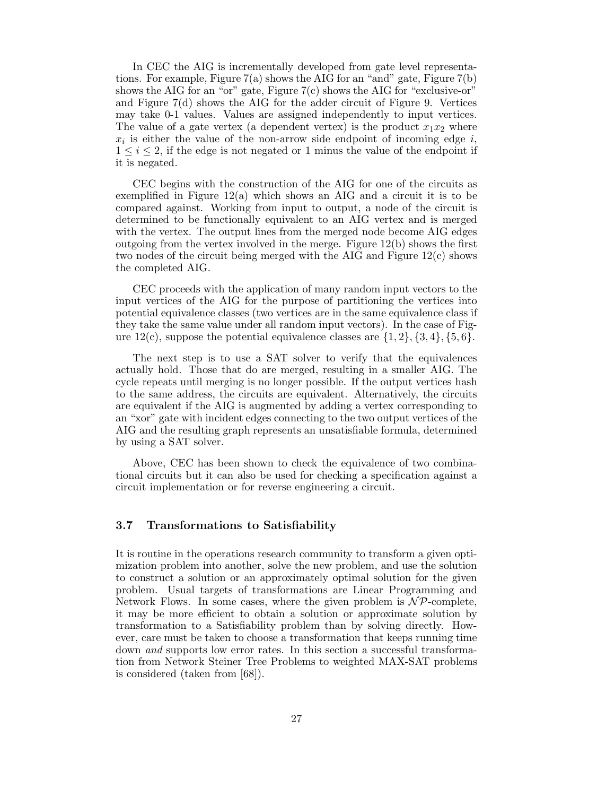In CEC the AIG is incrementally developed from gate level representations. For example, Figure  $7(a)$  shows the AIG for an "and" gate, Figure  $7(b)$ shows the AIG for an "or" gate, Figure 7(c) shows the AIG for "exclusive-or" and Figure 7(d) shows the AIG for the adder circuit of Figure 9. Vertices may take 0-1 values. Values are assigned independently to input vertices. The value of a gate vertex (a dependent vertex) is the product  $x_1x_2$  where  $x_i$  is either the value of the non-arrow side endpoint of incoming edge i,  $1 \leq i \leq 2$ , if the edge is not negated or 1 minus the value of the endpoint if it is negated.

CEC begins with the construction of the AIG for one of the circuits as exemplified in Figure  $12(a)$  which shows an AIG and a circuit it is to be compared against. Working from input to output, a node of the circuit is determined to be functionally equivalent to an AIG vertex and is merged with the vertex. The output lines from the merged node become AIG edges outgoing from the vertex involved in the merge. Figure 12(b) shows the first two nodes of the circuit being merged with the AIG and Figure  $12(c)$  shows the completed AIG.

CEC proceeds with the application of many random input vectors to the input vertices of the AIG for the purpose of partitioning the vertices into potential equivalence classes (two vertices are in the same equivalence class if they take the same value under all random input vectors). In the case of Figure 12(c), suppose the potential equivalence classes are  $\{1, 2\}, \{3, 4\}, \{5, 6\}.$ 

The next step is to use a SAT solver to verify that the equivalences actually hold. Those that do are merged, resulting in a smaller AIG. The cycle repeats until merging is no longer possible. If the output vertices hash to the same address, the circuits are equivalent. Alternatively, the circuits are equivalent if the AIG is augmented by adding a vertex corresponding to an "xor" gate with incident edges connecting to the two output vertices of the AIG and the resulting graph represents an unsatisfiable formula, determined by using a SAT solver.

Above, CEC has been shown to check the equivalence of two combinational circuits but it can also be used for checking a specification against a circuit implementation or for reverse engineering a circuit.

### 3.7 Transformations to Satisfiability

It is routine in the operations research community to transform a given optimization problem into another, solve the new problem, and use the solution to construct a solution or an approximately optimal solution for the given problem. Usual targets of transformations are Linear Programming and Network Flows. In some cases, where the given problem is  $N\mathcal{P}$ -complete, it may be more efficient to obtain a solution or approximate solution by transformation to a Satisfiability problem than by solving directly. However, care must be taken to choose a transformation that keeps running time down and supports low error rates. In this section a successful transformation from Network Steiner Tree Problems to weighted MAX-SAT problems is considered (taken from [68]).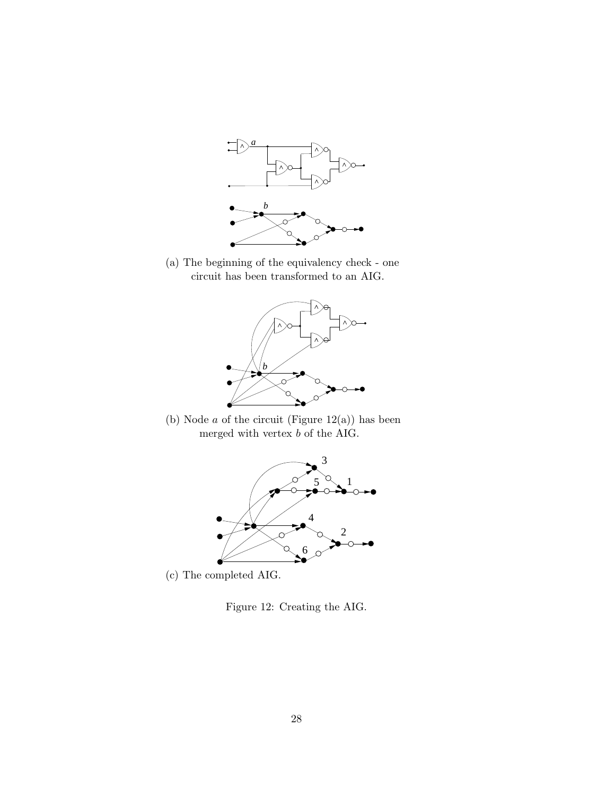

(a) The beginning of the equivalency check - one circuit has been transformed to an AIG.



(b) Node  $a$  of the circuit (Figure 12(a)) has been merged with vertex  $b$  of the AIG.



(c) The completed AIG.

Figure 12: Creating the AIG.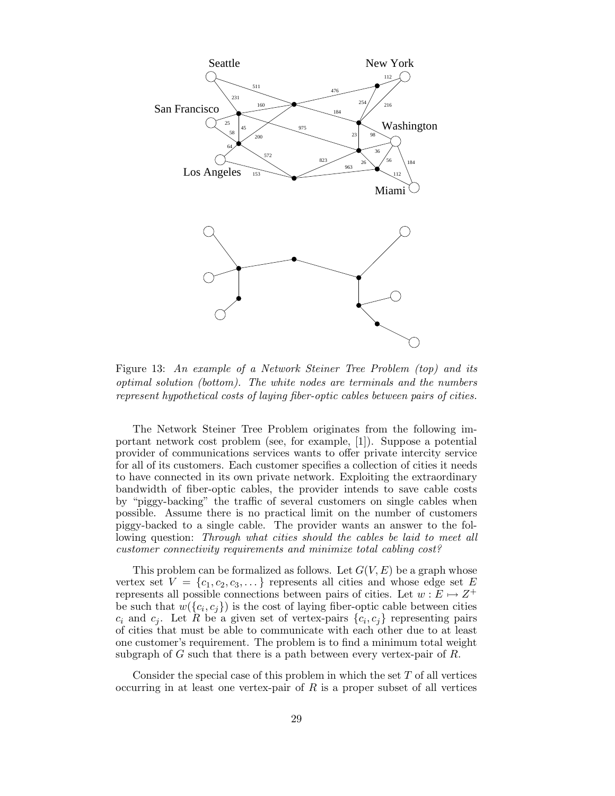

Figure 13: An example of a Network Steiner Tree Problem (top) and its optimal solution (bottom). The white nodes are terminals and the numbers represent hypothetical costs of laying fiber-optic cables between pairs of cities.

The Network Steiner Tree Problem originates from the following important network cost problem (see, for example, [1]). Suppose a potential provider of communications services wants to offer private intercity service for all of its customers. Each customer specifies a collection of cities it needs to have connected in its own private network. Exploiting the extraordinary bandwidth of fiber-optic cables, the provider intends to save cable costs by "piggy-backing" the traffic of several customers on single cables when possible. Assume there is no practical limit on the number of customers piggy-backed to a single cable. The provider wants an answer to the following question: Through what cities should the cables be laid to meet all customer connectivity requirements and minimize total cabling cost?

This problem can be formalized as follows. Let  $G(V, E)$  be a graph whose vertex set  $V = \{c_1, c_2, c_3, \dots\}$  represents all cities and whose edge set E represents all possible connections between pairs of cities. Let  $w : E \mapsto Z^+$ be such that  $w(\lbrace c_i, c_j \rbrace)$  is the cost of laying fiber-optic cable between cities  $c_i$  and  $c_j$ . Let R be a given set of vertex-pairs  $\{c_i, c_j\}$  representing pairs of cities that must be able to communicate with each other due to at least one customer's requirement. The problem is to find a minimum total weight subgraph of  $G$  such that there is a path between every vertex-pair of  $R$ .

Consider the special case of this problem in which the set  $T$  of all vertices occurring in at least one vertex-pair of  $R$  is a proper subset of all vertices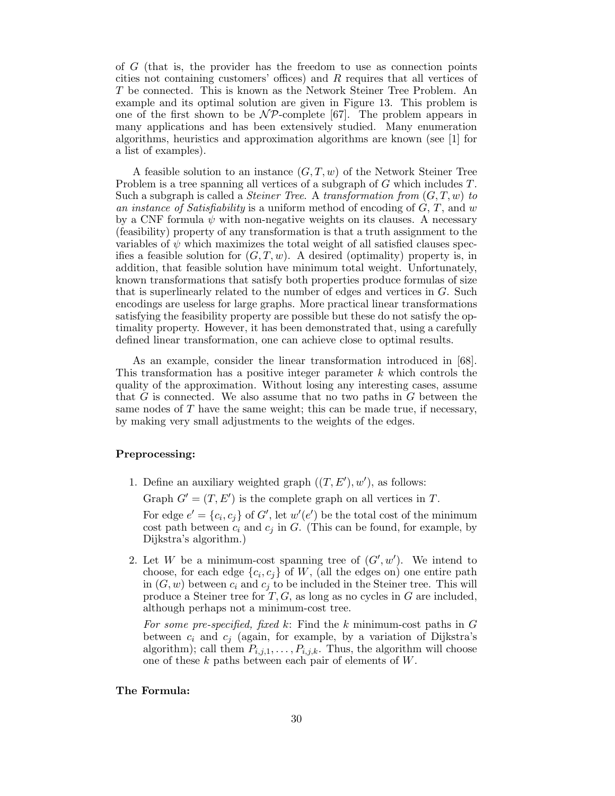of G (that is, the provider has the freedom to use as connection points cities not containing customers' offices) and R requires that all vertices of T be connected. This is known as the Network Steiner Tree Problem. An example and its optimal solution are given in Figure 13. This problem is one of the first shown to be  $N\mathcal{P}$ -complete [67]. The problem appears in many applications and has been extensively studied. Many enumeration algorithms, heuristics and approximation algorithms are known (see [1] for a list of examples).

A feasible solution to an instance  $(G, T, w)$  of the Network Steiner Tree Problem is a tree spanning all vertices of a subgraph of G which includes T. Such a subgraph is called a *Steiner Tree.* A transformation from  $(G, T, w)$  to an instance of Satisfiability is a uniform method of encoding of  $G, T$ , and w by a CNF formula  $\psi$  with non-negative weights on its clauses. A necessary (feasibility) property of any transformation is that a truth assignment to the variables of  $\psi$  which maximizes the total weight of all satisfied clauses specifies a feasible solution for  $(G, T, w)$ . A desired (optimality) property is, in addition, that feasible solution have minimum total weight. Unfortunately, known transformations that satisfy both properties produce formulas of size that is superlinearly related to the number of edges and vertices in G. Such encodings are useless for large graphs. More practical linear transformations satisfying the feasibility property are possible but these do not satisfy the optimality property. However, it has been demonstrated that, using a carefully defined linear transformation, one can achieve close to optimal results.

As an example, consider the linear transformation introduced in [68]. This transformation has a positive integer parameter k which controls the quality of the approximation. Without losing any interesting cases, assume that  $G$  is connected. We also assume that no two paths in  $G$  between the same nodes of  $T$  have the same weight; this can be made true, if necessary, by making very small adjustments to the weights of the edges.

#### Preprocessing:

1. Define an auxiliary weighted graph  $((T, E'), w')$ , as follows:

Graph  $G' = (T, E')$  is the complete graph on all vertices in T.

For edge  $e' = \{c_i, c_j\}$  of G', let  $w'(e')$  be the total cost of the minimum cost path between  $c_i$  and  $c_j$  in G. (This can be found, for example, by Dijkstra's algorithm.)

2. Let W be a minimum-cost spanning tree of  $(G', w')$ . We intend to choose, for each edge  $\{c_i, c_j\}$  of W, (all the edges on) one entire path in  $(G, w)$  between  $c_i$  and  $c_j$  to be included in the Steiner tree. This will produce a Steiner tree for  $T, G$ , as long as no cycles in G are included, although perhaps not a minimum-cost tree.

For some pre-specified, fixed  $k$ : Find the  $k$  minimum-cost paths in  $G$ between  $c_i$  and  $c_j$  (again, for example, by a variation of Dijkstra's algorithm); call them  $P_{i,j,1},\ldots,P_{i,j,k}$ . Thus, the algorithm will choose one of these  $k$  paths between each pair of elements of  $W$ .

#### The Formula: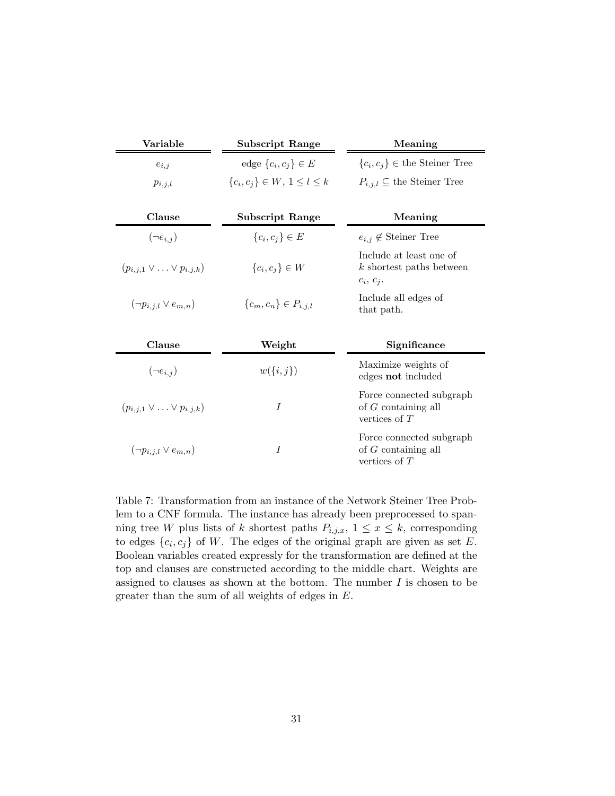| Variable                                 | <b>Subscript Range</b>              | Meaning                                                              |
|------------------------------------------|-------------------------------------|----------------------------------------------------------------------|
| $e_{i,j}$                                | edge $\{c_i, c_j\} \in E$           | ${c_i, c_j} \in \text{the Steiner Tree}$                             |
| $p_{i,j,l}$                              | ${c_i, c_j} \in W, 1 \leq l \leq k$ | $P_{i,j,l} \subseteq$ the Steiner Tree                               |
| Clause                                   | <b>Subscript Range</b>              | Meaning                                                              |
| $(\neg e_{i,j})$                         | $\{c_i, c_j\} \in E$                | $e_{i,j} \notin \text{Steiner Tree}$                                 |
| $(p_{i,j,1} \vee \ldots \vee p_{i,j,k})$ | $\{c_i, c_j\} \in W$                | Include at least one of<br>k shortest paths between<br>$c_i, c_i.$   |
| $(\neg p_{i,j,l} \vee e_{m,n})$          | $\{c_m, c_n\} \in P_{i,j,l}$        | Include all edges of<br>that path.                                   |
| Clause                                   | Weight                              | Significance                                                         |
| $(\neg e_{i,j})$                         | $w(\lbrace i,j \rbrace)$            | Maximize weights of<br>edges not included                            |
| $(p_{i,j,1} \vee \ldots \vee p_{i,j,k})$ | $\overline{I}$                      | Force connected subgraph<br>of $G$ containing all<br>vertices of $T$ |
| $(\neg p_{i,j,l} \vee e_{m,n})$          | Ι                                   | Force connected subgraph<br>of $G$ containing all<br>vertices of $T$ |

j.

Table 7: Transformation from an instance of the Network Steiner Tree Problem to a CNF formula. The instance has already been preprocessed to spanning tree W plus lists of k shortest paths  $P_{i,j,x}$ ,  $1 \leq x \leq k$ , corresponding to edges  $\{c_i, c_j\}$  of W. The edges of the original graph are given as set E. Boolean variables created expressly for the transformation are defined at the top and clauses are constructed according to the middle chart. Weights are assigned to clauses as shown at the bottom. The number  $I$  is chosen to be greater than the sum of all weights of edges in E.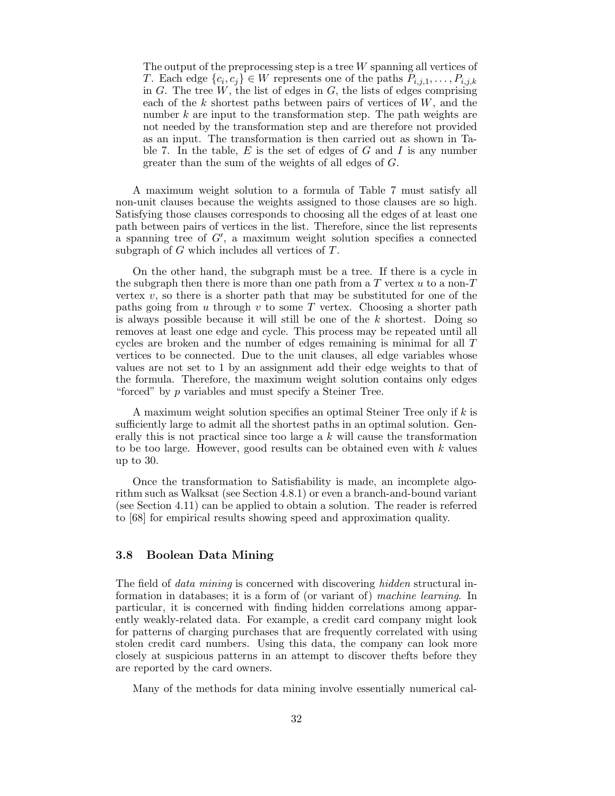The output of the preprocessing step is a tree W spanning all vertices of T. Each edge  $\{c_i, c_j\} \in W$  represents one of the paths  $P_{i,j,1}, \ldots, P_{i,j,k}$ in  $G$ . The tree  $W$ , the list of edges in  $G$ , the lists of edges comprising each of the k shortest paths between pairs of vertices of  $W$ , and the number  $k$  are input to the transformation step. The path weights are not needed by the transformation step and are therefore not provided as an input. The transformation is then carried out as shown in Table 7. In the table,  $E$  is the set of edges of  $G$  and  $I$  is any number greater than the sum of the weights of all edges of G.

A maximum weight solution to a formula of Table 7 must satisfy all non-unit clauses because the weights assigned to those clauses are so high. Satisfying those clauses corresponds to choosing all the edges of at least one path between pairs of vertices in the list. Therefore, since the list represents a spanning tree of  $G'$ , a maximum weight solution specifies a connected subgraph of G which includes all vertices of T.

On the other hand, the subgraph must be a tree. If there is a cycle in the subgraph then there is more than one path from a T vertex u to a non-T vertex  $v$ , so there is a shorter path that may be substituted for one of the paths going from u through v to some  $T$  vertex. Choosing a shorter path is always possible because it will still be one of the  $k$  shortest. Doing so removes at least one edge and cycle. This process may be repeated until all cycles are broken and the number of edges remaining is minimal for all T vertices to be connected. Due to the unit clauses, all edge variables whose values are not set to 1 by an assignment add their edge weights to that of the formula. Therefore, the maximum weight solution contains only edges "forced" by p variables and must specify a Steiner Tree.

A maximum weight solution specifies an optimal Steiner Tree only if k is sufficiently large to admit all the shortest paths in an optimal solution. Generally this is not practical since too large a  $k$  will cause the transformation to be too large. However, good results can be obtained even with k values up to 30.

Once the transformation to Satisfiability is made, an incomplete algorithm such as Walksat (see Section 4.8.1) or even a branch-and-bound variant (see Section 4.11) can be applied to obtain a solution. The reader is referred to [68] for empirical results showing speed and approximation quality.

#### 3.8 Boolean Data Mining

The field of *data mining* is concerned with discovering *hidden* structural information in databases; it is a form of (or variant of) machine learning. In particular, it is concerned with finding hidden correlations among apparently weakly-related data. For example, a credit card company might look for patterns of charging purchases that are frequently correlated with using stolen credit card numbers. Using this data, the company can look more closely at suspicious patterns in an attempt to discover thefts before they are reported by the card owners.

Many of the methods for data mining involve essentially numerical cal-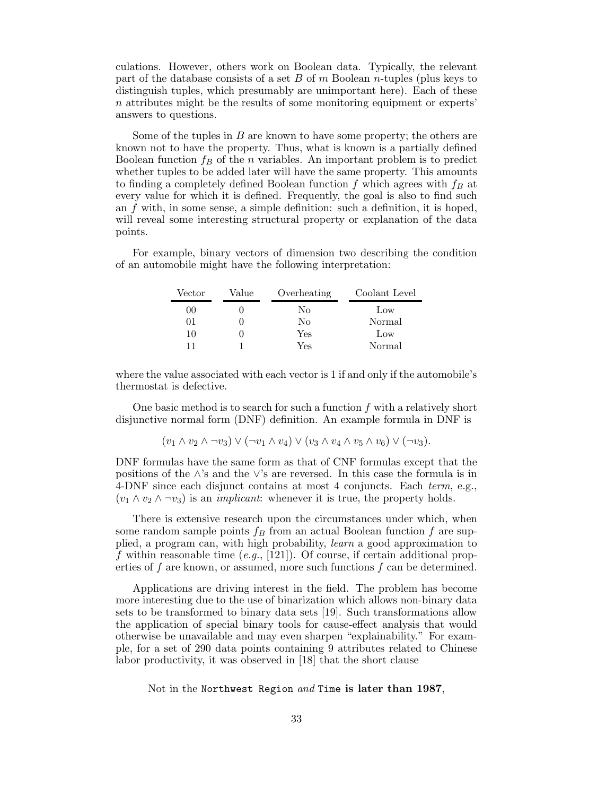culations. However, others work on Boolean data. Typically, the relevant part of the database consists of a set B of m Boolean n-tuples (plus keys to distinguish tuples, which presumably are unimportant here). Each of these n attributes might be the results of some monitoring equipment or experts' answers to questions.

Some of the tuples in  $B$  are known to have some property; the others are known not to have the property. Thus, what is known is a partially defined Boolean function  $f_B$  of the *n* variables. An important problem is to predict whether tuples to be added later will have the same property. This amounts to finding a completely defined Boolean function f which agrees with  $f_B$  at every value for which it is defined. Frequently, the goal is also to find such an f with, in some sense, a simple definition: such a definition, it is hoped, will reveal some interesting structural property or explanation of the data points.

For example, binary vectors of dimension two describing the condition of an automobile might have the following interpretation:

| Vector | Value | Overheating | Coolant Level |
|--------|-------|-------------|---------------|
| 00     |       | No          | Low           |
| 01     |       | No          | Normal        |
| 10     |       | Yes         | Low           |
| 11     |       | Yes         | Normal        |

where the value associated with each vector is 1 if and only if the automobile's thermostat is defective.

One basic method is to search for such a function  $f$  with a relatively short disjunctive normal form (DNF) definition. An example formula in DNF is

$$
(v_1 \wedge v_2 \wedge \neg v_3) \vee (\neg v_1 \wedge v_4) \vee (v_3 \wedge v_4 \wedge v_5 \wedge v_6) \vee (\neg v_3).
$$

DNF formulas have the same form as that of CNF formulas except that the positions of the ∧'s and the ∨'s are reversed. In this case the formula is in 4-DNF since each disjunct contains at most 4 conjuncts. Each term, e.g.,  $(v_1 \wedge v_2 \wedge \neg v_3)$  is an *implicant*: whenever it is true, the property holds.

There is extensive research upon the circumstances under which, when some random sample points  $f_B$  from an actual Boolean function f are supplied, a program can, with high probability, learn a good approximation to f within reasonable time  $(e.g., [121])$ . Of course, if certain additional properties of  $f$  are known, or assumed, more such functions  $f$  can be determined.

Applications are driving interest in the field. The problem has become more interesting due to the use of binarization which allows non-binary data sets to be transformed to binary data sets [19]. Such transformations allow the application of special binary tools for cause-effect analysis that would otherwise be unavailable and may even sharpen "explainability." For example, for a set of 290 data points containing 9 attributes related to Chinese labor productivity, it was observed in [18] that the short clause

Not in the Northwest Region and Time is later than 1987,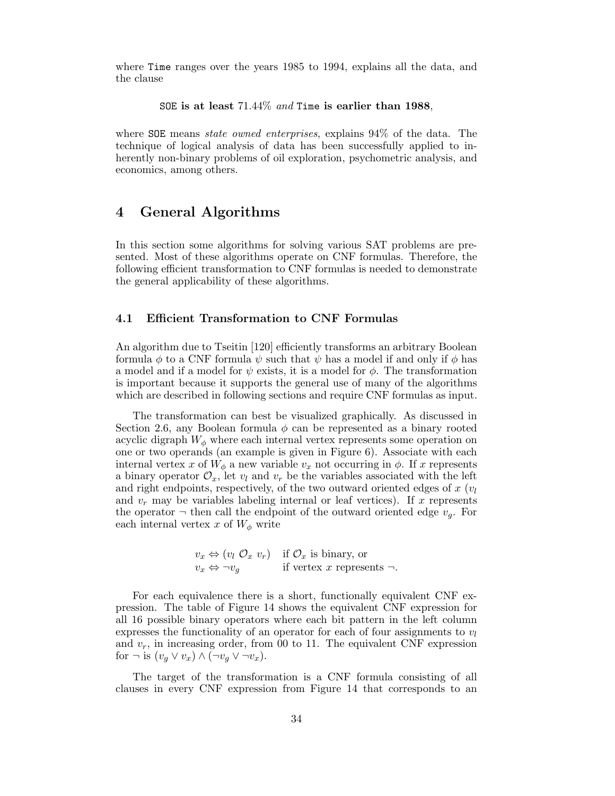where Time ranges over the years 1985 to 1994, explains all the data, and the clause

SOE is at least 71.44% and Time is earlier than 1988,

where SOE means *state owned enterprises*, explains  $94\%$  of the data. The technique of logical analysis of data has been successfully applied to inherently non-binary problems of oil exploration, psychometric analysis, and economics, among others.

# 4 General Algorithms

In this section some algorithms for solving various SAT problems are presented. Most of these algorithms operate on CNF formulas. Therefore, the following efficient transformation to CNF formulas is needed to demonstrate the general applicability of these algorithms.

### 4.1 Efficient Transformation to CNF Formulas

An algorithm due to Tseitin [120] efficiently transforms an arbitrary Boolean formula  $\phi$  to a CNF formula  $\psi$  such that  $\psi$  has a model if and only if  $\phi$  has a model and if a model for  $\psi$  exists, it is a model for  $\phi$ . The transformation is important because it supports the general use of many of the algorithms which are described in following sections and require CNF formulas as input.

The transformation can best be visualized graphically. As discussed in Section 2.6, any Boolean formula  $\phi$  can be represented as a binary rooted acyclic digraph  $W_{\phi}$  where each internal vertex represents some operation on one or two operands (an example is given in Figure 6). Associate with each internal vertex x of  $W_{\phi}$  a new variable  $v_x$  not occurring in  $\phi$ . If x represents a binary operator  $\mathcal{O}_x$ , let  $v_l$  and  $v_r$  be the variables associated with the left and right endpoints, respectively, of the two outward oriented edges of  $x(v<sub>l</sub>)$ and  $v_r$  may be variables labeling internal or leaf vertices). If x represents the operator  $\neg$  then call the endpoint of the outward oriented edge  $v_q$ . For each internal vertex x of  $W_{\phi}$  write

> $v_x \Leftrightarrow (v_l \mathcal{O}_x v_r)$  if  $\mathcal{O}_x$  is binary, or  $v_x \Leftrightarrow \neg v_y$  if vertex x represents  $\neg$ .

For each equivalence there is a short, functionally equivalent CNF expression. The table of Figure 14 shows the equivalent CNF expression for all 16 possible binary operators where each bit pattern in the left column expresses the functionality of an operator for each of four assignments to  $v_l$ and  $v_r$ , in increasing order, from 00 to 11. The equivalent CNF expression for  $\neg$  is  $(v_g \vee v_x) \wedge (\neg v_g \vee \neg v_x)$ .

The target of the transformation is a CNF formula consisting of all clauses in every CNF expression from Figure 14 that corresponds to an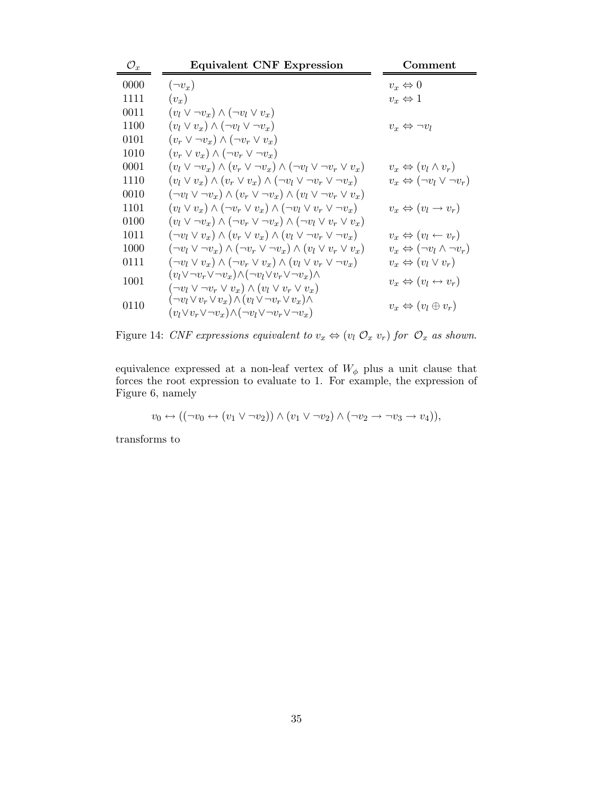| $\mathcal{O}_x$ | <b>Equivalent CNF Expression</b>                                                          | Comment                                          |
|-----------------|-------------------------------------------------------------------------------------------|--------------------------------------------------|
| 0000            | $(\neg v_x)$                                                                              | $v_x \Leftrightarrow 0$                          |
| 1111            | $(v_x)$                                                                                   | $v_x \Leftrightarrow 1$                          |
| 0011            | $(v_l \vee \neg v_x) \wedge (\neg v_l \vee v_x)$                                          |                                                  |
| 1100            | $(v_l \vee v_x) \wedge (\neg v_l \vee \neg v_x)$                                          | $v_r \Leftrightarrow \neg v_l$                   |
| 0101            | $(v_r \vee \neg v_x) \wedge (\neg v_r \vee v_x)$                                          |                                                  |
| 1010            | $(v_r \vee v_x) \wedge (\neg v_r \vee \neg v_x)$                                          |                                                  |
| 0001            | $(v_l \vee \neg v_x) \wedge (v_r \vee \neg v_x) \wedge (\neg v_l \vee \neg v_r \vee v_x)$ | $v_x \Leftrightarrow (v_l \wedge v_r)$           |
| 1110            | $(v_l \vee v_x) \wedge (v_r \vee v_x) \wedge (\neg v_l \vee \neg v_r \vee \neg v_x)$      | $v_x \Leftrightarrow (\neg v_l \vee \neg v_r)$   |
| 0010            | $(\neg v_l \vee \neg v_x) \wedge (v_r \vee \neg v_x) \wedge (v_l \vee \neg v_r \vee v_x)$ |                                                  |
| 1101            | $(v_l \vee v_x) \wedge (\neg v_r \vee v_x) \wedge (\neg v_l \vee v_r \vee \neg v_x)$      | $v_x \Leftrightarrow (v_l \rightarrow v_r)$      |
| 0100            | $(v_l \vee \neg v_x) \wedge (\neg v_r \vee \neg v_x) \wedge (\neg v_l \vee v_r \vee v_x)$ |                                                  |
| 1011            | $(\neg v_l \vee v_x) \wedge (v_r \vee v_x) \wedge (v_l \vee \neg v_r \vee \neg v_x)$      | $v_x \Leftrightarrow (v_l \leftarrow v_r)$       |
| 1000            | $(\neg v_l \vee \neg v_x) \wedge (\neg v_r \vee \neg v_x) \wedge (v_l \vee v_r \vee v_x)$ | $v_x \Leftrightarrow (\neg v_l \wedge \neg v_r)$ |
| 0111            | $(\neg v_l \vee v_x) \wedge (\neg v_r \vee v_x) \wedge (v_l \vee v_r \vee \neg v_x)$      | $v_x \Leftrightarrow (v_l \vee v_r)$             |
| 1001            | $(v_l \vee \neg v_r \vee \neg v_x) \wedge (\neg v_l \vee v_r \vee \neg v_x) \wedge$       | $v_x \Leftrightarrow (v_l \leftrightarrow v_r)$  |
|                 | $(\neg v_l \vee \neg v_r \vee v_x) \wedge (v_l \vee v_r \vee v_x)$                        |                                                  |
| 0110            | $(\neg v_l \vee v_r \vee v_x) \wedge (v_l \vee \neg v_r \vee v_x) \wedge$                 | $v_x \Leftrightarrow (v_l \oplus v_r)$           |
|                 | $(v_l \vee v_r \vee \neg v_x) \wedge (\neg v_l \vee \neg v_r \vee \neg v_x)$              |                                                  |

Figure 14: CNF expressions equivalent to  $v_x \Leftrightarrow (v_l \mathcal{O}_x v_r)$  for  $\mathcal{O}_x$  as shown.

equivalence expressed at a non-leaf vertex of  $W_{\phi}$  plus a unit clause that forces the root expression to evaluate to 1. For example, the expression of Figure 6, namely

$$
v_0 \leftrightarrow ((\neg v_0 \leftrightarrow (v_1 \vee \neg v_2)) \wedge (v_1 \vee \neg v_2) \wedge (\neg v_2 \rightarrow \neg v_3 \rightarrow v_4)),
$$

transforms to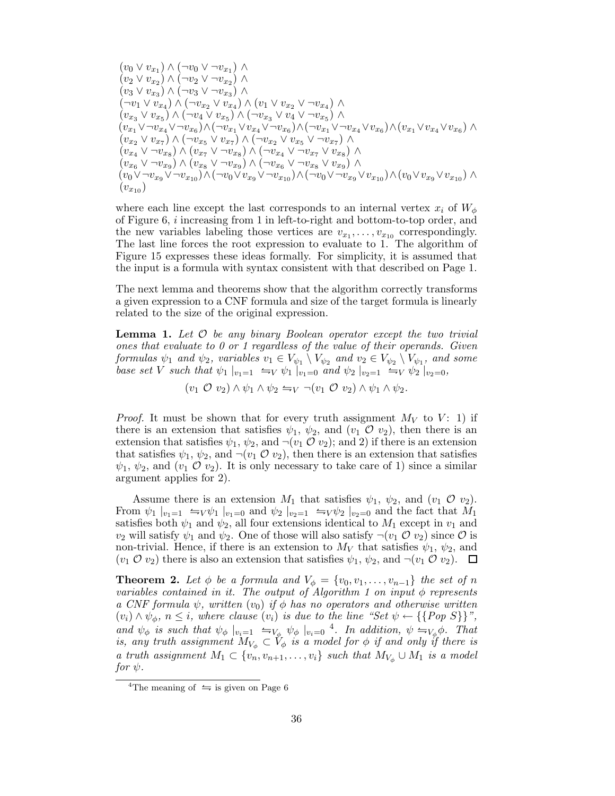$$
(v_0 \vee v_{x_1}) \wedge (\neg v_0 \vee \neg v_{x_1}) \wedge (v_2 \vee v_{x_2}) \wedge (\neg v_2 \vee \neg v_{x_2}) \wedge (v_3 \vee v_{x_3}) \wedge (\neg v_3 \vee \neg v_{x_3}) \wedge (\neg v_1 \vee v_{x_4}) \wedge (\neg v_3 \vee v_{x_4}) \wedge (v_1 \vee v_{x_2} \vee \neg v_{x_4}) \wedge (v_{x_3} \vee v_{x_5}) \wedge (\neg v_4 \vee v_{x_5}) \wedge (\neg v_{x_3} \vee v_4 \vee \neg v_{x_5}) \wedge (v_{x_1} \vee \neg v_{x_4} \vee \neg v_{x_6}) \wedge (\neg v_{x_1} \vee v_{x_4} \vee \neg v_{x_5}) \wedge (\neg v_{x_1} \vee \neg v_{x_4} \vee v_{x_6}) \wedge (v_{x_1} \vee v_{x_4} \vee v_{x_6}) \wedge (v_{x_2} \vee v_{x_7}) \wedge (\neg v_{x_5} \vee v_{x_7}) \wedge (\neg v_{x_2} \vee v_{x_5} \vee \neg v_{x_7}) \wedge (v_{x_4} \vee \neg v_{x_8}) \wedge (v_{x_7} \vee \neg v_{x_8}) \wedge (\neg v_{x_4} \vee \neg v_{x_7} \vee v_{x_8}) \wedge (v_{x_6} \vee \neg v_{x_9}) \wedge (v_{x_8} \vee \neg v_{x_9}) \wedge (\neg v_{x_6} \vee \neg v_{x_8} \vee v_{x_9}) \wedge (v_0 \vee \neg v_{x_9} \vee \neg v_{x_{10}}) \wedge (\neg v_0 \vee v_{x_9} \vee \neg v_{x_{10}}) \wedge (\neg v_0 \vee \neg v_{x_9} \vee v_{x_{10}}) \wedge (v_0 \vee v_{x_9} \vee v_{x_{10}}) \wedge (v_{x_{10}})
$$

where each line except the last corresponds to an internal vertex  $x_i$  of  $W_\phi$ of Figure 6, i increasing from 1 in left-to-right and bottom-to-top order, and the new variables labeling those vertices are  $v_{x_1}, \ldots, v_{x_{10}}$  correspondingly. The last line forces the root expression to evaluate to 1. The algorithm of Figure 15 expresses these ideas formally. For simplicity, it is assumed that the input is a formula with syntax consistent with that described on Page 1.

The next lemma and theorems show that the algorithm correctly transforms a given expression to a CNF formula and size of the target formula is linearly related to the size of the original expression.

**Lemma 1.** Let  $\mathcal O$  be any binary Boolean operator except the two trivial ones that evaluate to 0 or 1 regardless of the value of their operands. Given formulas  $\psi_1$  and  $\psi_2$ , variables  $v_1 \in V_{\psi_1} \setminus V_{\psi_2}$  and  $v_2 \in V_{\psi_2} \setminus V_{\psi_1}$ , and some base set V such that  $\psi_1|_{v_1=1} \leftrightharpoons_V \psi_1|_{v_1=0}$  and  $\psi_2|_{v_2=1} \leftrightharpoons_V \psi_2|_{v_2=0}$ ,

 $(v_1 \n\mathcal{O} v_2) \wedge \psi_1 \wedge \psi_2 \leftrightharpoons_V \neg(v_1 \n\mathcal{O} v_2) \wedge \psi_1 \wedge \psi_2.$ 

*Proof.* It must be shown that for every truth assignment  $M_V$  to V: 1) if there is an extension that satisfies  $\psi_1$ ,  $\psi_2$ , and  $(v_1 \mathcal{O} v_2)$ , then there is an extension that satisfies  $\psi_1$ ,  $\psi_2$ , and  $\neg$ ( $v_1 \mathcal{O} v_2$ ); and 2) if there is an extension that satisfies  $\psi_1$ ,  $\psi_2$ , and  $\neg$ ( $v_1 \mathcal{O} v_2$ ), then there is an extension that satisfies  $\psi_1, \psi_2$ , and  $(v_1 \mathcal{O} v_2)$ . It is only necessary to take care of 1) since a similar argument applies for 2).

Assume there is an extension  $M_1$  that satisfies  $\psi_1$ ,  $\psi_2$ , and  $(v_1 \mathcal{O} v_2)$ . From  $\psi_1 |_{v_1=1}$   $\Rightarrow_V \psi_1 |_{v_1=0}$  and  $\psi_2 |_{v_2=1}$   $\Rightarrow_V \psi_2 |_{v_2=0}$  and the fact that  $M_1$ satisfies both  $\psi_1$  and  $\psi_2$ , all four extensions identical to  $M_1$  except in  $v_1$  and  $v_2$  will satisfy  $\psi_1$  and  $\psi_2$ . One of those will also satisfy  $\neg(v_1 \mathcal{O} v_2)$  since  $\mathcal{O}$  is non-trivial. Hence, if there is an extension to  $M_V$  that satisfies  $\psi_1$ ,  $\psi_2$ , and  $(v_1 \mathcal{O} v_2)$  there is also an extension that satisfies  $\psi_1, \psi_2$ , and  $\neg(v_1 \mathcal{O} v_2)$ .  $\Box$ 

**Theorem 2.** Let  $\phi$  be a formula and  $V_{\phi} = \{v_0, v_1, \ldots, v_{n-1}\}\)$  the set of n variables contained in it. The output of Algorithm 1 on input  $\phi$  represents a CNF formula  $\psi$ , written  $(v_0)$  if  $\phi$  has no operators and otherwise written  $(v_i) \wedge \psi_{\phi}, n \leq i$ , where clause  $(v_i)$  is due to the line "Set  $\psi \leftarrow {\text{Pop } S}$ ", and  $\psi_{\phi}$  is such that  $\psi_{\phi}|_{v_i=1} \Leftrightarrow \psi_{\phi}|_{v_i=0}^{q}$ . In addition,  $\psi =_{V_{\phi}} \phi$ . That is, any truth assignment  $M_{V_{\phi}} \subset V_{\phi}$  is a model for  $\phi$  if and only if there is a truth assignment  $M_1 \subset \{v_n, v_{n+1}, \ldots, v_i\}$  such that  $M_{V_\phi} \cup M_1$  is a model for  $\psi$ .

<sup>&</sup>lt;sup>4</sup>The meaning of  $\leftrightharpoons$  is given on Page 6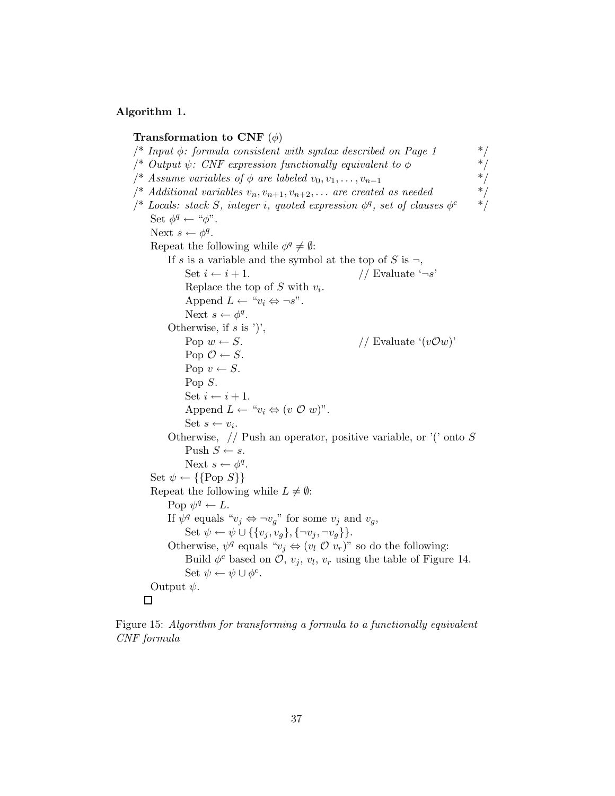### Algorithm 1.

Transformation to CNF  $(\phi)$ /\* Input  $\phi$ : formula consistent with syntax described on Page 1 \*/<br>/\* Output  $\psi$ : CNF expression functionally equivalent to  $\phi$  \*/ /\* Output  $\psi$ : CNF expression functionally equivalent to  $\phi$  \*/<br>/\* Assume variables of  $\phi$  are labeled  $v_0, v_1, \ldots, v_{n-1}$  \*/<br>/\* Additional variables  $v_n, v_{n+1}, v_{n+2}, \ldots$  are created as needed \*/ /\* Assume variables of  $\phi$  are labeled  $v_0, v_1, \ldots, v_{n-1}$ /\* Additional variables  $v_n, v_{n+1}, v_{n+2}, \ldots$  are created as needed  $\gamma^*$  Locals: stack S, integer i, quoted expression  $\phi^q$ , set of clauses  $\phi$  $*/$ Set  $\phi^q \leftarrow "\phi".$ Next  $s \leftarrow \phi^q$ . Repeat the following while  $\phi^q \neq \emptyset$ : If s is a variable and the symbol at the top of S is  $\neg$ , Set  $i \leftarrow i + 1$ . // Evaluate '¬s' Replace the top of S with  $v_i$ . Append  $L \leftarrow "v_i \Leftrightarrow \neg s$ ". Next  $s \leftarrow \phi^q$ . Otherwise, if  $s$  is ')', Pop  $w \leftarrow S$ . // Evaluate ' $(v\mathcal{O}w)$ ' Pop  $\mathcal{O} \leftarrow S$ . Pop  $v \leftarrow S$ . Pop S. Set  $i \leftarrow i + 1$ . Append  $L \leftarrow "v_i \Leftrightarrow (v \mathcal{O} w)^"$ . Set  $s \leftarrow v_i$ . Otherwise,  $//$  Push an operator, positive variable, or '(' onto S Push  $S \leftarrow s$ . Next  $s \leftarrow \phi^q$ . Set  $\psi \leftarrow {\text{Pop } S}$ Repeat the following while  $L \neq \emptyset$ : Pop  $\psi^q \leftarrow L$ . If  $\psi^q$  equals " $v_j \Leftrightarrow \neg v_g$ " for some  $v_j$  and  $v_g$ , Set  $\psi \leftarrow \psi \cup \{\{v_j, v_q\}, \{\neg v_j, \neg v_q\}\}.$ Otherwise,  $\psi^q$  equals " $v_j \Leftrightarrow (v_i \mathcal{O} v_r)$ " so do the following: Build  $\phi^c$  based on  $\mathcal{O}, v_j, v_l, v_r$  using the table of Figure 14. Set  $\psi \leftarrow \psi \cup \phi^c$ . Output  $\psi$ . 囗

Figure 15: Algorithm for transforming a formula to a functionally equivalent CNF formula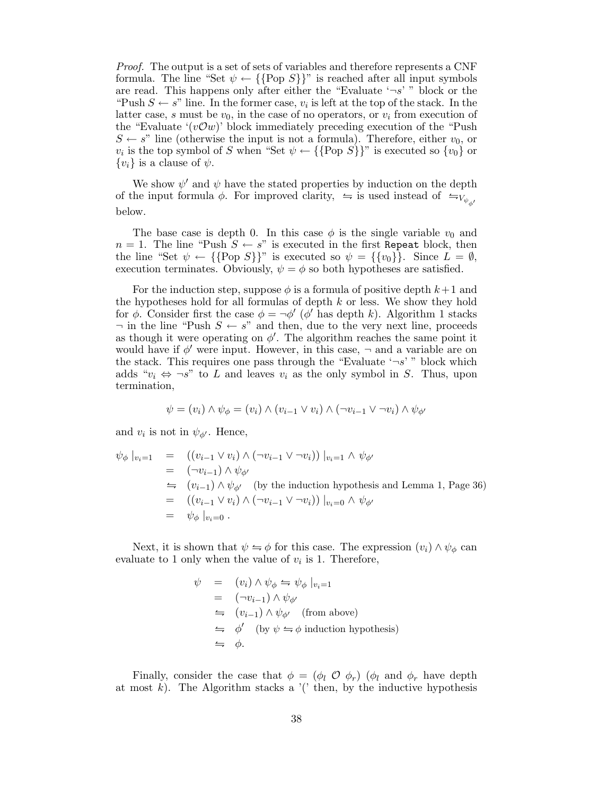Proof. The output is a set of sets of variables and therefore represents a CNF formula. The line "Set  $\psi \leftarrow {\text{Pop } S}$ " is reached after all input symbols are read. This happens only after either the "Evaluate ' $\neg s$ ' " block or the "Push  $S \leftarrow s$ " line. In the former case,  $v_i$  is left at the top of the stack. In the latter case, s must be  $v_0$ , in the case of no operators, or  $v_i$  from execution of the "Evaluate  $(v\mathcal{O}w)$ " block immediately preceding execution of the "Push"  $S \leftarrow s$ " line (otherwise the input is not a formula). Therefore, either  $v_0$ , or  $v_i$  is the top symbol of S when "Set  $\psi \leftarrow {\text{ }\{ \text{Pop } S \}}$ " is executed so  $\{v_0\}$  or  ${v_i}$  is a clause of  $\psi$ .

We show  $\psi'$  and  $\psi$  have the stated properties by induction on the depth of the input formula  $\phi$ . For improved clarity,  $\Rightarrow$  is used instead of  $\Rightarrow_{V_{\psi_{\mathcal{A}}}}$ below.

The base case is depth 0. In this case  $\phi$  is the single variable  $v_0$  and  $n = 1$ . The line "Push  $S \leftarrow s$ " is executed in the first Repeat block, then the line "Set  $\psi \leftarrow {\text{Pop } S}$ " is executed so  $\psi = {\text{v_0}}$ . Since  $L = \emptyset$ , execution terminates. Obviously,  $\psi = \phi$  so both hypotheses are satisfied.

For the induction step, suppose  $\phi$  is a formula of positive depth  $k+1$  and the hypotheses hold for all formulas of depth k or less. We show they hold for  $\phi$ . Consider first the case  $\phi = \neg \phi'$  ( $\phi'$  has depth k). Algorithm 1 stacks  $\neg$  in the line "Push  $S \leftarrow s$ " and then, due to the very next line, proceeds as though it were operating on  $\phi'$ . The algorithm reaches the same point it would have if  $\phi'$  were input. However, in this case,  $\neg$  and a variable are on the stack. This requires one pass through the "Evaluate ' $\neg s$ ' " block which adds " $v_i \Leftrightarrow \neg s$ " to L and leaves  $v_i$  as the only symbol in S. Thus, upon termination,

$$
\psi = (v_i) \land \psi_{\phi} = (v_i) \land (v_{i-1} \lor v_i) \land (\neg v_{i-1} \lor \neg v_i) \land \psi_{\phi'}
$$

and  $v_i$  is not in  $\psi_{\phi'}$ . Hence,

$$
\psi_{\phi} |_{v_i=1} = ((v_{i-1} \vee v_i) \wedge (\neg v_{i-1} \vee \neg v_i)) |_{v_i=1} \wedge \psi_{\phi'}
$$
  
\n
$$
= (\neg v_{i-1}) \wedge \psi_{\phi'}
$$
  
\n
$$
\Rightarrow (v_{i-1}) \wedge \psi_{\phi'} \quad \text{(by the induction hypothesis and Lemma 1, Page 36)}
$$
  
\n
$$
= ((v_{i-1} \vee v_i) \wedge (\neg v_{i-1} \vee \neg v_i)) |_{v_i=0} \wedge \psi_{\phi'}
$$
  
\n
$$
= \psi_{\phi} |_{v_i=0}.
$$

Next, it is shown that  $\psi = \phi$  for this case. The expression  $(v_i) \wedge \psi_{\phi}$  can evaluate to 1 only when the value of  $v_i$  is 1. Therefore,

$$
\psi = (v_i) \wedge \psi_{\phi} \Rightarrow \psi_{\phi} |_{v_i=1}
$$
  
\n
$$
= (\neg v_{i-1}) \wedge \psi_{\phi'}
$$
  
\n
$$
\Rightarrow (v_{i-1}) \wedge \psi_{\phi'} \quad \text{(from above)}
$$
  
\n
$$
\Rightarrow \phi' \quad \text{(by } \psi \Rightarrow \phi \text{ induction hypothesis)}
$$
  
\n
$$
\Rightarrow \phi.
$$

Finally, consider the case that  $\phi = (\phi_l \circ \phi_r)$  ( $\phi_l$  and  $\phi_r$  have depth at most  $k$ ). The Algorithm stacks a '(' then, by the inductive hypothesis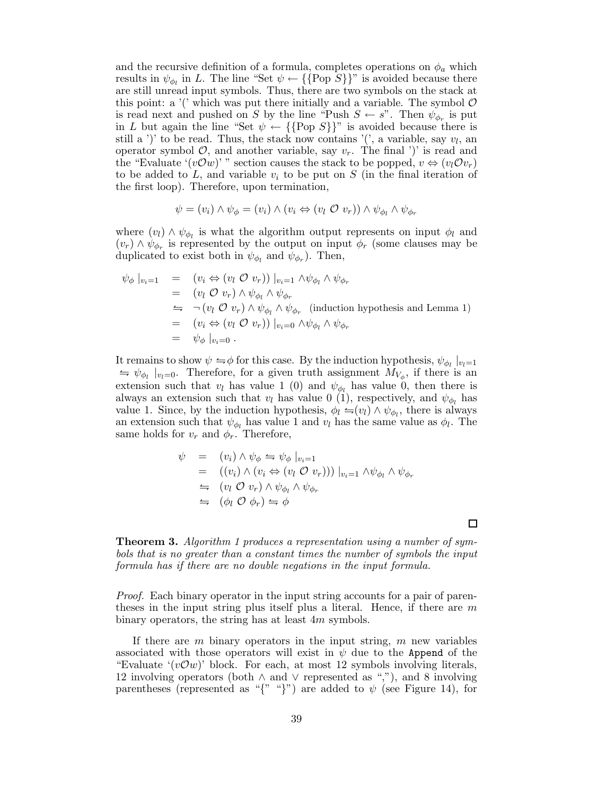and the recursive definition of a formula, completes operations on  $\phi_a$  which results in  $\psi_{\phi_l}$  in L. The line "Set  $\psi \leftarrow {\text{Pop } S}$ " is avoided because there are still unread input symbols. Thus, there are two symbols on the stack at this point: a '(' which was put there initially and a variable. The symbol  $\mathcal O$ is read next and pushed on S by the line "Push  $S \leftarrow s$ ". Then  $\psi_{\phi_r}$  is put in L but again the line "Set  $\psi \leftarrow {\text{ }\{ \text{Pop } S \}}$ " is avoided because there is still a ')' to be read. Thus, the stack now contains '(', a variable, say  $v_l$ , an operator symbol  $\mathcal{O}$ , and another variable, say  $v_r$ . The final ')' is read and the "Evaluate ' $(v\mathcal{O}w)$ '" section causes the stack to be popped,  $v \Leftrightarrow (v_l\mathcal{O}v_r)$ to be added to L, and variable  $v_i$  to be put on S (in the final iteration of the first loop). Therefore, upon termination,

$$
\psi = (v_i) \wedge \psi_{\phi} = (v_i) \wedge (v_i \Leftrightarrow (v_l \mathcal{O} v_r)) \wedge \psi_{\phi_l} \wedge \psi_{\phi_r}
$$

where  $(v_l) \wedge \psi_{\phi_l}$  is what the algorithm output represents on input  $\phi_l$  and  $(v_r) \wedge \psi_{\phi_r}$  is represented by the output on input  $\phi_r$  (some clauses may be duplicated to exist both in  $\psi_{\phi_l}$  and  $\psi_{\phi_r}$ ). Then,

$$
\psi_{\phi} |_{v_i=1} = (v_i \Leftrightarrow (v_l \mathcal{O} v_r)) |_{v_i=1} \wedge \psi_{\phi_l} \wedge \psi_{\phi_r}
$$
  
\n
$$
= (v_l \mathcal{O} v_r) \wedge \psi_{\phi_l} \wedge \psi_{\phi_r}
$$
  
\n
$$
\leq \neg (v_l \mathcal{O} v_r) \wedge \psi_{\phi_l} \wedge \psi_{\phi_r}
$$
 (induction hypothesis and Lemma 1)  
\n
$$
= (v_i \Leftrightarrow (v_l \mathcal{O} v_r)) |_{v_i=0} \wedge \psi_{\phi_l} \wedge \psi_{\phi_r}
$$
  
\n
$$
= \psi_{\phi} |_{v_i=0} .
$$

It remains to show  $\psi = \phi$  for this case. By the induction hypothesis,  $\psi_{\phi_l}|_{v_l=1}$  $\Rightarrow \psi_{\phi_l} \mid_{v_l=0}$ . Therefore, for a given truth assignment  $M_{V_{\phi}}$ , if there is an extension such that  $v_l$  has value 1 (0) and  $\psi_{\phi_l}$  has value 0, then there is always an extension such that  $v_l$  has value 0 (1), respectively, and  $\psi_{\phi_l}$  has value 1. Since, by the induction hypothesis,  $\phi_l \leftrightharpoons (v_l) \wedge \psi_{\phi_l}$ , there is always an extension such that  $\psi_{\phi_l}$  has value 1 and  $v_l$  has the same value as  $\phi_l$ . The same holds for  $v_r$  and  $\phi_r$ . Therefore,

$$
\psi = (v_i) \wedge \psi_{\phi} \Leftrightarrow \psi_{\phi} |_{v_i=1}
$$
  
\n
$$
= ((v_i) \wedge (v_i \Leftrightarrow (v_l \ O \ v_r))) |_{v_i=1} \wedge \psi_{\phi_l} \wedge \psi_{\phi_r}
$$
  
\n
$$
\Leftrightarrow (v_l \ O \ v_r) \wedge \psi_{\phi_l} \wedge \psi_{\phi_r}
$$
  
\n
$$
\Leftrightarrow (\phi_l \ O \ \phi_r) \Leftrightarrow \phi
$$

Theorem 3. Algorithm 1 produces a representation using a number of symbols that is no greater than a constant times the number of symbols the input formula has if there are no double negations in the input formula.

 $\Box$ 

Proof. Each binary operator in the input string accounts for a pair of parentheses in the input string plus itself plus a literal. Hence, if there are  $m$ binary operators, the string has at least 4m symbols.

If there are  $m$  binary operators in the input string,  $m$  new variables associated with those operators will exist in  $\psi$  due to the Append of the "Evaluate  $(v\mathcal{O}w)$ " block. For each, at most 12 symbols involving literals, 12 involving operators (both  $\land$  and  $\lor$  represented as ","), and 8 involving parentheses (represented as "{" "}") are added to  $\psi$  (see Figure 14), for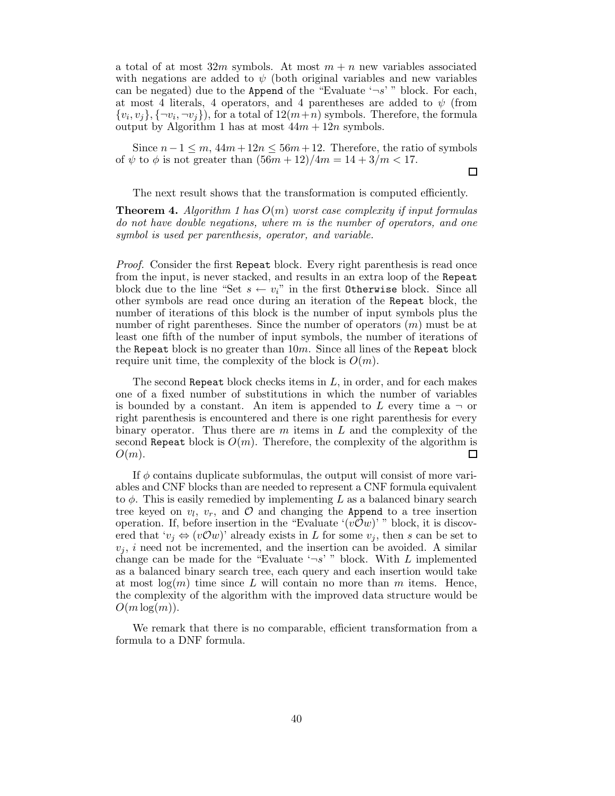a total of at most  $32m$  symbols. At most  $m + n$  new variables associated with negations are added to  $\psi$  (both original variables and new variables can be negated) due to the Append of the "Evaluate  $\sim s$ " block. For each, at most 4 literals, 4 operators, and 4 parentheses are added to  $\psi$  (from  $\{v_i, v_j\}, \{\neg v_i, \neg v_j\}$ , for a total of  $12(m+n)$  symbols. Therefore, the formula output by Algorithm 1 has at most  $44m + 12n$  symbols.

Since  $n-1 \leq m$ ,  $44m+12n \leq 56m+12$ . Therefore, the ratio of symbols of  $\psi$  to  $\phi$  is not greater than  $(56m+12)/4m = 14 + 3/m < 17$ .

The next result shows that the transformation is computed efficiently.

 $\Box$ 

**Theorem 4.** Algorithm 1 has  $O(m)$  worst case complexity if input formulas do not have double negations, where m is the number of operators, and one symbol is used per parenthesis, operator, and variable.

Proof. Consider the first Repeat block. Every right parenthesis is read once from the input, is never stacked, and results in an extra loop of the Repeat block due to the line "Set  $s \leftarrow v_i$ " in the first **Otherwise** block. Since all other symbols are read once during an iteration of the Repeat block, the number of iterations of this block is the number of input symbols plus the number of right parentheses. Since the number of operators  $(m)$  must be at least one fifth of the number of input symbols, the number of iterations of the Repeat block is no greater than  $10m$ . Since all lines of the Repeat block require unit time, the complexity of the block is  $O(m)$ .

The second Repeat block checks items in  $L$ , in order, and for each makes one of a fixed number of substitutions in which the number of variables is bounded by a constant. An item is appended to L every time  $a \neg$  or right parenthesis is encountered and there is one right parenthesis for every binary operator. Thus there are  $m$  items in  $L$  and the complexity of the second Repeat block is  $O(m)$ . Therefore, the complexity of the algorithm is  $O(m)$ .  $\Box$ 

If  $\phi$  contains duplicate subformulas, the output will consist of more variables and CNF blocks than are needed to represent a CNF formula equivalent to  $\phi$ . This is easily remedied by implementing L as a balanced binary search tree keyed on  $v_l$ ,  $v_r$ , and  $\mathcal O$  and changing the Append to a tree insertion operation. If, before insertion in the "Evaluate  $(v\mathcal{O}w)$ " block, it is discovered that ' $v_j \Leftrightarrow (v\mathcal{O}w)$ ' already exists in L for some  $v_j$ , then s can be set to  $v_j$ , i need not be incremented, and the insertion can be avoided. A similar change can be made for the "Evaluate ' $\neg s$ ' " block. With L implemented as a balanced binary search tree, each query and each insertion would take at most  $log(m)$  time since L will contain no more than m items. Hence, the complexity of the algorithm with the improved data structure would be  $O(m \log(m)).$ 

We remark that there is no comparable, efficient transformation from a formula to a DNF formula.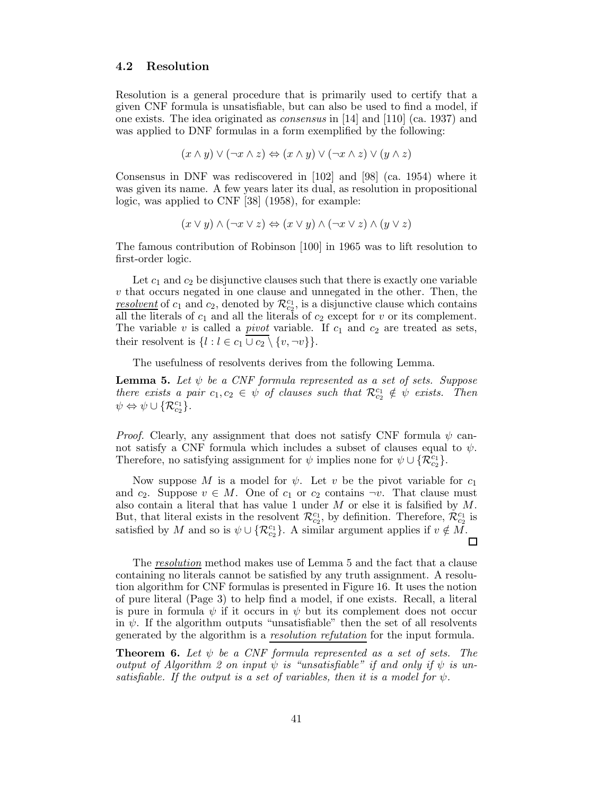### 4.2 Resolution

Resolution is a general procedure that is primarily used to certify that a given CNF formula is unsatisfiable, but can also be used to find a model, if one exists. The idea originated as consensus in [14] and [110] (ca. 1937) and was applied to DNF formulas in a form exemplified by the following:

$$
(x \wedge y) \vee (\neg x \wedge z) \Leftrightarrow (x \wedge y) \vee (\neg x \wedge z) \vee (y \wedge z)
$$

Consensus in DNF was rediscovered in [102] and [98] (ca. 1954) where it was given its name. A few years later its dual, as resolution in propositional logic, was applied to CNF [38] (1958), for example:

$$
(x \lor y) \land (\neg x \lor z) \Leftrightarrow (x \lor y) \land (\neg x \lor z) \land (y \lor z)
$$

The famous contribution of Robinson [100] in 1965 was to lift resolution to first-order logic.

Let  $c_1$  and  $c_2$  be disjunctive clauses such that there is exactly one variable v that occurs negated in one clause and unnegated in the other. Then, the resolvent of  $c_1$  and  $c_2$ , denoted by  $\mathcal{R}_{c_2}^{c_1}$ , is a disjunctive clause which contains all the literals of  $c_1$  and all the literals of  $c_2$  except for v or its complement. The variable v is called a *pivot* variable. If  $c_1$  and  $c_2$  are treated as sets, their resolvent is  $\{l : l \in c_1 \cup c_2 \setminus \{v, \neg v\}\}.$ 

The usefulness of resolvents derives from the following Lemma.

**Lemma 5.** Let  $\psi$  be a CNF formula represented as a set of sets. Suppose there exists a pair  $c_1, c_2 \in \psi$  of clauses such that  $\mathcal{R}_{c_2}^{c_1} \notin \psi$  exists. Then  $\psi \Leftrightarrow \psi \cup \{ \mathcal{R}_{c_2}^{c_1} \}.$ 

*Proof.* Clearly, any assignment that does not satisfy CNF formula  $\psi$  cannot satisfy a CNF formula which includes a subset of clauses equal to  $\psi$ . Therefore, no satisfying assignment for  $\psi$  implies none for  $\psi \cup \{ \mathcal{R}_{c_2}^{c_1} \}.$ 

Now suppose M is a model for  $\psi$ . Let v be the pivot variable for  $c_1$ and c<sub>2</sub>. Suppose  $v \in M$ . One of c<sub>1</sub> or c<sub>2</sub> contains  $\neg v$ . That clause must also contain a literal that has value 1 under  $M$  or else it is falsified by  $M$ . But, that literal exists in the resolvent  $\mathcal{R}_{c_2}^{c_1}$ , by definition. Therefore,  $\mathcal{R}_{c_2}^{c_1}$  is satisfied by M and so is  $\psi \cup \{ \mathcal{R}_{c_2}^{c_1} \}$ . A similar argument applies if  $v \notin \tilde{M}$ .  $\Box$ 

The <u>resolution</u> method makes use of Lemma 5 and the fact that a clause containing no literals cannot be satisfied by any truth assignment. A resolution algorithm for CNF formulas is presented in Figure 16. It uses the notion of pure literal (Page 3) to help find a model, if one exists. Recall, a literal is pure in formula  $\psi$  if it occurs in  $\psi$  but its complement does not occur in  $\psi$ . If the algorithm outputs "unsatisfiable" then the set of all resolvents generated by the algorithm is a resolution refutation for the input formula.

**Theorem 6.** Let  $\psi$  be a CNF formula represented as a set of sets. The output of Algorithm 2 on input  $\psi$  is "unsatisfiable" if and only if  $\psi$  is unsatisfiable. If the output is a set of variables, then it is a model for  $\psi$ .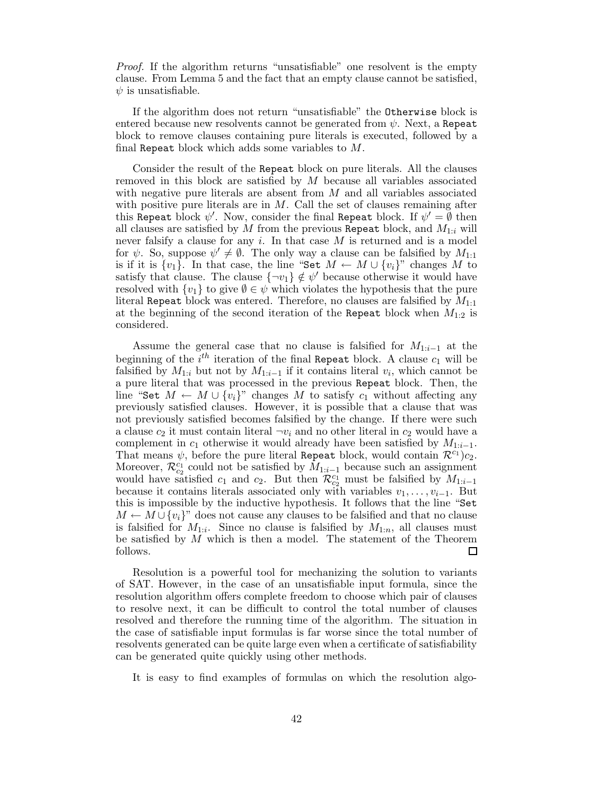Proof. If the algorithm returns "unsatisfiable" one resolvent is the empty clause. From Lemma 5 and the fact that an empty clause cannot be satisfied,  $\psi$  is unsatisfiable.

If the algorithm does not return "unsatisfiable" the Otherwise block is entered because new resolvents cannot be generated from  $\psi$ . Next, a Repeat block to remove clauses containing pure literals is executed, followed by a final Repeat block which adds some variables to  $M$ .

Consider the result of the Repeat block on pure literals. All the clauses removed in this block are satisfied by  $M$  because all variables associated with negative pure literals are absent from  $M$  and all variables associated with positive pure literals are in  $M$ . Call the set of clauses remaining after this Repeat block  $\psi'$ . Now, consider the final Repeat block. If  $\psi' = \bar{\emptyset}$  then all clauses are satisfied by M from the previous Repeat block, and  $M_{1:i}$  will never falsify a clause for any  $i$ . In that case  $M$  is returned and is a model for  $\psi$ . So, suppose  $\psi' \neq \emptyset$ . The only way a clause can be falsified by  $M_{1:1}$ is if it is  $\{v_1\}$ . In that case, the line "Set  $M \leftarrow M \cup \{v_i\}$ " changes M to satisfy that clause. The clause  $\{\neg v_1\} \notin \psi'$  because otherwise it would have resolved with  $\{v_1\}$  to give  $\emptyset \in \psi$  which violates the hypothesis that the pure literal Repeat block was entered. Therefore, no clauses are falsified by  $M_{1:1}$ at the beginning of the second iteration of the Repeat block when  $M_{1:2}$  is considered.

Assume the general case that no clause is falsified for  $M_{1:i-1}$  at the beginning of the  $i^{th}$  iteration of the final Repeat block. A clause  $c_1$  will be falsified by  $M_{1:i}$  but not by  $M_{1:i-1}$  if it contains literal  $v_i$ , which cannot be a pure literal that was processed in the previous Repeat block. Then, the line "Set  $M \leftarrow M \cup \{v_i\}$ " changes M to satisfy  $c_1$  without affecting any previously satisfied clauses. However, it is possible that a clause that was not previously satisfied becomes falsified by the change. If there were such a clause  $c_2$  it must contain literal  $\neg v_i$  and no other literal in  $c_2$  would have a complement in  $c_1$  otherwise it would already have been satisfied by  $M_{1:i-1}$ . That means  $\psi$ , before the pure literal Repeat block, would contain  $\mathcal{R}^{c_1}$ ) $c_2$ . Moreover,  $\mathcal{R}_{c_2}^{c_1}$  could not be satisfied by  $M_{1:i-1}$  because such an assignment would have satisfied  $c_1$  and  $c_2$ . But then  $\mathcal{R}_{c_2}^{c_1}$  must be falsified by  $M_{1:i-1}$ because it contains literals associated only with variables  $v_1, \ldots, v_{i-1}$ . But this is impossible by the inductive hypothesis. It follows that the line "Set  $M \leftarrow M \cup \{v_i\}$ " does not cause any clauses to be falsified and that no clause is falsified for  $M_{1:i}$ . Since no clause is falsified by  $M_{1:n}$ , all clauses must be satisfied by  $M$  which is then a model. The statement of the Theorem follows. □

Resolution is a powerful tool for mechanizing the solution to variants of SAT. However, in the case of an unsatisfiable input formula, since the resolution algorithm offers complete freedom to choose which pair of clauses to resolve next, it can be difficult to control the total number of clauses resolved and therefore the running time of the algorithm. The situation in the case of satisfiable input formulas is far worse since the total number of resolvents generated can be quite large even when a certificate of satisfiability can be generated quite quickly using other methods.

It is easy to find examples of formulas on which the resolution algo-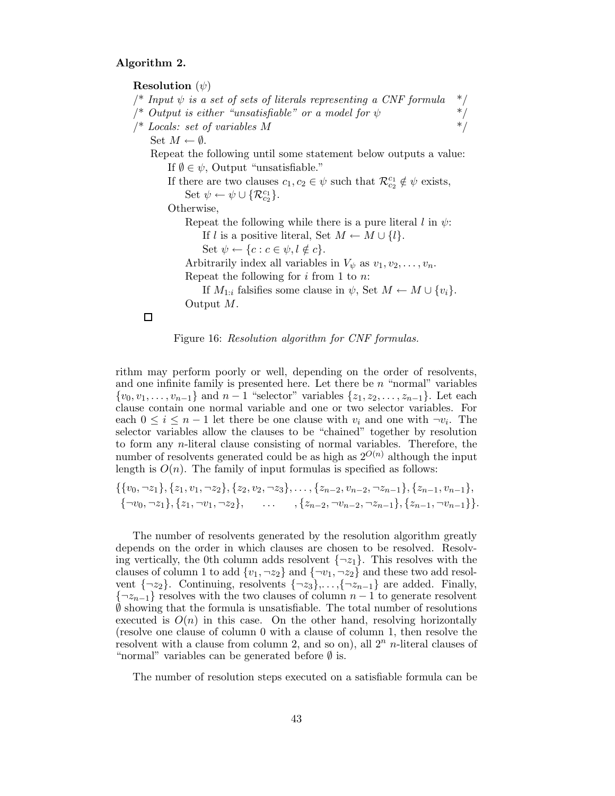### Algorithm 2.

Resolution  $(\psi)$  $/*$  Input  $\psi$  is a set of sets of literals representing a CNF formula  $\frac{1}{2}$  /\* Output is either "unsatisfiable" or a model for  $\psi$  \*/  $\frac{1}{\sqrt{2}}$  Locals: set of variables M  $\frac{1}{\sqrt{2}}$ Set  $M \leftarrow \emptyset$ . Repeat the following until some statement below outputs a value: If  $\emptyset \in \psi$ , Output "unsatisfiable." If there are two clauses  $c_1, c_2 \in \psi$  such that  $\mathcal{R}_{c_2}^{c_1} \notin \psi$  exists, Set  $\psi \leftarrow \psi \cup \{ \mathcal{R}_{c_2}^{c_1} \}.$ Otherwise, Repeat the following while there is a pure literal l in  $\psi$ : If l is a positive literal, Set  $M \leftarrow M \cup \{l\}.$ Set  $\psi \leftarrow \{c : c \in \psi, l \notin c\}.$ Arbitrarily index all variables in  $V_{\psi}$  as  $v_1, v_2, \ldots, v_n$ . Repeat the following for  $i$  from 1 to  $n$ : If  $M_{1:i}$  falsifies some clause in  $\psi$ , Set  $M \leftarrow M \cup \{v_i\}$ . Output M.

 $\Box$ 

Figure 16: Resolution algorithm for CNF formulas.

rithm may perform poorly or well, depending on the order of resolvents, and one infinite family is presented here. Let there be  $n$  "normal" variables  $\{v_0,v_1,\ldots,v_{n-1}\}\$  and  $n-1$  "selector" variables  $\{z_1,z_2,\ldots,z_{n-1}\}\$ . Let each clause contain one normal variable and one or two selector variables. For each  $0 \leq i \leq n-1$  let there be one clause with  $v_i$  and one with  $\neg v_i$ . The selector variables allow the clauses to be "chained" together by resolution to form any n-literal clause consisting of normal variables. Therefore, the number of resolvents generated could be as high as  $2^{O(n)}$  although the input length is  $O(n)$ . The family of input formulas is specified as follows:

$$
\{\{v_0, \neg z_1\}, \{z_1, v_1, \neg z_2\}, \{z_2, v_2, \neg z_3\}, \dots, \{z_{n-2}, v_{n-2}, \neg z_{n-1}\}, \{z_{n-1}, v_{n-1}\},
$$
  

$$
\{\neg v_0, \neg z_1\}, \{z_1, \neg v_1, \neg z_2\}, \dots, \{z_{n-2}, \neg v_{n-2}, \neg z_{n-1}\}, \{z_{n-1}, \neg v_{n-1}\}\}.
$$

The number of resolvents generated by the resolution algorithm greatly depends on the order in which clauses are chosen to be resolved. Resolving vertically, the 0th column adds resolvent  $\{\neg z_1\}$ . This resolves with the clauses of column 1 to add  $\{v_1, \neg z_2\}$  and  $\{\neg v_1, \neg z_2\}$  and these two add resolvent  $\{\neg z_2\}$ . Continuing, resolvents  $\{\neg z_3\}, \ldots, \{\neg z_{n-1}\}$  are added. Finally,  $\{\neg z_{n-1}\}\)$  resolves with the two clauses of column  $n-1$  to generate resolvent  $\emptyset$  showing that the formula is unsatisfiable. The total number of resolutions executed is  $O(n)$  in this case. On the other hand, resolving horizontally (resolve one clause of column 0 with a clause of column 1, then resolve the resolvent with a clause from column 2, and so on), all  $2^n$  *n*-literal clauses of "normal" variables can be generated before  $\emptyset$  is.

The number of resolution steps executed on a satisfiable formula can be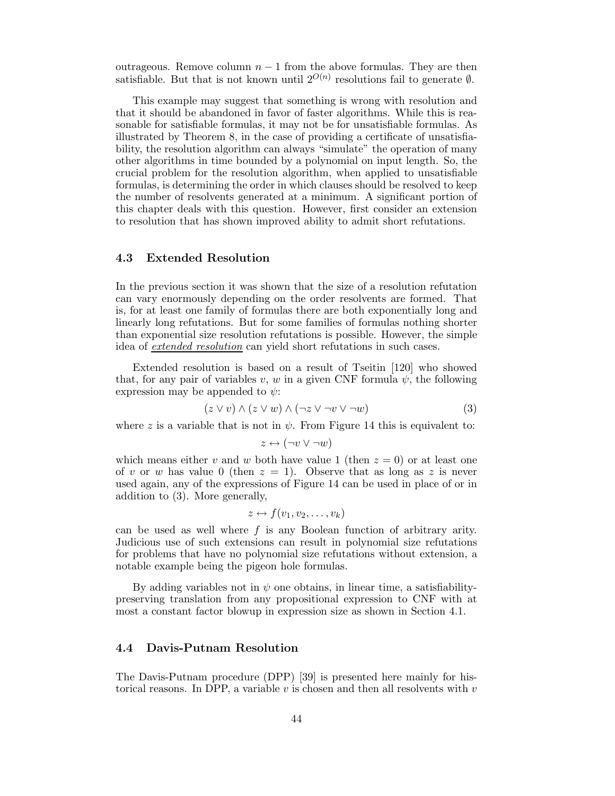outrageous. Remove column  $n-1$  from the above formulas. They are then satisfiable. But that is not known until  $2^{O(n)}$  resolutions fail to generate  $\emptyset$ .

This example may suggest that something is wrong with resolution and that it should be abandoned in favor of faster algorithms. While this is reasonable for satisfiable formulas, it may not be for unsatisfiable formulas. As illustrated by Theorem 8, in the case of providing a certificate of unsatisfiability, the resolution algorithm can always "simulate" the operation of many other algorithms in time bounded by a polynomial on input length. So, the crucial problem for the resolution algorithm, when applied to unsatisfiable formulas, is determining the order in which clauses should be resolved to keep the number of resolvents generated at a minimum. A significant portion of this chapter deals with this question. However, first consider an extension to resolution that has shown improved ability to admit short refutations.

# 4.3 Extended Resolution

In the previous section it was shown that the size of a resolution refutation can vary enormously depending on the order resolvents are formed. That is, for at least one family of formulas there are both exponentially long and linearly long refutations. But for some families of formulas nothing shorter than exponential size resolution refutations is possible. However, the simple idea of extended resolution can yield short refutations in such cases.

Extended resolution is based on a result of Tseitin [120] who showed that, for any pair of variables v, w in a given CNF formula  $\psi$ , the following expression may be appended to  $\psi$ :

$$
(z \lor v) \land (z \lor w) \land (\neg z \lor \neg v \lor \neg w) \tag{3}
$$

where z is a variable that is not in  $\psi$ . From Figure 14 this is equivalent to:

$$
z \leftrightarrow (\neg v \lor \neg w)
$$

which means either v and w both have value 1 (then  $z = 0$ ) or at least one of v or w has value 0 (then  $z = 1$ ). Observe that as long as z is never used again, any of the expressions of Figure 14 can be used in place of or in addition to (3). More generally,

$$
z \leftrightarrow f(v_1, v_2, \ldots, v_k)
$$

can be used as well where  $f$  is any Boolean function of arbitrary arity. Judicious use of such extensions can result in polynomial size refutations for problems that have no polynomial size refutations without extension, a notable example being the pigeon hole formulas.

By adding variables not in  $\psi$  one obtains, in linear time, a satisfiabilitypreserving translation from any propositional expression to CNF with at most a constant factor blowup in expression size as shown in Section 4.1.

# 4.4 Davis-Putnam Resolution

The Davis-Putnam procedure (DPP) [39] is presented here mainly for historical reasons. In DPP, a variable  $v$  is chosen and then all resolvents with  $v$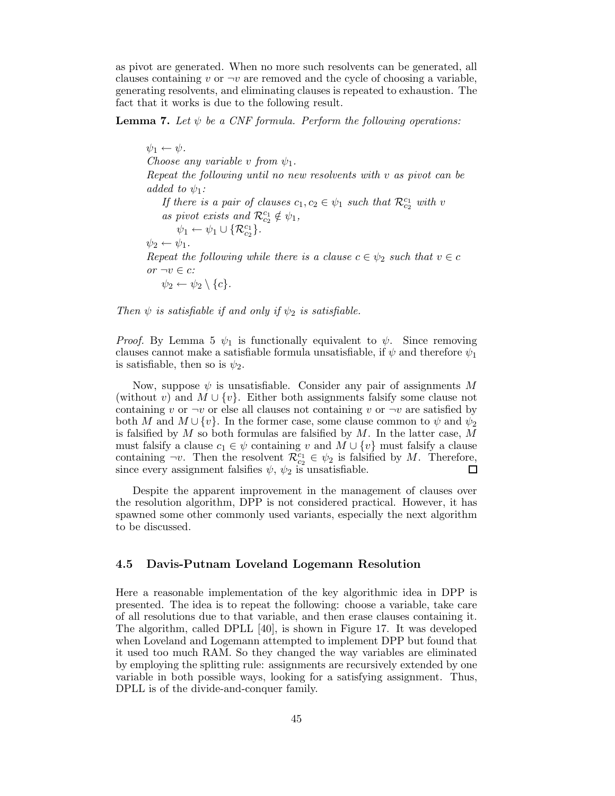as pivot are generated. When no more such resolvents can be generated, all clauses containing v or  $\neg v$  are removed and the cycle of choosing a variable, generating resolvents, and eliminating clauses is repeated to exhaustion. The fact that it works is due to the following result.

**Lemma 7.** Let  $\psi$  be a CNF formula. Perform the following operations:

 $\psi_1 \leftarrow \psi$ . Choose any variable v from  $\psi_1$ . Repeat the following until no new resolvents with v as pivot can be added to  $\psi_1$ : If there is a pair of clauses  $c_1, c_2 \in \psi_1$  such that  $\mathcal{R}_{c_2}^{c_1}$  with v as pivot exists and  $\mathcal{R}_{c_2}^{c_1} \notin \psi_1$ ,  $\psi_1 \leftarrow \psi_1 \cup \{ \mathcal{R}_{c_2}^{c_1} \}.$  $\psi_2 \leftarrow \psi_1$ . Repeat the following while there is a clause  $c \in \psi_2$  such that  $v \in c$  $or \neg v \in c$ :  $\psi_2 \leftarrow \psi_2 \setminus \{c\}.$ 



*Proof.* By Lemma 5  $\psi_1$  is functionally equivalent to  $\psi$ . Since removing clauses cannot make a satisfiable formula unsatisfiable, if  $\psi$  and therefore  $\psi_1$ is satisfiable, then so is  $\psi_2$ .

Now, suppose  $\psi$  is unsatisfiable. Consider any pair of assignments M (without v) and  $M \cup \{v\}$ . Either both assignments falsify some clause not containing v or  $\neg v$  or else all clauses not containing v or  $\neg v$  are satisfied by both M and  $M \cup \{v\}$ . In the former case, some clause common to  $\psi$  and  $\psi_2$ is falsified by  $M$  so both formulas are falsified by  $M$ . In the latter case,  $M$ must falsify a clause  $c_1 \in \psi$  containing v and  $M \cup \{v\}$  must falsify a clause containing  $\neg v$ . Then the resolvent  $\mathcal{R}_{c_2}^{c_1} \in \psi_2$  is falsified by M. Therefore, since every assignment falsifies  $\psi$ ,  $\psi_2$  is unsatisfiable.  $\Box$ 

Despite the apparent improvement in the management of clauses over the resolution algorithm, DPP is not considered practical. However, it has spawned some other commonly used variants, especially the next algorithm to be discussed.

### 4.5 Davis-Putnam Loveland Logemann Resolution

Here a reasonable implementation of the key algorithmic idea in DPP is presented. The idea is to repeat the following: choose a variable, take care of all resolutions due to that variable, and then erase clauses containing it. The algorithm, called DPLL [40], is shown in Figure 17. It was developed when Loveland and Logemann attempted to implement DPP but found that it used too much RAM. So they changed the way variables are eliminated by employing the splitting rule: assignments are recursively extended by one variable in both possible ways, looking for a satisfying assignment. Thus, DPLL is of the divide-and-conquer family.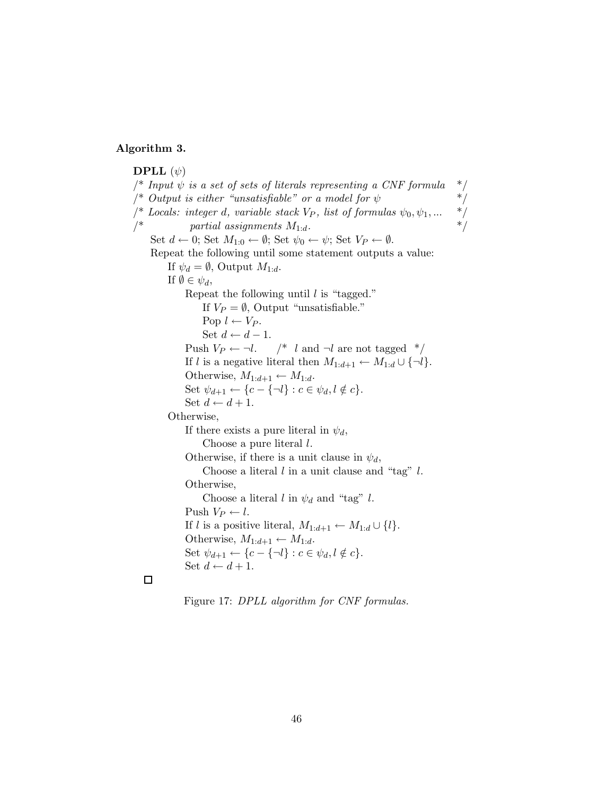# Algorithm 3.

DPLL  $(\psi)$  $\frac{1}{2}$  Input  $\psi$  is a set of sets of literals representing a CNF formula  $\frac{1}{2}$ /\* Output is either "unsatisfiable" or a model for  $\psi$  \*/<br>/\* Locals: integer d, variable stack  $V_P$ , list of formulas  $\psi_0, \psi_1, ...$  \*/<br>/\* antial assignments  $M_{1,1}$ /\* Locals: integer d, variable stack  $V_P$ , list of formulas  $\psi_0, \psi_1, ...$  $\frac{1}{k}$  partial assignments  $M_{1:d}$ . Set  $d \leftarrow 0$ ; Set  $M_{1:0} \leftarrow \emptyset$ ; Set  $\psi_0 \leftarrow \psi$ ; Set  $V_P \leftarrow \emptyset$ . Repeat the following until some statement outputs a value: If  $\psi_d = \emptyset$ , Output  $M_{1:d}$ . If  $\emptyset \in \psi_d$ , Repeat the following until  $l$  is "tagged." If  $V_P = \emptyset$ , Output "unsatisfiable." Pop  $l \leftarrow V_P$ . Set  $d \leftarrow d - 1$ . Push  $V_P \leftarrow \neg l$ . /\* l and  $\neg l$  are not tagged \*/ If l is a negative literal then  $M_{1:d+1} \leftarrow M_{1:d} \cup \{\neg l\}.$ Otherwise,  $M_{1:d+1} \leftarrow M_{1:d}$ . Set  $\psi_{d+1} \leftarrow \{c - \{\neg l\} : c \in \psi_d, l \notin c\}.$ Set  $d \leftarrow d + 1$ . Otherwise, If there exists a pure literal in  $\psi_d$ , Choose a pure literal l. Otherwise, if there is a unit clause in  $\psi_d$ , Choose a literal  $l$  in a unit clause and "tag"  $l$ . Otherwise, Choose a literal l in  $\psi_d$  and "tag" l. Push  $V_P \leftarrow l$ . If l is a positive literal,  $M_{1:d+1} \leftarrow M_{1:d} \cup \{l\}.$ Otherwise,  $M_{1:d+1} \leftarrow M_{1:d}$ . Set  $\psi_{d+1} \leftarrow \{c - \{\neg l\} : c \in \psi_d, l \notin c\}.$ Set  $d \leftarrow d + 1$ .

 $\Box$ 

Figure 17: DPLL algorithm for CNF formulas.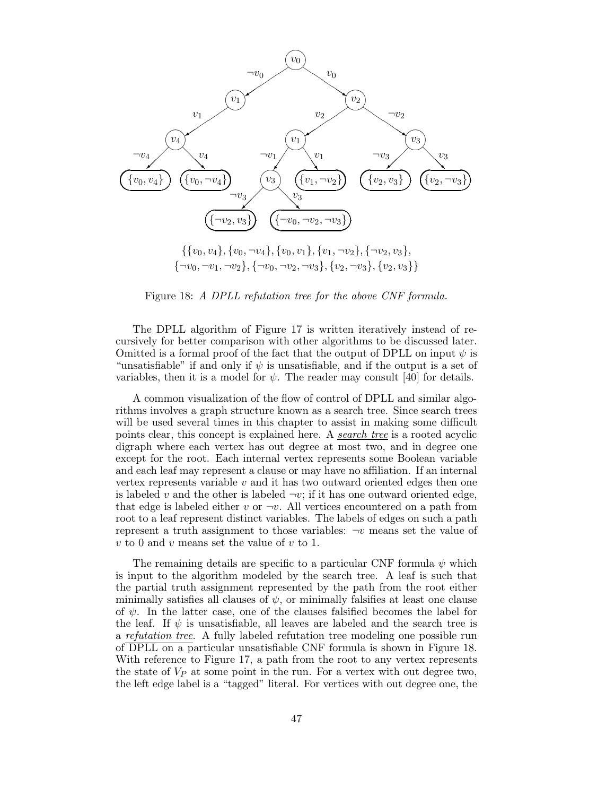

 $\{\neg v_0, \neg v_1, \neg v_2\}, \{\neg v_0, \neg v_2, \neg v_3\}, \{v_2, \neg v_3\}, \{v_2, v_3\}\}$ 

Figure 18: A DPLL refutation tree for the above CNF formula.

The DPLL algorithm of Figure 17 is written iteratively instead of recursively for better comparison with other algorithms to be discussed later. Omitted is a formal proof of the fact that the output of DPLL on input  $\psi$  is "unsatisfiable" if and only if  $\psi$  is unsatisfiable, and if the output is a set of variables, then it is a model for  $\psi$ . The reader may consult [40] for details.

A common visualization of the flow of control of DPLL and similar algorithms involves a graph structure known as a search tree. Since search trees will be used several times in this chapter to assist in making some difficult points clear, this concept is explained here. A search tree is a rooted acyclic digraph where each vertex has out degree at most two, and in degree one except for the root. Each internal vertex represents some Boolean variable and each leaf may represent a clause or may have no affiliation. If an internal vertex represents variable v and it has two outward oriented edges then one is labeled v and the other is labeled  $\neg v$ ; if it has one outward oriented edge, that edge is labeled either v or  $\neg v$ . All vertices encountered on a path from root to a leaf represent distinct variables. The labels of edges on such a path represent a truth assignment to those variables:  $\neg v$  means set the value of  $v$  to 0 and  $v$  means set the value of  $v$  to 1.

The remaining details are specific to a particular CNF formula  $\psi$  which is input to the algorithm modeled by the search tree. A leaf is such that the partial truth assignment represented by the path from the root either minimally satisfies all clauses of  $\psi$ , or minimally falsifies at least one clause of  $\psi$ . In the latter case, one of the clauses falsified becomes the label for the leaf. If  $\psi$  is unsatisfiable, all leaves are labeled and the search tree is a refutation tree. A fully labeled refutation tree modeling one possible run of DPLL on a particular unsatisfiable CNF formula is shown in Figure 18. With reference to Figure 17, a path from the root to any vertex represents the state of  $V_P$  at some point in the run. For a vertex with out degree two, the left edge label is a "tagged" literal. For vertices with out degree one, the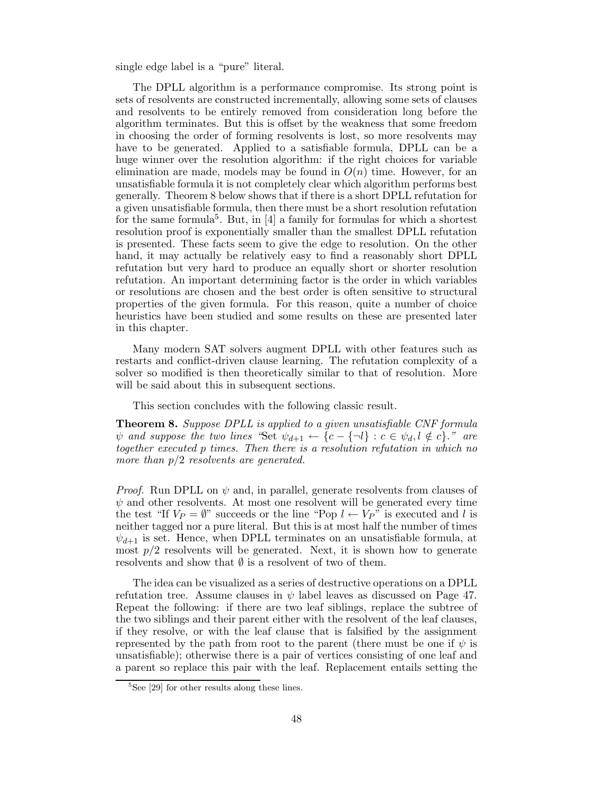single edge label is a "pure" literal.

The DPLL algorithm is a performance compromise. Its strong point is sets of resolvents are constructed incrementally, allowing some sets of clauses and resolvents to be entirely removed from consideration long before the algorithm terminates. But this is offset by the weakness that some freedom in choosing the order of forming resolvents is lost, so more resolvents may have to be generated. Applied to a satisfiable formula, DPLL can be a huge winner over the resolution algorithm: if the right choices for variable elimination are made, models may be found in  $O(n)$  time. However, for an unsatisfiable formula it is not completely clear which algorithm performs best generally. Theorem 8 below shows that if there is a short DPLL refutation for a given unsatisfiable formula, then there must be a short resolution refutation for the same formula<sup>5</sup>. But, in  $[4]$  a family for formulas for which a shortest resolution proof is exponentially smaller than the smallest DPLL refutation is presented. These facts seem to give the edge to resolution. On the other hand, it may actually be relatively easy to find a reasonably short DPLL refutation but very hard to produce an equally short or shorter resolution refutation. An important determining factor is the order in which variables or resolutions are chosen and the best order is often sensitive to structural properties of the given formula. For this reason, quite a number of choice heuristics have been studied and some results on these are presented later in this chapter.

Many modern SAT solvers augment DPLL with other features such as restarts and conflict-driven clause learning. The refutation complexity of a solver so modified is then theoretically similar to that of resolution. More will be said about this in subsequent sections.

This section concludes with the following classic result.

Theorem 8. Suppose DPLL is applied to a given unsatisfiable CNF formula  $\psi$  and suppose the two lines "Set  $\psi_{d+1} \leftarrow \{c - \{\neg l\} : c \in \psi_d, l \notin c\}$ ." are together executed p times. Then there is a resolution refutation in which no more than  $p/2$  resolvents are generated.

*Proof.* Run DPLL on  $\psi$  and, in parallel, generate resolvents from clauses of  $\psi$  and other resolvents. At most one resolvent will be generated every time the test "If  $V_P = \emptyset$ " succeeds or the line "Pop  $l \leftarrow V_P$ " is executed and l is neither tagged nor a pure literal. But this is at most half the number of times  $\psi_{d+1}$  is set. Hence, when DPLL terminates on an unsatisfiable formula, at most  $p/2$  resolvents will be generated. Next, it is shown how to generate resolvents and show that  $\emptyset$  is a resolvent of two of them.

The idea can be visualized as a series of destructive operations on a DPLL refutation tree. Assume clauses in  $\psi$  label leaves as discussed on Page 47. Repeat the following: if there are two leaf siblings, replace the subtree of the two siblings and their parent either with the resolvent of the leaf clauses, if they resolve, or with the leaf clause that is falsified by the assignment represented by the path from root to the parent (there must be one if  $\psi$  is unsatisfiable); otherwise there is a pair of vertices consisting of one leaf and a parent so replace this pair with the leaf. Replacement entails setting the

<sup>&</sup>lt;sup>5</sup>See [29] for other results along these lines.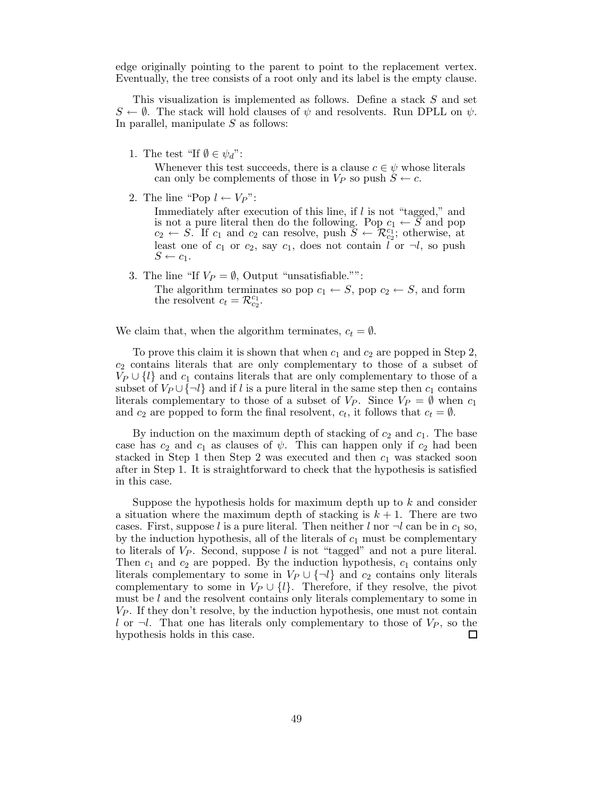edge originally pointing to the parent to point to the replacement vertex. Eventually, the tree consists of a root only and its label is the empty clause.

This visualization is implemented as follows. Define a stack S and set  $S \leftarrow \emptyset$ . The stack will hold clauses of  $\psi$  and resolvents. Run DPLL on  $\psi$ . In parallel, manipulate S as follows:

1. The test "If  $\emptyset \in \psi_d$ ":

Whenever this test succeeds, there is a clause  $c \in \psi$  whose literals can only be complements of those in  $V_P$  so push  $S \leftarrow c$ .

2. The line "Pop  $l \leftarrow V_P$ ":

Immediately after execution of this line, if l is not "tagged," and is not a pure literal then do the following. Pop  $c_1 \leftarrow S$  and pop  $c_2 \leftarrow S$ . If  $c_1$  and  $c_2$  can resolve, push  $S \leftarrow \mathcal{R}_{c_2}^{c_1}$ ; otherwise, at least one of  $c_1$  or  $c_2$ , say  $c_1$ , does not contain l or  $\neg l$ , so push  $S \leftarrow c_1$ .

3. The line "If  $V_P = \emptyset$ , Output "unsatisfiable."": The algorithm terminates so pop  $c_1 \leftarrow S$ , pop  $c_2 \leftarrow S$ , and form the resolvent  $c_t = \mathcal{R}_{c_2}^{c_1}$ .

We claim that, when the algorithm terminates,  $c_t = \emptyset$ .

To prove this claim it is shown that when  $c_1$  and  $c_2$  are popped in Step 2,  $c<sub>2</sub>$  contains literals that are only complementary to those of a subset of  $V_P \cup \{l\}$  and  $c_1$  contains literals that are only complementary to those of a subset of  $V_P \cup \{\neg l\}$  and if l is a pure literal in the same step then  $c_1$  contains literals complementary to those of a subset of  $V_P$ . Since  $V_P = \emptyset$  when  $c_1$ and  $c_2$  are popped to form the final resolvent,  $c_t$ , it follows that  $c_t = \emptyset$ .

By induction on the maximum depth of stacking of  $c_2$  and  $c_1$ . The base case has  $c_2$  and  $c_1$  as clauses of  $\psi$ . This can happen only if  $c_2$  had been stacked in Step 1 then Step 2 was executed and then  $c_1$  was stacked soon after in Step 1. It is straightforward to check that the hypothesis is satisfied in this case.

Suppose the hypothesis holds for maximum depth up to  $k$  and consider a situation where the maximum depth of stacking is  $k + 1$ . There are two cases. First, suppose l is a pure literal. Then neither l nor  $\neg l$  can be in  $c_1$  so, by the induction hypothesis, all of the literals of  $c_1$  must be complementary to literals of  $V_P$ . Second, suppose l is not "tagged" and not a pure literal. Then  $c_1$  and  $c_2$  are popped. By the induction hypothesis,  $c_1$  contains only literals complementary to some in  $V_P \cup \{\neg l\}$  and  $c_2$  contains only literals complementary to some in  $V_P \cup \{l\}$ . Therefore, if they resolve, the pivot must be l and the resolvent contains only literals complementary to some in  $V_P$ . If they don't resolve, by the induction hypothesis, one must not contain l or  $\neg l$ . That one has literals only complementary to those of  $V_P$ , so the hypothesis holds in this case. hypothesis holds in this case.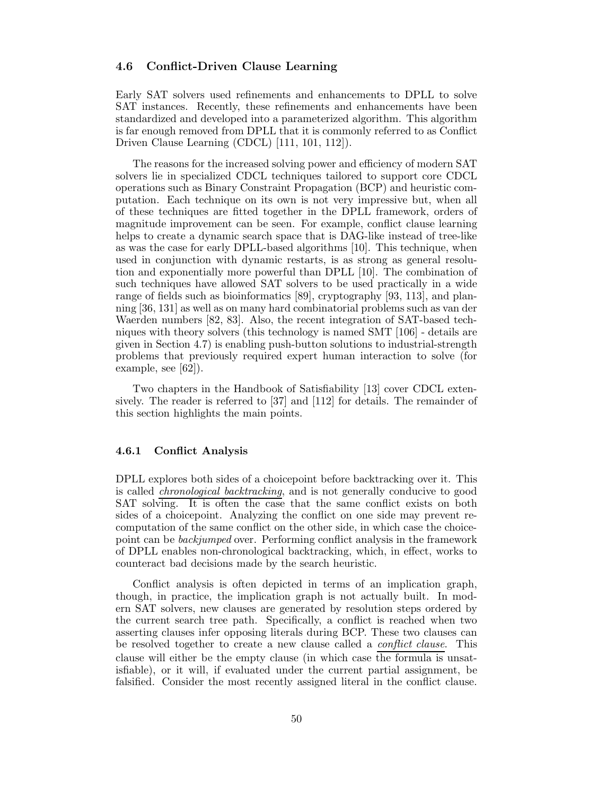# 4.6 Conflict-Driven Clause Learning

Early SAT solvers used refinements and enhancements to DPLL to solve SAT instances. Recently, these refinements and enhancements have been standardized and developed into a parameterized algorithm. This algorithm is far enough removed from DPLL that it is commonly referred to as Conflict Driven Clause Learning (CDCL) [111, 101, 112]).

The reasons for the increased solving power and efficiency of modern SAT solvers lie in specialized CDCL techniques tailored to support core CDCL operations such as Binary Constraint Propagation (BCP) and heuristic computation. Each technique on its own is not very impressive but, when all of these techniques are fitted together in the DPLL framework, orders of magnitude improvement can be seen. For example, conflict clause learning helps to create a dynamic search space that is DAG-like instead of tree-like as was the case for early DPLL-based algorithms [10]. This technique, when used in conjunction with dynamic restarts, is as strong as general resolution and exponentially more powerful than DPLL [10]. The combination of such techniques have allowed SAT solvers to be used practically in a wide range of fields such as bioinformatics [89], cryptography [93, 113], and planning [36, 131] as well as on many hard combinatorial problems such as van der Waerden numbers [82, 83]. Also, the recent integration of SAT-based techniques with theory solvers (this technology is named SMT [106] - details are given in Section 4.7) is enabling push-button solutions to industrial-strength problems that previously required expert human interaction to solve (for example, see [62]).

Two chapters in the Handbook of Satisfiability [13] cover CDCL extensively. The reader is referred to [37] and [112] for details. The remainder of this section highlights the main points.

### 4.6.1 Conflict Analysis

DPLL explores both sides of a choicepoint before backtracking over it. This is called chronological backtracking, and is not generally conducive to good SAT solving. It is often the case that the same conflict exists on both sides of a choicepoint. Analyzing the conflict on one side may prevent recomputation of the same conflict on the other side, in which case the choicepoint can be backjumped over. Performing conflict analysis in the framework of DPLL enables non-chronological backtracking, which, in effect, works to counteract bad decisions made by the search heuristic.

Conflict analysis is often depicted in terms of an implication graph, though, in practice, the implication graph is not actually built. In modern SAT solvers, new clauses are generated by resolution steps ordered by the current search tree path. Specifically, a conflict is reached when two asserting clauses infer opposing literals during BCP. These two clauses can be resolved together to create a new clause called a conflict clause. This clause will either be the empty clause (in which case the formula is unsatisfiable), or it will, if evaluated under the current partial assignment, be falsified. Consider the most recently assigned literal in the conflict clause.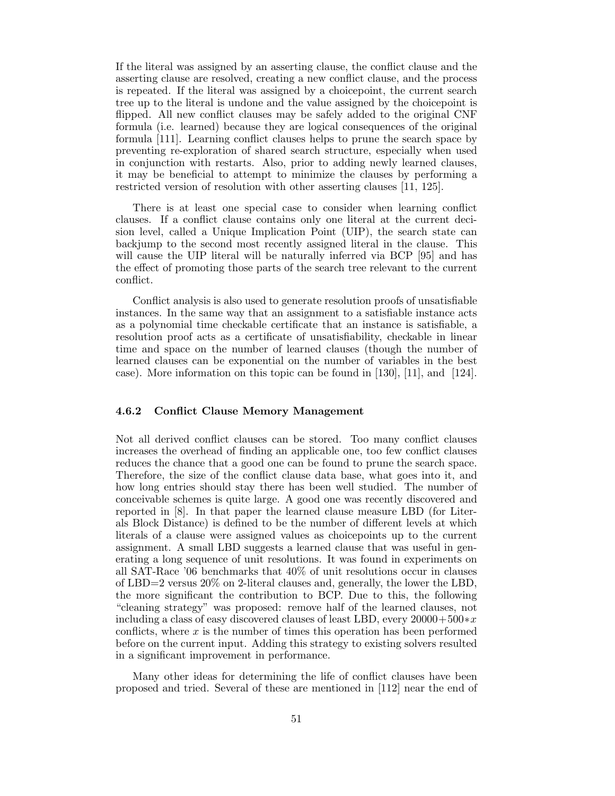If the literal was assigned by an asserting clause, the conflict clause and the asserting clause are resolved, creating a new conflict clause, and the process is repeated. If the literal was assigned by a choicepoint, the current search tree up to the literal is undone and the value assigned by the choicepoint is flipped. All new conflict clauses may be safely added to the original CNF formula (i.e. learned) because they are logical consequences of the original formula [111]. Learning conflict clauses helps to prune the search space by preventing re-exploration of shared search structure, especially when used in conjunction with restarts. Also, prior to adding newly learned clauses, it may be beneficial to attempt to minimize the clauses by performing a restricted version of resolution with other asserting clauses [11, 125].

There is at least one special case to consider when learning conflict clauses. If a conflict clause contains only one literal at the current decision level, called a Unique Implication Point (UIP), the search state can backjump to the second most recently assigned literal in the clause. This will cause the UIP literal will be naturally inferred via BCP [95] and has the effect of promoting those parts of the search tree relevant to the current conflict.

Conflict analysis is also used to generate resolution proofs of unsatisfiable instances. In the same way that an assignment to a satisfiable instance acts as a polynomial time checkable certificate that an instance is satisfiable, a resolution proof acts as a certificate of unsatisfiability, checkable in linear time and space on the number of learned clauses (though the number of learned clauses can be exponential on the number of variables in the best case). More information on this topic can be found in  $[130]$ ,  $[11]$ , and  $[124]$ .

#### 4.6.2 Conflict Clause Memory Management

Not all derived conflict clauses can be stored. Too many conflict clauses increases the overhead of finding an applicable one, too few conflict clauses reduces the chance that a good one can be found to prune the search space. Therefore, the size of the conflict clause data base, what goes into it, and how long entries should stay there has been well studied. The number of conceivable schemes is quite large. A good one was recently discovered and reported in [8]. In that paper the learned clause measure LBD (for Literals Block Distance) is defined to be the number of different levels at which literals of a clause were assigned values as choicepoints up to the current assignment. A small LBD suggests a learned clause that was useful in generating a long sequence of unit resolutions. It was found in experiments on all SAT-Race '06 benchmarks that 40% of unit resolutions occur in clauses of LBD=2 versus 20% on 2-literal clauses and, generally, the lower the LBD, the more significant the contribution to BCP. Due to this, the following "cleaning strategy" was proposed: remove half of the learned clauses, not including a class of easy discovered clauses of least LBD, every  $20000+500*x$ conflicts, where x is the number of times this operation has been performed before on the current input. Adding this strategy to existing solvers resulted in a significant improvement in performance.

Many other ideas for determining the life of conflict clauses have been proposed and tried. Several of these are mentioned in [112] near the end of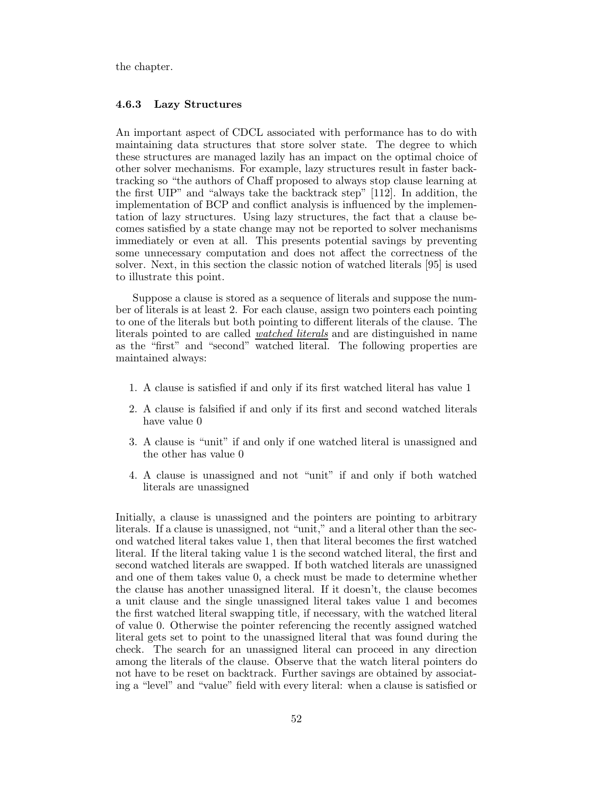the chapter.

#### 4.6.3 Lazy Structures

An important aspect of CDCL associated with performance has to do with maintaining data structures that store solver state. The degree to which these structures are managed lazily has an impact on the optimal choice of other solver mechanisms. For example, lazy structures result in faster backtracking so "the authors of Chaff proposed to always stop clause learning at the first UIP" and "always take the backtrack step" [112]. In addition, the implementation of BCP and conflict analysis is influenced by the implementation of lazy structures. Using lazy structures, the fact that a clause becomes satisfied by a state change may not be reported to solver mechanisms immediately or even at all. This presents potential savings by preventing some unnecessary computation and does not affect the correctness of the solver. Next, in this section the classic notion of watched literals [95] is used to illustrate this point.

Suppose a clause is stored as a sequence of literals and suppose the number of literals is at least 2. For each clause, assign two pointers each pointing to one of the literals but both pointing to different literals of the clause. The literals pointed to are called *watched literals* and are distinguished in name as the "first" and "second" watched literal. The following properties are maintained always:

- 1. A clause is satisfied if and only if its first watched literal has value 1
- 2. A clause is falsified if and only if its first and second watched literals have value 0
- 3. A clause is "unit" if and only if one watched literal is unassigned and the other has value 0
- 4. A clause is unassigned and not "unit" if and only if both watched literals are unassigned

Initially, a clause is unassigned and the pointers are pointing to arbitrary literals. If a clause is unassigned, not "unit," and a literal other than the second watched literal takes value 1, then that literal becomes the first watched literal. If the literal taking value 1 is the second watched literal, the first and second watched literals are swapped. If both watched literals are unassigned and one of them takes value 0, a check must be made to determine whether the clause has another unassigned literal. If it doesn't, the clause becomes a unit clause and the single unassigned literal takes value 1 and becomes the first watched literal swapping title, if necessary, with the watched literal of value 0. Otherwise the pointer referencing the recently assigned watched literal gets set to point to the unassigned literal that was found during the check. The search for an unassigned literal can proceed in any direction among the literals of the clause. Observe that the watch literal pointers do not have to be reset on backtrack. Further savings are obtained by associating a "level" and "value" field with every literal: when a clause is satisfied or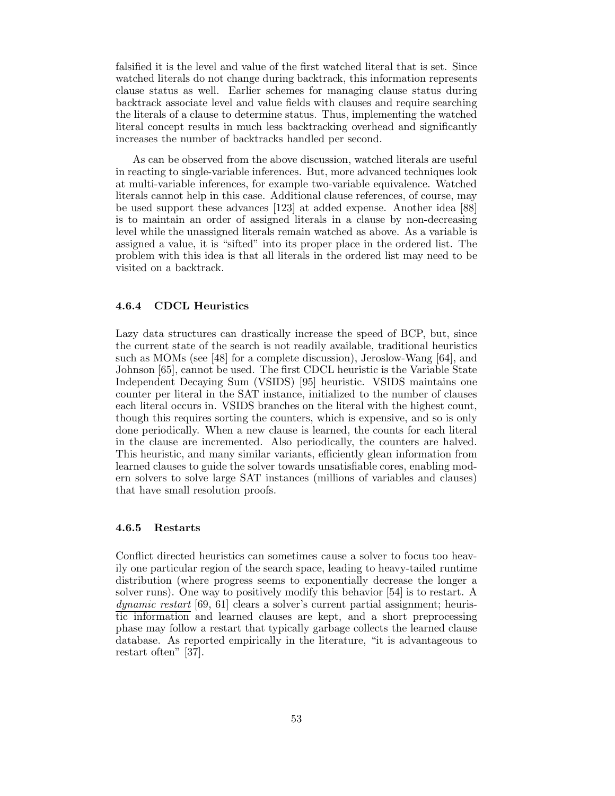falsified it is the level and value of the first watched literal that is set. Since watched literals do not change during backtrack, this information represents clause status as well. Earlier schemes for managing clause status during backtrack associate level and value fields with clauses and require searching the literals of a clause to determine status. Thus, implementing the watched literal concept results in much less backtracking overhead and significantly increases the number of backtracks handled per second.

As can be observed from the above discussion, watched literals are useful in reacting to single-variable inferences. But, more advanced techniques look at multi-variable inferences, for example two-variable equivalence. Watched literals cannot help in this case. Additional clause references, of course, may be used support these advances [123] at added expense. Another idea [88] is to maintain an order of assigned literals in a clause by non-decreasing level while the unassigned literals remain watched as above. As a variable is assigned a value, it is "sifted" into its proper place in the ordered list. The problem with this idea is that all literals in the ordered list may need to be visited on a backtrack.

# 4.6.4 CDCL Heuristics

Lazy data structures can drastically increase the speed of BCP, but, since the current state of the search is not readily available, traditional heuristics such as MOMs (see [48] for a complete discussion), Jeroslow-Wang [64], and Johnson [65], cannot be used. The first CDCL heuristic is the Variable State Independent Decaying Sum (VSIDS) [95] heuristic. VSIDS maintains one counter per literal in the SAT instance, initialized to the number of clauses each literal occurs in. VSIDS branches on the literal with the highest count, though this requires sorting the counters, which is expensive, and so is only done periodically. When a new clause is learned, the counts for each literal in the clause are incremented. Also periodically, the counters are halved. This heuristic, and many similar variants, efficiently glean information from learned clauses to guide the solver towards unsatisfiable cores, enabling modern solvers to solve large SAT instances (millions of variables and clauses) that have small resolution proofs.

#### 4.6.5 Restarts

Conflict directed heuristics can sometimes cause a solver to focus too heavily one particular region of the search space, leading to heavy-tailed runtime distribution (where progress seems to exponentially decrease the longer a solver runs). One way to positively modify this behavior [54] is to restart. A dynamic restart [69, 61] clears a solver's current partial assignment; heuristic information and learned clauses are kept, and a short preprocessing phase may follow a restart that typically garbage collects the learned clause database. As reported empirically in the literature, "it is advantageous to restart often" [37].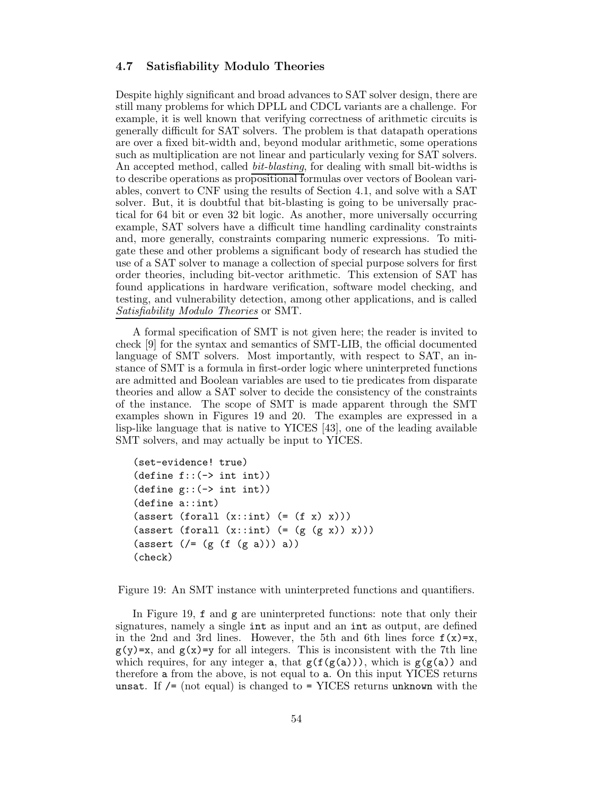## 4.7 Satisfiability Modulo Theories

Despite highly significant and broad advances to SAT solver design, there are still many problems for which DPLL and CDCL variants are a challenge. For example, it is well known that verifying correctness of arithmetic circuits is generally difficult for SAT solvers. The problem is that datapath operations are over a fixed bit-width and, beyond modular arithmetic, some operations such as multiplication are not linear and particularly vexing for SAT solvers. An accepted method, called bit-blasting, for dealing with small bit-widths is to describe operations as propositional formulas over vectors of Boolean variables, convert to CNF using the results of Section 4.1, and solve with a SAT solver. But, it is doubtful that bit-blasting is going to be universally practical for 64 bit or even 32 bit logic. As another, more universally occurring example, SAT solvers have a difficult time handling cardinality constraints and, more generally, constraints comparing numeric expressions. To mitigate these and other problems a significant body of research has studied the use of a SAT solver to manage a collection of special purpose solvers for first order theories, including bit-vector arithmetic. This extension of SAT has found applications in hardware verification, software model checking, and testing, and vulnerability detection, among other applications, and is called Satisfiability Modulo Theories or SMT.

A formal specification of SMT is not given here; the reader is invited to check [9] for the syntax and semantics of SMT-LIB, the official documented language of SMT solvers. Most importantly, with respect to SAT, an instance of SMT is a formula in first-order logic where uninterpreted functions are admitted and Boolean variables are used to tie predicates from disparate theories and allow a SAT solver to decide the consistency of the constraints of the instance. The scope of SMT is made apparent through the SMT examples shown in Figures 19 and 20. The examples are expressed in a lisp-like language that is native to YICES [43], one of the leading available SMT solvers, and may actually be input to YICES.

```
(set-evidence! true)
(detine f::(-> int int))(define g::(-> int int))
(define a::int)
(\text{assert} (\text{for all } (x::\text{int}) (-f(x))))(assert (forall (x::int) (= (g (g x)) x))
(\text{assert } (/ = (g (f (g a))) a))(check)
```
Figure 19: An SMT instance with uninterpreted functions and quantifiers.

In Figure 19, f and g are uninterpreted functions: note that only their signatures, namely a single int as input and an int as output, are defined in the 2nd and 3rd lines. However, the 5th and 6th lines force  $f(x)=x$ ,  $g(y)=x$ , and  $g(x)=y$  for all integers. This is inconsistent with the 7th line which requires, for any integer a, that  $g(f(g(a)))$ , which is  $g(g(a))$  and therefore a from the above, is not equal to a. On this input YICES returns unsat. If  $\ell$  (not equal) is changed to = YICES returns unknown with the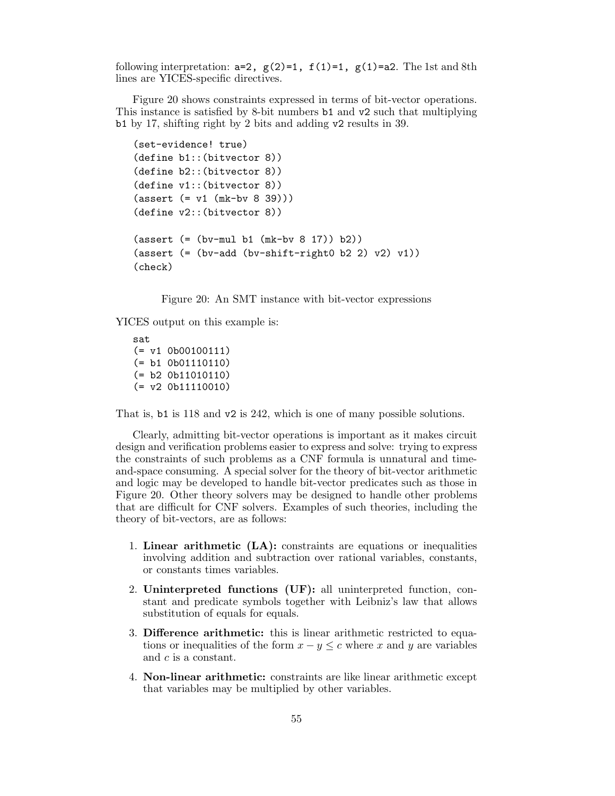following interpretation:  $a=2$ ,  $g(2)=1$ ,  $f(1)=1$ ,  $g(1)=a2$ . The 1st and 8th lines are YICES-specific directives.

Figure 20 shows constraints expressed in terms of bit-vector operations. This instance is satisfied by 8-bit numbers b1 and v2 such that multiplying b1 by 17, shifting right by 2 bits and adding v2 results in 39.

```
(set-evidence! true)
(define b1::(bitvector 8))
(define b2::(bitvector 8))
(define v1::(bitvector 8))
(assert (= v1 (mk-bv 8 39)))
(define v2::(bitvector 8))
(\text{assert } (= (\text{by--mul } b1 (\text{mk-by } 8 17)) b2))(\text{assert } (= (\text{bv-add } (\text{bv-shift-right0 b2 2}) v1))(check)
```
Figure 20: An SMT instance with bit-vector expressions

YICES output on this example is:

sat  $(= v1 0b00100111)$ (= b1 0b01110110) (= b2 0b11010110) (= v2 0b11110010)

That is, b1 is 118 and v2 is 242, which is one of many possible solutions.

Clearly, admitting bit-vector operations is important as it makes circuit design and verification problems easier to express and solve: trying to express the constraints of such problems as a CNF formula is unnatural and timeand-space consuming. A special solver for the theory of bit-vector arithmetic and logic may be developed to handle bit-vector predicates such as those in Figure 20. Other theory solvers may be designed to handle other problems that are difficult for CNF solvers. Examples of such theories, including the theory of bit-vectors, are as follows:

- 1. Linear arithmetic (LA): constraints are equations or inequalities involving addition and subtraction over rational variables, constants, or constants times variables.
- 2. Uninterpreted functions (UF): all uninterpreted function, constant and predicate symbols together with Leibniz's law that allows substitution of equals for equals.
- 3. Difference arithmetic: this is linear arithmetic restricted to equations or inequalities of the form  $x - y \leq c$  where x and y are variables and c is a constant.
- 4. Non-linear arithmetic: constraints are like linear arithmetic except that variables may be multiplied by other variables.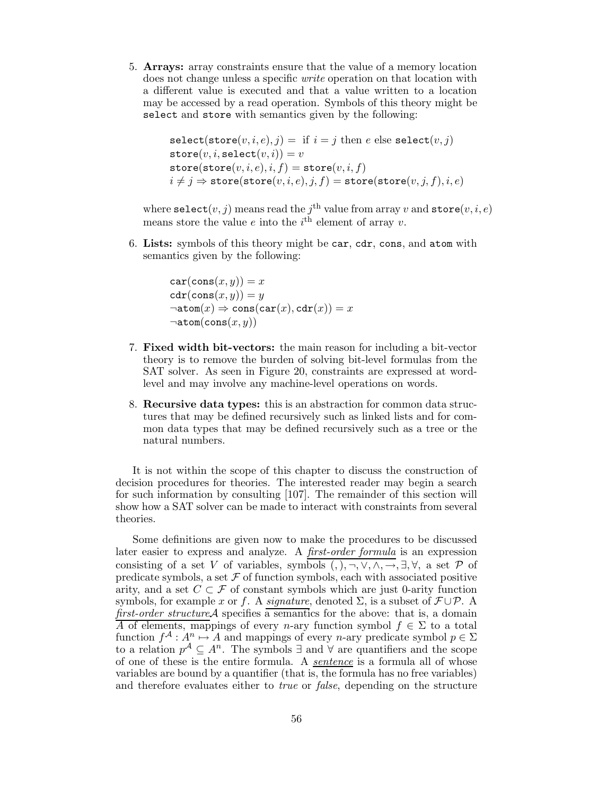5. Arrays: array constraints ensure that the value of a memory location does not change unless a specific write operation on that location with a different value is executed and that a value written to a location may be accessed by a read operation. Symbols of this theory might be select and store with semantics given by the following:

```
\texttt{select}(\texttt{store}(v,i,e),j) = \text{ if } i = j \text{ then } e \text{ else } \texttt{select}(v,j)store(v, i, select(v, i)) = v\texttt{store}(\texttt{store}(v,i,e),i,f) = \texttt{store}(v,i,f)i \neq j \Rightarrow \texttt{store}(\texttt{store}(v,i,e),j,f) = \texttt{store}(\texttt{store}(v,j,f),i,e)
```
where  $\texttt{select}(v,j)$  means read the  $j^{\text{th}}$  value from array  $v$  and  $\texttt{store}(v,i,e)$ means store the value  $e$  into the  $i<sup>th</sup>$  element of array  $v$ .

6. Lists: symbols of this theory might be car, cdr, cons, and atom with semantics given by the following:

```
car(cons(x,y)) = xcdr(cons(x,y)) = y\neg \texttt{atom}(x) \Rightarrow \texttt{cons}(\texttt{car}(x), \texttt{cdr}(x)) = x\negatom(\text{cons}(x,y))
```
- 7. Fixed width bit-vectors: the main reason for including a bit-vector theory is to remove the burden of solving bit-level formulas from the SAT solver. As seen in Figure 20, constraints are expressed at wordlevel and may involve any machine-level operations on words.
- 8. Recursive data types: this is an abstraction for common data structures that may be defined recursively such as linked lists and for common data types that may be defined recursively such as a tree or the natural numbers.

It is not within the scope of this chapter to discuss the construction of decision procedures for theories. The interested reader may begin a search for such information by consulting [107]. The remainder of this section will show how a SAT solver can be made to interact with constraints from several theories.

Some definitions are given now to make the procedures to be discussed later easier to express and analyze. A first-order formula is an expression consisting of a set V of variables, symbols  $(,), \neg, \vee, \wedge, \rightarrow, \exists, \forall,$  a set P of predicate symbols, a set  $\mathcal F$  of function symbols, each with associated positive arity, and a set  $C \subset \mathcal{F}$  of constant symbols which are just 0-arity function symbols, for example x or f. A signature, denoted  $\Sigma$ , is a subset of  $\mathcal{F} \cup \mathcal{P}$ . A first-order structureA specifies  $\overline{a}$  semantics for the above: that is, a domain A of elements, mappings of every n-ary function symbol  $f \in \Sigma$  to a total function  $f^{\mathcal{A}}: A^n \mapsto A$  and mappings of every *n*-ary predicate symbol  $p \in \Sigma$ to a relation  $p^{\mathcal{A}} \subseteq A^n$ . The symbols  $\exists$  and  $\forall$  are quantifiers and the scope of one of these is the entire formula. A <u>sentence</u> is a formula all of whose variables are bound by a quantifier (that is, the formula has no free variables) and therefore evaluates either to true or false, depending on the structure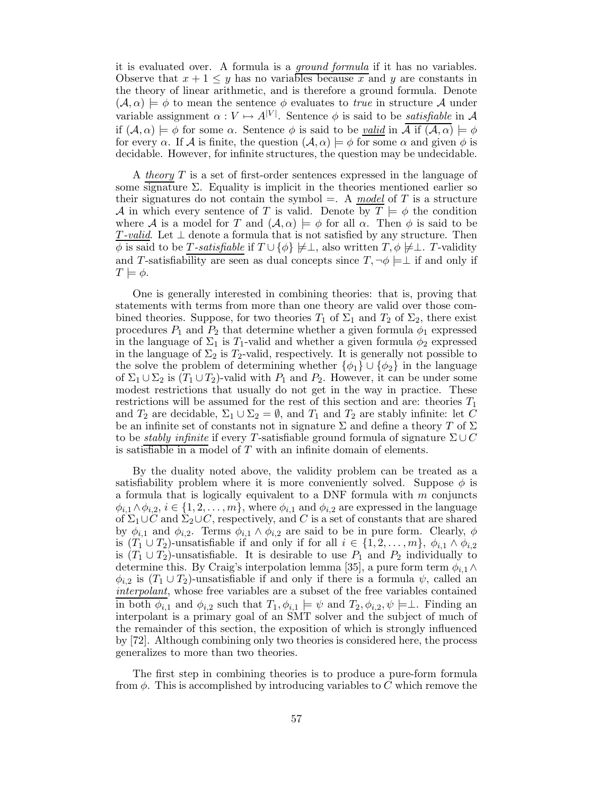it is evaluated over. A formula is a ground formula if it has no variables. Observe that  $x + 1 \leq y$  has no variables because x and y are constants in the theory of linear arithmetic, and is therefore a ground formula. Denote  $(\mathcal{A}, \alpha) \models \phi$  to mean the sentence  $\phi$  evaluates to *true* in structure A under variable assignment  $\alpha: V \mapsto A^{|V|}$ . Sentence  $\phi$  is said to be *satisfiable* in A if  $(A, \alpha) \models \phi$  for some  $\alpha$ . Sentence  $\phi$  is said to be valid in  $\overline{A}$  if  $(A, \alpha) \models \phi$ for every  $\alpha$ . If A is finite, the question  $(A, \alpha) \models \phi$  for some  $\alpha$  and given  $\phi$  is decidable. However, for infinite structures, the question may be undecidable.

A theory T is a set of first-order sentences expressed in the language of some signature  $\Sigma$ . Equality is implicit in the theories mentioned earlier so their signatures do not contain the symbol  $=$ . A model of T is a structure A in which every sentence of T is valid. Denote by  $T \models \phi$  the condition where A is a model for T and  $(A, \alpha) \models \phi$  for all  $\alpha$ . Then  $\phi$  is said to be T-valid. Let  $\perp$  denote a formula that is not satisfied by any structure. Then  $\phi$  is said to be T-satisfiable if  $T \cup {\phi} \neq \bot$ , also written  $T, \phi \neq \bot$ . T-validity and T-satisfiability are seen as dual concepts since  $T, \neg \phi \models \bot$  if and only if  $T \models \phi$ .

One is generally interested in combining theories: that is, proving that statements with terms from more than one theory are valid over those combined theories. Suppose, for two theories  $T_1$  of  $\Sigma_1$  and  $T_2$  of  $\Sigma_2$ , there exist procedures  $P_1$  and  $P_2$  that determine whether a given formula  $\phi_1$  expressed in the language of  $\Sigma_1$  is  $T_1$ -valid and whether a given formula  $\phi_2$  expressed in the language of  $\Sigma_2$  is  $T_2$ -valid, respectively. It is generally not possible to the solve the problem of determining whether  $\{\phi_1\} \cup \{\phi_2\}$  in the language of  $\Sigma_1 \cup \Sigma_2$  is  $(T_1 \cup T_2)$ -valid with  $P_1$  and  $P_2$ . However, it can be under some modest restrictions that usually do not get in the way in practice. These restrictions will be assumed for the rest of this section and are: theories  $T_1$ and  $T_2$  are decidable,  $\Sigma_1 \cup \Sigma_2 = \emptyset$ , and  $T_1$  and  $T_2$  are stably infinite: let C be an infinite set of constants not in signature  $\Sigma$  and define a theory T of  $\Sigma$ to be *stably infinite* if every T-satisfiable ground formula of signature  $\Sigma \cup C$ is satisfiable in a model of  $T$  with an infinite domain of elements.

By the duality noted above, the validity problem can be treated as a satisfiability problem where it is more conveniently solved. Suppose  $\phi$  is a formula that is logically equivalent to a DNF formula with  $m$  conjuncts  $\phi_{i,1} \wedge \phi_{i,2}, i \in \{1,2,\ldots,m\},\$  where  $\phi_{i,1}$  and  $\phi_{i,2}$  are expressed in the language of  $\Sigma_1\cup C$  and  $\Sigma_2\cup C$ , respectively, and C is a set of constants that are shared by  $\phi_{i,1}$  and  $\phi_{i,2}$ . Terms  $\phi_{i,1} \wedge \phi_{i,2}$  are said to be in pure form. Clearly,  $\phi$ is  $(T_1 \cup T_2)$ -unsatisfiable if and only if for all  $i \in \{1, 2, ..., m\}, \phi_{i,1} \wedge \phi_{i,2}$ is  $(T_1 \cup T_2)$ -unsatisfiable. It is desirable to use  $P_1$  and  $P_2$  individually to determine this. By Craig's interpolation lemma [35], a pure form term  $\phi_{i,1} \wedge$  $\phi_{i,2}$  is  $(T_1 \cup T_2)$ -unsatisfiable if and only if there is a formula  $\psi$ , called an interpolant, whose free variables are a subset of the free variables contained in both  $\phi_{i,1}$  and  $\phi_{i,2}$  such that  $T_1, \phi_{i,1} \models \psi$  and  $T_2, \phi_{i,2}, \psi \models \bot$ . Finding an interpolant is a primary goal of an SMT solver and the subject of much of the remainder of this section, the exposition of which is strongly influenced by [72]. Although combining only two theories is considered here, the process generalizes to more than two theories.

The first step in combining theories is to produce a pure-form formula from  $\phi$ . This is accomplished by introducing variables to C which remove the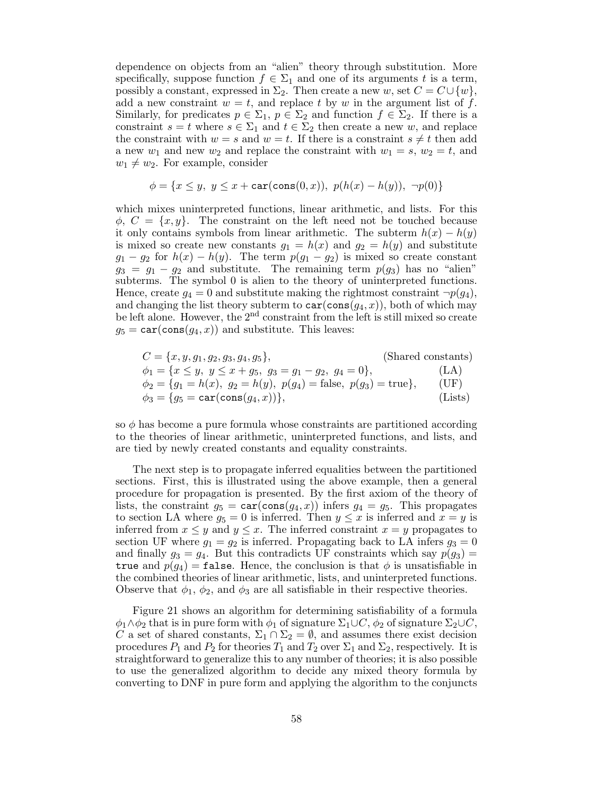dependence on objects from an "alien" theory through substitution. More specifically, suppose function  $f \in \Sigma_1$  and one of its arguments t is a term, possibly a constant, expressed in  $\Sigma_2$ . Then create a new w, set  $C = C \cup \{w\}$ , add a new constraint  $w = t$ , and replace t by w in the argument list of f. Similarly, for predicates  $p \in \Sigma_1$ ,  $p \in \Sigma_2$  and function  $f \in \Sigma_2$ . If there is a constraint  $s = t$  where  $s \in \Sigma_1$  and  $t \in \Sigma_2$  then create a new w, and replace the constraint with  $w = s$  and  $w = t$ . If there is a constraint  $s \neq t$  then add a new  $w_1$  and new  $w_2$  and replace the constraint with  $w_1 = s$ ,  $w_2 = t$ , and  $w_1 \neq w_2$ . For example, consider

$$
\phi = \{x \leq y, \ y \leq x + \texttt{car}(\texttt{cons}(0, x)), \ p(h(x) - h(y)), \ \neg p(0)\}
$$

which mixes uninterpreted functions, linear arithmetic, and lists. For this  $\phi$ ,  $C = \{x, y\}$ . The constraint on the left need not be touched because it only contains symbols from linear arithmetic. The subterm  $h(x) - h(y)$ is mixed so create new constants  $g_1 = h(x)$  and  $g_2 = h(y)$  and substitute  $g_1 - g_2$  for  $h(x) - h(y)$ . The term  $p(g_1 - g_2)$  is mixed so create constant  $g_3 = g_1 - g_2$  and substitute. The remaining term  $p(g_3)$  has no "alien" subterms. The symbol 0 is alien to the theory of uninterpreted functions. Hence, create  $g_4 = 0$  and substitute making the rightmost constraint  $\neg p(g_4)$ , and changing the list theory subterm to  $car(cons(g_4, x))$ , both of which may be left alone. However, the 2<sup>nd</sup> constraint from the left is still mixed so create  $g_5 = \text{car}(\text{cons}(g_4, x))$  and substitute. This leaves:

$$
C = \{x, y, g_1, g_2, g_3, g_4, g_5\}, \qquad \text{(Shared constants)}
$$
  
\n
$$
\phi_1 = \{x \le y, y \le x + g_5, g_3 = g_1 - g_2, g_4 = 0\}, \qquad \text{(LA)}
$$
  
\n
$$
\phi_2 = \{g_1 = h(x), g_2 = h(y), p(g_4) = \text{false}, p(g_3) = \text{true}\}, \qquad \text{(UF)}
$$
  
\n
$$
\phi_3 = \{g_5 = \text{car}(\text{cons}(g_4, x))\}, \qquad \text{(Lists)}
$$

so  $\phi$  has become a pure formula whose constraints are partitioned according to the theories of linear arithmetic, uninterpreted functions, and lists, and are tied by newly created constants and equality constraints.

The next step is to propagate inferred equalities between the partitioned sections. First, this is illustrated using the above example, then a general procedure for propagation is presented. By the first axiom of the theory of lists, the constraint  $g_5 = \text{car}(\text{cons}(g_4, x))$  infers  $g_4 = g_5$ . This propagates to section LA where  $g_5 = 0$  is inferred. Then  $y \leq x$  is inferred and  $x = y$  is inferred from  $x \leq y$  and  $y \leq x$ . The inferred constraint  $x = y$  propagates to section UF where  $g_1 = g_2$  is inferred. Propagating back to LA infers  $g_3 = 0$ and finally  $g_3 = g_4$ . But this contradicts UF constraints which say  $p(g_3)$  = true and  $p(g_4)$  = false. Hence, the conclusion is that  $\phi$  is unsatisfiable in the combined theories of linear arithmetic, lists, and uninterpreted functions. Observe that  $\phi_1$ ,  $\phi_2$ , and  $\phi_3$  are all satisfiable in their respective theories.

Figure 21 shows an algorithm for determining satisfiability of a formula  $\phi_1 \wedge \phi_2$  that is in pure form with  $\phi_1$  of signature  $\Sigma_1 \cup C$ ,  $\phi_2$  of signature  $\Sigma_2 \cup C$ , C a set of shared constants,  $\Sigma_1 \cap \Sigma_2 = \emptyset$ , and assumes there exist decision procedures  $P_1$  and  $P_2$  for theories  $T_1$  and  $T_2$  over  $\Sigma_1$  and  $\Sigma_2$ , respectively. It is straightforward to generalize this to any number of theories; it is also possible to use the generalized algorithm to decide any mixed theory formula by converting to DNF in pure form and applying the algorithm to the conjuncts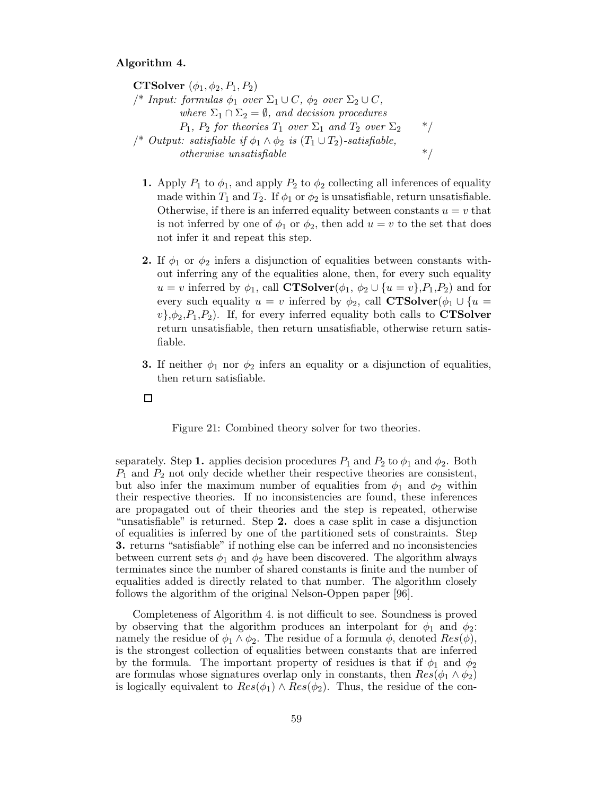#### Algorithm 4.

CTSolver  $(\phi_1, \phi_2, P_1, P_2)$ /\* Input: formulas  $\phi_1$  over  $\Sigma_1 \cup C$ ,  $\phi_2$  over  $\Sigma_2 \cup C$ , where  $\Sigma_1 \cap \Sigma_2 = \emptyset$ , and decision procedures  $P_1$ ,  $P_2$  for theories  $T_1$  over  $\Sigma_1$  and  $T_2$  over  $\Sigma_2$  \*/ /\* Output: satisfiable if  $\phi_1 \wedge \phi_2$  is  $(T_1 \cup T_2)$ -satisfiable,  $otherwise$  unsatisfiable  $*$  /

- 1. Apply  $P_1$  to  $\phi_1$ , and apply  $P_2$  to  $\phi_2$  collecting all inferences of equality made within  $T_1$  and  $T_2$ . If  $\phi_1$  or  $\phi_2$  is unsatisfiable, return unsatisfiable. Otherwise, if there is an inferred equality between constants  $u = v$  that is not inferred by one of  $\phi_1$  or  $\phi_2$ , then add  $u = v$  to the set that does not infer it and repeat this step.
- **2.** If  $\phi_1$  or  $\phi_2$  infers a disjunction of equalities between constants without inferring any of the equalities alone, then, for every such equality  $u = v$  inferred by  $\phi_1$ , call **CTSolver** $(\phi_1, \phi_2 \cup \{u = v\}, P_1, P_2)$  and for every such equality  $u = v$  inferred by  $\phi_2$ , call **CTSolver** $(\phi_1 \cup \{u =$  $v\},\phi_2,P_1,P_2)$ . If, for every inferred equality both calls to **CTSolver** return unsatisfiable, then return unsatisfiable, otherwise return satisfiable.
- **3.** If neither  $\phi_1$  nor  $\phi_2$  infers an equality or a disjunction of equalities, then return satisfiable.
- $\Box$



separately. Step 1. applies decision procedures  $P_1$  and  $P_2$  to  $\phi_1$  and  $\phi_2$ . Both  $P_1$  and  $P_2$  not only decide whether their respective theories are consistent, but also infer the maximum number of equalities from  $\phi_1$  and  $\phi_2$  within their respective theories. If no inconsistencies are found, these inferences are propagated out of their theories and the step is repeated, otherwise "unsatisfiable" is returned. Step 2. does a case split in case a disjunction of equalities is inferred by one of the partitioned sets of constraints. Step 3. returns "satisfiable" if nothing else can be inferred and no inconsistencies between current sets  $\phi_1$  and  $\phi_2$  have been discovered. The algorithm always terminates since the number of shared constants is finite and the number of equalities added is directly related to that number. The algorithm closely follows the algorithm of the original Nelson-Oppen paper [96].

Completeness of Algorithm 4. is not difficult to see. Soundness is proved by observing that the algorithm produces an interpolant for  $\phi_1$  and  $\phi_2$ : namely the residue of  $\phi_1 \wedge \phi_2$ . The residue of a formula  $\phi$ , denoted  $Res(\phi)$ , is the strongest collection of equalities between constants that are inferred by the formula. The important property of residues is that if  $\phi_1$  and  $\phi_2$ are formulas whose signatures overlap only in constants, then  $Res(\phi_1 \wedge \phi_2)$ is logically equivalent to  $Res(\phi_1) \wedge Res(\phi_2)$ . Thus, the residue of the con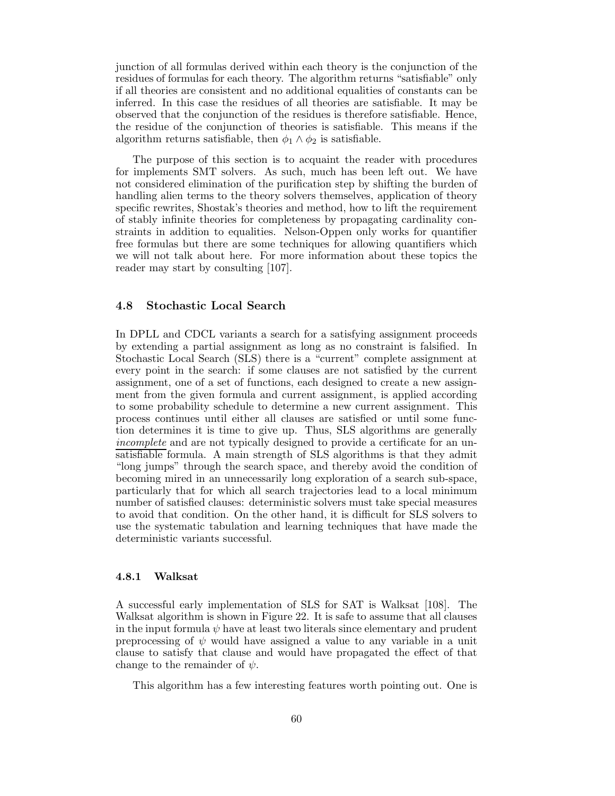junction of all formulas derived within each theory is the conjunction of the residues of formulas for each theory. The algorithm returns "satisfiable" only if all theories are consistent and no additional equalities of constants can be inferred. In this case the residues of all theories are satisfiable. It may be observed that the conjunction of the residues is therefore satisfiable. Hence, the residue of the conjunction of theories is satisfiable. This means if the algorithm returns satisfiable, then  $\phi_1 \wedge \phi_2$  is satisfiable.

The purpose of this section is to acquaint the reader with procedures for implements SMT solvers. As such, much has been left out. We have not considered elimination of the purification step by shifting the burden of handling alien terms to the theory solvers themselves, application of theory specific rewrites, Shostak's theories and method, how to lift the requirement of stably infinite theories for completeness by propagating cardinality constraints in addition to equalities. Nelson-Oppen only works for quantifier free formulas but there are some techniques for allowing quantifiers which we will not talk about here. For more information about these topics the reader may start by consulting [107].

## 4.8 Stochastic Local Search

In DPLL and CDCL variants a search for a satisfying assignment proceeds by extending a partial assignment as long as no constraint is falsified. In Stochastic Local Search (SLS) there is a "current" complete assignment at every point in the search: if some clauses are not satisfied by the current assignment, one of a set of functions, each designed to create a new assignment from the given formula and current assignment, is applied according to some probability schedule to determine a new current assignment. This process continues until either all clauses are satisfied or until some function determines it is time to give up. Thus, SLS algorithms are generally incomplete and are not typically designed to provide a certificate for an unsatisfiable formula. A main strength of SLS algorithms is that they admit "long jumps" through the search space, and thereby avoid the condition of becoming mired in an unnecessarily long exploration of a search sub-space, particularly that for which all search trajectories lead to a local minimum number of satisfied clauses: deterministic solvers must take special measures to avoid that condition. On the other hand, it is difficult for SLS solvers to use the systematic tabulation and learning techniques that have made the deterministic variants successful.

# 4.8.1 Walksat

A successful early implementation of SLS for SAT is Walksat [108]. The Walksat algorithm is shown in Figure 22. It is safe to assume that all clauses in the input formula  $\psi$  have at least two literals since elementary and prudent preprocessing of  $\psi$  would have assigned a value to any variable in a unit clause to satisfy that clause and would have propagated the effect of that change to the remainder of  $\psi$ .

This algorithm has a few interesting features worth pointing out. One is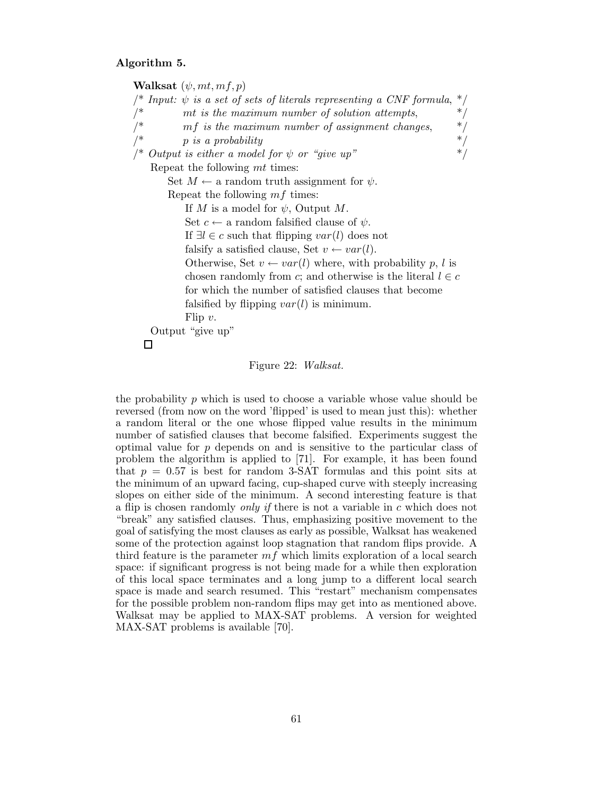### Algorithm 5.

**Walksat**  $(\psi, mt, mf, p)$  $\frac{1}{2}$  Input:  $\psi$  is a set of sets of literals representing a CNF formula,  $\frac{1}{2}$ /\* mt is the maximum number of solution attempts,  $\frac{\partial f}{\partial t}$   $\begin{array}{c} m f \text{ is the maximum number of assignment changes,} \\ h \end{array}$  $mf$  is the maximum number of assignment changes,  $*$  $\mathcal{P}$  is a probability  $\mathcal{P}$  \*/  $/*$  Output is either a model for  $\psi$  or "give up" \*/ Repeat the following mt times: Set  $M \leftarrow$  a random truth assignment for  $\psi$ . Repeat the following  $mf$  times: If M is a model for  $\psi$ , Output M. Set  $c \leftarrow$  a random falsified clause of  $\psi$ . If  $\exists l \in c$  such that flipping  $var(l)$  does not falsify a satisfied clause, Set  $v \leftarrow var(l)$ . Otherwise, Set  $v \leftarrow var(l)$  where, with probability p, l is chosen randomly from c; and otherwise is the literal  $l \in c$ for which the number of satisfied clauses that become falsified by flipping  $var(l)$  is minimum. Flip v. Output "give up"  $\Box$ 

Figure 22: Walksat.

the probability  $p$  which is used to choose a variable whose value should be reversed (from now on the word 'flipped' is used to mean just this): whether a random literal or the one whose flipped value results in the minimum number of satisfied clauses that become falsified. Experiments suggest the optimal value for  $p$  depends on and is sensitive to the particular class of problem the algorithm is applied to [71]. For example, it has been found that  $p = 0.57$  is best for random 3-SAT formulas and this point sits at the minimum of an upward facing, cup-shaped curve with steeply increasing slopes on either side of the minimum. A second interesting feature is that a flip is chosen randomly only if there is not a variable in c which does not "break" any satisfied clauses. Thus, emphasizing positive movement to the goal of satisfying the most clauses as early as possible, Walksat has weakened some of the protection against loop stagnation that random flips provide. A third feature is the parameter  $mf$  which limits exploration of a local search space: if significant progress is not being made for a while then exploration of this local space terminates and a long jump to a different local search space is made and search resumed. This "restart" mechanism compensates for the possible problem non-random flips may get into as mentioned above. Walksat may be applied to MAX-SAT problems. A version for weighted MAX-SAT problems is available [70].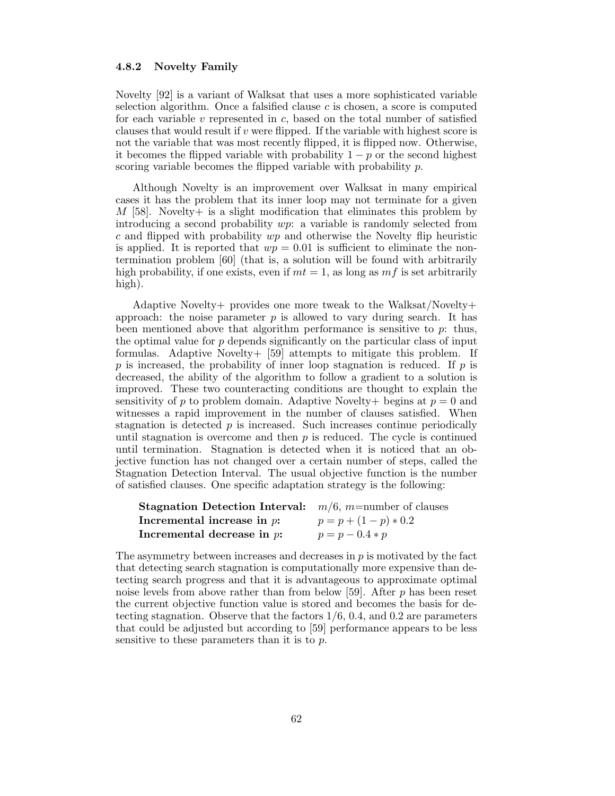# 4.8.2 Novelty Family

Novelty [92] is a variant of Walksat that uses a more sophisticated variable selection algorithm. Once a falsified clause  $c$  is chosen, a score is computed for each variable v represented in c, based on the total number of satisfied clauses that would result if  $v$  were flipped. If the variable with highest score is not the variable that was most recently flipped, it is flipped now. Otherwise, it becomes the flipped variable with probability  $1 - p$  or the second highest scoring variable becomes the flipped variable with probability p.

Although Novelty is an improvement over Walksat in many empirical cases it has the problem that its inner loop may not terminate for a given  $M$  [58]. Novelty + is a slight modification that eliminates this problem by introducing a second probability wp: a variable is randomly selected from  $c$  and flipped with probability  $wp$  and otherwise the Novelty flip heuristic is applied. It is reported that  $wp = 0.01$  is sufficient to eliminate the nontermination problem [60] (that is, a solution will be found with arbitrarily high probability, if one exists, even if  $mt = 1$ , as long as  $mf$  is set arbitrarily high).

Adaptive Novelty+ provides one more tweak to the Walksat/Novelty+ approach: the noise parameter  $p$  is allowed to vary during search. It has been mentioned above that algorithm performance is sensitive to  $p$ : thus, the optimal value for  $p$  depends significantly on the particular class of input formulas. Adaptive Novelty+ [59] attempts to mitigate this problem. If  $p$  is increased, the probability of inner loop stagnation is reduced. If  $p$  is decreased, the ability of the algorithm to follow a gradient to a solution is improved. These two counteracting conditions are thought to explain the sensitivity of p to problem domain. Adaptive Novelty+ begins at  $p = 0$  and witnesses a rapid improvement in the number of clauses satisfied. When stagnation is detected  $p$  is increased. Such increases continue periodically until stagnation is overcome and then  $p$  is reduced. The cycle is continued until termination. Stagnation is detected when it is noticed that an objective function has not changed over a certain number of steps, called the Stagnation Detection Interval. The usual objective function is the number of satisfied clauses. One specific adaptation strategy is the following:

| <b>Stagnation Detection Interval:</b> $m/6$ , $m=$ number of clauses |                       |
|----------------------------------------------------------------------|-----------------------|
| Incremental increase in $p$ :                                        | $p = p + (1-p) * 0.2$ |
| Incremental decrease in $p$ :                                        | $p = p - 0.4 * p$     |

The asymmetry between increases and decreases in  $p$  is motivated by the fact that detecting search stagnation is computationally more expensive than detecting search progress and that it is advantageous to approximate optimal noise levels from above rather than from below [59]. After  $p$  has been reset the current objective function value is stored and becomes the basis for detecting stagnation. Observe that the factors  $1/6$ , 0.4, and 0.2 are parameters that could be adjusted but according to [59] performance appears to be less sensitive to these parameters than it is to p.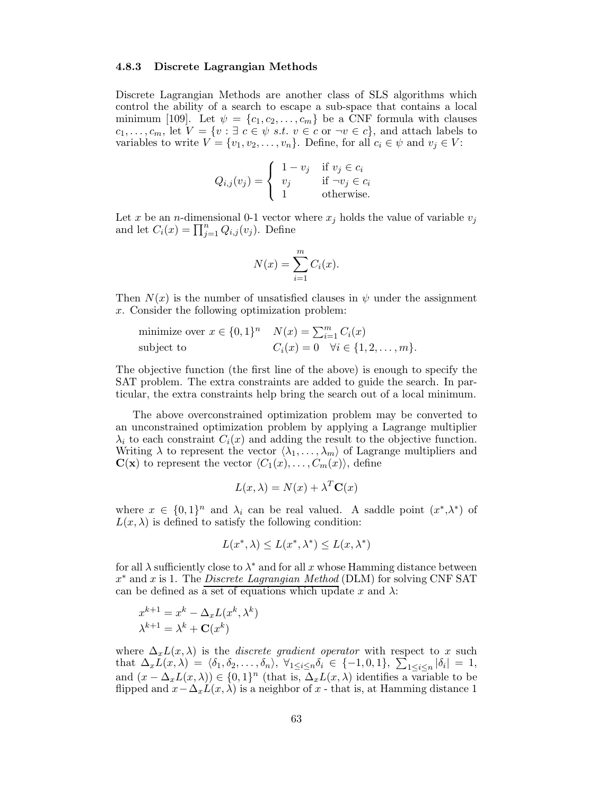#### 4.8.3 Discrete Lagrangian Methods

Discrete Lagrangian Methods are another class of SLS algorithms which control the ability of a search to escape a sub-space that contains a local minimum [109]. Let  $\psi = \{c_1, c_2, \dots, c_m\}$  be a CNF formula with clauses  $c_1,\ldots,c_m$ , let  $V = \{v : \exists c \in \psi \text{ s.t. } v \in c \text{ or } \neg v \in c\}$ , and attach labels to variables to write  $V = \{v_1, v_2, \ldots, v_n\}$ . Define, for all  $c_i \in \psi$  and  $v_j \in V$ :

$$
Q_{i,j}(v_j) = \begin{cases} 1 - v_j & \text{if } v_j \in c_i \\ v_j & \text{if } \neg v_j \in c_i \\ 1 & \text{otherwise.} \end{cases}
$$

Let x be an n-dimensional 0-1 vector where  $x_j$  holds the value of variable  $v_j$ and let  $C_i(x) = \prod_{j=1}^n Q_{i,j}(v_j)$ . Define

$$
N(x) = \sum_{i=1}^{m} C_i(x).
$$

Then  $N(x)$  is the number of unsatisfied clauses in  $\psi$  under the assignment x. Consider the following optimization problem:

minimize over 
$$
x \in \{0, 1\}^n
$$
  $N(x) = \sum_{i=1}^m C_i(x)$   
subject to  $C_i(x) = 0 \quad \forall i \in \{1, 2, ..., m\}.$ 

The objective function (the first line of the above) is enough to specify the SAT problem. The extra constraints are added to guide the search. In particular, the extra constraints help bring the search out of a local minimum.

The above overconstrained optimization problem may be converted to an unconstrained optimization problem by applying a Lagrange multiplier  $\lambda_i$  to each constraint  $C_i(x)$  and adding the result to the objective function. Writing  $\lambda$  to represent the vector  $\langle \lambda_1,\ldots,\lambda_m \rangle$  of Lagrange multipliers and  $\mathbf{C}(\mathbf{x})$  to represent the vector  $\langle C_1(x),\ldots, C_m(x)\rangle$ , define

$$
L(x, \lambda) = N(x) + \lambda^T \mathbf{C}(x)
$$

where  $x \in \{0,1\}^n$  and  $\lambda_i$  can be real valued. A saddle point  $(x^*,\lambda^*)$  of  $L(x, \lambda)$  is defined to satisfy the following condition:

$$
L(x^*, \lambda) \le L(x^*, \lambda^*) \le L(x, \lambda^*)
$$

for all  $\lambda$  sufficiently close to  $\lambda^*$  and for all x whose Hamming distance between  $x^*$  and x is 1. The Discrete Lagrangian Method (DLM) for solving CNF SAT can be defined as a set of equations which update x and  $\lambda$ :

$$
x^{k+1} = x^k - \Delta_x L(x^k, \lambda^k)
$$

$$
\lambda^{k+1} = \lambda^k + \mathbf{C}(x^k)
$$

where  $\Delta_x L(x,\lambda)$  is the *discrete gradient operator* with respect to x such that  $\Delta_x L(x,\lambda) = \langle \delta_1, \delta_2, \ldots, \delta_n \rangle$ ,  $\forall_{1 \leq i \leq n} \delta_i \in \{-1, 0, 1\}$ ,  $\sum_{1 \leq i \leq n} |\delta_i| = 1$ , and  $(x - \Delta_x L(x, \lambda)) \in \{0, 1\}^n$  (that is,  $\Delta_x L(x, \lambda)$  identifies a variable to be flipped and  $x-\Delta_x\widetilde{L}(x,\lambda)$  is a neighbor of  $x$  - that is, at Hamming distance 1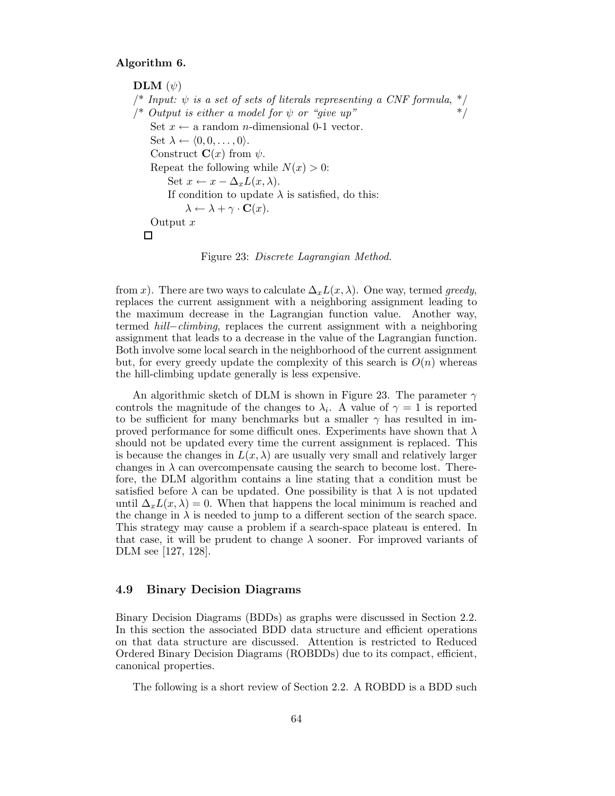## Algorithm 6.

 $\mathbf{DLM} \left( \psi \right)$  $\frac{1}{2}$  Input:  $\psi$  is a set of sets of literals representing a CNF formula,  $\frac{*}{2}$ /\* Output is either a model for  $\psi$  or "give up" Set  $x \leftarrow$  a random *n*-dimensional 0-1 vector. Set  $\lambda \leftarrow \langle 0, 0, \ldots, 0 \rangle$ . Construct  $\mathbf{C}(x)$  from  $\psi$ . Repeat the following while  $N(x) > 0$ : Set  $x \leftarrow x - \Delta_x L(x, \lambda)$ . If condition to update  $\lambda$  is satisfied, do this:  $\lambda \leftarrow \lambda + \gamma \cdot \mathbf{C}(x)$ . Output x □

Figure 23: Discrete Lagrangian Method.

from x). There are two ways to calculate  $\Delta_x L(x, \lambda)$ . One way, termed greedy, replaces the current assignment with a neighboring assignment leading to the maximum decrease in the Lagrangian function value. Another way, termed hill−climbing, replaces the current assignment with a neighboring assignment that leads to a decrease in the value of the Lagrangian function. Both involve some local search in the neighborhood of the current assignment but, for every greedy update the complexity of this search is  $O(n)$  whereas the hill-climbing update generally is less expensive.

An algorithmic sketch of DLM is shown in Figure 23. The parameter  $\gamma$ controls the magnitude of the changes to  $\lambda_i$ . A value of  $\gamma = 1$  is reported to be sufficient for many benchmarks but a smaller  $\gamma$  has resulted in improved performance for some difficult ones. Experiments have shown that  $\lambda$ should not be updated every time the current assignment is replaced. This is because the changes in  $L(x,\lambda)$  are usually very small and relatively larger changes in  $\lambda$  can overcompensate causing the search to become lost. Therefore, the DLM algorithm contains a line stating that a condition must be satisfied before  $\lambda$  can be updated. One possibility is that  $\lambda$  is not updated until  $\Delta_x L(x,\lambda) = 0$ . When that happens the local minimum is reached and the change in  $\lambda$  is needed to jump to a different section of the search space. This strategy may cause a problem if a search-space plateau is entered. In that case, it will be prudent to change  $\lambda$  sooner. For improved variants of DLM see [127, 128].

# 4.9 Binary Decision Diagrams

Binary Decision Diagrams (BDDs) as graphs were discussed in Section 2.2. In this section the associated BDD data structure and efficient operations on that data structure are discussed. Attention is restricted to Reduced Ordered Binary Decision Diagrams (ROBDDs) due to its compact, efficient, canonical properties.

The following is a short review of Section 2.2. A ROBDD is a BDD such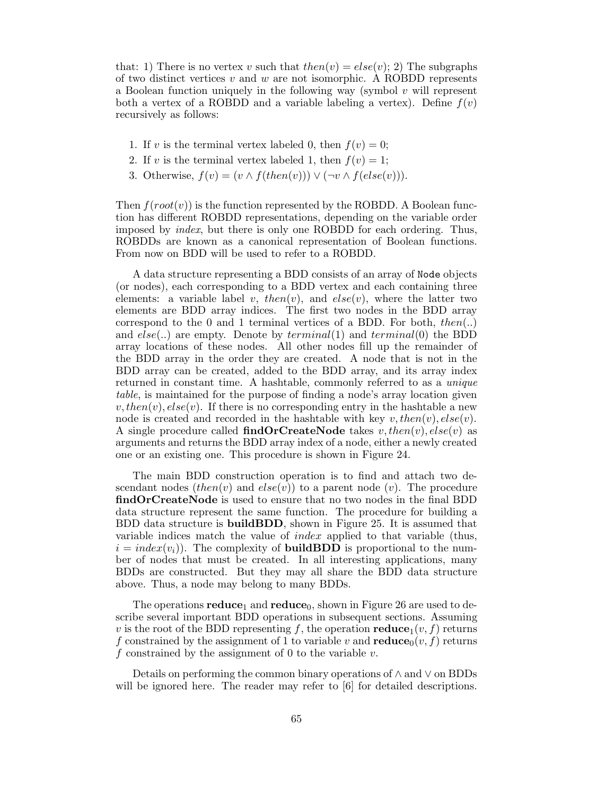that: 1) There is no vertex v such that  $then(v) = else(v); 2)$  The subgraphs of two distinct vertices v and w are not isomorphic. A ROBDD represents a Boolean function uniquely in the following way (symbol  $v$  will represent both a vertex of a ROBDD and a variable labeling a vertex). Define  $f(v)$ recursively as follows:

- 1. If v is the terminal vertex labeled 0, then  $f(v) = 0$ ;
- 2. If v is the terminal vertex labeled 1, then  $f(v) = 1$ ;
- 3. Otherwise,  $f(v) = (v \wedge f(then(v))) \vee (\neg v \wedge f(else(v))).$

Then  $f(root(v))$  is the function represented by the ROBDD. A Boolean function has different ROBDD representations, depending on the variable order imposed by index, but there is only one ROBDD for each ordering. Thus, ROBDDs are known as a canonical representation of Boolean functions. From now on BDD will be used to refer to a ROBDD.

A data structure representing a BDD consists of an array of Node objects (or nodes), each corresponding to a BDD vertex and each containing three elements: a variable label v, then(v), and  $else(v)$ , where the latter two elements are BDD array indices. The first two nodes in the BDD array correspond to the 0 and 1 terminal vertices of a BDD. For both,  $then(...)$ and  $else...$ ) are empty. Denote by  $terminal(1)$  and  $terminal(0)$  the BDD array locations of these nodes. All other nodes fill up the remainder of the BDD array in the order they are created. A node that is not in the BDD array can be created, added to the BDD array, and its array index returned in constant time. A hashtable, commonly referred to as a unique table, is maintained for the purpose of finding a node's array location given  $v, then(v), else(v).$  If there is no corresponding entry in the hashtable a new node is created and recorded in the hashtable with key v, then(v), else(v). A single procedure called  $findOrCreateNode$  takes  $v, then(v), else(v)$  as arguments and returns the BDD array index of a node, either a newly created one or an existing one. This procedure is shown in Figure 24.

The main BDD construction operation is to find and attach two descendant nodes  $then(v)$  and  $else(v))$  to a parent node (v). The procedure findOrCreateNode is used to ensure that no two nodes in the final BDD data structure represent the same function. The procedure for building a BDD data structure is buildBDD, shown in Figure 25. It is assumed that variable indices match the value of index applied to that variable (thus,  $i = index(v_i)$ . The complexity of **buildBDD** is proportional to the number of nodes that must be created. In all interesting applications, many BDDs are constructed. But they may all share the BDD data structure above. Thus, a node may belong to many BDDs.

The operations reduce<sub>1</sub> and reduce<sub>0</sub>, shown in Figure 26 are used to describe several important BDD operations in subsequent sections. Assuming v is the root of the BDD representing f, the operation  $reduce_1(v, f)$  returns f constrained by the assignment of 1 to variable v and  $reduce_0(v, f)$  returns f constrained by the assignment of 0 to the variable  $v$ .

Details on performing the common binary operations of ∧ and ∨ on BDDs will be ignored here. The reader may refer to [6] for detailed descriptions.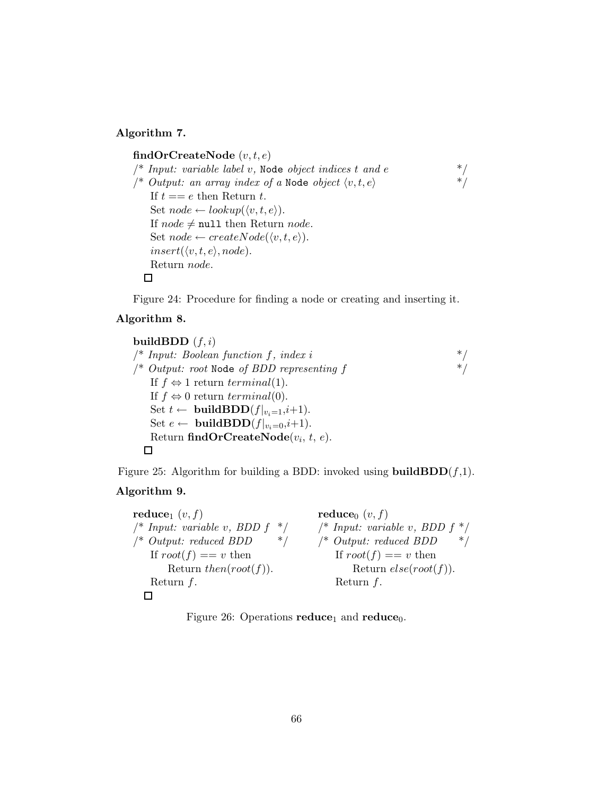# Algorithm 7.

findOrCreateNode  $(v, t, e)$  $/*$  Input: variable label v, Node object indices t and e \*/ /\* Output: an array index of a Node object  $\langle v,t,e \rangle$  \*/ If  $t == e$  then Return  $t$ . Set  $node \leftarrow lookup(\langle v,t,e \rangle)$ . If  $node \neq null$  then Return node. Set  $node \leftarrow createNode(\langle v, t, e \rangle).$  $insert(\langle v,t,e \rangle, node).$ Return node.  $\Box$ 

Figure 24: Procedure for finding a node or creating and inserting it.

## Algorithm 8.

buildBDD  $(f, i)$  $\frac{1}{\sqrt{2}}$  Input: Boolean function f, index i  $\frac{1}{\sqrt{2}}$  $/*$  Output: root Node of BDD representing f  $*$ If  $f \Leftrightarrow 1$  return terminal(1). If  $f \Leftrightarrow 0$  return terminal(0). Set  $t \leftarrow \text{buildBDD}(f|_{v_i=1}, i+1)$ . Set  $e \leftarrow \textbf{buildBDD}(f|_{v_i=0}, i+1)$ .  $\operatorname{Return~findOrCreateNode}(v_i, \, t, \, e).$  $\Box$ 

Figure 25: Algorithm for building a BDD: invoked using **buildBDD** $(f,1)$ .

# Algorithm 9.

 $reduce_1(v, f)$  reduce<sub>0</sub>  $(v, f)$  $\frac{1}{2}$  /\* Input: variable v, BDD f \*/  $\frac{1}{2}$  /\* Input: variable v, BDD f \*/  $\frac{1}{2}$  /\* Output: reduced BDD  $\frac{1}{2}$  /\* Output: reduced BDD  $\frac{1}{2}$ If  $root(f) == v$  then If  $root(f) == v$  then Return  $then(root(f))$ . Return  $else(root(f))$ . Return f. Return f.  $\Box$ 

Figure 26: Operations reduce<sub>1</sub> and reduce<sub>0</sub>.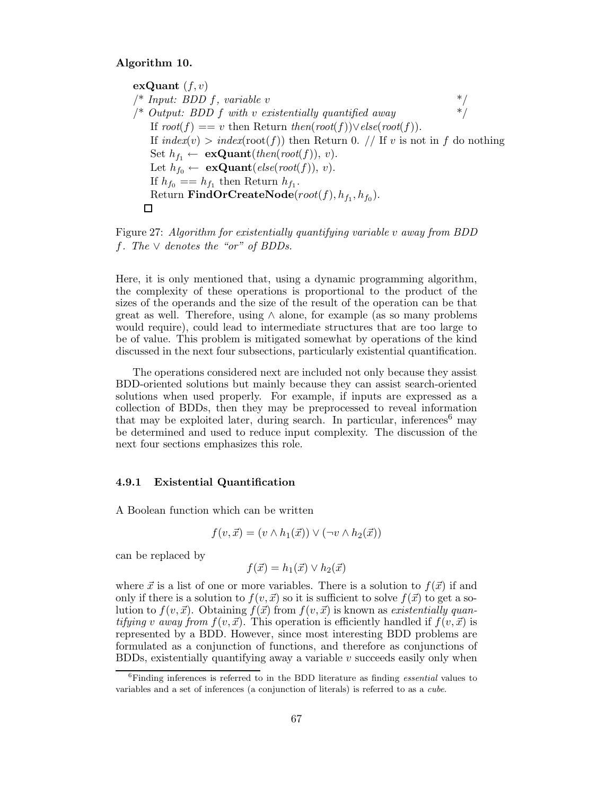#### Algorithm 10.

exQuant  $(f, v)$  $\frac{1}{2}$  /\* Input: BDD f, variable v \*/  $\frac{1}{2}$  /\* Output: BDD f with v existentially quantified away  $\frac{1}{2}$  /\* If  $root(f) == v$  then Return  $then(root(f)) \vee else(root(f)).$ If  $index(v) > index(root(f))$  then Return 0. // If v is not in f do nothing Set  $h_{f_1} \leftarrow \textbf{exQuant}(then(root(f)), v).$ Let  $h_{f_0} \leftarrow \textbf{exQuant}(else(root(f)), v).$ If  $h_{f_0} = h_{f_1}$  then Return  $h_{f_1}$ .  $\mathrm{Return}\ \mathbf{FindOrCreateNode}(root(f), h_{f_1}, h_{f_0}).$ 囗

Figure 27: Algorithm for existentially quantifying variable v away from BDD f. The  $\vee$  denotes the "or" of BDDs.

Here, it is only mentioned that, using a dynamic programming algorithm, the complexity of these operations is proportional to the product of the sizes of the operands and the size of the result of the operation can be that great as well. Therefore, using  $\land$  alone, for example (as so many problems would require), could lead to intermediate structures that are too large to be of value. This problem is mitigated somewhat by operations of the kind discussed in the next four subsections, particularly existential quantification.

The operations considered next are included not only because they assist BDD-oriented solutions but mainly because they can assist search-oriented solutions when used properly. For example, if inputs are expressed as a collection of BDDs, then they may be preprocessed to reveal information that may be exploited later, during search. In particular, inferences<sup>6</sup> may be determined and used to reduce input complexity. The discussion of the next four sections emphasizes this role.

#### 4.9.1 Existential Quantification

A Boolean function which can be written

$$
f(v, \vec{x}) = (v \wedge h_1(\vec{x})) \vee (\neg v \wedge h_2(\vec{x}))
$$

can be replaced by

$$
f(\vec{x}) = h_1(\vec{x}) \vee h_2(\vec{x})
$$

where  $\vec{x}$  is a list of one or more variables. There is a solution to  $f(\vec{x})$  if and only if there is a solution to  $f(v,\vec{x})$  so it is sufficient to solve  $f(\vec{x})$  to get a solution to  $f(v,\vec{x})$ . Obtaining  $f(\vec{x})$  from  $f(v,\vec{x})$  is known as existentially quan*tifying v away from*  $f(v,\vec{x})$ *.* This operation is efficiently handled if  $f(v,\vec{x})$  is represented by a BDD. However, since most interesting BDD problems are formulated as a conjunction of functions, and therefore as conjunctions of BDDs, existentially quantifying away a variable v succeeds easily only when

 ${}^{6}$ Finding inferences is referred to in the BDD literature as finding *essential* values to variables and a set of inferences (a conjunction of literals) is referred to as a cube.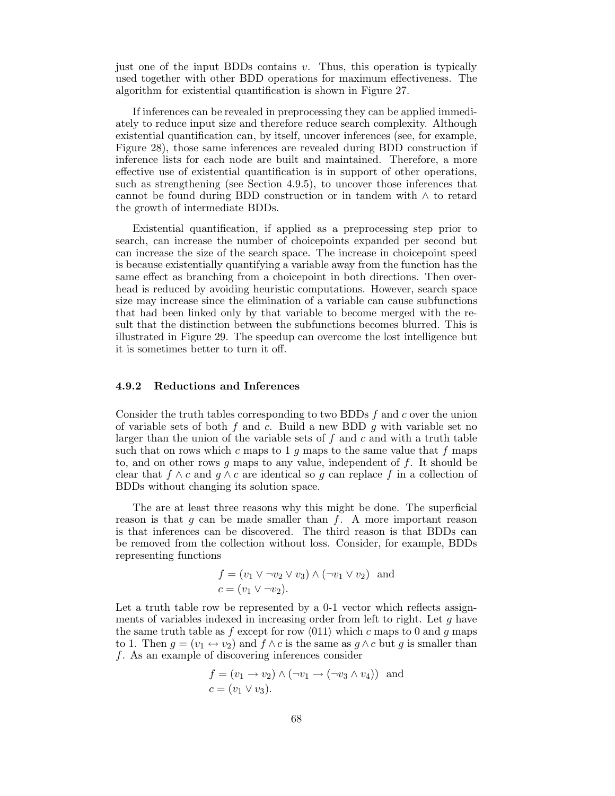just one of the input BDDs contains  $v$ . Thus, this operation is typically used together with other BDD operations for maximum effectiveness. The algorithm for existential quantification is shown in Figure 27.

If inferences can be revealed in preprocessing they can be applied immediately to reduce input size and therefore reduce search complexity. Although existential quantification can, by itself, uncover inferences (see, for example, Figure 28), those same inferences are revealed during BDD construction if inference lists for each node are built and maintained. Therefore, a more effective use of existential quantification is in support of other operations, such as strengthening (see Section 4.9.5), to uncover those inferences that cannot be found during BDD construction or in tandem with ∧ to retard the growth of intermediate BDDs.

Existential quantification, if applied as a preprocessing step prior to search, can increase the number of choicepoints expanded per second but can increase the size of the search space. The increase in choicepoint speed is because existentially quantifying a variable away from the function has the same effect as branching from a choicepoint in both directions. Then overhead is reduced by avoiding heuristic computations. However, search space size may increase since the elimination of a variable can cause subfunctions that had been linked only by that variable to become merged with the result that the distinction between the subfunctions becomes blurred. This is illustrated in Figure 29. The speedup can overcome the lost intelligence but it is sometimes better to turn it off.

### 4.9.2 Reductions and Inferences

Consider the truth tables corresponding to two BDDs  $f$  and  $c$  over the union of variable sets of both f and c. Build a new BDD  $q$  with variable set no larger than the union of the variable sets of  $f$  and  $c$  and with a truth table such that on rows which c maps to 1 q maps to the same value that f maps to, and on other rows g maps to any value, independent of  $f$ . It should be clear that  $f \wedge c$  and  $g \wedge c$  are identical so g can replace f in a collection of BDDs without changing its solution space.

The are at least three reasons why this might be done. The superficial reason is that  $g$  can be made smaller than  $f$ . A more important reason is that inferences can be discovered. The third reason is that BDDs can be removed from the collection without loss. Consider, for example, BDDs representing functions

$$
f = (v_1 \lor \neg v_2 \lor v_3) \land (\neg v_1 \lor v_2)
$$
 and  

$$
c = (v_1 \lor \neg v_2).
$$

Let a truth table row be represented by a 0-1 vector which reflects assignments of variables indexed in increasing order from left to right. Let  $g$  have the same truth table as f except for row  $\langle 011 \rangle$  which c maps to 0 and g maps to 1. Then  $g = (v_1 \leftrightarrow v_2)$  and  $f \wedge c$  is the same as  $g \wedge c$  but g is smaller than f. As an example of discovering inferences consider

$$
f = (v_1 \rightarrow v_2) \land (\neg v_1 \rightarrow (\neg v_3 \land v_4))
$$
 and  

$$
c = (v_1 \lor v_3).
$$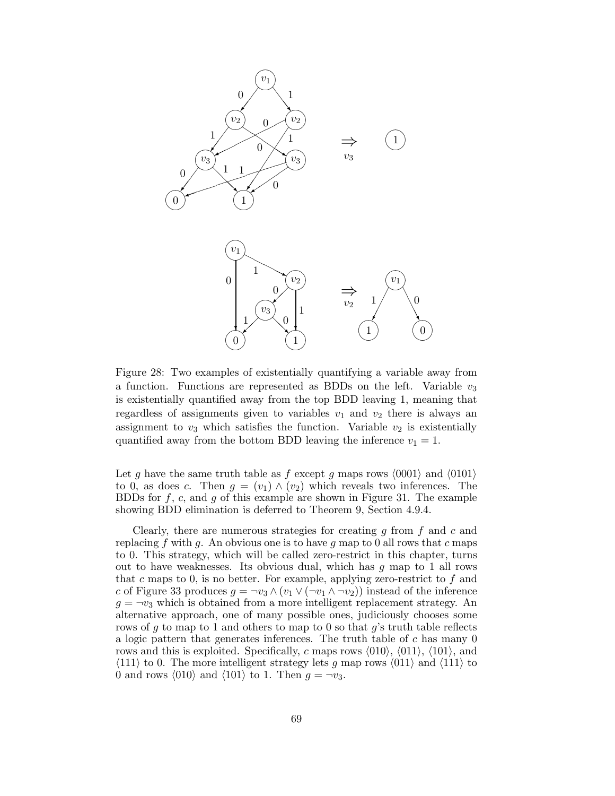

Figure 28: Two examples of existentially quantifying a variable away from a function. Functions are represented as BDDs on the left. Variable  $v_3$ is existentially quantified away from the top BDD leaving 1, meaning that regardless of assignments given to variables  $v_1$  and  $v_2$  there is always an assignment to  $v_3$  which satisfies the function. Variable  $v_2$  is existentially quantified away from the bottom BDD leaving the inference  $v_1 = 1$ .

Let g have the same truth table as f except g maps rows  $\langle 0001 \rangle$  and  $\langle 0101 \rangle$ to 0, as does c. Then  $g = (v_1) \wedge (v_2)$  which reveals two inferences. The BDDs for  $f$ ,  $c$ , and  $g$  of this example are shown in Figure 31. The example showing BDD elimination is deferred to Theorem 9, Section 4.9.4.

Clearly, there are numerous strategies for creating  $g$  from  $f$  and  $c$  and replacing f with q. An obvious one is to have q map to 0 all rows that c maps to 0. This strategy, which will be called zero-restrict in this chapter, turns out to have weaknesses. Its obvious dual, which has g map to 1 all rows that c maps to 0, is no better. For example, applying zero-restrict to  $f$  and c of Figure 33 produces  $g = \neg v_3 \wedge (v_1 \vee (\neg v_1 \wedge \neg v_2))$  instead of the inference  $g = \neg v_3$  which is obtained from a more intelligent replacement strategy. An alternative approach, one of many possible ones, judiciously chooses some rows of g to map to 1 and others to map to 0 so that g's truth table reflects a logic pattern that generates inferences. The truth table of  $c$  has many 0 rows and this is exploited. Specifically, c maps rows  $\langle 010 \rangle$ ,  $\langle 011 \rangle$ ,  $\langle 101 \rangle$ , and  $\langle 111 \rangle$  to 0. The more intelligent strategy lets g map rows  $\langle 011 \rangle$  and  $\langle 111 \rangle$  to 0 and rows  $\langle 010 \rangle$  and  $\langle 101 \rangle$  to 1. Then  $g = \neg v_3$ .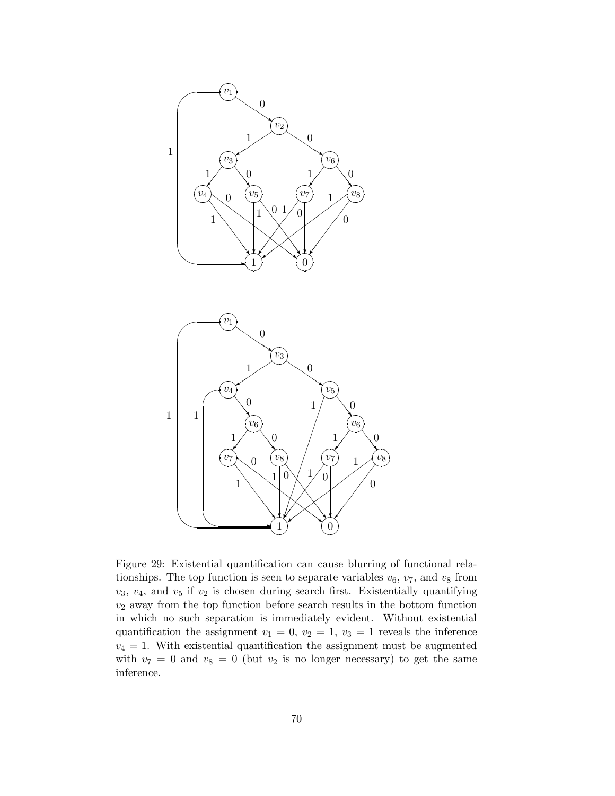

Figure 29: Existential quantification can cause blurring of functional relationships. The top function is seen to separate variables  $v_6$ ,  $v_7$ , and  $v_8$  from  $v_3, v_4$ , and  $v_5$  if  $v_2$  is chosen during search first. Existentially quantifying  $v_2$  away from the top function before search results in the bottom function in which no such separation is immediately evident. Without existential quantification the assignment  $v_1 = 0$ ,  $v_2 = 1$ ,  $v_3 = 1$  reveals the inference  $v_4 = 1$ . With existential quantification the assignment must be augmented with  $v_7 = 0$  and  $v_8 = 0$  (but  $v_2$  is no longer necessary) to get the same inference.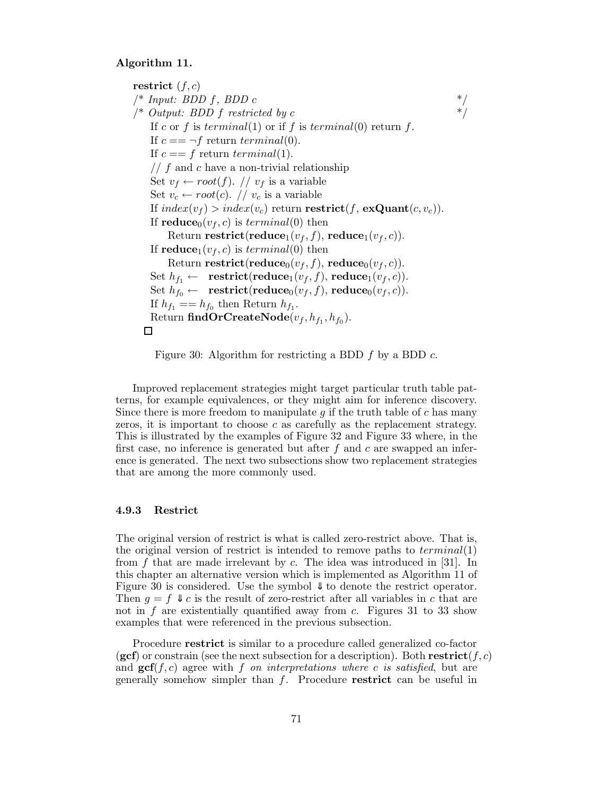#### Algorithm 11.

restrict  $(f, c)$  $\frac{1}{2}$  /\* Input: BDD f, BDD c  $\frac{1}{2}$  $\frac{1}{2}$  Output: BDD f restricted by c  $\frac{1}{2}$ If c or f is terminal(1) or if f is terminal(0) return f. If  $c == \neg f$  return terminal(0). If  $c == f$  return terminal(1).  $\frac{1}{\sqrt{2}}$  and c have a non-trivial relationship Set  $v_f \leftarrow root(f)$ . //  $v_f$  is a variable Set  $v_c \leftarrow root(c)$ . //  $v_c$  is a variable If  $index(v_f) > index(v_c)$  return  $\text{restrict}(f, \text{exQuant}(c, v_c)).$ If  $reduce_0(v_f, c)$  is  $terminal(0)$  then Return restrict(reduce<sub>1</sub>( $v_f$ , f), reduce<sub>1</sub>( $v_f$ , c)). If  $reduce_1(v_f, c)$  is  $terminal(0)$  then Return restrict(reduce<sub>0</sub> $(v_f, f)$ , reduce<sub>0</sub> $(v_f, c)$ ). Set  $h_{f_1} \leftarrow \text{ restrict}(\text{reduce}_1(v_f, f), \text{reduce}_1(v_f, c)).$ Set  $h_{f_0} \leftarrow \text{ restrict}(\text{reduce}_0(v_f, f), \text{reduce}_0(v_f, c)).$ If  $h_{f_1} == h_{f_0}$  then Return  $h_{f_1}$ .  $\mathrm{Return~findOrCreateNode}(v_{f}, h_{f_1}, h_{f_0}).$ 囗

Figure 30: Algorithm for restricting a BDD  $f$  by a BDD  $c$ .

Improved replacement strategies might target particular truth table patterns, for example equivalences, or they might aim for inference discovery. Since there is more freedom to manipulate g if the truth table of c has many zeros, it is important to choose  $c$  as carefully as the replacement strategy. This is illustrated by the examples of Figure 32 and Figure 33 where, in the first case, no inference is generated but after  $f$  and  $c$  are swapped an inference is generated. The next two subsections show two replacement strategies that are among the more commonly used.

#### 4.9.3 Restrict

The original version of restrict is what is called zero-restrict above. That is, the original version of restrict is intended to remove paths to  $terminal(1)$ from  $f$  that are made irrelevant by  $c$ . The idea was introduced in [31]. In this chapter an alternative version which is implemented as Algorithm 11 of Figure 30 is considered. Use the symbol  $\Downarrow$  to denote the restrict operator. Then  $q = f \nightharpoonup c$  is the result of zero-restrict after all variables in c that are not in  $f$  are existentially quantified away from  $c$ . Figures 31 to 33 show examples that were referenced in the previous subsection.

Procedure restrict is similar to a procedure called generalized co-factor (gcf) or constrain (see the next subsection for a description). Both restrict(f,c) and  $\gcd(f, c)$  agree with f on interpretations where c is satisfied, but are generally somehow simpler than f. Procedure restrict can be useful in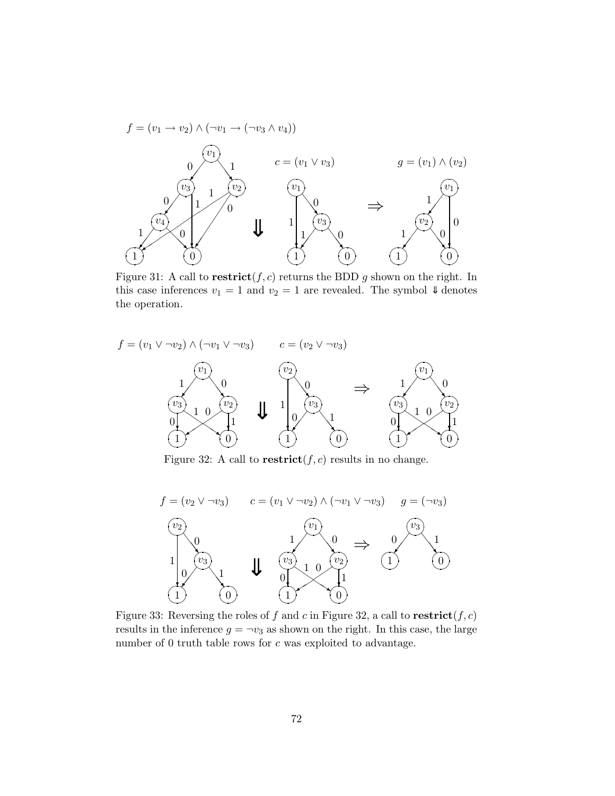

Figure 31: A call to  $\text{restrict}(f, c)$  returns the BDD g shown on the right. In this case inferences  $v_1 = 1$  and  $v_2 = 1$  are revealed. The symbol  $\Downarrow$  denotes the operation.



Figure 32: A call to **restrict** $(f, c)$  results in no change.



Figure 33: Reversing the roles of f and c in Figure 32, a call to  $\text{restrict}(f,c)$ results in the inference  $g = \neg v_3$  as shown on the right. In this case, the large number of 0 truth table rows for c was exploited to advantage.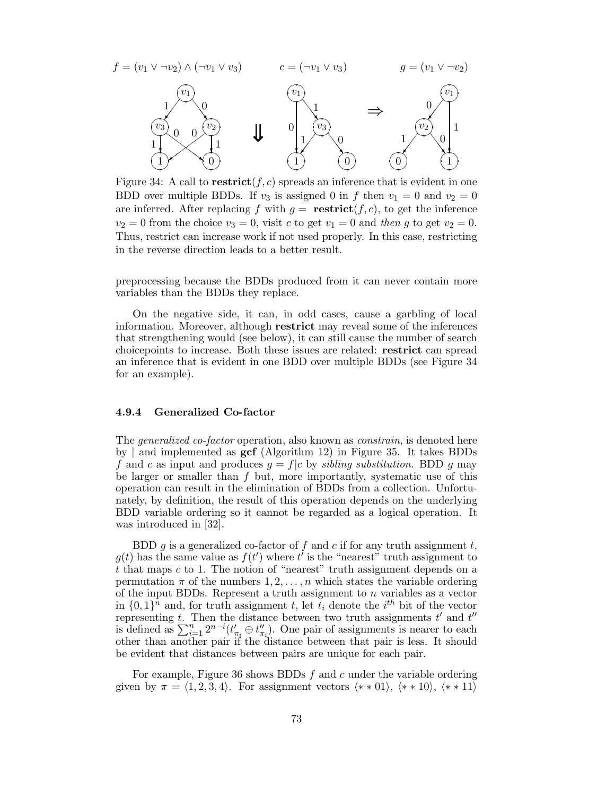

Figure 34: A call to  $\text{restrict}(f,c)$  spreads an inference that is evident in one BDD over multiple BDDs. If  $v_3$  is assigned 0 in f then  $v_1 = 0$  and  $v_2 = 0$ are inferred. After replacing f with  $g = \text{restrict}(f,c)$ , to get the inference  $v_2 = 0$  from the choice  $v_3 = 0$ , visit c to get  $v_1 = 0$  and then g to get  $v_2 = 0$ . Thus, restrict can increase work if not used properly. In this case, restricting in the reverse direction leads to a better result.

preprocessing because the BDDs produced from it can never contain more variables than the BDDs they replace.

On the negative side, it can, in odd cases, cause a garbling of local information. Moreover, although restrict may reveal some of the inferences that strengthening would (see below), it can still cause the number of search choicepoints to increase. Both these issues are related: restrict can spread an inference that is evident in one BDD over multiple BDDs (see Figure 34 for an example).

## 4.9.4 Generalized Co-factor

The generalized co-factor operation, also known as constrain, is denoted here by | and implemented as gcf (Algorithm 12) in Figure 35. It takes BDDs f and c as input and produces  $g = f|c$  by *sibling substitution*. BDD g may be larger or smaller than  $f$  but, more importantly, systematic use of this operation can result in the elimination of BDDs from a collection. Unfortunately, by definition, the result of this operation depends on the underlying BDD variable ordering so it cannot be regarded as a logical operation. It was introduced in [32].

BDD g is a generalized co-factor of f and c if for any truth assignment t,  $g(t)$  has the same value as  $f(t')$  where  $t'$  is the "nearest" truth assignment to  $t$  that maps  $c$  to 1. The notion of "nearest" truth assignment depends on a permutation  $\pi$  of the numbers  $1, 2, \ldots, n$  which states the variable ordering of the input BDDs. Represent a truth assignment to  $n$  variables as a vector in  $\{0,1\}^{\tilde{n}}$  and, for truth assignment t, let  $\tilde{t}_i$  denote the  $i^{th}$  bit of the vector representing t. Then the distance between two truth assignments  $t'$  and  $t''$ is defined as  $\sum_{i=1}^n 2^{n-i} (t'_{\pi_i} \oplus t''_{\pi_i})$ . One pair of assignments is nearer to each other than another pair if the distance between that pair is less. It should be evident that distances between pairs are unique for each pair.

For example, Figure 36 shows BDDs  $f$  and  $c$  under the variable ordering given by  $\pi = \langle 1, 2, 3, 4 \rangle$ . For assignment vectors  $\langle * \ast 01 \rangle$ ,  $\langle * \ast 10 \rangle$ ,  $\langle * \ast 11 \rangle$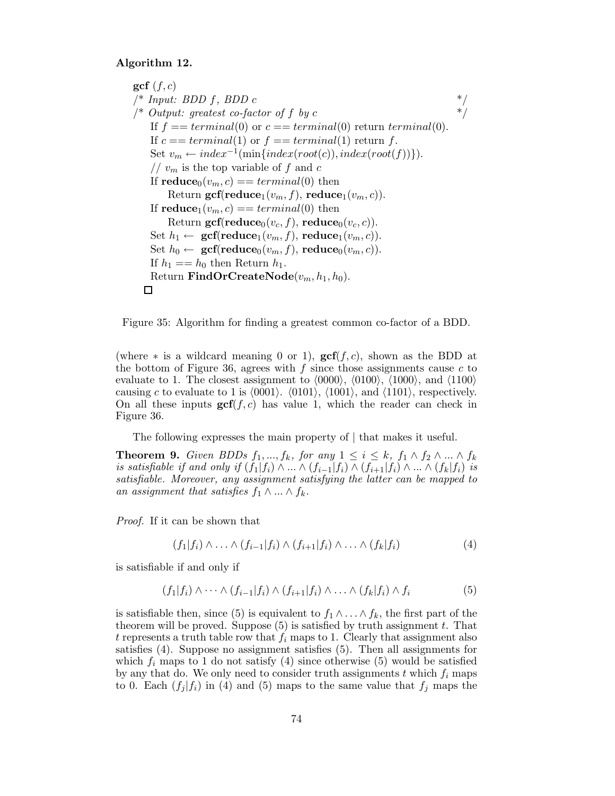#### Algorithm 12.

 $\gcd(f,c)$  $\frac{*}{\pm}$  Input: BDD f, BDD c  $\frac{*}{\pm}$  $\frac{1}{2}$  Output: greatest co-factor of f by c  $\frac{1}{2}$ If  $f = \text{terminal}(0)$  or  $c = \text{terminal}(0)$  return terminal(0). If  $c == terminal(1)$  or  $f == terminal(1)$  return f. Set  $v_m \leftarrow index^{-1}(\min\{index(root(c)), index(root(f))\}).$ //  $v_m$  is the top variable of f and c If  $\text{reduce}_0(v_m,c) == terminal(0)$  then Return  $\text{gcf}(\text{reduce}_1(v_m, f), \text{reduce}_1(v_m, c)).$ If  $\text{reduce}_1(v_m, c) == terminal(0)$  then Return  $\text{gcf}(\text{reduce}_0(v_c, f), \text{reduce}_0(v_c, c)).$ Set  $h_1 \leftarrow \textbf{gcf}(\textbf{reduce}_1(v_m, f), \textbf{reduce}_1(v_m, c)).$ Set  $h_0 \leftarrow \textbf{gcf}(\textbf{reduce}_0(v_m, f), \textbf{reduce}_0(v_m, c)).$ If  $h_1 == h_0$  then Return  $h_1$ . Return FindOrCreateNode $(v_m, h_1, h_0)$ .  $\Box$ 

Figure 35: Algorithm for finding a greatest common co-factor of a BDD.

(where  $*$  is a wildcard meaning 0 or 1),  $\gcd(f, c)$ , shown as the BDD at the bottom of Figure 36, agrees with f since those assignments cause c to evaluate to 1. The closest assignment to  $\langle 0000 \rangle$ ,  $\langle 0100 \rangle$ ,  $\langle 1000 \rangle$ , and  $\langle 1100 \rangle$ causing c to evaluate to 1 is  $\langle 0001 \rangle$ .  $\langle 0101 \rangle$ ,  $\langle 1001 \rangle$ , and  $\langle 1101 \rangle$ , respectively. On all these inputs  $\gcd(f,c)$  has value 1, which the reader can check in Figure 36.

The following expresses the main property of | that makes it useful.

**Theorem 9.** Given BDDs  $f_1, ..., f_k$ , for any  $1 \leq i \leq k$ ,  $f_1 \wedge f_2 \wedge ... \wedge f_k$ is satisfiable if and only if  $(f_1|f_i) \wedge ... \wedge (f_{i-1}|f_i) \wedge (f_{i+1}|f_i) \wedge ... \wedge (f_k|f_i)$  is satisfiable. Moreover, any assignment satisfying the latter can be mapped to an assignment that satisfies  $f_1 \wedge ... \wedge f_k$ .

Proof. If it can be shown that

$$
(f_1|f_i) \wedge \ldots \wedge (f_{i-1}|f_i) \wedge (f_{i+1}|f_i) \wedge \ldots \wedge (f_k|f_i)
$$
\n
$$
\tag{4}
$$

is satisfiable if and only if

$$
(f_1|f_i) \wedge \cdots \wedge (f_{i-1}|f_i) \wedge (f_{i+1}|f_i) \wedge \cdots \wedge (f_k|f_i) \wedge f_i \qquad (5)
$$

is satisfiable then, since (5) is equivalent to  $f_1 \wedge \ldots \wedge f_k$ , the first part of the theorem will be proved. Suppose  $(5)$  is satisfied by truth assignment t. That t represents a truth table row that  $f_i$  maps to 1. Clearly that assignment also satisfies (4). Suppose no assignment satisfies (5). Then all assignments for which  $f_i$  maps to 1 do not satisfy (4) since otherwise (5) would be satisfied by any that do. We only need to consider truth assignments  $t$  which  $f_i$  maps to 0. Each  $(f_i | f_i)$  in (4) and (5) maps to the same value that  $f_i$  maps the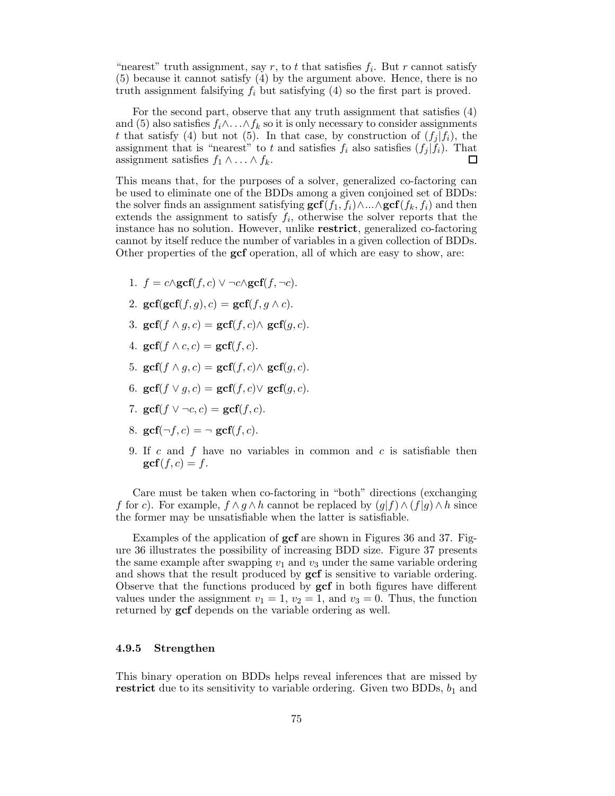"nearest" truth assignment, say r, to t that satisfies  $f_i$ . But r cannot satisfy (5) because it cannot satisfy (4) by the argument above. Hence, there is no truth assignment falsifying  $f_i$  but satisfying (4) so the first part is proved.

For the second part, observe that any truth assignment that satisfies (4) and (5) also satisfies  $f_i \wedge \ldots \wedge f_k$  so it is only necessary to consider assignments t that satisfy (4) but not (5). In that case, by construction of  $(f_i | f_i)$ , the assignment that is "nearest" to t and satisfies  $f_i$  also satisfies  $(f_j | f_i)$ . That assignment satisfies  $f_1 \wedge \ldots \wedge f_k$ . П

This means that, for the purposes of a solver, generalized co-factoring can be used to eliminate one of the BDDs among a given conjoined set of BDDs: the solver finds an assignment satisfying  $\mathbf{gcf}(f_1,f_i)\wedge...\wedge \mathbf{gcf}(f_k,f_i)$  and then extends the assignment to satisfy  $f_i$ , otherwise the solver reports that the instance has no solution. However, unlike restrict, generalized co-factoring cannot by itself reduce the number of variables in a given collection of BDDs. Other properties of the gcf operation, all of which are easy to show, are:

- 1.  $f = c \wedge \text{gcf}(f, c) \vee \neg c \wedge \text{gcf}(f, \neg c)$ .
- 2.  $\gcd(\gcd(f,g),c) = \gcd(f,g \wedge c)$ .
- 3.  $\operatorname{gcf}(f \wedge g, c) = \operatorname{gcf}(f, c) \wedge \operatorname{gcf}(g, c).$
- 4.  $\operatorname{gcf}(f \wedge c, c) = \operatorname{gcf}(f, c)$ .
- 5.  $\operatorname{gcf}(f \wedge g, c) = \operatorname{gcf}(f, c) \wedge \operatorname{gcf}(g, c).$
- 6.  $\operatorname{gcf}(f \vee g, c) = \operatorname{gcf}(f, c) \vee \operatorname{gcf}(g, c)$ .
- 7.  $\operatorname{gcf}(f \vee \neg c, c) = \operatorname{gcf}(f, c)$ .
- 8.  $\gcd(\neg f, c) = \neg \gcd(f, c)$ .
- 9. If c and f have no variables in common and c is satisfiable then  $\textbf{gcf}(f,c) = f.$

Care must be taken when co-factoring in "both" directions (exchanging f for c). For example,  $f \wedge g \wedge h$  cannot be replaced by  $(g|f) \wedge (f|g) \wedge h$  since the former may be unsatisfiable when the latter is satisfiable.

Examples of the application of gcf are shown in Figures 36 and 37. Figure 36 illustrates the possibility of increasing BDD size. Figure 37 presents the same example after swapping  $v_1$  and  $v_3$  under the same variable ordering and shows that the result produced by gcf is sensitive to variable ordering. Observe that the functions produced by gcf in both figures have different values under the assignment  $v_1 = 1$ ,  $v_2 = 1$ , and  $v_3 = 0$ . Thus, the function returned by gcf depends on the variable ordering as well.

## 4.9.5 Strengthen

This binary operation on BDDs helps reveal inferences that are missed by restrict due to its sensitivity to variable ordering. Given two BDDs,  $b_1$  and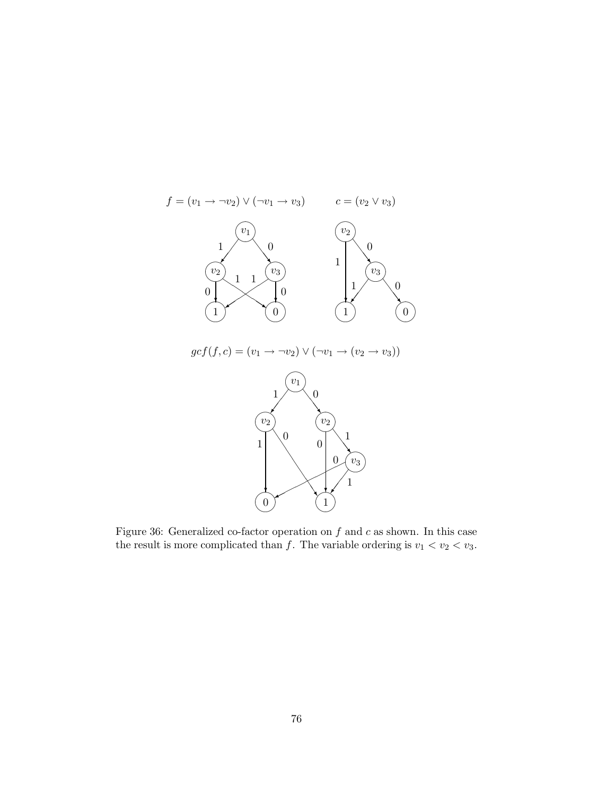

Figure 36: Generalized co-factor operation on  $f$  and  $c$  as shown. In this case the result is more complicated than  $f$ . The variable ordering is  $v_1 < v_2 < v_3$ .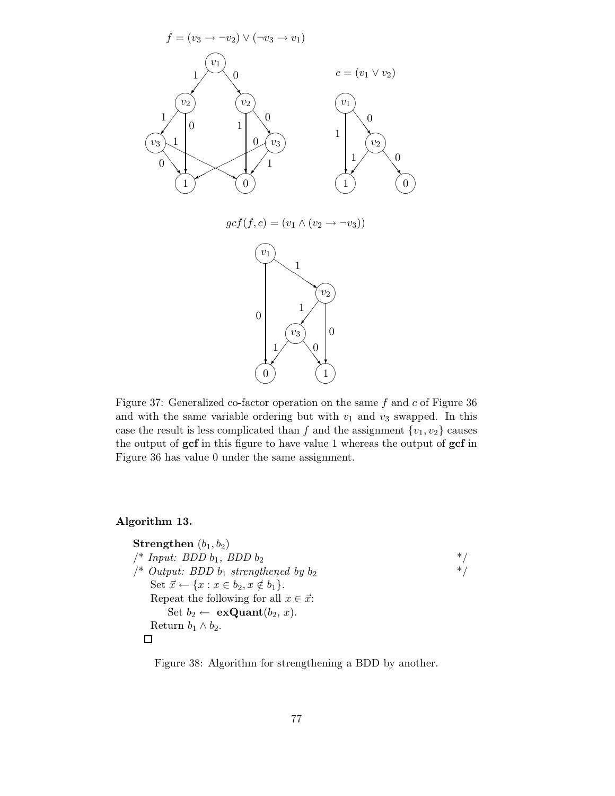

Figure 37: Generalized co-factor operation on the same  $f$  and  $c$  of Figure 36 and with the same variable ordering but with  $v_1$  and  $v_3$  swapped. In this case the result is less complicated than f and the assignment  $\{v_1,v_2\}$  causes the output of gcf in this figure to have value 1 whereas the output of gcf in Figure 36 has value 0 under the same assignment.

# Algorithm 13.

```
Strengthen (b_1, b_2)\frac{*}{n} Input: BDD b_1, BDD b_2 */<br>
\frac{*}{n} Output: BDD b_1 strengthened by b_2 */
/* Output: BDD b_1 strengthened by b_2Set \vec{x} \leftarrow \{x : x \in b_2, x \notin b_1\}.Repeat the following for all x \in \vec{x}:
         Set b_2 \leftarrow \textbf{exQuant}(b_2, x).
    Return b_1 \wedge b_2.
  口
```
Figure 38: Algorithm for strengthening a BDD by another.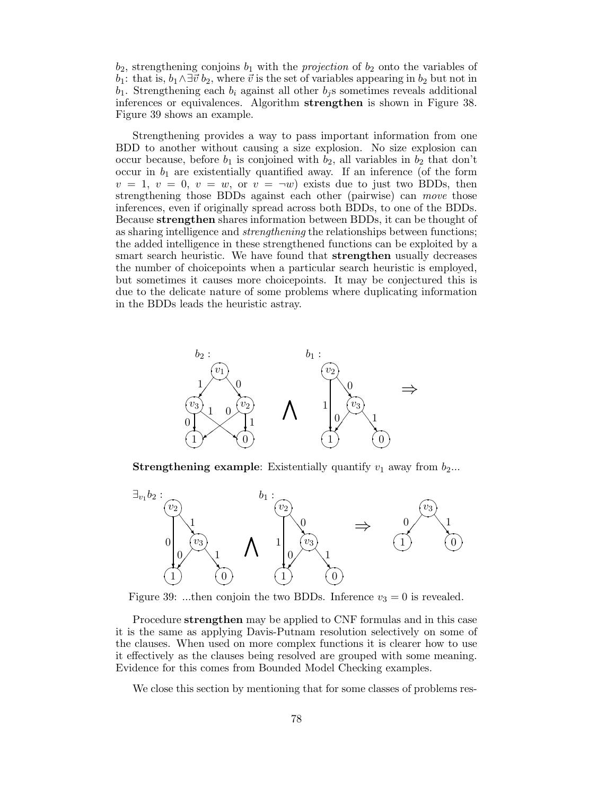$b_2$ , strengthening conjoins  $b_1$  with the *projection* of  $b_2$  onto the variables of  $b_1$ : that is,  $b_1 \wedge \exists \vec{v} \; b_2$ , where  $\vec{v}$  is the set of variables appearing in  $b_2$  but not in  $b_1$ . Strengthening each  $b_i$  against all other  $b_j$ s sometimes reveals additional inferences or equivalences. Algorithm strengthen is shown in Figure 38. Figure 39 shows an example.

Strengthening provides a way to pass important information from one BDD to another without causing a size explosion. No size explosion can occur because, before  $b_1$  is conjoined with  $b_2$ , all variables in  $b_2$  that don't occur in  $b_1$  are existentially quantified away. If an inference (of the form  $v = 1, v = 0, v = w, \text{ or } v = \neg w$  exists due to just two BDDs, then strengthening those BDDs against each other (pairwise) can move those inferences, even if originally spread across both BDDs, to one of the BDDs. Because strengthen shares information between BDDs, it can be thought of as sharing intelligence and strengthening the relationships between functions; the added intelligence in these strengthened functions can be exploited by a smart search heuristic. We have found that strengthen usually decreases the number of choicepoints when a particular search heuristic is employed, but sometimes it causes more choicepoints. It may be conjectured this is due to the delicate nature of some problems where duplicating information in the BDDs leads the heuristic astray.



**Strengthening example:** Existentially quantify  $v_1$  away from  $b_2...$ 



Figure 39: ...then conjoin the two BDDs. Inference  $v_3 = 0$  is revealed.

Procedure strengthen may be applied to CNF formulas and in this case it is the same as applying Davis-Putnam resolution selectively on some of the clauses. When used on more complex functions it is clearer how to use it effectively as the clauses being resolved are grouped with some meaning. Evidence for this comes from Bounded Model Checking examples.

We close this section by mentioning that for some classes of problems res-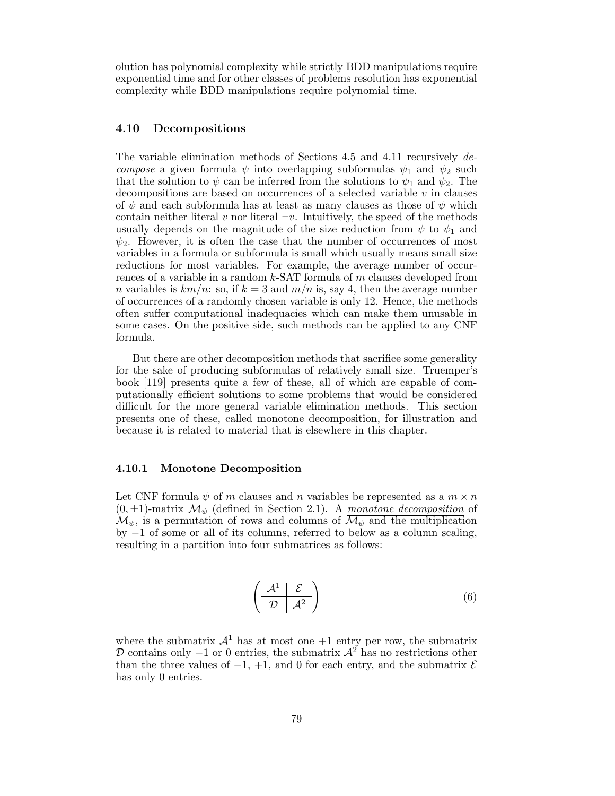olution has polynomial complexity while strictly BDD manipulations require exponential time and for other classes of problems resolution has exponential complexity while BDD manipulations require polynomial time.

## 4.10 Decompositions

The variable elimination methods of Sections 4.5 and 4.11 recursively decompose a given formula  $\psi$  into overlapping subformulas  $\psi_1$  and  $\psi_2$  such that the solution to  $\psi$  can be inferred from the solutions to  $\psi_1$  and  $\psi_2$ . The decompositions are based on occurrences of a selected variable  $v$  in clauses of  $\psi$  and each subformula has at least as many clauses as those of  $\psi$  which contain neither literal v nor literal  $\neg v$ . Intuitively, the speed of the methods usually depends on the magnitude of the size reduction from  $\psi$  to  $\psi_1$  and  $\psi_2$ . However, it is often the case that the number of occurrences of most variables in a formula or subformula is small which usually means small size reductions for most variables. For example, the average number of occurrences of a variable in a random k-SAT formula of m clauses developed from n variables is  $km/n$ : so, if  $k = 3$  and  $m/n$  is, say 4, then the average number of occurrences of a randomly chosen variable is only 12. Hence, the methods often suffer computational inadequacies which can make them unusable in some cases. On the positive side, such methods can be applied to any CNF formula.

But there are other decomposition methods that sacrifice some generality for the sake of producing subformulas of relatively small size. Truemper's book [119] presents quite a few of these, all of which are capable of computationally efficient solutions to some problems that would be considered difficult for the more general variable elimination methods. This section presents one of these, called monotone decomposition, for illustration and because it is related to material that is elsewhere in this chapter.

#### 4.10.1 Monotone Decomposition

Let CNF formula  $\psi$  of m clauses and n variables be represented as a  $m \times n$  $(0, \pm 1)$ -matrix  $\mathcal{M}_{\psi}$  (defined in Section 2.1). A monotone decomposition of  $\mathcal{M}_{\psi}$ , is a permutation of rows and columns of  $\overline{\mathcal{M}}_{\psi}$  and the multiplication by −1 of some or all of its columns, referred to below as a column scaling, resulting in a partition into four submatrices as follows:

$$
\left(\begin{array}{c|c}\n\mathcal{A}^1 & \mathcal{E} \\
\hline\n\mathcal{D} & \mathcal{A}^2\n\end{array}\right) (6)
$$

where the submatrix  $\mathcal{A}^1$  has at most one +1 entry per row, the submatrix D contains only  $-1$  or 0 entries, the submatrix  $\mathcal{A}^2$  has no restrictions other than the three values of  $-1$ ,  $+1$ , and 0 for each entry, and the submatrix  $\mathcal E$ has only 0 entries.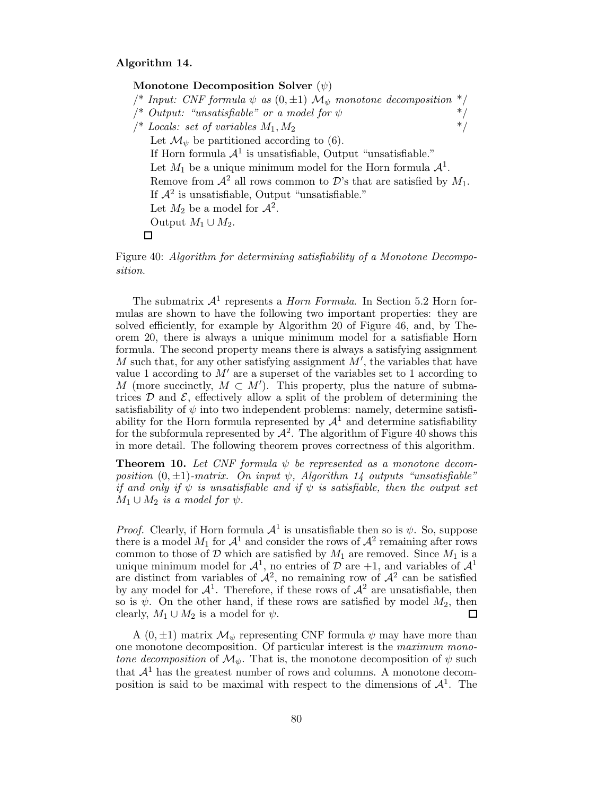Monotone Decomposition Solver  $(\psi)$ <sup>\*</sup> Input: CNF formula  $\psi$  as  $(0, \pm 1)$   $\mathcal{M}_{\psi}$  monotone decomposition  $\psi$  $\frac{1}{2}$  Output: "unsatisfiable" or a model for  $\psi$  \*/  $\frac{1}{2}$  Locals: set of variables  $M_1, M_2$  \*/ Let  $\mathcal{M}_{\psi}$  be partitioned according to (6). If Horn formula  $\mathcal{A}^1$  is unsatisfiable, Output "unsatisfiable." Let  $M_1$  be a unique minimum model for the Horn formula  $\mathcal{A}^1$ . Remove from  $\mathcal{A}^2$  all rows common to D's that are satisfied by  $M_1$ . If  $\mathcal{A}^2$  is unsatisfiable, Output "unsatisfiable." Let  $M_2$  be a model for  $\mathcal{A}^2$ . Output  $M_1 \cup M_2$ . □

Figure 40: Algorithm for determining satisfiability of a Monotone Decomposition.

The submatrix  $\mathcal{A}^1$  represents a *Horn Formula*. In Section 5.2 Horn formulas are shown to have the following two important properties: they are solved efficiently, for example by Algorithm 20 of Figure 46, and, by Theorem 20, there is always a unique minimum model for a satisfiable Horn formula. The second property means there is always a satisfying assignment M such that, for any other satisfying assignment  $M'$ , the variables that have value 1 according to  $M'$  are a superset of the variables set to 1 according to M (more succinctly,  $M \subset M'$ ). This property, plus the nature of submatrices  $\mathcal D$  and  $\mathcal E$ , effectively allow a split of the problem of determining the satisfiability of  $\psi$  into two independent problems: namely, determine satisfiability for the Horn formula represented by  $\mathcal{A}^1$  and determine satisfiability for the subformula represented by  $\mathcal{A}^2$ . The algorithm of Figure 40 shows this in more detail. The following theorem proves correctness of this algorithm.

**Theorem 10.** Let CNF formula  $\psi$  be represented as a monotone decomposition  $(0, \pm 1)$ -matrix. On input  $\psi$ , Algorithm 14 outputs "unsatisfiable" if and only if  $\psi$  is unsatisfiable and if  $\psi$  is satisfiable, then the output set  $M_1 \cup M_2$  is a model for  $\psi$ .

*Proof.* Clearly, if Horn formula  $\mathcal{A}^1$  is unsatisfiable then so is  $\psi$ . So, suppose there is a model  $M_1$  for  $\mathcal{A}^1$  and consider the rows of  $\mathcal{A}^2$  remaining after rows common to those of  $D$  which are satisfied by  $M_1$  are removed. Since  $M_1$  is a unique minimum model for  $\mathcal{A}^1$ , no entries of  $\mathcal D$  are  $+1$ , and variables of  $\mathcal{A}^1$ are distinct from variables of  $\mathcal{A}^2$ , no remaining row of  $\mathcal{A}^2$  can be satisfied by any model for  $\mathcal{A}^1$ . Therefore, if these rows of  $\mathcal{A}^2$  are unsatisfiable, then so is  $\psi$ . On the other hand, if these rows are satisfied by model  $M_2$ , then clearly,  $M_1 \cup M_2$  is a model for  $\psi$ . clearly,  $M_1 \cup M_2$  is a model for  $\psi$ .

A  $(0, \pm 1)$  matrix  $\mathcal{M}_{\psi}$  representing CNF formula  $\psi$  may have more than one monotone decomposition. Of particular interest is the maximum monotone decomposition of  $\mathcal{M}_{\psi}$ . That is, the monotone decomposition of  $\psi$  such that  $\mathcal{A}^1$  has the greatest number of rows and columns. A monotone decomposition is said to be maximal with respect to the dimensions of  $\mathcal{A}^1$ . The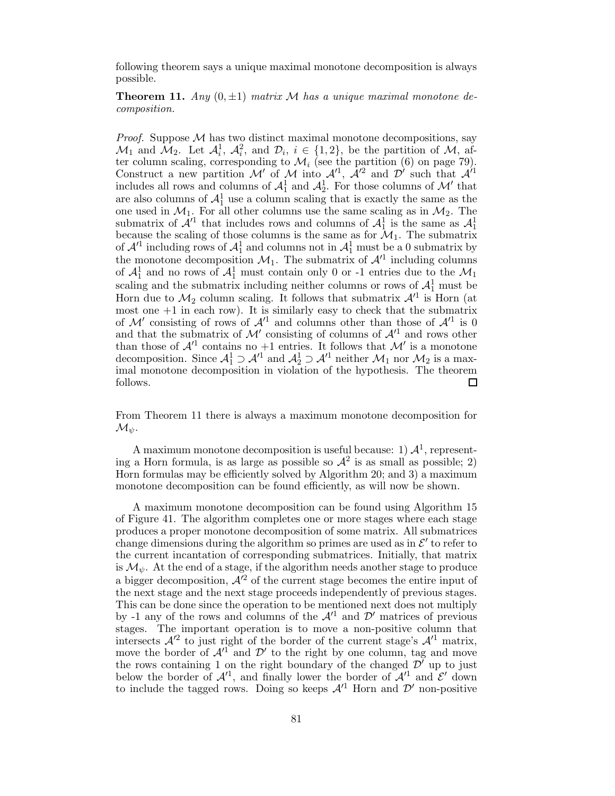following theorem says a unique maximal monotone decomposition is always possible.

**Theorem 11.** Any  $(0, \pm 1)$  matrix M has a unique maximal monotone decomposition.

*Proof.* Suppose  $M$  has two distinct maximal monotone decompositions, say  $\mathcal{M}_1$  and  $\mathcal{M}_2$ . Let  $\mathcal{A}_i^1$ ,  $\mathcal{A}_i^2$ , and  $\mathcal{D}_i$ ,  $i \in \{1,2\}$ , be the partition of  $\mathcal{M}$ , after column scaling, corresponding to  $\mathcal{M}_i$  (see the partition (6) on page 79). Construct a new partition M' of M into  $\mathcal{A}'^1$ ,  $\mathcal{A}'^2$  and  $\mathcal{D}'$  such that  $\mathcal{A}'^1$ includes all rows and columns of  $\mathcal{A}_1^1$  and  $\mathcal{A}_2^1$ . For those columns of  $\mathcal{M}'$  that are also columns of  $\mathcal{A}_1^1$  use a column scaling that is exactly the same as the one used in  $\mathcal{M}_1$ . For all other columns use the same scaling as in  $\mathcal{M}_2$ . The submatrix of  $\mathcal{A}'^1$  that includes rows and columns of  $\mathcal{A}^1_1$  is the same as  $\mathcal{A}^1_1$ because the scaling of those columns is the same as for  $\mathcal{M}_1$ . The submatrix of  $\mathcal{A}^1$  including rows of  $\mathcal{A}^1_1$  and columns not in  $\mathcal{A}^1_1$  must be a 0 submatrix by the monotone decomposition  $\mathcal{M}_1$ . The submatrix of  $\mathcal{A}'^1$  including columns of  $\mathcal{A}_1^1$  and no rows of  $\mathcal{A}_1^1$  must contain only 0 or -1 entries due to the  $\mathcal{M}_1$ scaling and the submatrix including neither columns or rows of  $\mathcal{A}_1^1$  must be Horn due to  $\mathcal{M}_2$  column scaling. It follows that submatrix  $\mathcal{A}'^1$  is Horn (at most one +1 in each row). It is similarly easy to check that the submatrix of M' consisting of rows of  $\mathcal{A}^{\prime 1}$  and columns other than those of  $\mathcal{A}^{\prime 1}$  is 0 and that the submatrix of  $\mathcal{M}'$  consisting of columns of  $\mathcal{A}'^1$  and rows other than those of  $\mathcal{A}^{\prime 1}$  contains no +1 entries. It follows that  $\mathcal{M}'$  is a monotone decomposition. Since  $\mathcal{A}_1^1 \supset \mathcal{A}'^1$  and  $\mathcal{A}_2^1 \supset \mathcal{A}'^1$  neither  $\mathcal{M}_1$  nor  $\mathcal{M}_2$  is a maximal monotone decomposition in violation of the hypothesis. The theorem follows. 口

From Theorem 11 there is always a maximum monotone decomposition for  $\mathcal{M}_{\psi}$ .

A maximum monotone decomposition is useful because: 1)  $\mathcal{A}^1$ , representing a Horn formula, is as large as possible so  $\mathcal{A}^2$  is as small as possible; 2) Horn formulas may be efficiently solved by Algorithm 20; and 3) a maximum monotone decomposition can be found efficiently, as will now be shown.

A maximum monotone decomposition can be found using Algorithm 15 of Figure 41. The algorithm completes one or more stages where each stage produces a proper monotone decomposition of some matrix. All submatrices change dimensions during the algorithm so primes are used as in  $\mathcal{E}'$  to refer to the current incantation of corresponding submatrices. Initially, that matrix is  $\mathcal{M}_{\psi}$ . At the end of a stage, if the algorithm needs another stage to produce a bigger decomposition,  $\mathcal{A}^2$  of the current stage becomes the entire input of the next stage and the next stage proceeds independently of previous stages. This can be done since the operation to be mentioned next does not multiply by -1 any of the rows and columns of the  $\mathcal{A}'^1$  and  $\mathcal{D}'$  matrices of previous stages. The important operation is to move a non-positive column that intersects  $\mathcal{A}'^2$  to just right of the border of the current stage's  $\mathcal{A}'^1$  matrix, move the border of  $\mathcal{A}'^T$  and  $\mathcal{D}'$  to the right by one column, tag and move the rows containing 1 on the right boundary of the changed  $\mathcal{D}^{\prime}$  up to just below the border of  $\mathcal{A}'^1$ , and finally lower the border of  $\mathcal{A}'^1$  and  $\mathcal{E}'$  down to include the tagged rows. Doing so keeps  $\mathcal{A}^{\prime 1}$  Horn and  $\mathcal{D}'$  non-positive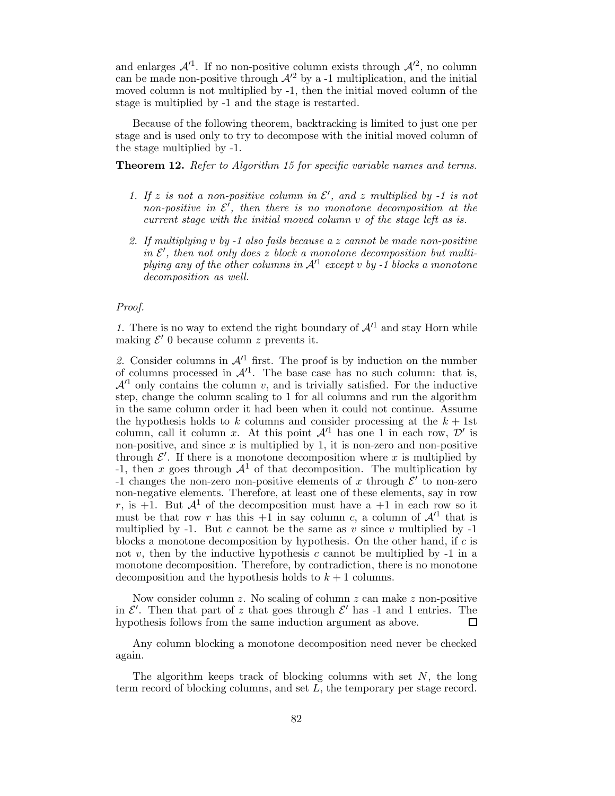and enlarges  $\mathcal{A}'^1$ . If no non-positive column exists through  $\mathcal{A}'^2$ , no column can be made non-positive through  $A<sup>2</sup>$  by a -1 multiplication, and the initial moved column is not multiplied by -1, then the initial moved column of the stage is multiplied by -1 and the stage is restarted.

Because of the following theorem, backtracking is limited to just one per stage and is used only to try to decompose with the initial moved column of the stage multiplied by -1.

Theorem 12. Refer to Algorithm 15 for specific variable names and terms.

- 1. If z is not a non-positive column in  $\mathcal{E}'$ , and z multiplied by -1 is not non-positive in  $\mathcal{E}^{\prime}$ , then there is no monotone decomposition at the current stage with the initial moved column v of the stage left as is.
- 2. If multiplying v by -1 also fails because a z cannot be made non-positive in  $\mathcal{E}'$ , then not only does z block a monotone decomposition but multiplying any of the other columns in  $\mathcal{A}^{\prime 1}$  except v by -1 blocks a monotone decomposition as well.

#### Proof.

1. There is no way to extend the right boundary of  $\mathcal{A}'^1$  and stay Horn while making  $\mathcal{E}'$  0 because column z prevents it.

2. Consider columns in  $\mathcal{A}'^1$  first. The proof is by induction on the number of columns processed in  $\mathcal{A}'^1$ . The base case has no such column: that is,  $\mathcal{A}^{\prime 1}$  only contains the column v, and is trivially satisfied. For the inductive step, change the column scaling to 1 for all columns and run the algorithm in the same column order it had been when it could not continue. Assume the hypothesis holds to k columns and consider processing at the  $k + 1$ st column, call it column x. At this point  $\mathcal{A}^{\prime 1}$  has one 1 in each row,  $\mathcal{D}'$  is non-positive, and since  $x$  is multiplied by 1, it is non-zero and non-positive through  $\mathcal{E}'$ . If there is a monotone decomposition where x is multiplied by -1, then x goes through  $\mathcal{A}^1$  of that decomposition. The multiplication by -1 changes the non-zero non-positive elements of x through  $\mathcal{E}'$  to non-zero non-negative elements. Therefore, at least one of these elements, say in row r, is +1. But  $\mathcal{A}^1$  of the decomposition must have a +1 in each row so it must be that row r has this  $+1$  in say column c, a column of  $\mathcal{A}'^1$  that is multiplied by  $-1$ . But c cannot be the same as v since v multiplied by  $-1$ blocks a monotone decomposition by hypothesis. On the other hand, if c is not v, then by the inductive hypothesis c cannot be multiplied by  $-1$  in a monotone decomposition. Therefore, by contradiction, there is no monotone decomposition and the hypothesis holds to  $k + 1$  columns.

Now consider column z. No scaling of column z can make z non-positive in  $\mathcal{E}'$ . Then that part of z that goes through  $\mathcal{E}'$  has -1 and 1 entries. The hypothesis follows from the same induction argument as above. □

Any column blocking a monotone decomposition need never be checked again.

The algorithm keeps track of blocking columns with set  $N$ , the long term record of blocking columns, and set  $L$ , the temporary per stage record.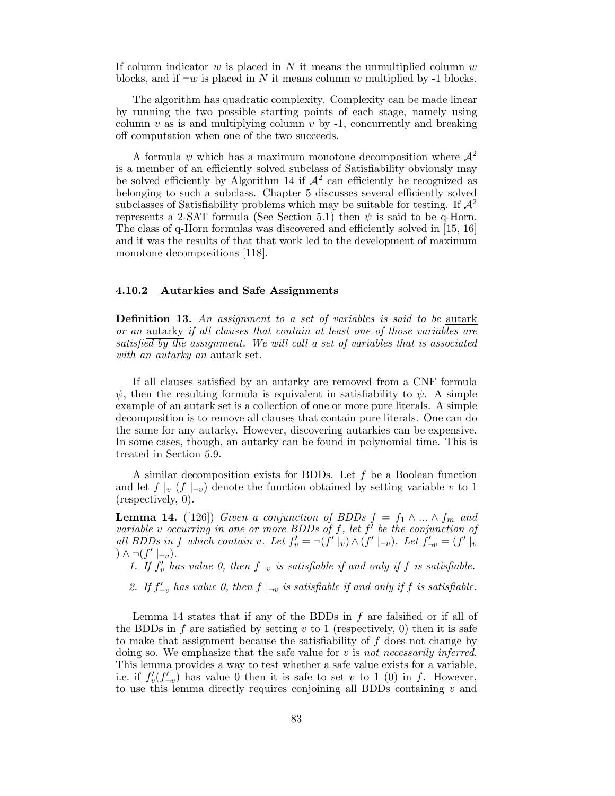If column indicator  $w$  is placed in  $N$  it means the unmultiplied column  $w$ blocks, and if  $\neg w$  is placed in N it means column w multiplied by -1 blocks.

The algorithm has quadratic complexity. Complexity can be made linear by running the two possible starting points of each stage, namely using column  $v$  as is and multiplying column  $v$  by  $-1$ , concurrently and breaking off computation when one of the two succeeds.

A formula  $\psi$  which has a maximum monotone decomposition where  $\mathcal{A}^2$ is a member of an efficiently solved subclass of Satisfiability obviously may be solved efficiently by Algorithm 14 if  $\mathcal{A}^2$  can efficiently be recognized as belonging to such a subclass. Chapter 5 discusses several efficiently solved subclasses of Satisfiability problems which may be suitable for testing. If  $\mathcal{A}^2$ represents a 2-SAT formula (See Section 5.1) then  $\psi$  is said to be q-Horn. The class of q-Horn formulas was discovered and efficiently solved in [15, 16] and it was the results of that that work led to the development of maximum monotone decompositions [118].

#### 4.10.2 Autarkies and Safe Assignments

Definition 13. An assignment to a set of variables is said to be autark or an autarky if all clauses that contain at least one of those variables are satisfied by the assignment. We will call a set of variables that is associated with an autarky an autark set.

If all clauses satisfied by an autarky are removed from a CNF formula  $\psi$ , then the resulting formula is equivalent in satisfiability to  $\psi$ . A simple example of an autark set is a collection of one or more pure literals. A simple decomposition is to remove all clauses that contain pure literals. One can do the same for any autarky. However, discovering autarkies can be expensive. In some cases, though, an autarky can be found in polynomial time. This is treated in Section 5.9.

A similar decomposition exists for BDDs. Let  $f$  be a Boolean function and let  $f|_v$  ( $f|_{\neg v}$ ) denote the function obtained by setting variable v to 1 (respectively, 0).

**Lemma 14.** ([126]) Given a conjunction of BDDs  $f = f_1 \wedge ... \wedge f_m$  and variable v occurring in one or more BDDs of f, let  $f'$  be the conjunction of all BDDs in f which contain v. Let  $f'_v = \neg(f' \mid_v) \wedge (f' \mid_{\neg v})$ . Let  $f'_{\neg v} = (f' \mid_v)$  $) \wedge \neg (f' \mid_{\neg v}).$ 

1. If  $f'_v$  has value 0, then  $f|_v$  is satisfiable if and only if  $f$  is satisfiable.

2. If  $f'_{\neg v}$  has value 0, then  $f \mid_{\neg v}$  is satisfiable if and only if f is satisfiable.

Lemma 14 states that if any of the BDDs in  $f$  are falsified or if all of the BDDs in  $f$  are satisfied by setting  $v$  to 1 (respectively, 0) then it is safe to make that assignment because the satisfiability of  $f$  does not change by doing so. We emphasize that the safe value for  $v$  is not necessarily inferred. This lemma provides a way to test whether a safe value exists for a variable, i.e. if  $f'_v(f'_{\neg v})$  has value 0 then it is safe to set v to 1 (0) in f. However, to use this lemma directly requires conjoining all BDDs containing  $v$  and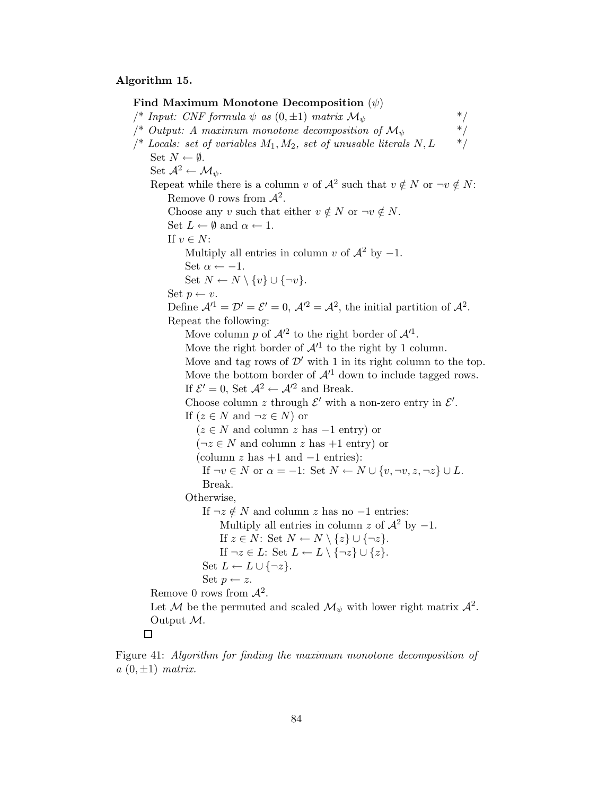#### Algorithm 15.

Find Maximum Monotone Decomposition  $(\psi)$ <sup>/\*</sup> Input: CNF formula  $\psi$  as  $(0, \pm 1)$  matrix  $\mathcal{M}_{\psi}$  \*/<br>
/\* Output: A maximum monotone decomposition of  $\mathcal{M}_{\psi}$  \*/ /\* Output: A maximum monotone decomposition of  $\mathcal{M}_{\psi}$  $\frac{1}{2}$  Locals: set of variables  $M_1, M_2$ , set of unusable literals  $N, L \rightarrow \frac{1}{2}$ Set  $N \leftarrow \emptyset$ . Set  $\mathcal{A}^2 \leftarrow \mathcal{M}_{\psi}$ . Repeat while there is a column v of  $\mathcal{A}^2$  such that  $v \notin N$  or  $\neg v \notin N$ : Remove 0 rows from  $\mathcal{A}^2$ . Choose any v such that either  $v \notin N$  or  $\neg v \notin N$ . Set  $L \leftarrow \emptyset$  and  $\alpha \leftarrow 1$ . If  $v \in N$ : Multiply all entries in column v of  $\mathcal{A}^2$  by  $-1$ . Set  $\alpha \leftarrow -1$ . Set  $N \leftarrow N \setminus \{v\} \cup \{\neg v\}.$ Set  $p \leftarrow v$ . Define  $\mathcal{A}'^1 = \mathcal{D}' = \mathcal{E}' = 0$ ,  $\mathcal{A}'^2 = \mathcal{A}^2$ , the initial partition of  $\mathcal{A}^2$ . Repeat the following: Move column p of  $\mathcal{A}'^2$  to the right border of  $\mathcal{A}'^1$ . Move the right border of  $\mathcal{A}^{\prime 1}$  to the right by 1 column. Move and tag rows of  $\mathcal{D}'$  with 1 in its right column to the top. Move the bottom border of  $A<sup>1</sup>$  down to include tagged rows. If  $\mathcal{E}' = 0$ , Set  $\mathcal{A}^2 \leftarrow \mathcal{A}'^2$  and Break. Choose column z through  $\mathcal{E}'$  with a non-zero entry in  $\mathcal{E}'$ . If  $(z \in N \text{ and } \neg z \in N)$  or  $(z \in N \text{ and column } z \text{ has } -1 \text{ entry})$  or  $(\neg z \in N \text{ and column } z \text{ has } +1 \text{ entry})$  or (column  $z$  has  $+1$  and  $-1$  entries): If  $\neg v \in N$  or  $\alpha = -1$ : Set  $N \leftarrow N \cup \{v, \neg v, z, \neg z\} \cup L$ . Break. Otherwise, If  $\neg z \notin N$  and column z has no -1 entries: Multiply all entries in column z of  $\mathcal{A}^2$  by  $-1$ . If  $z \in N$ : Set  $N \leftarrow N \setminus \{z\} \cup \{\neg z\}.$ If  $\neg z \in L$ : Set  $L \leftarrow L \setminus {\neg z} \cup {\{z\}}$ . Set  $L \leftarrow L \cup \{\neg z\}.$ Set  $p \leftarrow z$ . Remove 0 rows from  $\mathcal{A}^2$ . Let M be the permuted and scaled  $\mathcal{M}_{\psi}$  with lower right matrix  $\mathcal{A}^2$ . Output M. 口

Figure 41: Algorithm for finding the maximum monotone decomposition of  $a(0,\pm 1)$  matrix.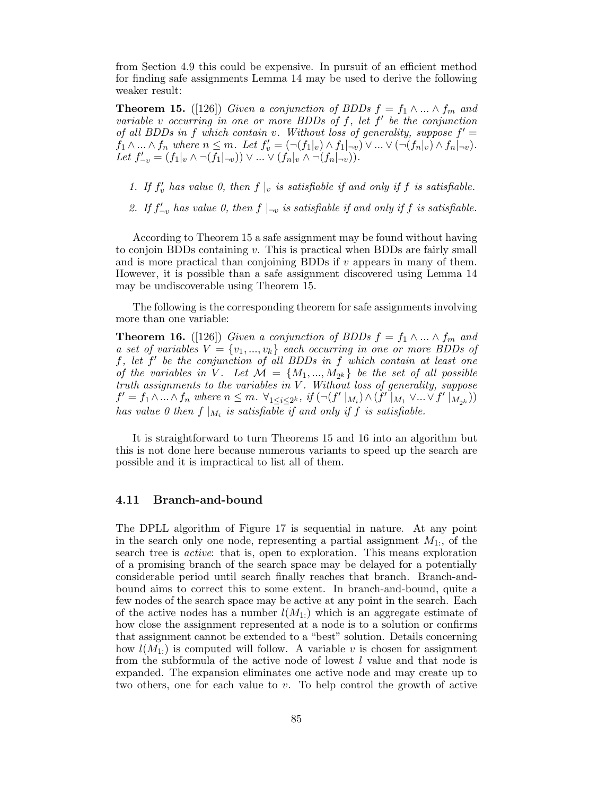from Section 4.9 this could be expensive. In pursuit of an efficient method for finding safe assignments Lemma 14 may be used to derive the following weaker result:

**Theorem 15.** ([126]) Given a conjunction of BDDs  $f = f_1 \wedge ... \wedge f_m$  and variable  $v$  occurring in one or more BDDs of  $f$ , let  $f'$  be the conjunction of all BDDs in f which contain v. Without loss of generality, suppose  $f' =$  $f_1 \wedge ... \wedge f_n$  where  $n \leq m$ . Let  $f'_v = (\neg(f_1|_v) \wedge f_1|_{\neg v}) \vee ... \vee (\neg(f_n|_v) \wedge f_n|_{\neg v})$ . Let  $f'_{\neg v} = (f_1|_v \wedge \neg(f_1|_{\neg v})) \vee ... \vee (f_n|_v \wedge \neg(f_n|_{\neg v}))$ .

1. If  $f'_v$  has value 0, then  $f|_v$  is satisfiable if and only if  $f$  is satisfiable.

2. If  $f'_{\neg v}$  has value 0, then  $f \mid_{\neg v}$  is satisfiable if and only if f is satisfiable.

According to Theorem 15 a safe assignment may be found without having to conjoin BDDs containing v. This is practical when BDDs are fairly small and is more practical than conjoining BDDs if  $v$  appears in many of them. However, it is possible than a safe assignment discovered using Lemma 14 may be undiscoverable using Theorem 15.

The following is the corresponding theorem for safe assignments involving more than one variable:

**Theorem 16.** ([126]) Given a conjunction of BDDs  $f = f_1 \wedge ... \wedge f_m$  and a set of variables  $V = \{v_1, ..., v_k\}$  each occurring in one or more BDDs of f, let f' be the conjunction of all BDDs in f which contain at least one of the variables in V. Let  $M = \{M_1, ..., M_{2^k}\}\$ be the set of all possible truth assignments to the variables in V. Without loss of generality, suppose  $f' = f_1 \wedge ... \wedge f_n$  where  $n \leq m$ .  $\forall_{1 \leq i \leq 2^k}$ , if  $(\neg(f' |_{M_i}) \wedge (f' |_{M_1} \vee ... \vee f' |_{M_{2^k}}))$ has value 0 then  $f|_{M_i}$  is satisfiable if and only if f is satisfiable.

It is straightforward to turn Theorems 15 and 16 into an algorithm but this is not done here because numerous variants to speed up the search are possible and it is impractical to list all of them.

#### 4.11 Branch-and-bound

The DPLL algorithm of Figure 17 is sequential in nature. At any point in the search only one node, representing a partial assignment  $M_{1:}$ , of the search tree is active: that is, open to exploration. This means exploration of a promising branch of the search space may be delayed for a potentially considerable period until search finally reaches that branch. Branch-andbound aims to correct this to some extent. In branch-and-bound, quite a few nodes of the search space may be active at any point in the search. Each of the active nodes has a number  $l(M_1)$  which is an aggregate estimate of how close the assignment represented at a node is to a solution or confirms that assignment cannot be extended to a "best" solution. Details concerning how  $l(M_1)$  is computed will follow. A variable v is chosen for assignment from the subformula of the active node of lowest  $l$  value and that node is expanded. The expansion eliminates one active node and may create up to two others, one for each value to v. To help control the growth of active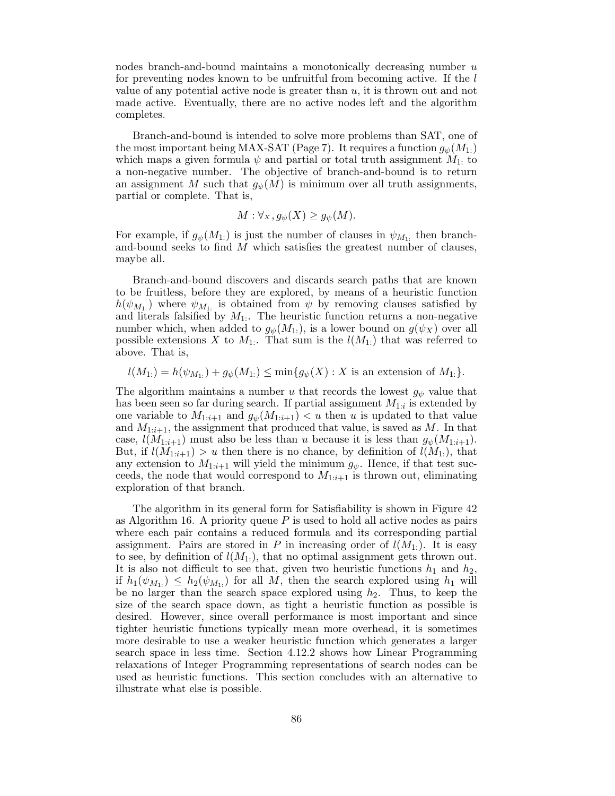nodes branch-and-bound maintains a monotonically decreasing number  $u$ for preventing nodes known to be unfruitful from becoming active. If the l value of any potential active node is greater than  $u$ , it is thrown out and not made active. Eventually, there are no active nodes left and the algorithm completes.

Branch-and-bound is intended to solve more problems than SAT, one of the most important being MAX-SAT (Page 7). It requires a function  $g_{\psi}(M_1)$ . which maps a given formula  $\psi$  and partial or total truth assignment  $M_1$ : to a non-negative number. The objective of branch-and-bound is to return an assignment M such that  $g_{\psi}(M)$  is minimum over all truth assignments, partial or complete. That is,

$$
M: \forall x, g_{\psi}(X) \ge g_{\psi}(M).
$$

For example, if  $g_{\psi}(M_1)$  is just the number of clauses in  $\psi_{M_1}$ , then branchand-bound seeks to find M which satisfies the greatest number of clauses, maybe all.

Branch-and-bound discovers and discards search paths that are known to be fruitless, before they are explored, by means of a heuristic function  $h(\psi_{M_1})$  where  $\psi_{M_1}$  is obtained from  $\psi$  by removing clauses satisfied by and literals falsified by  $M_{1}$ . The heuristic function returns a non-negative number which, when added to  $g_{\psi}(M_1)$ , is a lower bound on  $g(\psi_X)$  over all possible extensions X to  $M_1$ . That sum is the  $l(M_1)$  that was referred to above. That is,

$$
l(M_{1:}) = h(\psi_{M_{1:}}) + g_{\psi}(M_{1:}) \le \min\{g_{\psi}(X) : X \text{ is an extension of } M_{1:}\}.
$$

The algorithm maintains a number u that records the lowest  $g_{\psi}$  value that has been seen so far during search. If partial assignment  $M_{1:i}$  is extended by one variable to  $M_{1:i+1}$  and  $g_{\psi}(M_{1:i+1}) < u$  then u is updated to that value and  $M_{1:i+1}$ , the assignment that produced that value, is saved as M. In that case,  $l(M_{1:i+1})$  must also be less than u because it is less than  $g_{\psi}(M_{1:i+1})$ . But, if  $l(M_{1:i+1}) > u$  then there is no chance, by definition of  $l(M_{1:})$ , that any extension to  $M_{1:i+1}$  will yield the minimum  $g_{\psi}$ . Hence, if that test succeeds, the node that would correspond to  $M_{1:i+1}$  is thrown out, eliminating exploration of that branch.

The algorithm in its general form for Satisfiability is shown in Figure 42 as Algorithm 16. A priority queue  $P$  is used to hold all active nodes as pairs where each pair contains a reduced formula and its corresponding partial assignment. Pairs are stored in P in increasing order of  $l(M_1)$ . It is easy to see, by definition of  $l(M_1)$ , that no optimal assignment gets thrown out. It is also not difficult to see that, given two heuristic functions  $h_1$  and  $h_2$ , if  $h_1(\psi_{M_1}) \leq h_2(\psi_{M_1})$  for all M, then the search explored using  $h_1$  will be no larger than the search space explored using  $h_2$ . Thus, to keep the size of the search space down, as tight a heuristic function as possible is desired. However, since overall performance is most important and since tighter heuristic functions typically mean more overhead, it is sometimes more desirable to use a weaker heuristic function which generates a larger search space in less time. Section 4.12.2 shows how Linear Programming relaxations of Integer Programming representations of search nodes can be used as heuristic functions. This section concludes with an alternative to illustrate what else is possible.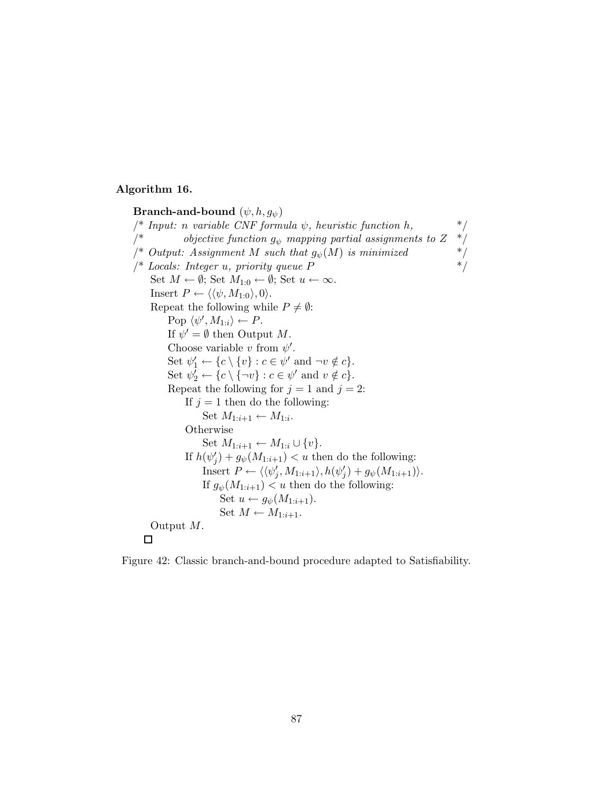## Algorithm 16.

Branch-and-bound  $(\psi, h, g_{\psi})$ /\* Input: n variable CNF formula  $\psi$ , heuristic function h,<br>
/\* objective function  $q_{\psi}$  mapping partial assignments to Z \*/ /\* objective function  $g_{\psi}$  mapping partial assignments to Z \*/<br>
/\* Output: Assignment M such that  $g_{\psi}(M)$  is minimized \*/<br>
/\* Locals: Integer u, priority queue P \*/  $\gamma^*$  Output: Assignment M such that  $g_{\psi}(M)$  is minimized  $/*$  Locals: Integer u, priority queue P Set  $M \leftarrow \emptyset$ ; Set  $M_{1:0} \leftarrow \emptyset$ ; Set  $u \leftarrow \infty$ . Insert  $P \leftarrow \langle \langle \psi, M_{1:0} \rangle, 0 \rangle$ . Repeat the following while  $P \neq \emptyset$ : Pop  $\langle \psi', M_{1:i} \rangle \leftarrow P$ . If  $\psi' = \emptyset$  then Output M. Choose variable v from  $\psi'$ . Set  $\psi'_1 \leftarrow \{c \setminus \{v\} : c \in \psi' \text{ and } \neg v \notin c\}.$ Set  $\psi_2' \leftarrow \{c \setminus \{\neg v\} : c \in \psi' \text{ and } v \notin c\}.$ Repeat the following for  $j = 1$  and  $j = 2$ : If  $j = 1$  then do the following: Set  $M_{1:i+1} \leftarrow M_{1:i}$ . **Otherwise** Set  $M_{1:i+1}$  ←  $M_{1:i}$  ∪ {*v*}. If  $h(\psi'_j) + g_{\psi}(M_{1:i+1}) < u$  then do the following: Insert  $P \leftarrow \langle \langle \psi'_j, M_{1:i+1} \rangle, h(\psi'_j) + g_{\psi}(M_{1:i+1}) \rangle.$ If  $g_{\psi}(M_{1:i+1}) \leq u$  then do the following: Set  $u \leftarrow g_{\psi}(M_{1:i+1}).$ Set  $M \leftarrow M_{1:i+1}$ . Output M.  $\Box$ 

Figure 42: Classic branch-and-bound procedure adapted to Satisfiability.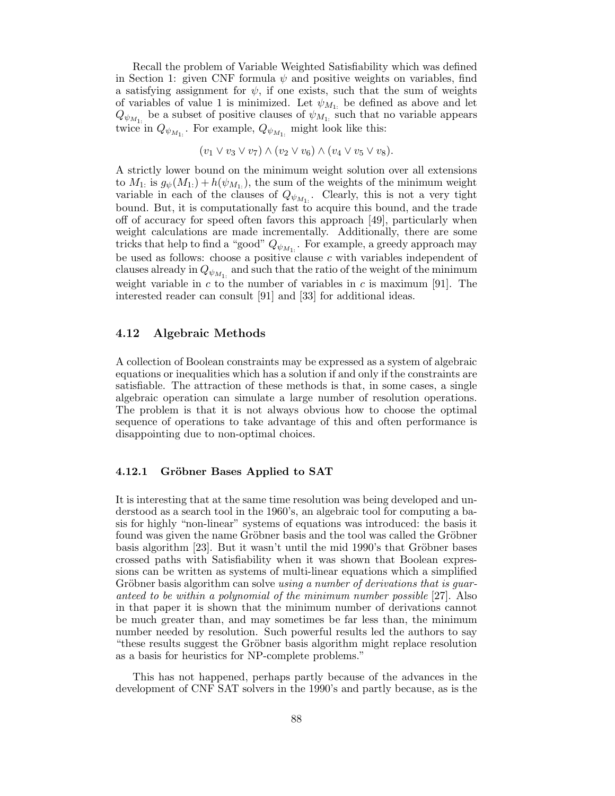Recall the problem of Variable Weighted Satisfiability which was defined in Section 1: given CNF formula  $\psi$  and positive weights on variables, find a satisfying assignment for  $\psi$ , if one exists, such that the sum of weights of variables of value 1 is minimized. Let  $\psi_{M_1}$  be defined as above and let  $Q_{\psi_{M_1}}$  be a subset of positive clauses of  $\psi_{M_1}$  such that no variable appears twice in  $Q_{\psi_{M_1}}$ . For example,  $Q_{\psi_{M_1}}$  might look like this:

$$
(v_1 \vee v_3 \vee v_7) \wedge (v_2 \vee v_6) \wedge (v_4 \vee v_5 \vee v_8).
$$

A strictly lower bound on the minimum weight solution over all extensions to  $M_1$ : is  $g_{\psi}(M_1) + h(\psi_{M_1})$ , the sum of the weights of the minimum weight variable in each of the clauses of  $Q_{\psi_{M_1}}$ . Clearly, this is not a very tight bound. But, it is computationally fast to acquire this bound, and the trade off of accuracy for speed often favors this approach [49], particularly when weight calculations are made incrementally. Additionally, there are some tricks that help to find a "good"  $Q_{\psi_{M_1\cdot}}$  . For example, a greedy approach may be used as follows: choose a positive clause  $c$  with variables independent of clauses already in  $Q_{\psi_{M_1}}$  and such that the ratio of the weight of the minimum weight variable in c to the number of variables in c is maximum [91]. The interested reader can consult [91] and [33] for additional ideas.

## 4.12 Algebraic Methods

A collection of Boolean constraints may be expressed as a system of algebraic equations or inequalities which has a solution if and only if the constraints are satisfiable. The attraction of these methods is that, in some cases, a single algebraic operation can simulate a large number of resolution operations. The problem is that it is not always obvious how to choose the optimal sequence of operations to take advantage of this and often performance is disappointing due to non-optimal choices.

#### 4.12.1 Gröbner Bases Applied to SAT

It is interesting that at the same time resolution was being developed and understood as a search tool in the 1960's, an algebraic tool for computing a basis for highly "non-linear" systems of equations was introduced: the basis it found was given the name Gröbner basis and the tool was called the Gröbner basis algorithm [23]. But it wasn't until the mid 1990's that Gröbner bases crossed paths with Satisfiability when it was shown that Boolean expressions can be written as systems of multi-linear equations which a simplified Gröbner basis algorithm can solve using a number of derivations that is quaranteed to be within a polynomial of the minimum number possible [27]. Also in that paper it is shown that the minimum number of derivations cannot be much greater than, and may sometimes be far less than, the minimum number needed by resolution. Such powerful results led the authors to say "these results suggest the Gröbner basis algorithm might replace resolution as a basis for heuristics for NP-complete problems."

This has not happened, perhaps partly because of the advances in the development of CNF SAT solvers in the 1990's and partly because, as is the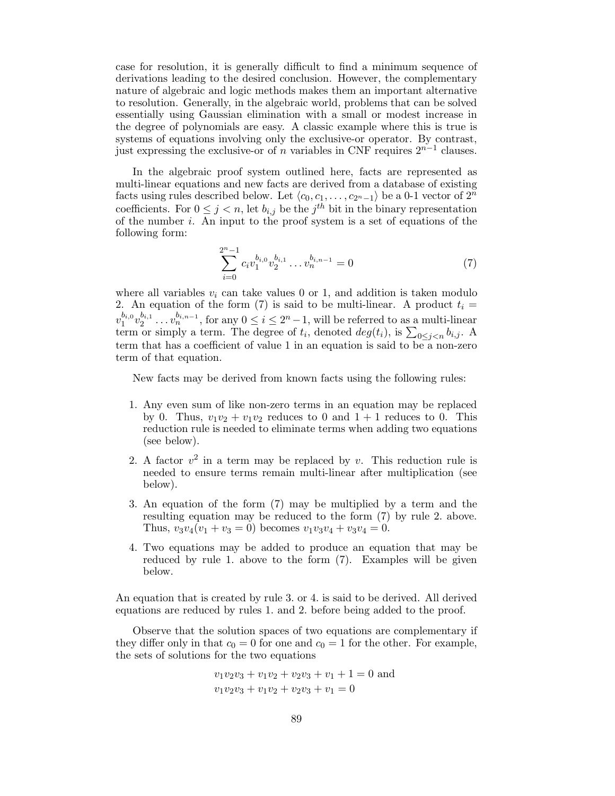case for resolution, it is generally difficult to find a minimum sequence of derivations leading to the desired conclusion. However, the complementary nature of algebraic and logic methods makes them an important alternative to resolution. Generally, in the algebraic world, problems that can be solved essentially using Gaussian elimination with a small or modest increase in the degree of polynomials are easy. A classic example where this is true is systems of equations involving only the exclusive-or operator. By contrast, just expressing the exclusive-or of n variables in CNF requires  $2^{n-1}$  clauses.

In the algebraic proof system outlined here, facts are represented as multi-linear equations and new facts are derived from a database of existing facts using rules described below. Let  $\langle c_0,c_1,\ldots,c_{2n-1}\rangle$  be a 0-1 vector of  $2^n$ coefficients. For  $0 \leq j \leq n$ , let  $b_{i,j}$  be the  $j^{th}$  bit in the binary representation of the number  $i$ . An input to the proof system is a set of equations of the following form:

$$
\sum_{i=0}^{2^{n}-1} c_{i}v_{1}^{b_{i,0}}v_{2}^{b_{i,1}}\dots v_{n}^{b_{i,n-1}} = 0
$$
\n(7)

where all variables  $v_i$  can take values 0 or 1, and addition is taken modulo 2. An equation of the form (7) is said to be multi-linear. A product  $t_i =$  $v_1^{b_{i,0}}$  $_{1}^{b_{i,0}}v_{2}^{b_{i,1}}$  $2^{b_{i,1}} \ldots v_n^{b_{i,n-1}}$ , for any  $0 \leq i \leq 2^n - 1$ , will be referred to as a multi-linear term or simply a term. The degree of  $t_i$ , denoted  $deg(t_i)$ , is  $\sum_{0 \leq j < n} b_{i,j}$ . A term that has a coefficient of value 1 in an equation is said to be a non-zero term of that equation.

New facts may be derived from known facts using the following rules:

- 1. Any even sum of like non-zero terms in an equation may be replaced by 0. Thus,  $v_1v_2 + v_1v_2$  reduces to 0 and  $1+1$  reduces to 0. This reduction rule is needed to eliminate terms when adding two equations (see below).
- 2. A factor  $v^2$  in a term may be replaced by v. This reduction rule is needed to ensure terms remain multi-linear after multiplication (see below).
- 3. An equation of the form (7) may be multiplied by a term and the resulting equation may be reduced to the form (7) by rule 2. above. Thus,  $v_3v_4(v_1 + v_3 = 0)$  becomes  $v_1v_3v_4 + v_3v_4 = 0$ .
- 4. Two equations may be added to produce an equation that may be reduced by rule 1. above to the form (7). Examples will be given below.

An equation that is created by rule 3. or 4. is said to be derived. All derived equations are reduced by rules 1. and 2. before being added to the proof.

Observe that the solution spaces of two equations are complementary if they differ only in that  $c_0 = 0$  for one and  $c_0 = 1$  for the other. For example, the sets of solutions for the two equations

$$
v_1v_2v_3 + v_1v_2 + v_2v_3 + v_1 + 1 = 0
$$
 and  

$$
v_1v_2v_3 + v_1v_2 + v_2v_3 + v_1 = 0
$$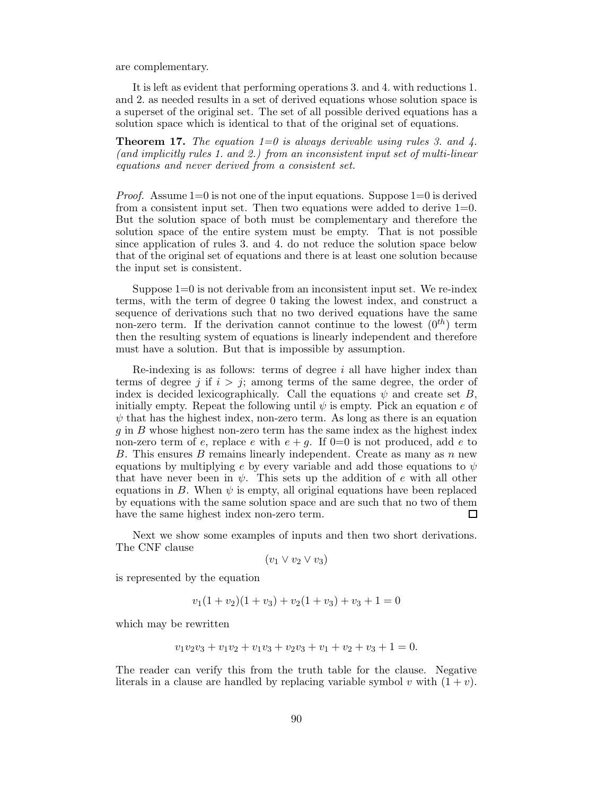are complementary.

It is left as evident that performing operations 3. and 4. with reductions 1. and 2. as needed results in a set of derived equations whose solution space is a superset of the original set. The set of all possible derived equations has a solution space which is identical to that of the original set of equations.

**Theorem 17.** The equation  $1=0$  is always derivable using rules 3. and 4. (and implicitly rules 1. and 2.) from an inconsistent input set of multi-linear equations and never derived from a consistent set.

*Proof.* Assume  $1=0$  is not one of the input equations. Suppose  $1=0$  is derived from a consistent input set. Then two equations were added to derive  $1=0$ . But the solution space of both must be complementary and therefore the solution space of the entire system must be empty. That is not possible since application of rules 3. and 4. do not reduce the solution space below that of the original set of equations and there is at least one solution because the input set is consistent.

Suppose  $1=0$  is not derivable from an inconsistent input set. We re-index terms, with the term of degree 0 taking the lowest index, and construct a sequence of derivations such that no two derived equations have the same non-zero term. If the derivation cannot continue to the lowest  $(0<sup>th</sup>)$  term then the resulting system of equations is linearly independent and therefore must have a solution. But that is impossible by assumption.

Re-indexing is as follows: terms of degree  $i$  all have higher index than terms of degree j if  $i > j$ ; among terms of the same degree, the order of index is decided lexicographically. Call the equations  $\psi$  and create set B, initially empty. Repeat the following until  $\psi$  is empty. Pick an equation e of  $\psi$  that has the highest index, non-zero term. As long as there is an equation  $g$  in  $B$  whose highest non-zero term has the same index as the highest index non-zero term of e, replace e with  $e + g$ . If  $0=0$  is not produced, add e to B. This ensures  $B$  remains linearly independent. Create as many as  $n$  new equations by multiplying e by every variable and add those equations to  $\psi$ that have never been in  $\psi$ . This sets up the addition of e with all other equations in B. When  $\psi$  is empty, all original equations have been replaced by equations with the same solution space and are such that no two of them have the same highest index non-zero term. 口

Next we show some examples of inputs and then two short derivations. The CNF clause

$$
(v_1 \vee v_2 \vee v_3)
$$

is represented by the equation

$$
v_1(1 + v_2)(1 + v_3) + v_2(1 + v_3) + v_3 + 1 = 0
$$

which may be rewritten

$$
v_1v_2v_3 + v_1v_2 + v_1v_3 + v_2v_3 + v_1 + v_2 + v_3 + 1 = 0.
$$

The reader can verify this from the truth table for the clause. Negative literals in a clause are handled by replacing variable symbol v with  $(1 + v)$ .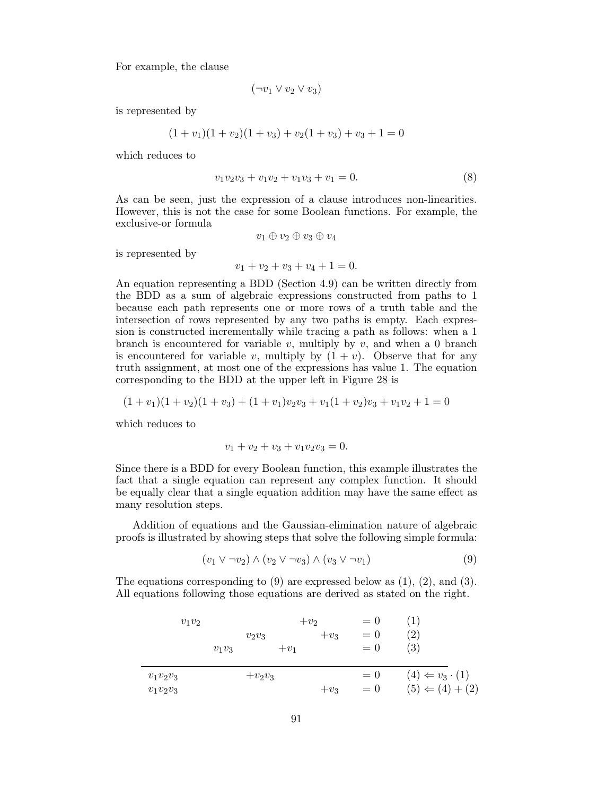For example, the clause

$$
(\neg v_1 \lor v_2 \lor v_3)
$$

is represented by

$$
(1 + v1)(1 + v2)(1 + v3) + v2(1 + v3) + v3 + 1 = 0
$$

which reduces to

$$
v_1v_2v_3 + v_1v_2 + v_1v_3 + v_1 = 0.
$$
\n(8)

As can be seen, just the expression of a clause introduces non-linearities. However, this is not the case for some Boolean functions. For example, the exclusive-or formula

$$
v_1\oplus v_2\oplus v_3\oplus v_4
$$

is represented by

$$
v_1 + v_2 + v_3 + v_4 + 1 = 0.
$$

An equation representing a BDD (Section 4.9) can be written directly from the BDD as a sum of algebraic expressions constructed from paths to 1 because each path represents one or more rows of a truth table and the intersection of rows represented by any two paths is empty. Each expression is constructed incrementally while tracing a path as follows: when a 1 branch is encountered for variable v, multiply by v, and when a 0 branch is encountered for variable v, multiply by  $(1 + v)$ . Observe that for any truth assignment, at most one of the expressions has value 1. The equation corresponding to the BDD at the upper left in Figure 28 is

$$
(1 + v1)(1 + v2)(1 + v3) + (1 + v1)v2v3 + v1(1 + v2)v3 + v1v2 + 1 = 0
$$

which reduces to

$$
v_1 + v_2 + v_3 + v_1 v_2 v_3 = 0.
$$

Since there is a BDD for every Boolean function, this example illustrates the fact that a single equation can represent any complex function. It should be equally clear that a single equation addition may have the same effect as many resolution steps.

Addition of equations and the Gaussian-elimination nature of algebraic proofs is illustrated by showing steps that solve the following simple formula:

$$
(v_1 \lor \neg v_2) \land (v_2 \lor \neg v_3) \land (v_3 \lor \neg v_1) \tag{9}
$$

The equations corresponding to  $(9)$  are expressed below as  $(1), (2),$  and  $(3)$ . All equations following those equations are derived as stated on the right.

| $v_1v_2$                   | $v_1v_3$ | $v_2v_3$  | $+v2$<br>$+v_1$ | $+v_3$ | $= 0$<br>$= 0$<br>$= 0$ | (1)<br>$\left( 2\right)$<br>(3)                              |
|----------------------------|----------|-----------|-----------------|--------|-------------------------|--------------------------------------------------------------|
| $v_1v_2v_3$<br>$v_1v_2v_3$ |          | $+v_2v_3$ |                 | $+v_3$ | $= 0$<br>$= 0$          | $(4) \Leftarrow v_3 \cdot (1)$<br>$(5) \Leftarrow (4) + (2)$ |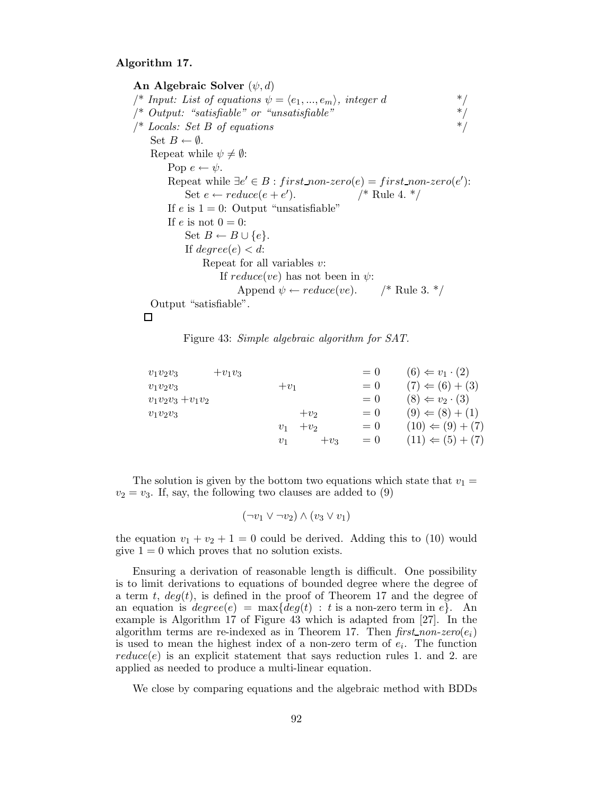#### Algorithm 17.

An Algebraic Solver  $(\psi, d)$ /\* Input: List of equations  $\psi = \langle e_1, ..., e_m \rangle$ , integer d  $\frac{1}{2}$  Output: "satisfiable" or "unsatisfiable" \*/\*  $/*$  Locals: Set B of equations \*/ Set  $B \leftarrow \emptyset$ . Repeat while  $\psi \neq \emptyset$ : Pop  $e \leftarrow \psi$ . Repeat while  $\exists e' \in B : first\_non-zero(e) = first\_non-zero(e')$ : Set  $e \leftarrow reduce(e + e')$ /\* Rule 4.  $*/$ If  $e$  is  $1 = 0$ : Output "unsatisfiable" If  $e$  is not  $0 = 0$ : Set  $B \leftarrow B \cup \{e\}.$ If  $degree(e) < d$ : Repeat for all variables v: If  $reduce(ve)$  has not been in  $\psi$ : Append  $\psi \leftarrow reduce(ve)$ . /\* Rule 3. \*/ Output "satisfiable".

#### $\Box$

Figure 43: Simple algebraic algorithm for SAT.

| $+v_1v_3$<br>$v_1v_2v_3$ |                 | $= 0$ | $(6) \Leftarrow v_1 \cdot (2)$ |
|--------------------------|-----------------|-------|--------------------------------|
| $v_1v_2v_3$              | $+v_1$          | $= 0$ | $(7) \Leftarrow (6) + (3)$     |
| $v_1v_2v_3 + v_1v_2$     |                 | $= 0$ | $(8) \Leftarrow v_2 \cdot (3)$ |
| $v_1v_2v_3$              | $+v2$           | $= 0$ | $(9) \Leftarrow (8) + (1)$     |
|                          | $+v2$<br>$v_1$  | $= 0$ | $(10) \Leftarrow (9) + (7)$    |
|                          | $+v_3$<br>$v_1$ | $= 0$ | $(11) \Leftarrow (5) + (7)$    |

The solution is given by the bottom two equations which state that  $v_1 =$  $v_2 = v_3$ . If, say, the following two clauses are added to (9)

$$
(\neg v_1 \lor \neg v_2) \land (v_3 \lor v_1)
$$

the equation  $v_1 + v_2 + 1 = 0$  could be derived. Adding this to (10) would give  $1 = 0$  which proves that no solution exists.

Ensuring a derivation of reasonable length is difficult. One possibility is to limit derivations to equations of bounded degree where the degree of a term t,  $deg(t)$ , is defined in the proof of Theorem 17 and the degree of an equation is  $degree(e) = \max\{deg(t) : t \text{ is a non-zero term in } e\}.$  An example is Algorithm 17 of Figure 43 which is adapted from [27]. In the algorithm terms are re-indexed as in Theorem 17. Then  $first\_non-zero(e_i)$ is used to mean the highest index of a non-zero term of  $e_i$ . The function  $reduce(e)$  is an explicit statement that says reduction rules 1. and 2. are applied as needed to produce a multi-linear equation.

We close by comparing equations and the algebraic method with BDDs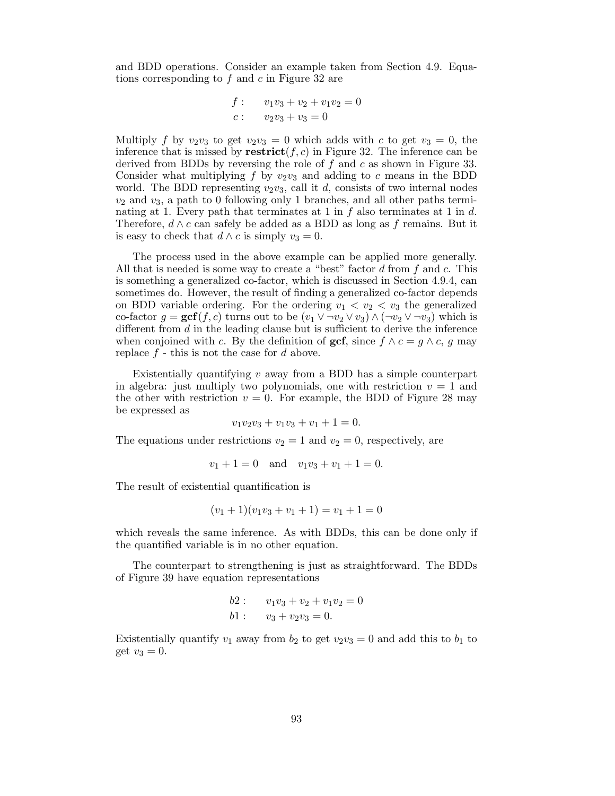and BDD operations. Consider an example taken from Section 4.9. Equations corresponding to f and c in Figure 32 are

$$
f: \quad v_1v_3 + v_2 + v_1v_2 = 0
$$
  

$$
c: \quad v_2v_3 + v_3 = 0
$$

Multiply f by  $v_2v_3$  to get  $v_2v_3 = 0$  which adds with c to get  $v_3 = 0$ , the inference that is missed by **restrict** $(f, c)$  in Figure 32. The inference can be derived from BDDs by reversing the role of  $f$  and  $c$  as shown in Figure 33. Consider what multiplying  $f$  by  $v_2v_3$  and adding to  $c$  means in the BDD world. The BDD representing  $v_2v_3$ , call it d, consists of two internal nodes  $v_2$  and  $v_3$ , a path to 0 following only 1 branches, and all other paths terminating at 1. Every path that terminates at 1 in  $f$  also terminates at 1 in  $d$ . Therefore,  $d \wedge c$  can safely be added as a BDD as long as f remains. But it is easy to check that  $d \wedge c$  is simply  $v_3 = 0$ .

The process used in the above example can be applied more generally. All that is needed is some way to create a "best" factor  $d$  from  $f$  and  $c$ . This is something a generalized co-factor, which is discussed in Section 4.9.4, can sometimes do. However, the result of finding a generalized co-factor depends on BDD variable ordering. For the ordering  $v_1 < v_2 < v_3$  the generalized co-factor  $g = \text{gcf}(f, c)$  turns out to be  $(v_1 \vee \neg v_2 \vee v_3) \wedge (\neg v_2 \vee \neg v_3)$  which is different from d in the leading clause but is sufficient to derive the inference when conjoined with c. By the definition of gcf, since  $f \wedge c = g \wedge c$ , g may replace  $f$  - this is not the case for  $d$  above.

Existentially quantifying  $v$  away from a BDD has a simple counterpart in algebra: just multiply two polynomials, one with restriction  $v = 1$  and the other with restriction  $v = 0$ . For example, the BDD of Figure 28 may be expressed as

$$
v_1v_2v_3 + v_1v_3 + v_1 + 1 = 0.
$$

The equations under restrictions  $v_2 = 1$  and  $v_2 = 0$ , respectively, are

$$
v_1 + 1 = 0
$$
 and  $v_1v_3 + v_1 + 1 = 0$ .

The result of existential quantification is

$$
(v_1 + 1)(v_1v_3 + v_1 + 1) = v_1 + 1 = 0
$$

which reveals the same inference. As with BDDs, this can be done only if the quantified variable is in no other equation.

The counterpart to strengthening is just as straightforward. The BDDs of Figure 39 have equation representations

$$
b2: \quad v_1v_3 + v_2 + v_1v_2 = 0
$$
  

$$
b1: \quad v_3 + v_2v_3 = 0.
$$

Existentially quantify  $v_1$  away from  $b_2$  to get  $v_2v_3 = 0$  and add this to  $b_1$  to get  $v_3 = 0$ .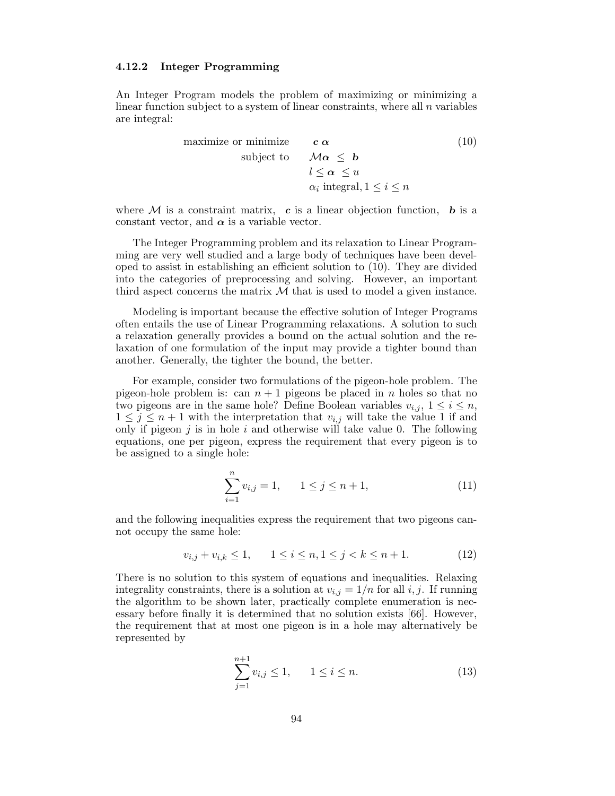## 4.12.2 Integer Programming

An Integer Program models the problem of maximizing or minimizing a linear function subject to a system of linear constraints, where all  $n$  variables are integral:

maximize or minimize 
$$
c \alpha
$$
 (10)  
\nsubject to  $\mathcal{M}\alpha \leq b$   
\n $l \leq \alpha \leq u$   
\n $\alpha_i$  integral,  $1 \leq i \leq n$ 

where  $M$  is a constraint matrix, c is a linear objection function, b is a constant vector, and  $\alpha$  is a variable vector.

The Integer Programming problem and its relaxation to Linear Programming are very well studied and a large body of techniques have been developed to assist in establishing an efficient solution to (10). They are divided into the categories of preprocessing and solving. However, an important third aspect concerns the matrix  $\mathcal M$  that is used to model a given instance.

Modeling is important because the effective solution of Integer Programs often entails the use of Linear Programming relaxations. A solution to such a relaxation generally provides a bound on the actual solution and the relaxation of one formulation of the input may provide a tighter bound than another. Generally, the tighter the bound, the better.

For example, consider two formulations of the pigeon-hole problem. The pigeon-hole problem is: can  $n + 1$  pigeons be placed in n holes so that no two pigeons are in the same hole? Define Boolean variables  $v_{i,j}$ ,  $1 \leq i \leq n$ ,  $1 \leq j \leq n+1$  with the interpretation that  $v_{i,j}$  will take the value 1 if and only if pigeon  $j$  is in hole  $i$  and otherwise will take value 0. The following equations, one per pigeon, express the requirement that every pigeon is to be assigned to a single hole:

$$
\sum_{i=1}^{n} v_{i,j} = 1, \qquad 1 \le j \le n+1,
$$
\n(11)

and the following inequalities express the requirement that two pigeons cannot occupy the same hole:

$$
v_{i,j} + v_{i,k} \le 1, \qquad 1 \le i \le n, 1 \le j < k \le n+1. \tag{12}
$$

There is no solution to this system of equations and inequalities. Relaxing integrality constraints, there is a solution at  $v_{i,j} = 1/n$  for all i, j. If running the algorithm to be shown later, practically complete enumeration is necessary before finally it is determined that no solution exists [66]. However, the requirement that at most one pigeon is in a hole may alternatively be represented by

$$
\sum_{j=1}^{n+1} v_{i,j} \le 1, \qquad 1 \le i \le n. \tag{13}
$$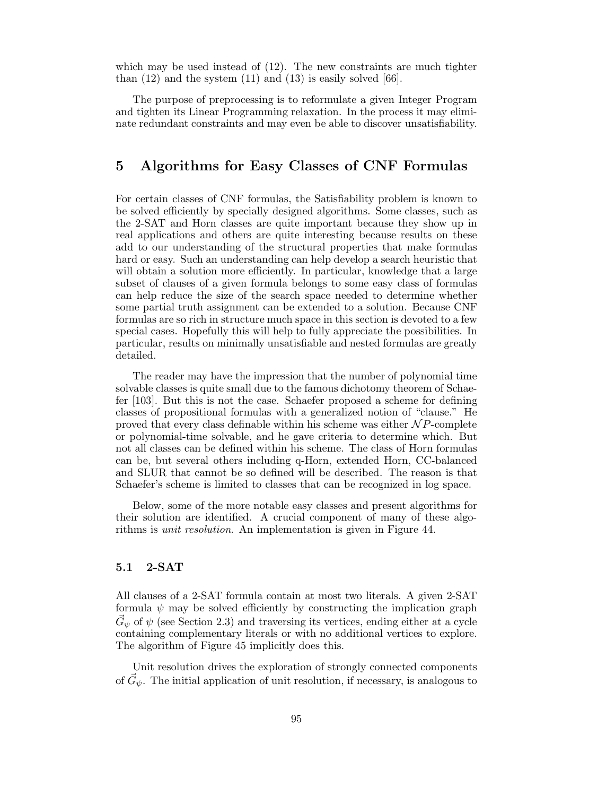which may be used instead of (12). The new constraints are much tighter than  $(12)$  and the system  $(11)$  and  $(13)$  is easily solved [66].

The purpose of preprocessing is to reformulate a given Integer Program and tighten its Linear Programming relaxation. In the process it may eliminate redundant constraints and may even be able to discover unsatisfiability.

# 5 Algorithms for Easy Classes of CNF Formulas

For certain classes of CNF formulas, the Satisfiability problem is known to be solved efficiently by specially designed algorithms. Some classes, such as the 2-SAT and Horn classes are quite important because they show up in real applications and others are quite interesting because results on these add to our understanding of the structural properties that make formulas hard or easy. Such an understanding can help develop a search heuristic that will obtain a solution more efficiently. In particular, knowledge that a large subset of clauses of a given formula belongs to some easy class of formulas can help reduce the size of the search space needed to determine whether some partial truth assignment can be extended to a solution. Because CNF formulas are so rich in structure much space in this section is devoted to a few special cases. Hopefully this will help to fully appreciate the possibilities. In particular, results on minimally unsatisfiable and nested formulas are greatly detailed.

The reader may have the impression that the number of polynomial time solvable classes is quite small due to the famous dichotomy theorem of Schaefer [103]. But this is not the case. Schaefer proposed a scheme for defining classes of propositional formulas with a generalized notion of "clause." He proved that every class definable within his scheme was either  $\mathcal{N}P$ -complete or polynomial-time solvable, and he gave criteria to determine which. But not all classes can be defined within his scheme. The class of Horn formulas can be, but several others including q-Horn, extended Horn, CC-balanced and SLUR that cannot be so defined will be described. The reason is that Schaefer's scheme is limited to classes that can be recognized in log space.

Below, some of the more notable easy classes and present algorithms for their solution are identified. A crucial component of many of these algorithms is unit resolution. An implementation is given in Figure 44.

# 5.1 2-SAT

All clauses of a 2-SAT formula contain at most two literals. A given 2-SAT formula  $\psi$  may be solved efficiently by constructing the implication graph  $\vec{G}_{\psi}$  of  $\psi$  (see Section 2.3) and traversing its vertices, ending either at a cycle containing complementary literals or with no additional vertices to explore. The algorithm of Figure 45 implicitly does this.

Unit resolution drives the exploration of strongly connected components of  $\vec{G}_{\psi}$ . The initial application of unit resolution, if necessary, is analogous to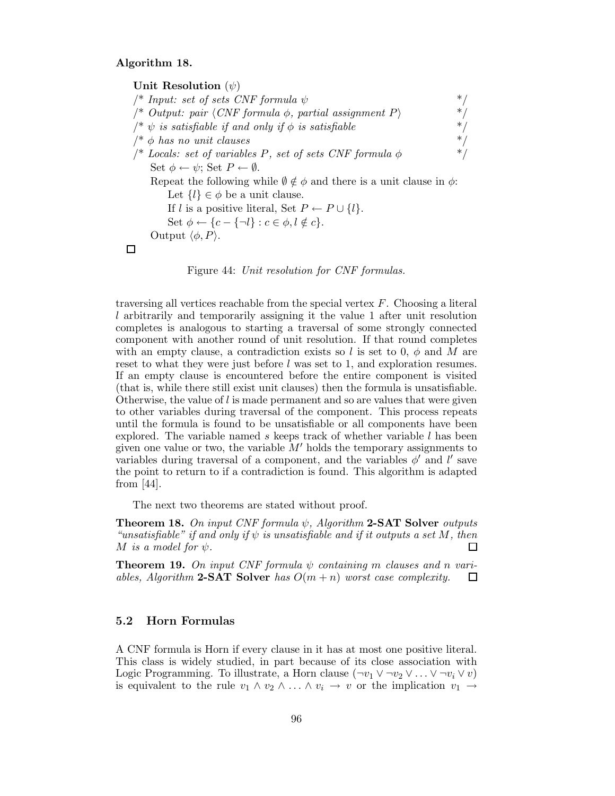#### Algorithm 18.

Unit Resolution  $(\psi)$  $\begin{array}{lll} \n \text{\#} & Input: \ set \ of \ sets \ CNF \ formula \ \psi & \ \text{\#} & Output: \ pair \ \ \ \text{\#} & String \ for \ model \ \ \phi \, \ partition \ \text{\#} & \ \text{\#} & \ \ \text{\#} & \ \text{\#} & \ \ \text{\#} & \ \text{\#} & \ \text{\#} & \ \text{\#} & \ \end{array} \ \begin{array}{lll} \text{\#} & \ \text{\#} \ \ \text{\#} & \ \text{\#} \ \ \text{\#} & \ \ \text{\#} \ \ \text{\#} &$ /\* Output: pair  $\langle CNF$  formula φ, partial assignment P) /\*  $\psi$  is satisfiable if and only if  $\phi$  is satisfiable  $/*$  φ has no unit clauses \*/ /\* Locals: set of variables P, set of sets CNF formula  $\phi$ Set  $\phi \leftarrow \psi$ ; Set  $P \leftarrow \emptyset$ . Repeat the following while  $\emptyset \notin \phi$  and there is a unit clause in  $\phi$ : Let  $\{l\} \in \phi$  be a unit clause. If l is a positive literal, Set  $P \leftarrow P \cup \{l\}.$ Set  $\phi \leftarrow \{c - \{\neg l\} : c \in \phi, l \notin c\}.$ Output  $\langle \phi, P \rangle$ .  $\Box$ 

Figure 44: Unit resolution for CNF formulas.

traversing all vertices reachable from the special vertex F. Choosing a literal l arbitrarily and temporarily assigning it the value 1 after unit resolution completes is analogous to starting a traversal of some strongly connected component with another round of unit resolution. If that round completes with an empty clause, a contradiction exists so l is set to 0,  $\phi$  and M are reset to what they were just before l was set to 1, and exploration resumes. If an empty clause is encountered before the entire component is visited (that is, while there still exist unit clauses) then the formula is unsatisfiable. Otherwise, the value of  $l$  is made permanent and so are values that were given to other variables during traversal of the component. This process repeats until the formula is found to be unsatisfiable or all components have been explored. The variable named  $s$  keeps track of whether variable  $l$  has been given one value or two, the variable  $M'$  holds the temporary assignments to variables during traversal of a component, and the variables  $\phi'$  and  $l'$  save the point to return to if a contradiction is found. This algorithm is adapted from  $[44]$ .

The next two theorems are stated without proof.

**Theorem 18.** On input CNF formula  $\psi$ , Algorithm 2-SAT Solver outputs "unsatisfiable" if and only if  $\psi$  is unsatisfiable and if it outputs a set M, then M is a model for  $\psi$ .  $\Box$ 

**Theorem 19.** On input CNF formula  $\psi$  containing m clauses and n variables, Algorithm 2-SAT Solver has  $O(m+n)$  worst case complexity.  $\Box$ 

# 5.2 Horn Formulas

A CNF formula is Horn if every clause in it has at most one positive literal. This class is widely studied, in part because of its close association with Logic Programming. To illustrate, a Horn clause  $(\neg v_1 \lor \neg v_2 \lor \dots \lor \neg v_i \lor v)$ is equivalent to the rule  $v_1 \wedge v_2 \wedge \ldots \wedge v_i \rightarrow v$  or the implication  $v_1 \rightarrow$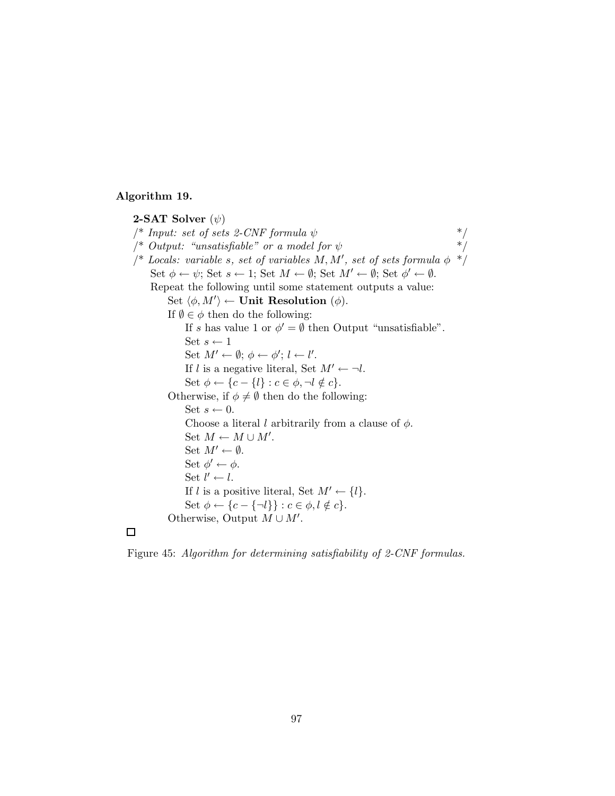# Algorithm 19.

2-SAT Solver  $(\psi)$  $\frac{1}{\sqrt{\pi}}$  Input: set of sets 2-CNF formula  $\psi$  \*/<br>  $\frac{1}{\sqrt{\pi}}$  Output: "unsatisfiable" or a model for  $\psi$  \*/  $/*$  Output: "unsatisfiable" or a model for  $\psi$  $\mathcal{L}^*$  Locals: variable s, set of variables  $M, M'$ , set of sets formula  $\phi * \mathcal{L}$ Set  $\phi \leftarrow \psi$ ; Set  $s \leftarrow 1$ ; Set  $M \leftarrow \emptyset$ ; Set  $M' \leftarrow \emptyset$ ; Set  $\phi' \leftarrow \emptyset$ . Repeat the following until some statement outputs a value: Set  $\langle \phi, M' \rangle \leftarrow$  Unit Resolution ( $\phi$ ). If  $\emptyset \in \phi$  then do the following: If s has value 1 or  $\phi' = \emptyset$  then Output "unsatisfiable". Set  $s \leftarrow 1$ Set  $M' \leftarrow \emptyset$ ;  $\phi \leftarrow \phi'$ ;  $l \leftarrow l'$ . If l is a negative literal, Set  $M' \leftarrow \neg l$ . Set  $\phi \leftarrow \{c - \{l\} : c \in \phi, \neg l \notin c\}.$ Otherwise, if  $\phi \neq \emptyset$  then do the following: Set  $s \leftarrow 0$ . Choose a literal l arbitrarily from a clause of  $\phi$ . Set  $M \leftarrow M \cup M'$ . Set  $M' \leftarrow \emptyset$ . Set  $\phi' \leftarrow \phi$ . Set  $l' \leftarrow l$ . If l is a positive literal, Set  $M' \leftarrow \{l\}.$ Set  $\phi \leftarrow \{c - \{\neg l\}\} : c \in \phi, l \notin c\}.$ Otherwise, Output  $M \cup M'$ .

# $\Box$

Figure 45: Algorithm for determining satisfiability of 2-CNF formulas.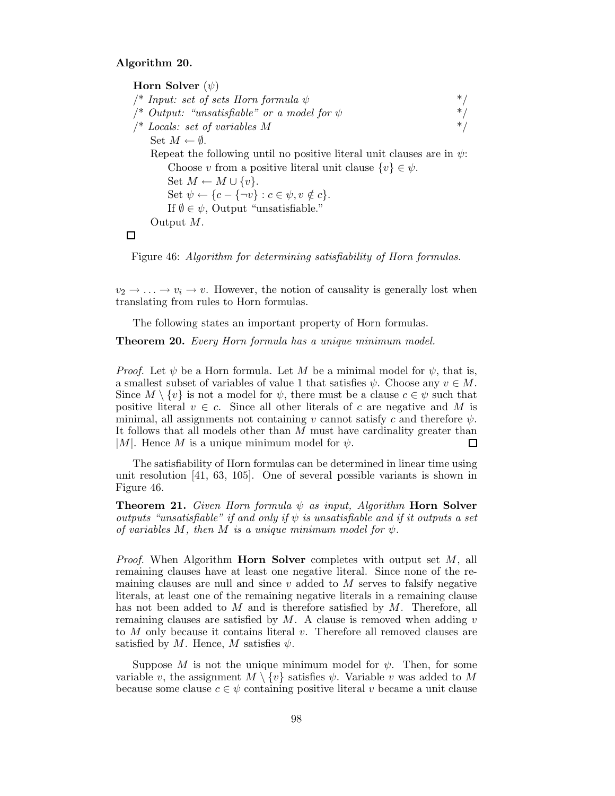#### Algorithm 20.

Horn Solver  $(\psi)$  $\frac{1}{\gamma}$  Input: set of sets Horn formula  $\psi$  \*/<br>  $\frac{1}{\gamma}$  Output: "unsatisfiable" or a model for  $\psi$  \*/  $/*$  Output: "unsatisfiable" or a model for  $\psi$  $/*$  Locals: set of variables M  $*$ Set  $M \leftarrow \emptyset$ . Repeat the following until no positive literal unit clauses are in  $\psi$ : Choose v from a positive literal unit clause  $\{v\} \in \psi$ . Set  $M \leftarrow M \cup \{v\}.$ Set  $\psi \leftarrow \{c - \{\neg v\} : c \in \psi, v \notin c\}.$ If  $\emptyset \in \psi$ , Output "unsatisfiable." Output M.

```
\Box
```
Figure 46: Algorithm for determining satisfiability of Horn formulas.

 $v_2 \rightarrow \ldots \rightarrow v_i \rightarrow v$ . However, the notion of causality is generally lost when translating from rules to Horn formulas.

The following states an important property of Horn formulas.

Theorem 20. Every Horn formula has a unique minimum model.

*Proof.* Let  $\psi$  be a Horn formula. Let M be a minimal model for  $\psi$ , that is, a smallest subset of variables of value 1 that satisfies  $\psi$ . Choose any  $v \in M$ . Since  $M \setminus \{v\}$  is not a model for  $\psi$ , there must be a clause  $c \in \psi$  such that positive literal  $v \in c$ . Since all other literals of c are negative and M is minimal, all assignments not containing v cannot satisfy c and therefore  $\psi$ . It follows that all models other than M must have cardinality greater than |M|. Hence M is a unique minimum model for  $\psi$ . □

The satisfiability of Horn formulas can be determined in linear time using unit resolution [41, 63, 105]. One of several possible variants is shown in Figure 46.

**Theorem 21.** Given Horn formula  $\psi$  as input, Algorithm **Horn Solver** outputs "unsatisfiable" if and only if  $\psi$  is unsatisfiable and if it outputs a set of variables M, then M is a unique minimum model for  $\psi$ .

*Proof.* When Algorithm **Horn Solver** completes with output set  $M$ , all remaining clauses have at least one negative literal. Since none of the remaining clauses are null and since  $v$  added to  $M$  serves to falsify negative literals, at least one of the remaining negative literals in a remaining clause has not been added to  $M$  and is therefore satisfied by  $M$ . Therefore, all remaining clauses are satisfied by  $M$ . A clause is removed when adding  $v$ to  $M$  only because it contains literal  $v$ . Therefore all removed clauses are satisfied by M. Hence, M satisfies  $\psi$ .

Suppose M is not the unique minimum model for  $\psi$ . Then, for some variable v, the assignment  $M \setminus \{v\}$  satisfies  $\psi$ . Variable v was added to M because some clause  $c \in \psi$  containing positive literal v became a unit clause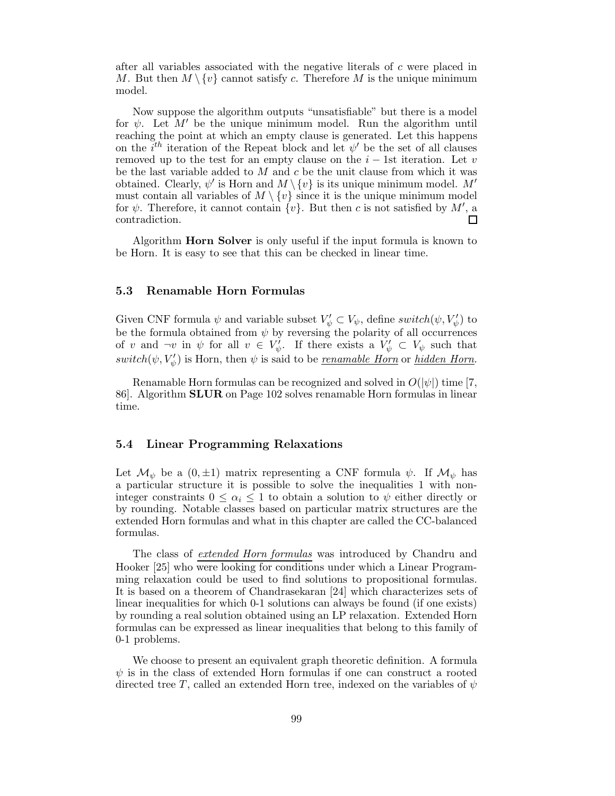after all variables associated with the negative literals of c were placed in M. But then  $M \setminus \{v\}$  cannot satisfy c. Therefore M is the unique minimum model.

Now suppose the algorithm outputs "unsatisfiable" but there is a model for  $\psi$ . Let M' be the unique minimum model. Run the algorithm until reaching the point at which an empty clause is generated. Let this happens on the  $\bar{i}^{th}$  iteration of the Repeat block and let  $\psi'$  be the set of all clauses removed up to the test for an empty clause on the  $i - 1$ st iteration. Let v be the last variable added to  $M$  and  $c$  be the unit clause from which it was obtained. Clearly,  $\psi'$  is Horn and  $M \setminus \{v\}$  is its unique minimum model. M' must contain all variables of  $M \setminus \{v\}$  since it is the unique minimum model for  $\psi$ . Therefore, it cannot contain  $\{v\}$ . But then c is not satisfied by M', a contradiction. □

Algorithm Horn Solver is only useful if the input formula is known to be Horn. It is easy to see that this can be checked in linear time.

## 5.3 Renamable Horn Formulas

Given CNF formula  $\psi$  and variable subset  $V'_{\psi} \subset V_{\psi}$ , define switch $(\psi, V'_{\psi})$  to be the formula obtained from  $\psi$  by reversing the polarity of all occurrences of v and  $\neg v$  in  $\psi$  for all  $v \in V_{\psi}'$ . If there exists a  $V_{\psi}' \subset V_{\psi}$  such that  $switch(\psi, V'_{\psi})$  is Horn, then  $\psi$  is said to be <u>renamable Horn</u> or <u>hidden Horn</u>.

Renamable Horn formulas can be recognized and solved in  $O(|\psi|)$  time [7, 86]. Algorithm SLUR on Page 102 solves renamable Horn formulas in linear time.

### 5.4 Linear Programming Relaxations

Let  $\mathcal{M}_{\psi}$  be a  $(0,\pm 1)$  matrix representing a CNF formula  $\psi$ . If  $\mathcal{M}_{\psi}$  has a particular structure it is possible to solve the inequalities 1 with noninteger constraints  $0 \leq \alpha_i \leq 1$  to obtain a solution to  $\psi$  either directly or by rounding. Notable classes based on particular matrix structures are the extended Horn formulas and what in this chapter are called the CC-balanced formulas.

The class of extended Horn formulas was introduced by Chandru and Hooker [25] who were looking for conditions under which a Linear Programming relaxation could be used to find solutions to propositional formulas. It is based on a theorem of Chandrasekaran [24] which characterizes sets of linear inequalities for which 0-1 solutions can always be found (if one exists) by rounding a real solution obtained using an LP relaxation. Extended Horn formulas can be expressed as linear inequalities that belong to this family of 0-1 problems.

We choose to present an equivalent graph theoretic definition. A formula  $\psi$  is in the class of extended Horn formulas if one can construct a rooted directed tree T, called an extended Horn tree, indexed on the variables of  $\psi$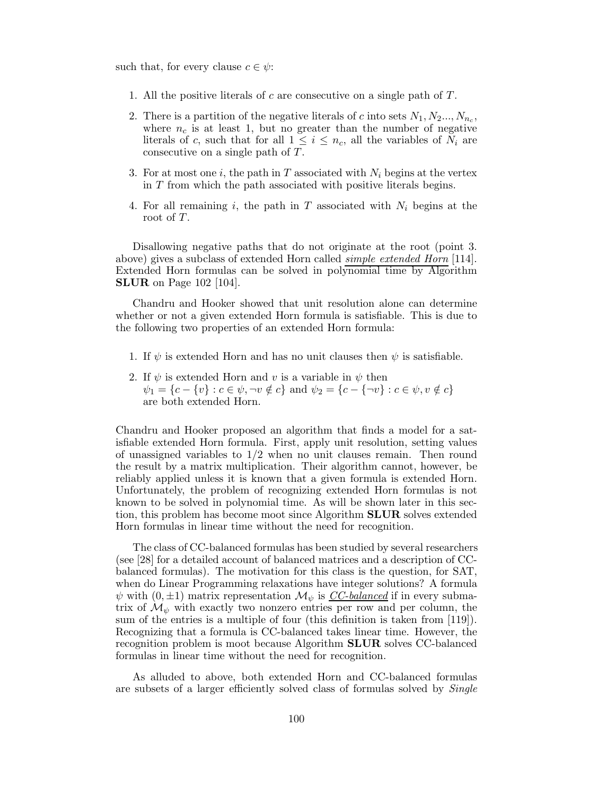such that, for every clause  $c \in \psi$ :

- 1. All the positive literals of c are consecutive on a single path of T.
- 2. There is a partition of the negative literals of c into sets  $N_1, N_2..., N_{n_c}$ , where  $n_c$  is at least 1, but no greater than the number of negative literals of c, such that for all  $1 \leq i \leq n_c$ , all the variables of  $N_i$  are consecutive on a single path of T.
- 3. For at most one i, the path in T associated with  $N_i$  begins at the vertex in T from which the path associated with positive literals begins.
- 4. For all remaining i, the path in T associated with  $N_i$  begins at the root of T.

Disallowing negative paths that do not originate at the root (point 3. above) gives a subclass of extended Horn called simple extended Horn [114]. Extended Horn formulas can be solved in polynomial time by Algorithm SLUR on Page 102 [104].

Chandru and Hooker showed that unit resolution alone can determine whether or not a given extended Horn formula is satisfiable. This is due to the following two properties of an extended Horn formula:

- 1. If  $\psi$  is extended Horn and has no unit clauses then  $\psi$  is satisfiable.
- 2. If  $\psi$  is extended Horn and v is a variable in  $\psi$  then  $\psi_1 = \{c - \{v\} : c \in \psi, \neg v \notin c\}$  and  $\psi_2 = \{c - \{\neg v\} : c \in \psi, v \notin c\}$ are both extended Horn.

Chandru and Hooker proposed an algorithm that finds a model for a satisfiable extended Horn formula. First, apply unit resolution, setting values of unassigned variables to  $1/2$  when no unit clauses remain. Then round the result by a matrix multiplication. Their algorithm cannot, however, be reliably applied unless it is known that a given formula is extended Horn. Unfortunately, the problem of recognizing extended Horn formulas is not known to be solved in polynomial time. As will be shown later in this section, this problem has become moot since Algorithm SLUR solves extended Horn formulas in linear time without the need for recognition.

The class of CC-balanced formulas has been studied by several researchers (see [28] for a detailed account of balanced matrices and a description of CCbalanced formulas). The motivation for this class is the question, for SAT, when do Linear Programming relaxations have integer solutions? A formula  $\psi$  with  $(0, \pm 1)$  matrix representation  $\mathcal{M}_{\psi}$  is *CC-balanced* if in every submatrix of  $\mathcal{M}_{\psi}$  with exactly two nonzero entries per row and per column, the sum of the entries is a multiple of four (this definition is taken from [119]). Recognizing that a formula is CC-balanced takes linear time. However, the recognition problem is moot because Algorithm SLUR solves CC-balanced formulas in linear time without the need for recognition.

As alluded to above, both extended Horn and CC-balanced formulas are subsets of a larger efficiently solved class of formulas solved by Single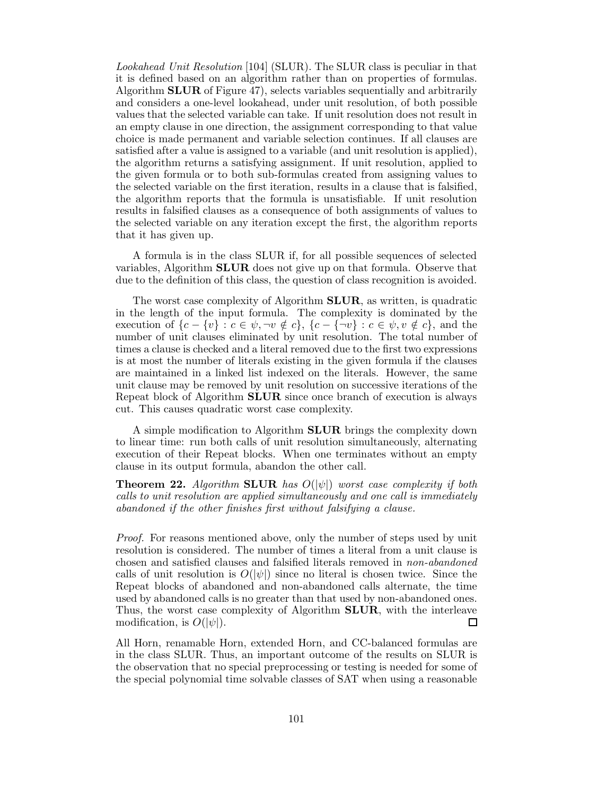Lookahead Unit Resolution [104] (SLUR). The SLUR class is peculiar in that it is defined based on an algorithm rather than on properties of formulas. Algorithm SLUR of Figure 47), selects variables sequentially and arbitrarily and considers a one-level lookahead, under unit resolution, of both possible values that the selected variable can take. If unit resolution does not result in an empty clause in one direction, the assignment corresponding to that value choice is made permanent and variable selection continues. If all clauses are satisfied after a value is assigned to a variable (and unit resolution is applied), the algorithm returns a satisfying assignment. If unit resolution, applied to the given formula or to both sub-formulas created from assigning values to the selected variable on the first iteration, results in a clause that is falsified, the algorithm reports that the formula is unsatisfiable. If unit resolution results in falsified clauses as a consequence of both assignments of values to the selected variable on any iteration except the first, the algorithm reports that it has given up.

A formula is in the class SLUR if, for all possible sequences of selected variables, Algorithm SLUR does not give up on that formula. Observe that due to the definition of this class, the question of class recognition is avoided.

The worst case complexity of Algorithm **SLUR**, as written, is quadratic in the length of the input formula. The complexity is dominated by the execution of  $\{c - \{v\} : c \in \psi, \neg v \notin c\}, \{c - \{\neg v\} : c \in \psi, v \notin c\}$ , and the number of unit clauses eliminated by unit resolution. The total number of times a clause is checked and a literal removed due to the first two expressions is at most the number of literals existing in the given formula if the clauses are maintained in a linked list indexed on the literals. However, the same unit clause may be removed by unit resolution on successive iterations of the Repeat block of Algorithm SLUR since once branch of execution is always cut. This causes quadratic worst case complexity.

A simple modification to Algorithm SLUR brings the complexity down to linear time: run both calls of unit resolution simultaneously, alternating execution of their Repeat blocks. When one terminates without an empty clause in its output formula, abandon the other call.

**Theorem 22.** Algorithm **SLUR** has  $O(|\psi|)$  worst case complexity if both calls to unit resolution are applied simultaneously and one call is immediately abandoned if the other finishes first without falsifying a clause.

*Proof.* For reasons mentioned above, only the number of steps used by unit resolution is considered. The number of times a literal from a unit clause is chosen and satisfied clauses and falsified literals removed in non-abandoned calls of unit resolution is  $O(|\psi|)$  since no literal is chosen twice. Since the Repeat blocks of abandoned and non-abandoned calls alternate, the time used by abandoned calls is no greater than that used by non-abandoned ones. Thus, the worst case complexity of Algorithm SLUR, with the interleave modification, is  $O(|\psi|)$ . □

All Horn, renamable Horn, extended Horn, and CC-balanced formulas are in the class SLUR. Thus, an important outcome of the results on SLUR is the observation that no special preprocessing or testing is needed for some of the special polynomial time solvable classes of SAT when using a reasonable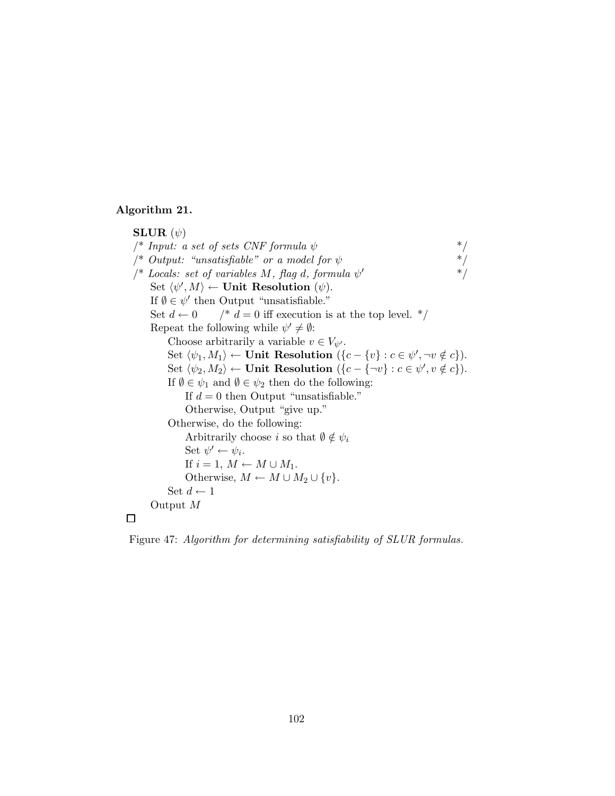## Algorithm 21.

SLUR  $(\psi)$  $\frac{1}{\ast}$  Input: a set of sets CNF formula  $\psi$  \*/<br>  $\frac{1}{\ast}$  Output: "unsatisfiable" or a model for  $\psi$  \*/  $/*$  Output: "unsatisfiable" or a model for  $\psi$  $\prime$  \*/  $\gamma^*$  Locals: set of variables M, flag d, formula  $\psi'$ Set  $\langle \psi', M \rangle \leftarrow$  Unit Resolution  $(\psi)$ . If  $\emptyset \in \psi'$  then Output "unsatisfiable." Set  $d \leftarrow 0$  /\*  $d = 0$  iff execution is at the top level. \*/ Repeat the following while  $\psi' \neq \emptyset$ : Choose arbitrarily a variable  $v \in V_{\psi'}$ . Set  $\langle \psi_1, M_1 \rangle \leftarrow$  Unit Resolution  $(\{c - \{v\} : c \in \psi', \neg v \notin c\}).$ Set  $\langle \psi_2, M_2 \rangle \leftarrow$  Unit Resolution  $(\{c - \{\neg v\} : c \in \psi', v \notin c\}).$ If  $\emptyset \in \psi_1$  and  $\emptyset \in \psi_2$  then do the following: If  $d = 0$  then Output "unsatisfiable." Otherwise, Output "give up." Otherwise, do the following: Arbitrarily choose i so that  $\emptyset \notin \psi_i$ Set  $\psi' \leftarrow \psi_i$ . If  $i = 1, M \leftarrow M \cup M_1$ . Otherwise,  $M \leftarrow M \cup M_2 \cup \{v\}.$ Set  $d \leftarrow 1$ Output M  $\Box$ 

Figure 47: Algorithm for determining satisfiability of SLUR formulas.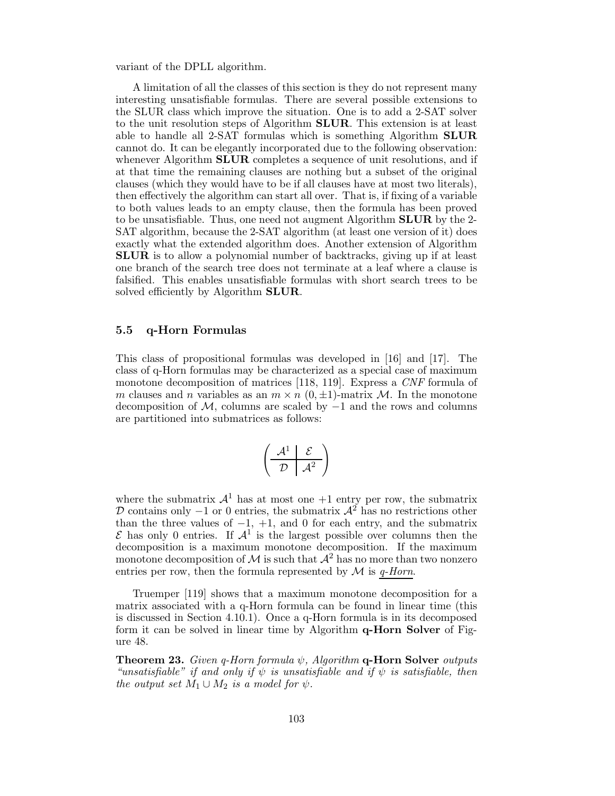variant of the DPLL algorithm.

A limitation of all the classes of this section is they do not represent many interesting unsatisfiable formulas. There are several possible extensions to the SLUR class which improve the situation. One is to add a 2-SAT solver to the unit resolution steps of Algorithm SLUR. This extension is at least able to handle all 2-SAT formulas which is something Algorithm SLUR cannot do. It can be elegantly incorporated due to the following observation: whenever Algorithm **SLUR** completes a sequence of unit resolutions, and if at that time the remaining clauses are nothing but a subset of the original clauses (which they would have to be if all clauses have at most two literals), then effectively the algorithm can start all over. That is, if fixing of a variable to both values leads to an empty clause, then the formula has been proved to be unsatisfiable. Thus, one need not augment Algorithm SLUR by the 2- SAT algorithm, because the 2-SAT algorithm (at least one version of it) does exactly what the extended algorithm does. Another extension of Algorithm SLUR is to allow a polynomial number of backtracks, giving up if at least one branch of the search tree does not terminate at a leaf where a clause is falsified. This enables unsatisfiable formulas with short search trees to be solved efficiently by Algorithm SLUR.

## 5.5 q-Horn Formulas

This class of propositional formulas was developed in [16] and [17]. The class of q-Horn formulas may be characterized as a special case of maximum monotone decomposition of matrices [118, 119]. Express a CNF formula of m clauses and n variables as an  $m \times n$  (0,  $\pm$ 1)-matrix M. In the monotone decomposition of  $M$ , columns are scaled by  $-1$  and the rows and columns are partitioned into submatrices as follows:

$$
\left(\begin{array}{c|c}\n\mathcal{A}^1 & \mathcal{E} \\
\hline\n\mathcal{D} & \mathcal{A}^2\n\end{array}\right)
$$

where the submatrix  $\mathcal{A}^1$  has at most one +1 entry per row, the submatrix D contains only  $-1$  or 0 entries, the submatrix  $\mathcal{A}^2$  has no restrictions other than the three values of  $-1$ ,  $+1$ , and 0 for each entry, and the submatrix  $\mathcal E$  has only 0 entries. If  $\mathcal A^1$  is the largest possible over columns then the decomposition is a maximum monotone decomposition. If the maximum monotone decomposition of M is such that  $\mathcal{A}^2$  has no more than two nonzero entries per row, then the formula represented by  $\mathcal M$  is q-Horn.

Truemper [119] shows that a maximum monotone decomposition for a matrix associated with a q-Horn formula can be found in linear time (this is discussed in Section 4.10.1). Once a q-Horn formula is in its decomposed form it can be solved in linear time by Algorithm q-Horn Solver of Figure 48.

**Theorem 23.** Given q-Horn formula  $\psi$ , Algorithm q-Horn Solver outputs "unsatisfiable" if and only if  $\psi$  is unsatisfiable and if  $\psi$  is satisfiable, then the output set  $M_1 \cup M_2$  is a model for  $\psi$ .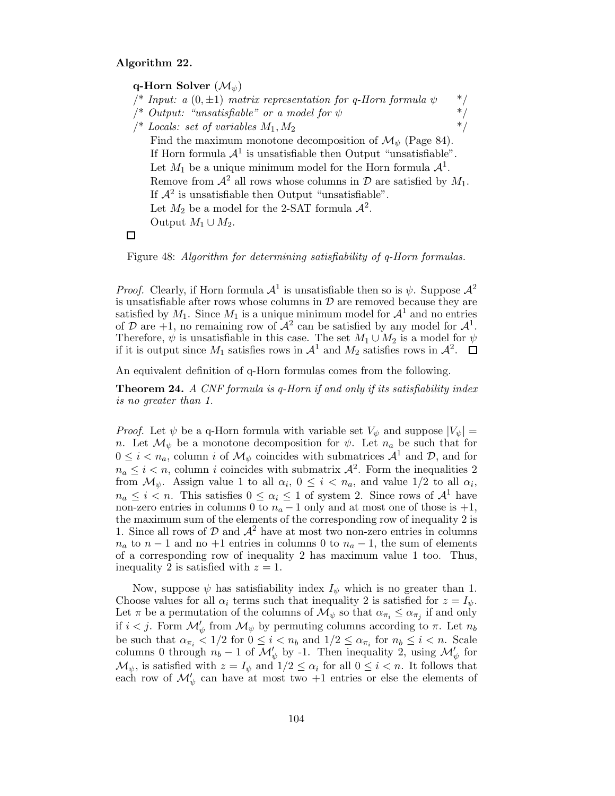q-Horn Solver  $(\mathcal{M}_{\psi})$ /\* Input: a  $(0, \pm 1)$  matrix representation for q-Horn formula  $\psi$  $\frac{1}{2}$  Output: "unsatisfiable" or a model for  $\psi$  \*/  $\frac{1}{2}$  Locals: set of variables  $M_1, M_2$  \*/ Find the maximum monotone decomposition of  $\mathcal{M}_{\psi}$  (Page 84). If Horn formula  $\mathcal{A}^1$  is unsatisfiable then Output "unsatisfiable". Let  $M_1$  be a unique minimum model for the Horn formula  $\mathcal{A}^1$ . Remove from  $\mathcal{A}^2$  all rows whose columns in  $\mathcal D$  are satisfied by  $M_1$ . If  $\mathcal{A}^2$  is unsatisfiable then Output "unsatisfiable". Let  $M_2$  be a model for the 2-SAT formula  $\mathcal{A}^2$ . Output  $M_1 \cup M_2$ .

 $\Box$ 

Figure 48: Algorithm for determining satisfiability of q-Horn formulas.

*Proof.* Clearly, if Horn formula  $\mathcal{A}^1$  is unsatisfiable then so is  $\psi$ . Suppose  $\mathcal{A}^2$ is unsatisfiable after rows whose columns in  $\mathcal D$  are removed because they are satisfied by  $M_1$ . Since  $M_1$  is a unique minimum model for  $\mathcal{A}^1$  and no entries of D are  $+1$ , no remaining row of  $\mathcal{A}^2$  can be satisfied by any model for  $\mathcal{A}^1$ . Therefore,  $\psi$  is unsatisfiable in this case. The set  $M_1 \cup M_2$  is a model for  $\psi$ if it is output since  $M_1$  satisfies rows in  $\mathcal{A}^1$  and  $M_2$  satisfies rows in  $\mathcal{A}^2$ .

An equivalent definition of q-Horn formulas comes from the following.

Theorem 24. A CNF formula is q-Horn if and only if its satisfiability index is no greater than 1.

*Proof.* Let  $\psi$  be a q-Horn formula with variable set  $V_{\psi}$  and suppose  $|V_{\psi}|$  = n. Let  $\mathcal{M}_{\psi}$  be a monotone decomposition for  $\psi$ . Let  $n_a$  be such that for  $0 \leq i < n_a$ , column i of  $\mathcal{M}_{\psi}$  coincides with submatrices  $\mathcal{A}^1$  and  $\mathcal{D}$ , and for  $n_a \leq i < n$ , column *i* coincides with submatrix  $\mathcal{A}^2$ . Form the inequalities 2 from  $\mathcal{M}_{\psi}$ . Assign value 1 to all  $\alpha_i$ ,  $0 \leq i < n_a$ , and value 1/2 to all  $\alpha_i$ ,  $n_a \leq i < n$ . This satisfies  $0 \leq \alpha_i \leq 1$  of system 2. Since rows of  $\mathcal{A}^1$  have non-zero entries in columns 0 to  $n_a - 1$  only and at most one of those is  $+1$ , the maximum sum of the elements of the corresponding row of inequality 2 is 1. Since all rows of  $\mathcal D$  and  $\mathcal A^2$  have at most two non-zero entries in columns  $n_a$  to  $n-1$  and no +1 entries in columns 0 to  $n_a - 1$ , the sum of elements of a corresponding row of inequality 2 has maximum value 1 too. Thus, inequality 2 is satisfied with  $z = 1$ .

Now, suppose  $\psi$  has satisfiability index  $I_{\psi}$  which is no greater than 1. Choose values for all  $\alpha_i$  terms such that inequality 2 is satisfied for  $z = I_{\psi}$ . Let  $\pi$  be a permutation of the columns of  $\mathcal{M}_{\psi}$  so that  $\alpha_{\pi_i} \leq \alpha_{\pi_j}$  if and only if  $i < j$ . Form  $\mathcal{M}'_{\psi}$  from  $\mathcal{M}_{\psi}$  by permuting columns according to  $\pi$ . Let  $n_b$ be such that  $\alpha_{\pi_i} < 1/2$  for  $0 \leq i < n_b$  and  $1/2 \leq \alpha_{\pi_i}$  for  $n_b \leq i < n$ . Scale columns 0 through  $n_b - 1$  of  $\mathcal{M}'_{\psi}$  by -1. Then inequality 2, using  $\mathcal{M}'_{\psi}$  for  $\mathcal{M}_{\psi}$ , is satisfied with  $z = I_{\psi}$  and  $1/2 \leq \alpha_i$  for all  $0 \leq i < n$ . It follows that each row of  $\mathcal{M}'_{\psi}$  can have at most two +1 entries or else the elements of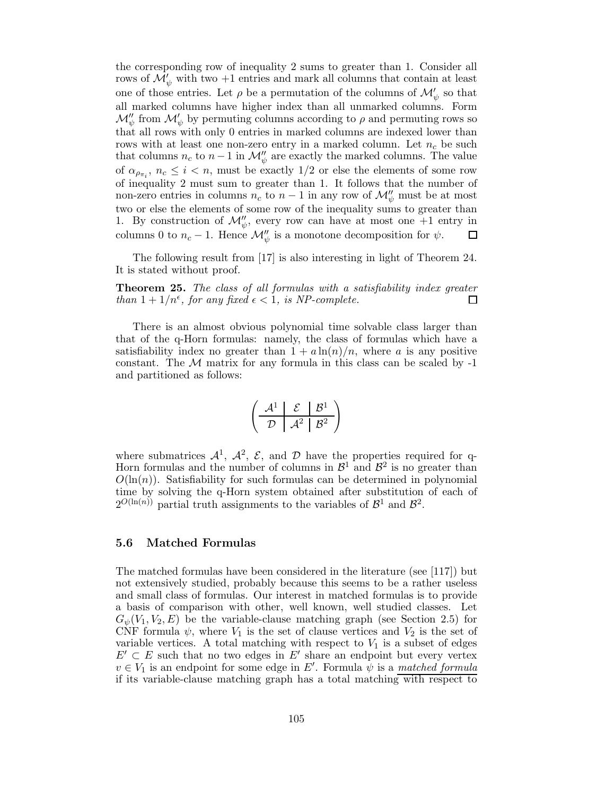the corresponding row of inequality 2 sums to greater than 1. Consider all rows of  $\mathcal{M}'_{\psi}$  with two +1 entries and mark all columns that contain at least one of those entries. Let  $\rho$  be a permutation of the columns of  $\mathcal{M}'_{\psi}$  so that all marked columns have higher index than all unmarked columns. Form  $\mathcal{M}_{\psi}''$  from  $\mathcal{M}_{\psi}'$  by permuting columns according to  $\rho$  and permuting rows so that all rows with only 0 entries in marked columns are indexed lower than rows with at least one non-zero entry in a marked column. Let  $n_c$  be such that columns  $n_c$  to  $n-1$  in  $\mathcal{M}_{\psi}''$  are exactly the marked columns. The value of  $\alpha_{\rho_{\pi_i}}$ ,  $n_c \leq i < n$ , must be exactly 1/2 or else the elements of some row of inequality 2 must sum to greater than 1. It follows that the number of non-zero entries in columns  $n_c$  to  $n-1$  in any row of  $\mathcal{M}''_{\psi}$  must be at most two or else the elements of some row of the inequality sums to greater than 1. By construction of  $\mathcal{M}_{\psi}''$ , every row can have at most one  $+1$  entry in columns 0 to  $n_c - 1$ . Hence  $\mathcal{M}''_{\psi}$  is a monotone decomposition for  $\psi$ .  $\Box$ 

The following result from [17] is also interesting in light of Theorem 24. It is stated without proof.

**Theorem 25.** The class of all formulas with a satisfiability index greater than  $1 + 1/n^{\epsilon}$ , for any fixed  $\epsilon < 1$ , is NP-complete. □

There is an almost obvious polynomial time solvable class larger than that of the q-Horn formulas: namely, the class of formulas which have a satisfiability index no greater than  $1 + a \ln(n)/n$ , where a is any positive constant. The  $M$  matrix for any formula in this class can be scaled by  $-1$ and partitioned as follows:

$$
\left(\begin{array}{c|c}\nA^1 & \mathcal{E} & \mathcal{B}^1 \\
\hline\n\mathcal{D} & A^2 & \mathcal{B}^2\n\end{array}\right)
$$

where submatrices  $\mathcal{A}^1$ ,  $\mathcal{A}^2$ ,  $\mathcal{E}$ , and  $\mathcal{D}$  have the properties required for q-Horn formulas and the number of columns in  $\mathcal{B}^1$  and  $\mathcal{B}^2$  is no greater than  $O(\ln(n))$ . Satisfiability for such formulas can be determined in polynomial time by solving the q-Horn system obtained after substitution of each of  $2^{O(\ln(n))}$  partial truth assignments to the variables of  $\mathcal{B}^1$  and  $\mathcal{B}^2$ .

#### 5.6 Matched Formulas

The matched formulas have been considered in the literature (see [117]) but not extensively studied, probably because this seems to be a rather useless and small class of formulas. Our interest in matched formulas is to provide a basis of comparison with other, well known, well studied classes. Let  $G_{\psi}(V_1,V_2,E)$  be the variable-clause matching graph (see Section 2.5) for CNF formula  $\psi$ , where  $V_1$  is the set of clause vertices and  $V_2$  is the set of variable vertices. A total matching with respect to  $V_1$  is a subset of edges  $E' \subset E$  such that no two edges in  $E'$  share an endpoint but every vertex  $v \in V_1$  is an endpoint for some edge in E'. Formula  $\psi$  is a matched formula if its variable-clause matching graph has a total matching with respect to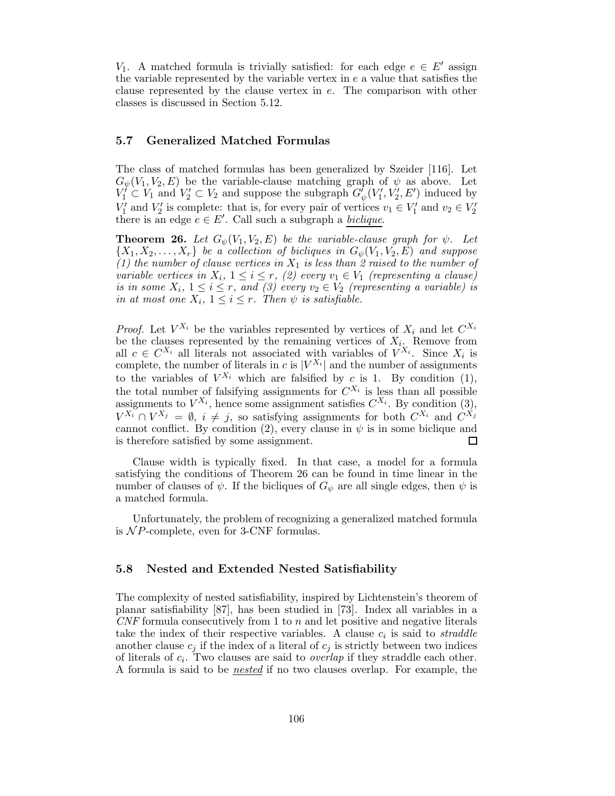V<sub>1</sub>. A matched formula is trivially satisfied: for each edge  $e \in E'$  assign the variable represented by the variable vertex in e a value that satisfies the clause represented by the clause vertex in e. The comparison with other classes is discussed in Section 5.12.

# 5.7 Generalized Matched Formulas

The class of matched formulas has been generalized by Szeider [116]. Let  $G_{\psi}(V_1,V_2,E)$  be the variable-clause matching graph of  $\psi$  as above. Let  $V'_1 \subset V_1$  and  $V'_2 \subset V_2$  and suppose the subgraph  $G'_{\psi}(V'_1, V'_2, E')$  induced by  $V'_1$  and  $V'_2$  is complete: that is, for every pair of vertices  $v_1 \in V'_1$  and  $v_2 \in V'_2$ there is an edge  $e \in E'$ . Call such a subgraph a *biclique*.

**Theorem 26.** Let  $G_{\psi}(V_1, V_2, E)$  be the variable-clause graph for  $\psi$ . Let  $\{X_1, X_2, \ldots, X_r\}$  be a collection of bicliques in  $G_{\psi}(V_1, V_2, E)$  and suppose (1) the number of clause vertices in  $X_1$  is less than 2 raised to the number of variable vertices in  $X_i$ ,  $1 \leq i \leq r$ , (2) every  $v_1 \in V_1$  (representing a clause) is in some  $X_i$ ,  $1 \leq i \leq r$ , and (3) every  $v_2 \in V_2$  (representing a variable) is in at most one  $X_i$ ,  $1 \leq i \leq r$ . Then  $\psi$  is satisfiable.

*Proof.* Let  $V^{X_i}$  be the variables represented by vertices of  $X_i$  and let  $C^{X_i}$ be the clauses represented by the remaining vertices of  $X_{i}$ . Remove from all  $c \in C^{X_i}$  all literals not associated with variables of  $V^{X_i}$ . Since  $X_i$  is complete, the number of literals in c is  $|V^{X_i}|$  and the number of assignments to the variables of  $V^{X_i}$  which are falsified by c is 1. By condition (1), the total number of falsifying assignments for  $C^{X_i}$  is less than all possible assignments to  $V^{X_i}$ , hence some assignment satisfies  $C^{X_i}$ . By condition (3),  $V^{X_i} \cap V^{X_j} = \emptyset$ ,  $i \neq j$ , so satisfying assignments for both  $C^{X_i}$  and  $C^{X_j}$ cannot conflict. By condition (2), every clause in  $\psi$  is in some biclique and is therefore satisfied by some assignment.  $\Box$ 

Clause width is typically fixed. In that case, a model for a formula satisfying the conditions of Theorem 26 can be found in time linear in the number of clauses of  $\psi$ . If the bicliques of  $G_{\psi}$  are all single edges, then  $\psi$  is a matched formula.

Unfortunately, the problem of recognizing a generalized matched formula is  $\mathcal{N}P$ -complete, even for 3-CNF formulas.

# 5.8 Nested and Extended Nested Satisfiability

The complexity of nested satisfiability, inspired by Lichtenstein's theorem of planar satisfiability [87], has been studied in [73]. Index all variables in a  $CNF$  formula consecutively from 1 to n and let positive and negative literals take the index of their respective variables. A clause  $c_i$  is said to *straddle* another clause  $c_j$  if the index of a literal of  $c_j$  is strictly between two indices of literals of  $c_i$ . Two clauses are said to *overlap* if they straddle each other. A formula is said to be nested if no two clauses overlap. For example, the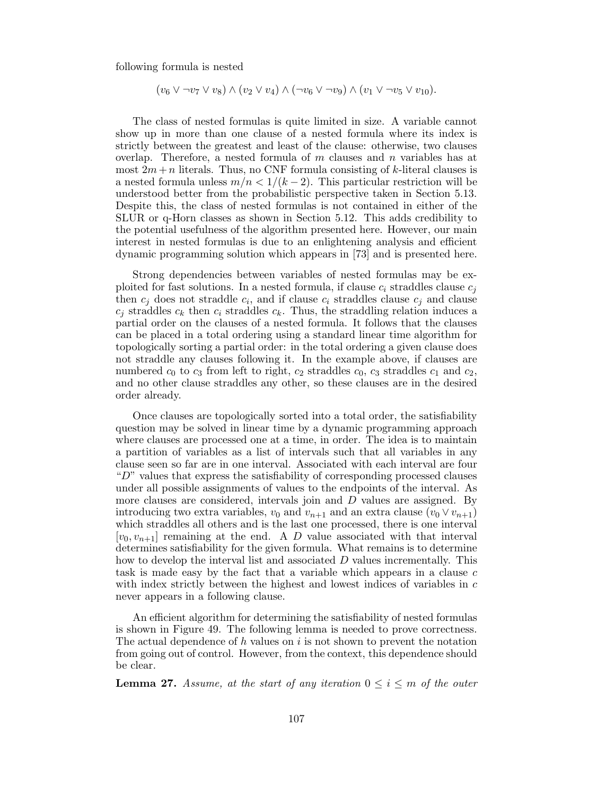following formula is nested

$$
(v_6 \vee \neg v_7 \vee v_8) \wedge (v_2 \vee v_4) \wedge (\neg v_6 \vee \neg v_9) \wedge (v_1 \vee \neg v_5 \vee v_{10}).
$$

The class of nested formulas is quite limited in size. A variable cannot show up in more than one clause of a nested formula where its index is strictly between the greatest and least of the clause: otherwise, two clauses overlap. Therefore, a nested formula of m clauses and n variables has at most  $2m+n$  literals. Thus, no CNF formula consisting of k-literal clauses is a nested formula unless  $m/n < 1/(k-2)$ . This particular restriction will be understood better from the probabilistic perspective taken in Section 5.13. Despite this, the class of nested formulas is not contained in either of the SLUR or q-Horn classes as shown in Section 5.12. This adds credibility to the potential usefulness of the algorithm presented here. However, our main interest in nested formulas is due to an enlightening analysis and efficient dynamic programming solution which appears in [73] and is presented here.

Strong dependencies between variables of nested formulas may be exploited for fast solutions. In a nested formula, if clause  $c_i$  straddles clause  $c_j$ then  $c_j$  does not straddle  $c_i$ , and if clause  $c_i$  straddles clause  $c_j$  and clause  $c_i$  straddles  $c_k$  then  $c_i$  straddles  $c_k$ . Thus, the straddling relation induces a partial order on the clauses of a nested formula. It follows that the clauses can be placed in a total ordering using a standard linear time algorithm for topologically sorting a partial order: in the total ordering a given clause does not straddle any clauses following it. In the example above, if clauses are numbered  $c_0$  to  $c_3$  from left to right,  $c_2$  straddles  $c_0$ ,  $c_3$  straddles  $c_1$  and  $c_2$ , and no other clause straddles any other, so these clauses are in the desired order already.

Once clauses are topologically sorted into a total order, the satisfiability question may be solved in linear time by a dynamic programming approach where clauses are processed one at a time, in order. The idea is to maintain a partition of variables as a list of intervals such that all variables in any clause seen so far are in one interval. Associated with each interval are four "D" values that express the satisfiability of corresponding processed clauses under all possible assignments of values to the endpoints of the interval. As more clauses are considered, intervals join and  $D$  values are assigned. By introducing two extra variables,  $v_0$  and  $v_{n+1}$  and an extra clause  $(v_0 \vee v_{n+1})$ which straddles all others and is the last one processed, there is one interval  $[v_0,v_{n+1}]$  remaining at the end. A D value associated with that interval determines satisfiability for the given formula. What remains is to determine how to develop the interval list and associated D values incrementally. This task is made easy by the fact that a variable which appears in a clause c with index strictly between the highest and lowest indices of variables in c never appears in a following clause.

An efficient algorithm for determining the satisfiability of nested formulas is shown in Figure 49. The following lemma is needed to prove correctness. The actual dependence of h values on i is not shown to prevent the notation from going out of control. However, from the context, this dependence should be clear.

**Lemma 27.** Assume, at the start of any iteration  $0 \le i \le m$  of the outer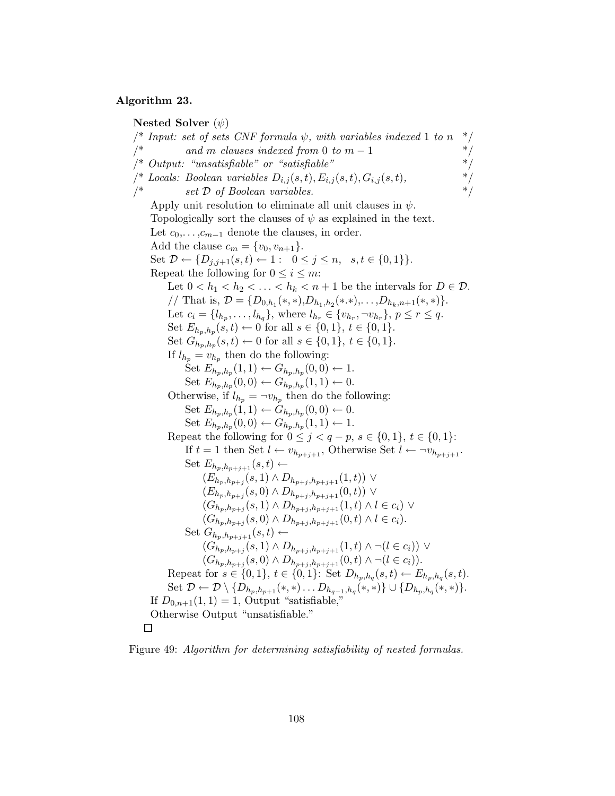#### Algorithm 23.

Nested Solver  $(\psi)$ /\* Input: set of sets CNF formula  $\psi$ , with variables indexed 1 to n  $\frac{1}{\ast}$  and m clauses indexed from 0 to m – 1  $/*$  Output: "unsatisfiable" or "satisfiable" \*/  $\begin{array}{ll}\n\text{\textbackslash} & \text{\textbackslash} & \text{\textnormal{F}} & \text{\textnormal{F}} & \text{\textnormal{F}} & \text{\textnormal{F}} & \text{\textnormal{F}} & \text{\textnormal{F}} & \text{\textnormal{F}} & \text{\textnormal{F}} & \text{\textnormal{F}} & \text{\textnormal{F}} & \text{\textnormal{F}} & \text{\textnormal{F}} & \text{\textnormal{F}} & \text{\textnormal{F}} & \text{\textnormal{F}} & \text{\textnormal{F}} & \text{\textnormal{F}} & \text{\textnormal{F}} & \text{\textnormal{F}} & \text{\textnormal{F}} & \text{\textnormal{F}} & \text{\textnormal{F$  $/*$  set  $\mathcal D$  of Boolean variables. Apply unit resolution to eliminate all unit clauses in  $\psi$ . Topologically sort the clauses of  $\psi$  as explained in the text. Let  $c_0, \ldots, c_{m-1}$  denote the clauses, in order. Add the clause  $c_m = \{v_0, v_{n+1}\}.$ Set  $\mathcal{D} \leftarrow \{D_{j,j+1}(s,t) \leftarrow 1: 0 \leq j \leq n, s,t \in \{0,1\}\}.$ Repeat the following for  $0 \leq i \leq m$ : Let  $0 < h_1 < h_2 < \ldots < h_k < n+1$  be the intervals for  $D \in \mathcal{D}$ . // That is,  $\mathcal{D} = \{D_{0,h_1}(*, *), D_{h_1,h_2}(*, *), \ldots, D_{h_k,n+1}(*, *)\}.$ Let  $c_i = \{l_{h_p}, \ldots, l_{h_q}\}\$ , where  $l_{h_r} \in \{v_{h_r}, \neg v_{h_r}\}\$ ,  $p \le r \le q$ . Set  $E_{h_p,h_p}(s,t) \leftarrow 0$  for all  $s \in \{0,1\}, t \in \{0,1\}.$ Set  $G_{h_p,h_p}(s,t) \leftarrow 0$  for all  $s \in \{0,1\}, t \in \{0,1\}.$ If  $l_{h_p} = v_{h_p}$  then do the following: Set  $E_{h_p,h_p}(1,1) \leftarrow G_{h_p,h_p}(0,0) \leftarrow 1$ . Set  $E_{h_p,h_p}(0,0) \leftarrow G_{h_p,h_p}(1,1) \leftarrow 0.$ Otherwise, if  $l_{h_p} = \neg v_{h_p}$  then do the following: Set  $E_{h_p,h_p}(1,1) \leftarrow G_{h_p,h_p}(0,0) \leftarrow 0.$ Set  $E_{h_p,h_p}(0,0) \leftarrow G_{h_p,h_p}(1,1) \leftarrow 1$ . Repeat the following for  $0 \leq j < q - p$ ,  $s \in \{0, 1\}$ ,  $t \in \{0, 1\}$ : If  $t = 1$  then Set  $l \leftarrow v_{h_{p+j+1}}$ , Otherwise Set  $l \leftarrow \neg v_{h_{p+j+1}}$ . Set  $E_{h_p,h_{p+j+1}}(s,t) \leftarrow$  $(E_{h_p,h_{p+j}}(s,1) \wedge D_{h_{p+j},h_{p+j+1}}(1,t))$  ∨  $(E_{h_p,h_{p+j}}(s,0) \wedge D_{h_{p+j},h_{p+j+1}}(0,t))$  ∨  $(G_{h_p,h_{p+j}}(s,1) \wedge D_{h_{p+j},h_{p+j+1}}(1,t) \wedge l \in c_i)$   $\vee$  $(G_{h_p,h_{p+j}}(s,0) \wedge D_{h_{p+j},h_{p+j+1}}(0,t) \wedge l \in c_i).$ Set  $G_{h_p,h_{p+i+1}}(s,t) \leftarrow$  $(G_{h_p,h_{p+j}}(s,1) \wedge D_{h_{p+j},h_{p+j+1}}(1,t) \wedge \neg(l \in c_i))$   $\vee$  $(G_{h_p,h_{p+j}}(s,0) \wedge D_{h_{p+j},h_{p+j+1}}(0,t) \wedge \neg(l \in c_i)).$ Repeat for  $s \in \{0, 1\}, t \in \{0, 1\}$ : Set  $D_{h_p, h_q}(s, t) \leftarrow E_{h_p, h_q}(s, t)$ . Set  $\mathcal{D} \leftarrow \mathcal{D} \setminus \{D_{h_p,h_{p+1}}(*,*)\dots D_{h_{q-1},h_q}(*,*)\} \cup \{D_{h_p,h_q}(*,*)\}.$ If  $D_{0,n+1}(1,1) = 1$ , Output "satisfiable," Otherwise Output "unsatisfiable."  $\Box$ 

Figure 49: Algorithm for determining satisfiability of nested formulas.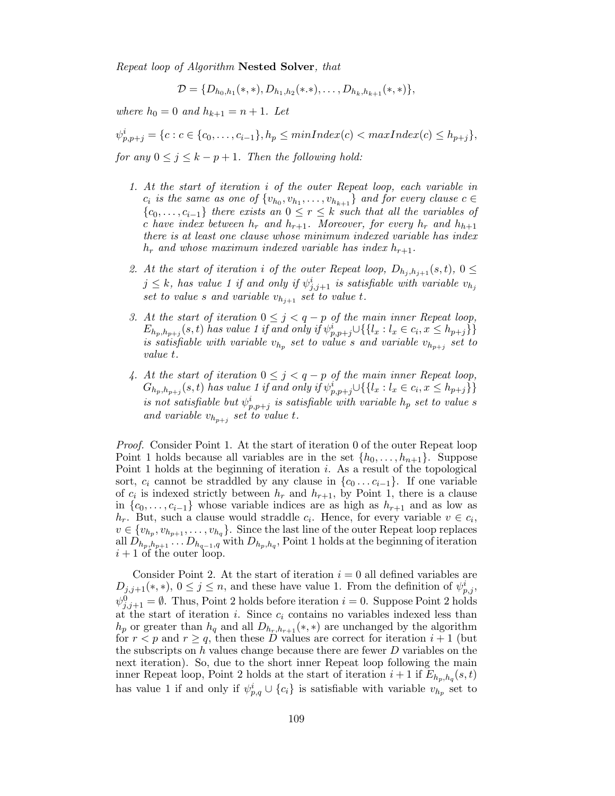Repeat loop of Algorithm Nested Solver, that

$$
\mathcal{D} = \{D_{h_0, h_1}(*, *), D_{h_1, h_2}(*, *), \ldots, D_{h_k, h_{k+1}}(*, *)\},\
$$

where  $h_0 = 0$  and  $h_{k+1} = n + 1$ . Let

 $\psi_{p,p+j}^i = \{c : c \in \{c_0, \ldots, c_{i-1}\}, h_p \leq minIndex(c) < maxIndex(c) \leq h_{p+j}\},\$ for any  $0 \leq j \leq k - p + 1$ . Then the following hold:

- 1. At the start of iteration i of the outer Repeat loop, each variable in  $c_i$  is the same as one of  $\{v_{h_0}, v_{h_1}, \ldots, v_{h_{k+1}}\}$  and for every clause  $c \in \mathbb{R}$  ${c_0, \ldots, c_{i-1}}$  there exists an  $0 \leq r \leq k$  such that all the variables of c have index between  $h_r$  and  $h_{r+1}$ . Moreover, for every  $h_r$  and  $h_{h+1}$ there is at least one clause whose minimum indexed variable has index  $h_r$  and whose maximum indexed variable has index  $h_{r+1}$ .
- 2. At the start of iteration i of the outer Repeat loop,  $D_{h_j,h_{j+1}}(s,t)$ ,  $0 \leq$  $j \leq k$ , has value 1 if and only if  $\psi^i_{j,j+1}$  is satisfiable with variable  $v_{h_j}$ set to value s and variable  $v_{h_{i+1}}$  set to value t.
- 3. At the start of iteration  $0 \leq j \leq q p$  of the main inner Repeat loop,  $E_{h_p,h_{p+j}}(s,t)$  has value 1 if and only if  $\psi_{p,p+j}^i \cup \{\{l_x: l_x \in c_i, x \leq h_{p+j}\}\}\$ is satisfiable with variable  $v_{h_p}$  set to value s and variable  $v_{h_{p+j}}$  set to value t.
- 4. At the start of iteration  $0 \leq j \leq q-p$  of the main inner Repeat loop,  $G_{h_p,h_{p+j}}(s,t)$  has value 1 if and only if  $\psi_{p,p+j}^i \cup \{\{l_x: l_x \in c_i, x \leq h_{p+j}\}\}\$ is not satisfiable but  $\psi^i_{p,p+j}$  is satisfiable with variable  $h_p$  set to value s and variable  $v_{h_{p+j}}$  set to value t.

Proof. Consider Point 1. At the start of iteration 0 of the outer Repeat loop Point 1 holds because all variables are in the set  $\{h_0,\ldots,h_{n+1}\}$ . Suppose Point 1 holds at the beginning of iteration  $i$ . As a result of the topological sort,  $c_i$  cannot be straddled by any clause in  $\{c_0 \ldots c_{i-1}\}$ . If one variable of  $c_i$  is indexed strictly between  $h_r$  and  $h_{r+1}$ , by Point 1, there is a clause in  $\{c_0,\ldots,c_{i-1}\}\$  whose variable indices are as high as  $h_{r+1}$  and as low as  $h_r$ . But, such a clause would straddle  $c_i$ . Hence, for every variable  $v \in c_i$ ,  $v \in \{v_{h_p}, v_{h_{p+1}}, \ldots, v_{h_q}\}.$  Since the last line of the outer Repeat loop replaces all  $D_{h_p,h_{p+1}} \ldots D_{h_{q-1},q}$  with  $D_{h_p,h_q}$ , Point 1 holds at the beginning of iteration  $i+1$  of the outer loop.

Consider Point 2. At the start of iteration  $i = 0$  all defined variables are  $D_{j,j+1}(*,*), 0 \leq j \leq n$ , and these have value 1. From the definition of  $\psi_{p,j}^i$ ,  $\psi_{j,j+1}^0 = \emptyset$ . Thus, Point 2 holds before iteration  $i = 0$ . Suppose Point 2 holds at the start of iteration i. Since  $c_i$  contains no variables indexed less than  $h_p$  or greater than  $h_q$  and all  $D_{h_r,h_{r+1}}(*,*)$  are unchanged by the algorithm for  $r < p$  and  $r \ge q$ , then these D values are correct for iteration  $i+1$  (but the subscripts on h values change because there are fewer  $D$  variables on the next iteration). So, due to the short inner Repeat loop following the main inner Repeat loop, Point 2 holds at the start of iteration  $i+1$  if  $E_{h_p,h_q}(s,t)$ has value 1 if and only if  $\psi_{p,q}^i \cup \{c_i\}$  is satisfiable with variable  $v_{h_p}$  set to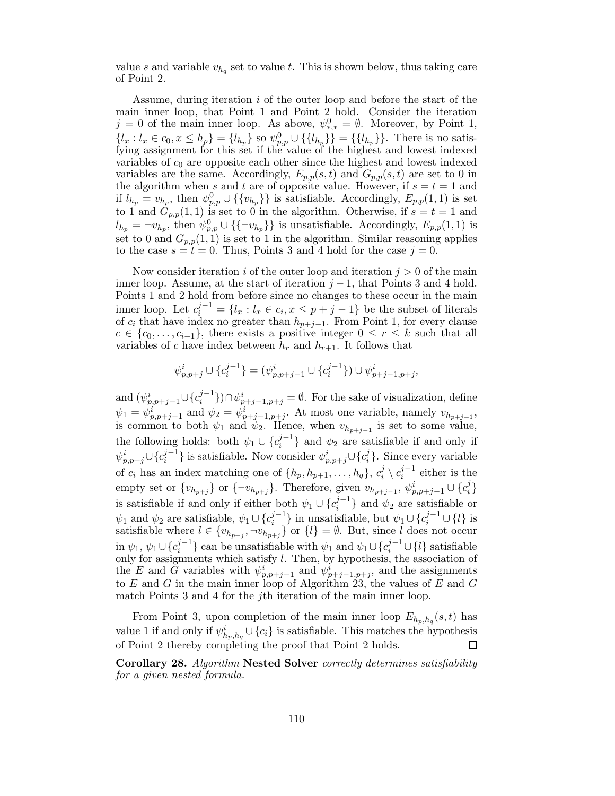value s and variable  $v_{h_q}$  set to value t. This is shown below, thus taking care of Point 2.

Assume, during iteration i of the outer loop and before the start of the main inner loop, that Point 1 and Point 2 hold. Consider the iteration  $j = 0$  of the main inner loop. As above,  $\psi_{*,*}^0 = \emptyset$ . Moreover, by Point 1,  ${l_x : l_x \in c_0, x \le h_p} = {l_{h_p}}$  so  $\psi_{p,p}^0 \cup {l_{h_p}} = {l_{h_p}}$ . There is no satisfying assignment for this set if the value of the highest and lowest indexed variables of  $c_0$  are opposite each other since the highest and lowest indexed variables are the same. Accordingly,  $E_{p,p}(s,t)$  and  $G_{p,p}(s,t)$  are set to 0 in the algorithm when s and t are of opposite value. However, if  $s = t = 1$  and if  $l_{h_p} = v_{h_p}$ , then  $\psi_{p,p}^0 \cup \{\{v_{h_p}\}\}\$ is satisfiable. Accordingly,  $E_{p,p}(1,1)$  is set to 1 and  $\tilde{G}_{p,p}(1,1)$  is set to 0 in the algorithm. Otherwise, if  $s=t=1$  and  $l_{h_p} = \neg v_{h_p}$ , then  $\psi_{p,p}^0 \cup \{\{\neg v_{h_p}\}\}\$ is unsatisfiable. Accordingly,  $E_{p,p}(1,1)$  is set to 0 and  $G_{p,p}(1,1)$  is set to 1 in the algorithm. Similar reasoning applies to the case  $s = t = 0$ . Thus, Points 3 and 4 hold for the case  $j = 0$ .

Now consider iteration i of the outer loop and iteration  $j > 0$  of the main inner loop. Assume, at the start of iteration  $j-1$ , that Points 3 and 4 hold. Points 1 and 2 hold from before since no changes to these occur in the main inner loop. Let  $c_i^{j-1} = \{l_x : l_x \in c_i, x \leq p + j - 1\}$  be the subset of literals of  $c_i$  that have index no greater than  $h_{p+j-1}$ . From Point 1, for every clause  $c \in \{c_0,\ldots,c_{i-1}\},\$  there exists a positive integer  $0 \leq r \leq k$  such that all variables of c have index between  $h_r$  and  $h_{r+1}$ . It follows that

$$
\psi_{p,p+j}^i \cup \{c_i^{j-1}\} = (\psi_{p,p+j-1}^i \cup \{c_i^{j-1}\}) \cup \psi_{p+j-1,p+j}^i,
$$

and  $(\psi^i_{p,p+j-1} \cup \{c_i^{j-1}$  $\{\psi_i^{j-1}\}\cap \psi_{p+j-1,p+j}^i = \emptyset$ . For the sake of visualization, define  $\psi_1 = \psi_{p,p+j-1}^i$  and  $\psi_2 = \psi_{p+j-1,p+j}^i$ . At most one variable, namely  $v_{h_{p+j-1}}$ , is common to both  $\psi_1$  and  $\psi_2$ . Hence, when  $v_{h_{p+j-1}}$  is set to some value, the following holds: both  $\psi_1 \cup \{c_i^{j-1}$  $\{y_i^{j-1}\}\$  and  $\psi_2$  are satisfiable if and only if  $\psi^i_{p,p+j} \cup \{c_i^{j-1}$  $\{\psi^j_i\}$  is satisfiable. Now consider  $\psi^i_{p,p+j} \cup \{c^j_i\}$  $i<sub>i</sub>$ . Since every variable of  $c_i$  has an index matching one of  $\{h_p, h_{p+1}, \ldots, h_q\}, c_i^j$  $\frac{j}{i} \setminus c_i^{j-1}$  $i^{j-1}$  either is the empty set or  $\{v_{h_{p+j}}\}$  or  $\{\neg v_{h_{p+j}}\}$ . Therefore, given  $v_{h_{p+j-1}}, v_{p,p+j-1}^i \cup \{c_i^j\}$  $\big\}^{\jmath}_{i}$ is satisfiable if and only if either both  $\psi_1 \cup \{c_i^{j-1}$  $\{y_i^{j-1}\}\$ and  $\psi_2$  are satisfiable or  $\psi_1$  and  $\psi_2$  are satisfiable,  $\psi_1 \cup \{c_i^{j-1}$  $\{i^{j-1}\}\$  in unsatisfiable, but  $\psi_1\cup\{c_i^{j-1}\cup\{l\}\}\$ satisfiable where  $l \in \{v_{h_{p+j}}, \neg v_{h_{p+j}}\}$  or  $\{l\} = \emptyset$ . But, since l does not occur in  $\psi_1, \psi_1 \cup \{c_i^{j-1}$  $\{e_i^{j-1}\}$  can be unsatisfiable with  $\psi_1$  and  $\psi_1 \cup \{c_i^{j-1} \cup \{l\}$  satisfiable only for assignments which satisfy l. Then, by hypothesis, the association of the E and G variables with  $\psi^i_{p,p+j-1}$  and  $\psi^i_{p+j-1,p+j}$ , and the assignments to  $E$  and  $G$  in the main inner loop of Algorithm 23, the values of  $E$  and  $G$ match Points 3 and 4 for the *j*th iteration of the main inner loop.

From Point 3, upon completion of the main inner loop  $E_{h_p,h_q}(s,t)$  has value 1 if and only if  $\psi_{h_p,h_q}^i \cup \{c_i\}$  is satisfiable. This matches the hypothesis of Point 2 thereby completing the proof that Point 2 holds. □

Corollary 28. Algorithm Nested Solver correctly determines satisfiability for a given nested formula.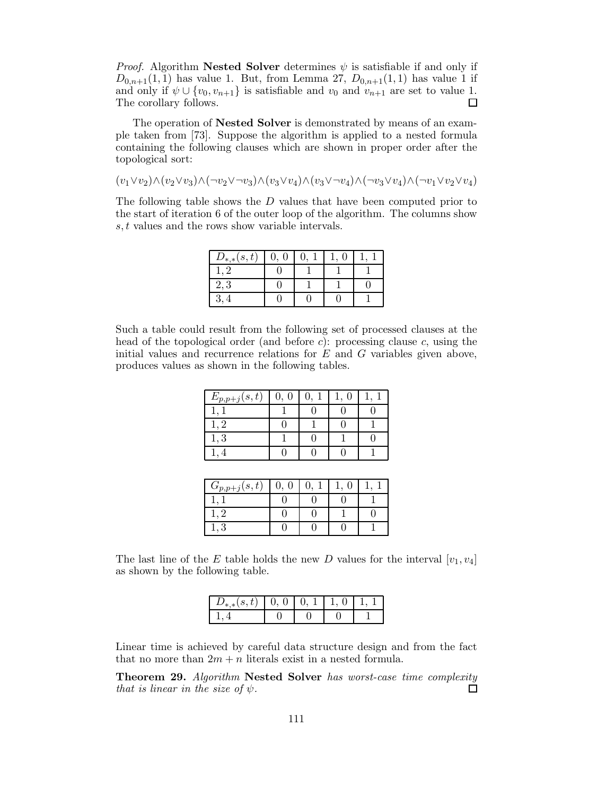*Proof.* Algorithm **Nested Solver** determines  $\psi$  is satisfiable if and only if  $D_{0,n+1}(1,1)$  has value 1. But, from Lemma 27,  $D_{0,n+1}(1,1)$  has value 1 if and only if  $\psi \cup \{v_0, v_{n+1}\}\$ is satisfiable and  $v_0$  and  $v_{n+1}$  are set to value 1. The corollary follows. 口

The operation of Nested Solver is demonstrated by means of an example taken from [73]. Suppose the algorithm is applied to a nested formula containing the following clauses which are shown in proper order after the topological sort:

$$
(v_1 \vee v_2) \wedge (v_2 \vee v_3) \wedge (\neg v_2 \vee \neg v_3) \wedge (v_3 \vee v_4) \wedge (v_3 \vee \neg v_4) \wedge (\neg v_3 \vee v_4) \wedge (\neg v_1 \vee v_2 \vee v_4)
$$

The following table shows the D values that have been computed prior to the start of iteration 6 of the outer loop of the algorithm. The columns show s, t values and the rows show variable intervals.

| $D_{*,*}(s,t)$ |  |  |
|----------------|--|--|
|                |  |  |
| 2, 3           |  |  |
|                |  |  |

Such a table could result from the following set of processed clauses at the head of the topological order (and before  $c$ ): processing clause  $c$ , using the initial values and recurrence relations for  $E$  and  $G$  variables given above, produces values as shown in the following tables.

| $E_{p,p+j}(s,t)$ | 0, |  |  |
|------------------|----|--|--|
|                  |    |  |  |
| 1.2              |    |  |  |
| 1, 3             |    |  |  |
|                  |    |  |  |

| $G_{p,p+j}(s,t)$ |  |  |
|------------------|--|--|
|                  |  |  |
|                  |  |  |
|                  |  |  |

The last line of the E table holds the new D values for the interval  $[v_1,v_4]$ as shown by the following table.

| $*, *$ ( $\cdot$<br>$ D_{*}$ .<br>S, t |  |  |
|----------------------------------------|--|--|
|                                        |  |  |

Linear time is achieved by careful data structure design and from the fact that no more than  $2m + n$  literals exist in a nested formula.

Theorem 29. Algorithm Nested Solver has worst-case time complexity that is linear in the size of  $\psi$ .  $\Box$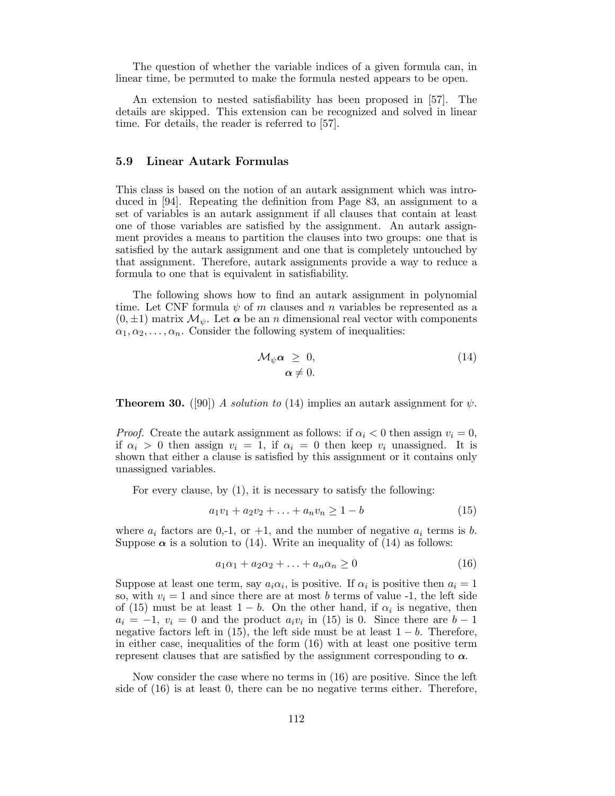The question of whether the variable indices of a given formula can, in linear time, be permuted to make the formula nested appears to be open.

An extension to nested satisfiability has been proposed in [57]. The details are skipped. This extension can be recognized and solved in linear time. For details, the reader is referred to [57].

### 5.9 Linear Autark Formulas

This class is based on the notion of an autark assignment which was introduced in [94]. Repeating the definition from Page 83, an assignment to a set of variables is an autark assignment if all clauses that contain at least one of those variables are satisfied by the assignment. An autark assignment provides a means to partition the clauses into two groups: one that is satisfied by the autark assignment and one that is completely untouched by that assignment. Therefore, autark assignments provide a way to reduce a formula to one that is equivalent in satisfiability.

The following shows how to find an autark assignment in polynomial time. Let CNF formula  $\psi$  of m clauses and n variables be represented as a  $(0, \pm 1)$  matrix  $\mathcal{M}_{\psi}$ . Let  $\alpha$  be an n dimensional real vector with components  $\alpha_1, \alpha_2, \ldots, \alpha_n$ . Consider the following system of inequalities:

$$
\mathcal{M}_{\psi}\alpha \geq 0, \qquad (14)
$$
\n
$$
\alpha \neq 0.
$$

**Theorem 30.** ([90]) A solution to (14) implies an autark assignment for  $\psi$ .

*Proof.* Create the autark assignment as follows: if  $\alpha_i < 0$  then assign  $v_i = 0$ , if  $\alpha_i > 0$  then assign  $v_i = 1$ , if  $\alpha_i = 0$  then keep  $v_i$  unassigned. It is shown that either a clause is satisfied by this assignment or it contains only unassigned variables.

For every clause, by (1), it is necessary to satisfy the following:

$$
a_1v_1 + a_2v_2 + \ldots + a_nv_n \ge 1 - b \tag{15}
$$

where  $a_i$  factors are 0,-1, or +1, and the number of negative  $a_i$  terms is b. Suppose  $\alpha$  is a solution to (14). Write an inequality of (14) as follows:

$$
a_1\alpha_1 + a_2\alpha_2 + \ldots + a_n\alpha_n \ge 0 \tag{16}
$$

Suppose at least one term, say  $a_i\alpha_i$ , is positive. If  $\alpha_i$  is positive then  $a_i = 1$ so, with  $v_i = 1$  and since there are at most b terms of value -1, the left side of (15) must be at least  $1 - b$ . On the other hand, if  $\alpha_i$  is negative, then  $a_i = -1, v_i = 0$  and the product  $a_i v_i$  in (15) is 0. Since there are  $b - 1$ negative factors left in (15), the left side must be at least  $1 - b$ . Therefore, in either case, inequalities of the form (16) with at least one positive term represent clauses that are satisfied by the assignment corresponding to  $\alpha$ .

Now consider the case where no terms in (16) are positive. Since the left side of (16) is at least 0, there can be no negative terms either. Therefore,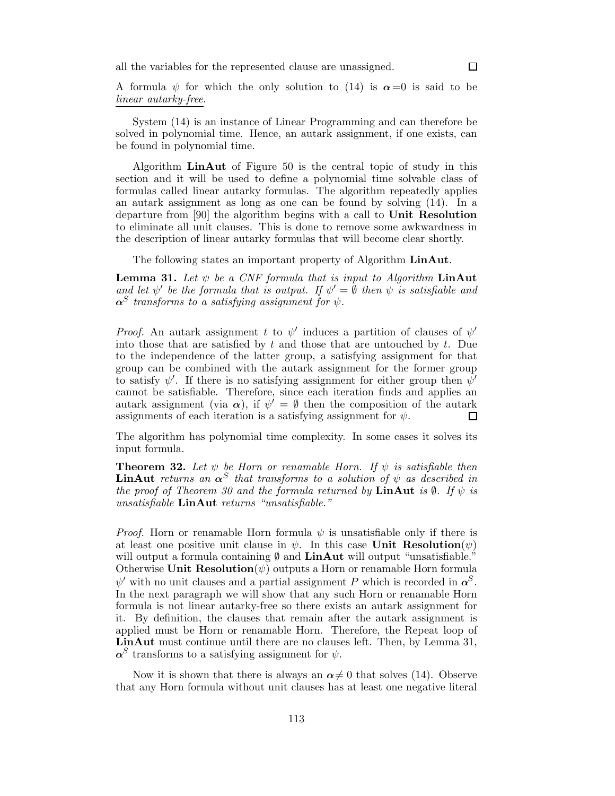A formula  $\psi$  for which the only solution to (14) is  $\alpha=0$  is said to be linear autarky-free.

System (14) is an instance of Linear Programming and can therefore be solved in polynomial time. Hence, an autark assignment, if one exists, can be found in polynomial time.

Algorithm **LinAut** of Figure 50 is the central topic of study in this section and it will be used to define a polynomial time solvable class of formulas called linear autarky formulas. The algorithm repeatedly applies an autark assignment as long as one can be found by solving (14). In a departure from [90] the algorithm begins with a call to Unit Resolution to eliminate all unit clauses. This is done to remove some awkwardness in the description of linear autarky formulas that will become clear shortly.

The following states an important property of Algorithm **LinAut**.

**Lemma 31.** Let  $\psi$  be a CNF formula that is input to Algorithm LinAut and let  $\psi'$  be the formula that is output. If  $\psi' = \overline{\emptyset}$  then  $\psi$  is satisfiable and  $\alpha^S$  transforms to a satisfying assignment for  $\psi.$ 

*Proof.* An autark assignment t to  $\psi'$  induces a partition of clauses of  $\psi'$ into those that are satisfied by  $t$  and those that are untouched by  $t$ . Due to the independence of the latter group, a satisfying assignment for that group can be combined with the autark assignment for the former group to satisfy  $\psi'$ . If there is no satisfying assignment for either group then  $\bar{\psi}'$ cannot be satisfiable. Therefore, since each iteration finds and applies an autark assignment (via  $\alpha$ ), if  $\psi' = \emptyset$  then the composition of the autark assignments of each iteration is a satisfying assignment for  $\psi$ .  $\Box$ 

The algorithm has polynomial time complexity. In some cases it solves its input formula.

**Theorem 32.** Let  $\psi$  be Horn or renamable Horn. If  $\psi$  is satisfiable then **LinAut** returns an  $\alpha^S$  that transforms to a solution of  $\psi$  as described in the proof of Theorem 30 and the formula returned by LinAut is  $\emptyset$ . If  $\psi$  is unsatisfiable LinAut returns "unsatisfiable."

*Proof.* Horn or renamable Horn formula  $\psi$  is unsatisfiable only if there is at least one positive unit clause in  $\psi$ . In this case Unit Resolution( $\psi$ ) will output a formula containing  $\emptyset$  and **LinAut** will output "unsatisfiable." Otherwise Unit Resolution( $\psi$ ) outputs a Horn or renamable Horn formula  $\psi'$  with no unit clauses and a partial assignment P which is recorded in  $\alpha^{S}$ . In the next paragraph we will show that any such Horn or renamable Horn formula is not linear autarky-free so there exists an autark assignment for it. By definition, the clauses that remain after the autark assignment is applied must be Horn or renamable Horn. Therefore, the Repeat loop of LinAut must continue until there are no clauses left. Then, by Lemma 31,  $\alpha^{S}$  transforms to a satisfying assignment for  $\psi$ .

Now it is shown that there is always an  $\alpha \neq 0$  that solves (14). Observe that any Horn formula without unit clauses has at least one negative literal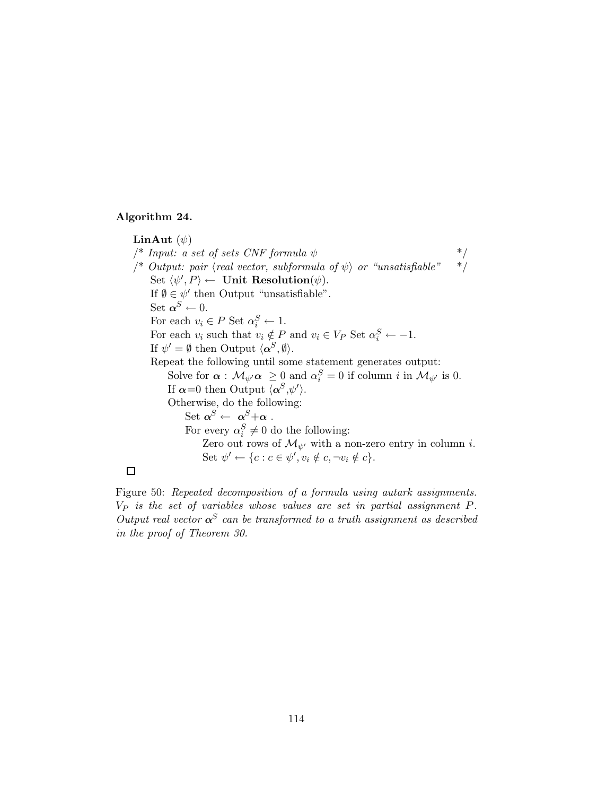# Algorithm 24.

LinAut  $(\psi)$ /\* Input: a set of sets CNF formula  $\psi$  \*/<br>/\* Output: pair (real vector, subformula of  $\psi$ ) or "unsatisfiable" \*/  $/$ \* Output: pair (real vector, subformula of  $\psi$ ) or "unsatisfiable" Set  $\langle \psi', P \rangle \leftarrow$  Unit Resolution( $\psi$ ). If  $\emptyset \in \psi'$  then Output "unsatisfiable". Set  $\alpha^S \leftarrow 0$ . For each  $v_i \in P$  Set  $\alpha_i^S \leftarrow 1$ . For each  $v_i$  such that  $v_i \notin P$  and  $v_i \in V_P$  Set  $\alpha_i^S \leftarrow -1$ . If  $\psi' = \emptyset$  then Output  $\langle \alpha^S, \emptyset \rangle$ . Repeat the following until some statement generates output: Solve for  $\alpha$  :  $\mathcal{M}_{\psi} \alpha \geq 0$  and  $\alpha_i^S = 0$  if column *i* in  $\mathcal{M}_{\psi'}$  is 0. If  $\alpha=0$  then Output  $\langle \alpha^S, \psi' \rangle$ . Otherwise, do the following: Set  $\alpha^S \leftarrow \alpha^S + \alpha$ . For every  $\alpha_i^S \neq 0$  do the following: Zero out rows of  $\mathcal{M}_{\psi'}$  with a non-zero entry in column *i*. Set  $\psi' \leftarrow \{c : c \in \psi', v_i \notin c, \neg v_i \notin c\}.$ 

# $\Box$

Figure 50: Repeated decomposition of a formula using autark assignments.  $V_P$  is the set of variables whose values are set in partial assignment  $P$ . Output real vector  $\alpha^S$  can be transformed to a truth assignment as described in the proof of Theorem 30.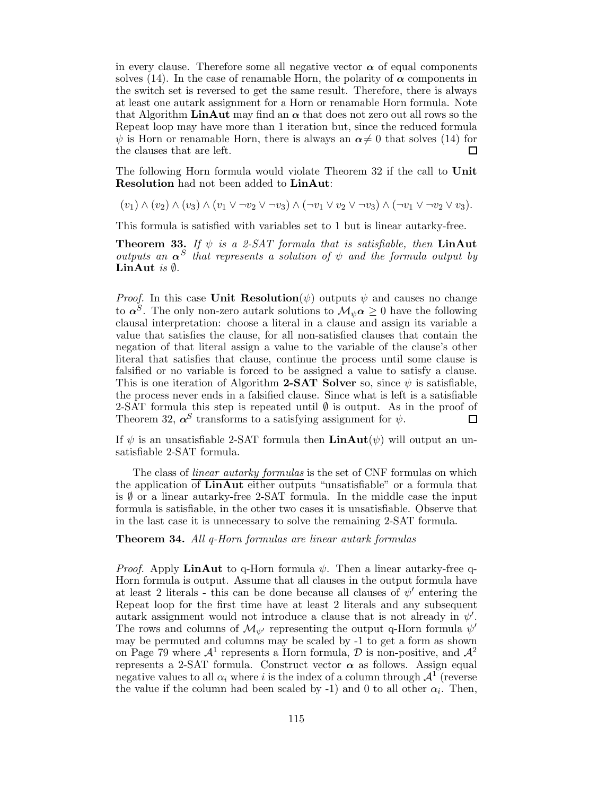in every clause. Therefore some all negative vector  $\alpha$  of equal components solves (14). In the case of renamable Horn, the polarity of  $\alpha$  components in the switch set is reversed to get the same result. Therefore, there is always at least one autark assignment for a Horn or renamable Horn formula. Note that Algorithm LinAut may find an  $\alpha$  that does not zero out all rows so the Repeat loop may have more than 1 iteration but, since the reduced formula  $\psi$  is Horn or renamable Horn, there is always an  $\alpha \neq 0$  that solves (14) for the clauses that are left.  $\Box$ 

The following Horn formula would violate Theorem 32 if the call to Unit Resolution had not been added to LinAut:

 $(v_1) \wedge (v_2) \wedge (v_3) \wedge (v_1 \vee \neg v_2 \vee \neg v_3) \wedge (\neg v_1 \vee v_2 \vee \neg v_3) \wedge (\neg v_1 \vee \neg v_2 \vee v_3).$ 

This formula is satisfied with variables set to 1 but is linear autarky-free.

**Theorem 33.** If  $\psi$  is a 2-SAT formula that is satisfiable, then **LinAut** outputs an  $\alpha^S$  that represents a solution of  $\psi$  and the formula output by LinAut is ∅.

*Proof.* In this case Unit Resolution( $\psi$ ) outputs  $\psi$  and causes no change to  $\alpha^S$ . The only non-zero autark solutions to  $\mathcal{M}_{\psi}\alpha \geq 0$  have the following clausal interpretation: choose a literal in a clause and assign its variable a value that satisfies the clause, for all non-satisfied clauses that contain the negation of that literal assign a value to the variable of the clause's other literal that satisfies that clause, continue the process until some clause is falsified or no variable is forced to be assigned a value to satisfy a clause. This is one iteration of Algorithm 2-SAT Solver so, since  $\psi$  is satisfiable, the process never ends in a falsified clause. Since what is left is a satisfiable 2-SAT formula this step is repeated until  $\emptyset$  is output. As in the proof of Theorem 32,  $\alpha^S$  transforms to a satisfying assignment for  $\psi$ .  $\Box$ 

If  $\psi$  is an unsatisfiable 2-SAT formula then  $\text{LinAut}(\psi)$  will output an unsatisfiable 2-SAT formula.

The class of linear autarky formulas is the set of CNF formulas on which the application of LinAut either outputs "unsatisfiable" or a formula that is  $\emptyset$  or a linear autarky-free 2-SAT formula. In the middle case the input formula is satisfiable, in the other two cases it is unsatisfiable. Observe that in the last case it is unnecessary to solve the remaining 2-SAT formula.

Theorem 34. All q-Horn formulas are linear autark formulas

*Proof.* Apply LinAut to q-Horn formula  $\psi$ . Then a linear autarky-free q-Horn formula is output. Assume that all clauses in the output formula have at least 2 literals - this can be done because all clauses of  $\psi'$  entering the Repeat loop for the first time have at least 2 literals and any subsequent autark assignment would not introduce a clause that is not already in  $\psi'$ . The rows and columns of  $\mathcal{M}_{\psi'}$  representing the output q-Horn formula  $\psi'$ may be permuted and columns may be scaled by -1 to get a form as shown on Page 79 where  $\mathcal{A}^1$  represents a Horn formula,  $\mathcal D$  is non-positive, and  $\mathcal{A}^2$ represents a 2-SAT formula. Construct vector  $\alpha$  as follows. Assign equal negative values to all  $\alpha_i$  where i is the index of a column through  $\mathcal{A}^1$  (reverse the value if the column had been scaled by -1) and 0 to all other  $\alpha_i$ . Then,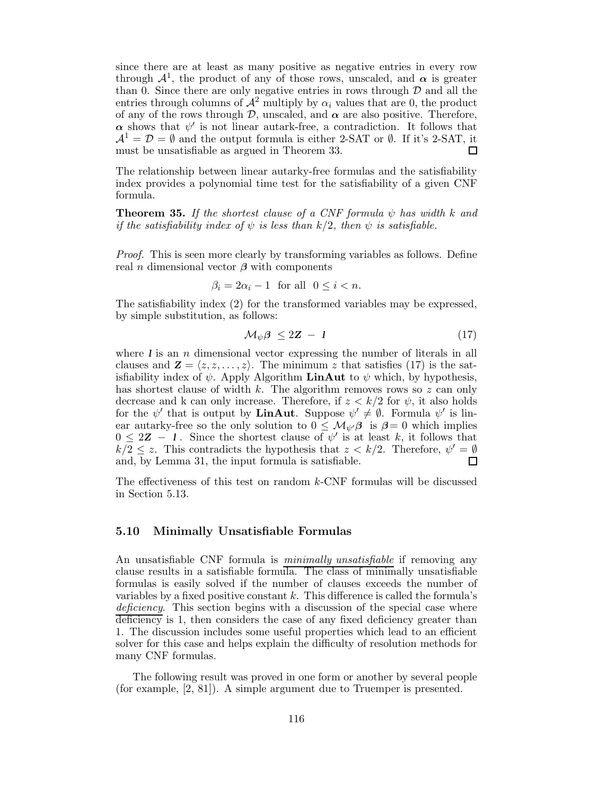since there are at least as many positive as negative entries in every row through  $\mathcal{A}^1$ , the product of any of those rows, unscaled, and  $\alpha$  is greater than 0. Since there are only negative entries in rows through  $D$  and all the entries through columns of  $\mathcal{A}^2$  multiply by  $\alpha_i$  values that are 0, the product of any of the rows through  $D$ , unscaled, and  $\alpha$  are also positive. Therefore,  $\alpha$  shows that  $\psi'$  is not linear autark-free, a contradiction. It follows that  $\mathcal{A}^1 = \mathcal{D} = \emptyset$  and the output formula is either 2-SAT or  $\emptyset$ . If it's 2-SAT, it must be unsatisfiable as argued in Theorem 33.  $\Box$ 

The relationship between linear autarky-free formulas and the satisfiability index provides a polynomial time test for the satisfiability of a given CNF formula.

**Theorem 35.** If the shortest clause of a CNF formula  $\psi$  has width k and if the satisfiability index of  $\psi$  is less than  $k/2$ , then  $\psi$  is satisfiable.

Proof. This is seen more clearly by transforming variables as follows. Define real *n* dimensional vector  $\beta$  with components

$$
\beta_i = 2\alpha_i - 1 \text{ for all } 0 \le i < n.
$$

The satisfiability index (2) for the transformed variables may be expressed, by simple substitution, as follows:

$$
\mathcal{M}_{\psi}\beta \le 2Z - 1 \tag{17}
$$

where  $I$  is an  $n$  dimensional vector expressing the number of literals in all clauses and  $\mathbf{Z} = \langle z, z, \ldots, z \rangle$ . The minimum z that satisfies (17) is the satisfiability index of  $\psi$ . Apply Algorithm LinAut to  $\psi$  which, by hypothesis, has shortest clause of width k. The algorithm removes rows so  $z$  can only decrease and k can only increase. Therefore, if  $z < k/2$  for  $\psi$ , it also holds for the  $\psi'$  that is output by **LinAut**. Suppose  $\psi' \neq \emptyset$ . Formula  $\psi'$  is linear autarky-free so the only solution to  $0 \leq \mathcal{M}_{\psi}/\beta$  is  $\beta = 0$  which implies  $0 \leq 2\mathbf{Z} - \mathbf{I}$ . Since the shortest clause of  $\psi'$  is at least k, it follows that  $k/2 \leq z$ . This contradicts the hypothesis that  $z < k/2$ . Therefore,  $\psi' = \emptyset$ and, by Lemma 31, the input formula is satisfiable. П

The effectiveness of this test on random k-CNF formulas will be discussed in Section 5.13.

# 5.10 Minimally Unsatisfiable Formulas

An unsatisfiable CNF formula is minimally unsatisfiable if removing any clause results in a satisfiable formula. The class of minimally unsatisfiable formulas is easily solved if the number of clauses exceeds the number of variables by a fixed positive constant  $k$ . This difference is called the formula's deficiency. This section begins with a discussion of the special case where deficiency is 1, then considers the case of any fixed deficiency greater than 1. The discussion includes some useful properties which lead to an efficient solver for this case and helps explain the difficulty of resolution methods for many CNF formulas.

The following result was proved in one form or another by several people (for example, [2, 81]). A simple argument due to Truemper is presented.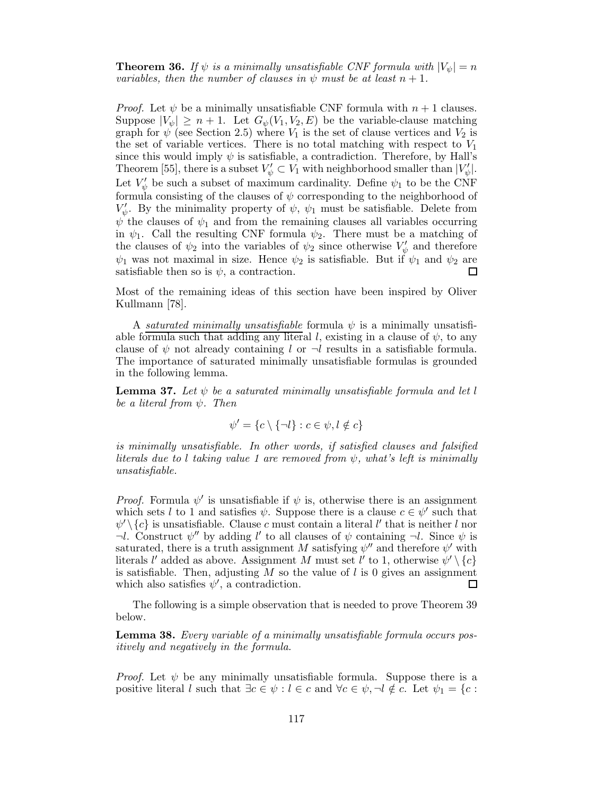**Theorem 36.** If  $\psi$  is a minimally unsatisfiable CNF formula with  $|V_{\psi}| = n$ variables, then the number of clauses in  $\psi$  must be at least  $n+1$ .

*Proof.* Let  $\psi$  be a minimally unsatisfiable CNF formula with  $n + 1$  clauses. Suppose  $|V_{\psi}| \geq n+1$ . Let  $G_{\psi}(V_1, V_2, E)$  be the variable-clause matching graph for  $\psi$  (see Section 2.5) where  $V_1$  is the set of clause vertices and  $V_2$  is the set of variable vertices. There is no total matching with respect to  $V_1$ since this would imply  $\psi$  is satisfiable, a contradiction. Therefore, by Hall's Theorem [55], there is a subset  $V'_{\psi} \subset V_1$  with neighborhood smaller than  $|V'_{\psi}|$ . Let  $V'_{\psi}$  be such a subset of maximum cardinality. Define  $\psi_1$  to be the CNF formula consisting of the clauses of  $\psi$  corresponding to the neighborhood of  $V'_{\psi}$ . By the minimality property of  $\psi$ ,  $\psi_1$  must be satisfiable. Delete from  $\psi$  the clauses of  $\psi_1$  and from the remaining clauses all variables occurring in  $\psi_1$ . Call the resulting CNF formula  $\psi_2$ . There must be a matching of the clauses of  $\psi_2$  into the variables of  $\psi_2$  since otherwise  $V'_{\psi}$  and therefore  $\psi_1$  was not maximal in size. Hence  $\psi_2$  is satisfiable. But if  $\psi_1$  and  $\psi_2$  are satisfiable then so is  $\psi$ , a contraction. satisfiable then so is  $\psi$ , a contraction.

Most of the remaining ideas of this section have been inspired by Oliver Kullmann [78].

A saturated minimally unsatisfiable formula  $\psi$  is a minimally unsatisfiable formula such that adding any literal l, existing in a clause of  $\psi$ , to any clause of  $\psi$  not already containing l or  $\neg l$  results in a satisfiable formula. The importance of saturated minimally unsatisfiable formulas is grounded in the following lemma.

**Lemma 37.** Let  $\psi$  be a saturated minimally unsatisfiable formula and let l be a literal from  $\psi$ . Then

$$
\psi' = \{c \setminus \{\neg l\} : c \in \psi, l \notin c\}
$$

is minimally unsatisfiable. In other words, if satisfied clauses and falsified literals due to l taking value 1 are removed from  $\psi$ , what's left is minimally unsatisfiable.

*Proof.* Formula  $\psi'$  is unsatisfiable if  $\psi$  is, otherwise there is an assignment which sets l to 1 and satisfies  $\psi$ . Suppose there is a clause  $c \in \psi'$  such that  $\psi' \setminus \{c\}$  is unsatisfiable. Clause c must contain a literal l' that is neither l nor  $\neg l$ . Construct  $\psi''$  by adding l' to all clauses of  $\psi$  containing  $\neg l$ . Since  $\psi$  is saturated, there is a truth assignment M satisfying  $\psi''$  and therefore  $\psi'$  with literals l'added as above. Assignment M must set l' to 1, otherwise  $\psi' \setminus \{c\}$ is satisfiable. Then, adjusting M so the value of l is 0 gives an assignment which also satisfies  $\psi'$ , a contradiction. П

The following is a simple observation that is needed to prove Theorem 39 below.

Lemma 38. Every variable of a minimally unsatisfiable formula occurs positively and negatively in the formula.

*Proof.* Let  $\psi$  be any minimally unsatisfiable formula. Suppose there is a positive literal l such that  $\exists c \in \psi : l \in c$  and  $\forall c \in \psi, \neg l \notin c$ . Let  $\psi_1 = \{c :$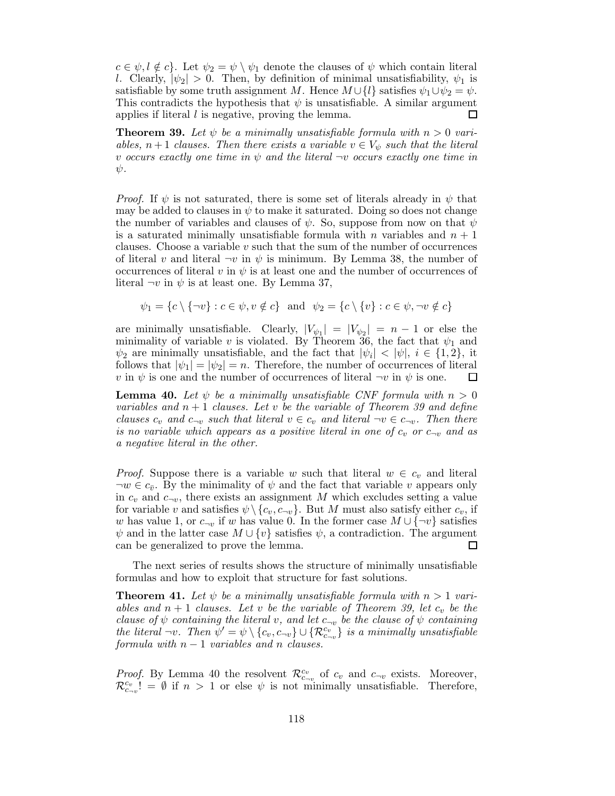$c \in \psi, l \notin c$ . Let  $\psi_2 = \psi \setminus \psi_1$  denote the clauses of  $\psi$  which contain literal l. Clearly,  $|\psi_2| > 0$ . Then, by definition of minimal unsatisfiability,  $\psi_1$  is satisfiable by some truth assignment M. Hence  $M \cup \{l\}$  satisfies  $\psi_1 \cup \psi_2 = \psi$ . This contradicts the hypothesis that  $\psi$  is unsatisfiable. A similar argument applies if literal  $l$  is negative, proving the lemma. 口

**Theorem 39.** Let  $\psi$  be a minimally unsatisfiable formula with  $n > 0$  variables,  $n+1$  clauses. Then there exists a variable  $v \in V_{\psi}$  such that the literal v occurs exactly one time in  $\psi$  and the literal  $\neg v$  occurs exactly one time in  $\psi$ .

*Proof.* If  $\psi$  is not saturated, there is some set of literals already in  $\psi$  that may be added to clauses in  $\psi$  to make it saturated. Doing so does not change the number of variables and clauses of  $\psi$ . So, suppose from now on that  $\psi$ is a saturated minimally unsatisfiable formula with n variables and  $n + 1$ clauses. Choose a variable  $v$  such that the sum of the number of occurrences of literal v and literal  $\neg v$  in  $\psi$  is minimum. By Lemma 38, the number of occurrences of literal v in  $\psi$  is at least one and the number of occurrences of literal  $\neg v$  in  $\psi$  is at least one. By Lemma 37,

$$
\psi_1 = \{c \setminus \{\neg v\} : c \in \psi, v \notin c\} \text{ and } \psi_2 = \{c \setminus \{v\} : c \in \psi, \neg v \notin c\}
$$

are minimally unsatisfiable. Clearly,  $|V_{\psi_1}| = |V_{\psi_2}| = n - 1$  or else the minimality of variable v is violated. By Theorem  $36$ , the fact that  $\psi_1$  and  $\psi_2$  are minimally unsatisfiable, and the fact that  $|\psi_i| < |\psi|, i \in \{1, 2\},\$ it follows that  $|\psi_1| = |\psi_2| = n$ . Therefore, the number of occurrences of literal v in  $\psi$  is one and the number of occurrences of literal  $\neg v$  in  $\psi$  is one.  $\Box$ 

**Lemma 40.** Let  $\psi$  be a minimally unsatisfiable CNF formula with  $n > 0$ variables and  $n+1$  clauses. Let v be the variable of Theorem 39 and define clauses  $c_v$  and  $c_{\neg v}$  such that literal  $v \in c_v$  and literal  $\neg v \in c_{\neg v}$ . Then there is no variable which appears as a positive literal in one of  $c_v$  or  $c_{\neg v}$  and as a negative literal in the other.

*Proof.* Suppose there is a variable w such that literal  $w \in c_v$  and literal  $\neg w \in c_{\bar{v}}$ . By the minimality of  $\psi$  and the fact that variable v appears only in  $c_v$  and  $c_{\neg v}$ , there exists an assignment M which excludes setting a value for variable v and satisfies  $\psi \setminus \{c_v, c_{\neg v}\}\$ . But M must also satisfy either  $c_v$ , if w has value 1, or  $c_{\neg v}$  if w has value 0. In the former case  $M \cup \{\neg v\}$  satisfies  $\psi$  and in the latter case  $M \cup \{v\}$  satisfies  $\psi$ , a contradiction. The argument can be generalized to prove the lemma. П

The next series of results shows the structure of minimally unsatisfiable formulas and how to exploit that structure for fast solutions.

**Theorem 41.** Let  $\psi$  be a minimally unsatisfiable formula with  $n > 1$  variables and  $n + 1$  clauses. Let v be the variable of Theorem 39, let  $c_v$  be the clause of  $\psi$  containing the literal v, and let  $c_{\neg v}$  be the clause of  $\psi$  containing the literal  $\neg v$ . Then  $\psi' = \psi \setminus \{c_v, c_{\neg v}\} \cup \{\mathcal{R}_{c_{\neg v}}^{c_v}\}$  is a minimally unsatisfiable formula with  $n-1$  variables and n clauses.

*Proof.* By Lemma 40 the resolvent  $\mathcal{R}_{c_{-\nu}}^{c_v}$  of  $c_v$  and  $c_{-\nu}$  exists. Moreover,  $\mathcal{R}_{c-v}^{c_v}! = \emptyset$  if  $n > 1$  or else  $\psi$  is not minimally unsatisfiable. Therefore,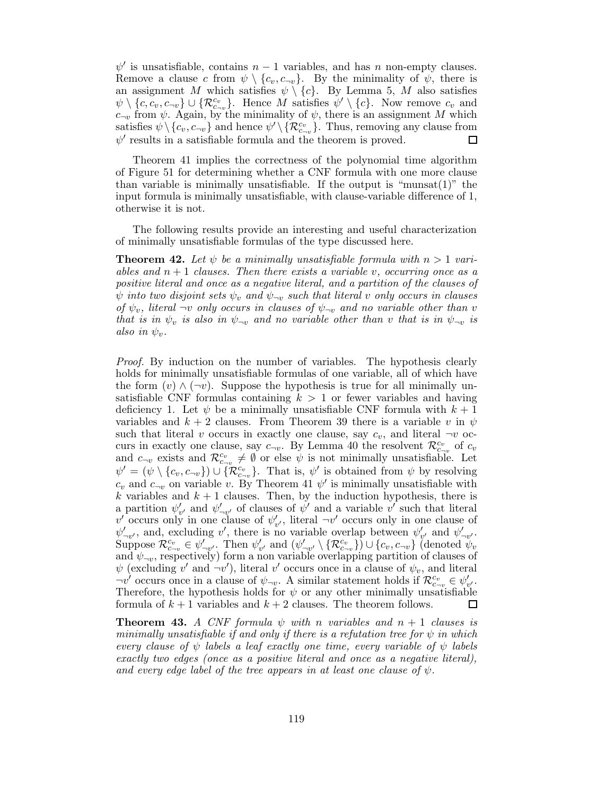$\psi'$  is unsatisfiable, contains  $n-1$  variables, and has n non-empty clauses. Remove a clause c from  $\psi \setminus \{c_v,c_{\neg v}\}$ . By the minimality of  $\psi$ , there is an assignment M which satisfies  $\psi \setminus \{c\}$ . By Lemma 5, M also satisfies  $\psi \setminus \{c, c_v, c_{\neg v}\} \cup \{\mathcal{R}_{c_{\neg v}}^{c_v}\}.$  Hence M satisfies  $\psi' \setminus \{c\}.$  Now remove  $c_v$  and  $c_{\neg v}$  from  $\psi$ . Again, by the minimality of  $\psi$ , there is an assignment M which satisfies  $\psi \setminus \{c_v, c_{\neg v}\}\$  and hence  $\psi' \setminus \{\mathcal{R}_{c_{\neg v}}^{c_v}\}\$ . Thus, removing any clause from  $\psi'$  results in a satisfiable formula and the theorem is proved. □

Theorem 41 implies the correctness of the polynomial time algorithm of Figure 51 for determining whether a CNF formula with one more clause than variable is minimally unsatisfiable. If the output is "munsat(1)" the input formula is minimally unsatisfiable, with clause-variable difference of 1, otherwise it is not.

The following results provide an interesting and useful characterization of minimally unsatisfiable formulas of the type discussed here.

**Theorem 42.** Let  $\psi$  be a minimally unsatisfiable formula with  $n > 1$  variables and  $n+1$  clauses. Then there exists a variable v, occurring once as a positive literal and once as a negative literal, and a partition of the clauses of  $\psi$  into two disjoint sets  $\psi_v$  and  $\psi_{\neg v}$  such that literal v only occurs in clauses of  $\psi_v$ , literal  $\neg v$  only occurs in clauses of  $\psi_{\neg v}$  and no variable other than v that is in  $\psi_v$  is also in  $\psi_{\neg v}$  and no variable other than v that is in  $\psi_{\neg v}$  is also in  $\psi_v$ .

Proof. By induction on the number of variables. The hypothesis clearly holds for minimally unsatisfiable formulas of one variable, all of which have the form  $(v) \wedge (\neg v)$ . Suppose the hypothesis is true for all minimally unsatisfiable CNF formulas containing  $k > 1$  or fewer variables and having deficiency 1. Let  $\psi$  be a minimally unsatisfiable CNF formula with  $k + 1$ variables and  $k + 2$  clauses. From Theorem 39 there is a variable v in  $\psi$ such that literal v occurs in exactly one clause, say  $c_v$ , and literal  $\neg v$  occurs in exactly one clause, say  $c_{\neg v}$ . By Lemma 40 the resolvent  $\mathcal{R}^{c_{v}}_{c_{\neg v}}$  of  $c_{v}$ and  $c_{\neg v}$  exists and  $\mathcal{R}_{c_{\neg v}}^{c_v} \neq \emptyset$  or else  $\psi$  is not minimally unsatisfiable. Let  $\psi' = (\psi \setminus \{c_v, c_{\neg v}\}) \cup \{\mathcal{R}_{c_{\neg v}}^{c_v}\}.$  That is,  $\psi'$  is obtained from  $\psi$  by resolving  $c_v$  and  $c_{\neg v}$  on variable v. By Theorem 41  $\psi'$  is minimally unsatisfiable with k variables and  $k + 1$  clauses. Then, by the induction hypothesis, there is a partition  $\psi'_{v'}$  and  $\psi'_{\neg v'}$  of clauses of  $\psi'$  and a variable v such that literal  $v'$  occurs only in one clause of  $\psi'_{v'}$ , literal  $\neg v'$  occurs only in one clause of  $\psi'_{\neg v'}$ , and, excluding v', there is no variable overlap between  $\psi'_{v'}$  and  $\psi'_{\neg v'}$ . Suppose  $\mathcal{R}^{c_v}_{c_{\neg v}} \in \psi'_{\neg v'}$ . Then  $\psi'_{v'}$  and  $(\psi'_{\neg v'} \setminus {\mathcal{R}^{c_v}_{c_{\neg v}}} ) \cup \{c_v, c_{\neg v}\}$  (denoted  $\psi_v$ and  $\psi_{\neg v}$ , respectively) form a non variable overlapping partition of clauses of  $\psi$  (excluding v' and  $\neg v'$ ), literal v' occurs once in a clause of  $\psi_v$ , and literal  $\neg v'$  occurs once in a clause of  $\psi_{\neg v}$ . A similar statement holds if  $\mathcal{R}_{c_{\neg v}}^{c_v} \in \psi'_{v'}$ . Therefore, the hypothesis holds for  $\psi$  or any other minimally unsatisfiable formula of  $k + 1$  variables and  $k + 2$  clauses. The theorem follows.

**Theorem 43.** A CNF formula  $\psi$  with n variables and  $n + 1$  clauses is minimally unsatisfiable if and only if there is a refutation tree for  $\psi$  in which every clause of  $\psi$  labels a leaf exactly one time, every variable of  $\psi$  labels exactly two edges (once as a positive literal and once as a negative literal), and every edge label of the tree appears in at least one clause of  $\psi$ .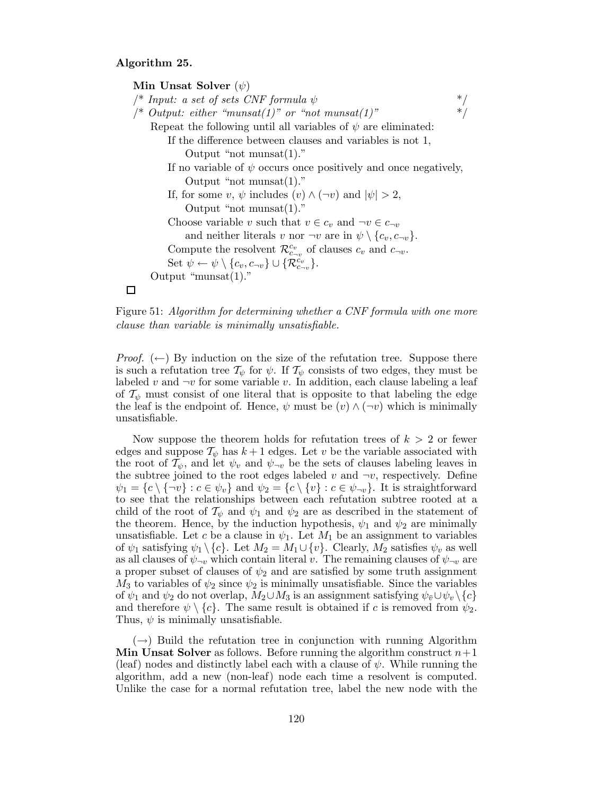#### Algorithm 25.

Min Unsat Solver  $(\psi)$  $\frac{1}{2}$  if  $\frac{1}{2}$  if  $\frac{1}{2}$  if  $\frac{1}{2}$  if  $\frac{1}{2}$  if  $\frac{1}{2}$  if  $\frac{1}{2}$  if  $\frac{1}{2}$  if  $\frac{1}{2}$  if  $\frac{1}{2}$  if  $\frac{1}{2}$  if  $\frac{1}{2}$  if  $\frac{1}{2}$  if  $\frac{1}{2}$  if  $\frac{1}{2}$  if  $\frac{1}{2}$  if  $\frac{1}{2}$  if  $/*$  Output: either "munsat(1)" or "not munsat(1)" \*/ Repeat the following until all variables of  $\psi$  are eliminated: If the difference between clauses and variables is not 1, Output "not munsat(1)." If no variable of  $\psi$  occurs once positively and once negatively, Output "not munsat(1)." If, for some v,  $\psi$  includes  $(v) \wedge (\neg v)$  and  $|\psi| > 2$ , Output "not munsat(1)." Choose variable v such that  $v \in c_v$  and  $\neg v \in c_{\neg v}$ and neither literals v nor  $\neg v$  are in  $\psi \setminus \{c_v, c_{\neg v}\}.$ Compute the resolvent  $\mathcal{R}_{c-v}^{c_v}$  of clauses  $c_v$  and  $c_{\neg v}$ . Set  $\psi \leftarrow \psi \setminus \{c_v, c_{\neg v}\} \cup \{\mathcal{R}_{c_{\neg v}}^{c_v}\}.$ Output "munsat(1)."  $\Box$ 

Figure 51: Algorithm for determining whether a CNF formula with one more clause than variable is minimally unsatisfiable.

*Proof.*  $(\leftarrow)$  By induction on the size of the refutation tree. Suppose there is such a refutation tree  $\mathcal{T}_{\psi}$  for  $\psi$ . If  $\mathcal{T}_{\psi}$  consists of two edges, they must be labeled v and  $\neg v$  for some variable v. In addition, each clause labeling a leaf of  $\mathcal{T}_{\psi}$  must consist of one literal that is opposite to that labeling the edge the leaf is the endpoint of. Hence,  $\psi$  must be  $(v) \wedge (\neg v)$  which is minimally unsatisfiable.

Now suppose the theorem holds for refutation trees of  $k > 2$  or fewer edges and suppose  $\mathcal{T}_{\psi}$  has  $k+1$  edges. Let v be the variable associated with the root of  $\mathcal{T}_{\psi}$ , and let  $\psi_v$  and  $\psi_{\neg v}$  be the sets of clauses labeling leaves in the subtree joined to the root edges labeled v and  $\neg v$ , respectively. Define  $\psi_1 = \{c \setminus \{\neg v\} : c \in \psi_v\}$  and  $\psi_2 = \{c \setminus \{v\} : c \in \psi_{\neg v}\}.$  It is straightforward to see that the relationships between each refutation subtree rooted at a child of the root of  $\mathcal{T}_{\psi}$  and  $\psi_1$  and  $\psi_2$  are as described in the statement of the theorem. Hence, by the induction hypothesis,  $\psi_1$  and  $\psi_2$  are minimally unsatisfiable. Let c be a clause in  $\psi_1$ . Let  $M_1$  be an assignment to variables of  $\psi_1$  satisfying  $\psi_1 \setminus \{c\}$ . Let  $M_2 = M_1 \cup \{v\}$ . Clearly,  $M_2$  satisfies  $\psi_v$  as well as all clauses of  $\psi_{\neg v}$  which contain literal v. The remaining clauses of  $\psi_{\neg v}$  are a proper subset of clauses of  $\psi_2$  and are satisfied by some truth assignment  $M_3$  to variables of  $\psi_2$  since  $\psi_2$  is minimally unsatisfiable. Since the variables of  $\psi_1$  and  $\psi_2$  do not overlap,  $M_2 \cup M_3$  is an assignment satisfying  $\psi_{\bar{v}} \cup \psi_{v} \setminus \{c\}$ and therefore  $\psi \setminus \{c\}$ . The same result is obtained if c is removed from  $\psi_2$ . Thus,  $\psi$  is minimally unsatisfiable.

 $(\rightarrow)$  Build the refutation tree in conjunction with running Algorithm **Min Unsat Solver** as follows. Before running the algorithm construct  $n+1$ (leaf) nodes and distinctly label each with a clause of  $\psi$ . While running the algorithm, add a new (non-leaf) node each time a resolvent is computed. Unlike the case for a normal refutation tree, label the new node with the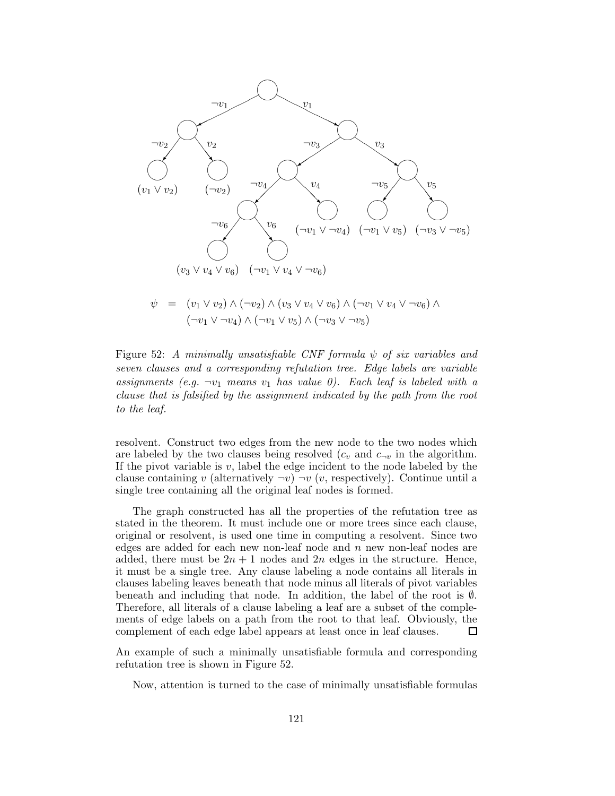

$$
(\neg v_1 \lor \neg v_4) \land (\neg v_1 \lor v_5) \land (\neg v_3 \lor \neg v_5)
$$

Figure 52: A minimally unsatisfiable CNF formula  $\psi$  of six variables and seven clauses and a corresponding refutation tree. Edge labels are variable assignments (e.g.  $\neg v_1$  means  $v_1$  has value 0). Each leaf is labeled with a clause that is falsified by the assignment indicated by the path from the root to the leaf.

resolvent. Construct two edges from the new node to the two nodes which are labeled by the two clauses being resolved  $(c_v \text{ and } c_{\neg v} \text{ in the algorithm.})$ If the pivot variable is v, label the edge incident to the node labeled by the clause containing v (alternatively  $\neg v$ )  $\neg v$  (v, respectively). Continue until a single tree containing all the original leaf nodes is formed.

The graph constructed has all the properties of the refutation tree as stated in the theorem. It must include one or more trees since each clause, original or resolvent, is used one time in computing a resolvent. Since two edges are added for each new non-leaf node and  $n$  new non-leaf nodes are added, there must be  $2n + 1$  nodes and  $2n$  edges in the structure. Hence, it must be a single tree. Any clause labeling a node contains all literals in clauses labeling leaves beneath that node minus all literals of pivot variables beneath and including that node. In addition, the label of the root is ∅. Therefore, all literals of a clause labeling a leaf are a subset of the complements of edge labels on a path from the root to that leaf. Obviously, the complement of each edge label appears at least once in leaf clauses. □

An example of such a minimally unsatisfiable formula and corresponding refutation tree is shown in Figure 52.

Now, attention is turned to the case of minimally unsatisfiable formulas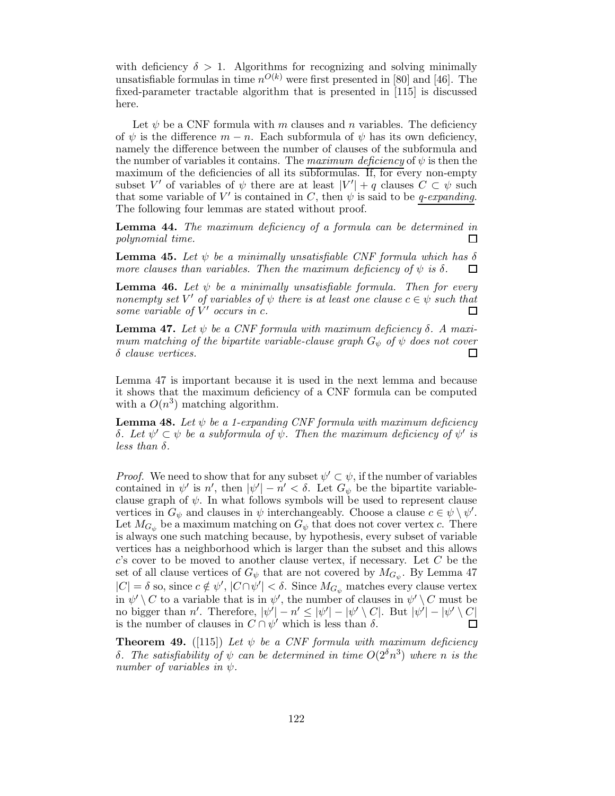with deficiency  $\delta > 1$ . Algorithms for recognizing and solving minimally unsatisfiable formulas in time  $n^{O(k)}$  were first presented in [80] and [46]. The fixed-parameter tractable algorithm that is presented in [115] is discussed here.

Let  $\psi$  be a CNF formula with m clauses and n variables. The deficiency of  $\psi$  is the difference  $m - n$ . Each subformula of  $\psi$  has its own deficiency, namely the difference between the number of clauses of the subformula and the number of variables it contains. The maximum deficiency of  $\psi$  is then the maximum of the deficiencies of all its subformulas. If, for every non-empty subset V' of variables of  $\psi$  there are at least  $|V'| + q$  clauses  $C \subset \psi$  such that some variable of V' is contained in C, then  $\psi$  is said to be *q-expanding*. The following four lemmas are stated without proof.

Lemma 44. The maximum deficiency of a formula can be determined in polynomial time.  $\Box$ 

**Lemma 45.** Let  $\psi$  be a minimally unsatisfiable CNF formula which has  $\delta$ more clauses than variables. Then the maximum deficiency of  $\psi$  is  $\delta$ .  $\Box$ 

**Lemma 46.** Let  $\psi$  be a minimally unsatisfiable formula. Then for every nonempty set V' of variables of  $\psi$  there is at least one clause  $c \in \psi$  such that some variable of  $V'$  occurs in c. 囗

**Lemma 47.** Let  $\psi$  be a CNF formula with maximum deficiency  $\delta$ . A maximum matching of the bipartite variable-clause graph  $G_{\psi}$  of  $\psi$  does not cover δ clause vertices. П

Lemma 47 is important because it is used in the next lemma and because it shows that the maximum deficiency of a CNF formula can be computed with a  $O(n^3)$  matching algorithm.

**Lemma 48.** Let  $\psi$  be a 1-expanding CNF formula with maximum deficiency δ. Let  $ψ' ⊂ ψ$  be a subformula of  $ψ$ . Then the maximum deficiency of  $ψ'$  is less than  $\delta$ .

*Proof.* We need to show that for any subset  $\psi' \subset \psi$ , if the number of variables contained in  $\psi'$  is  $n'$ , then  $|\psi'| - n' < \delta$ . Let  $G_{\psi}$  be the bipartite variableclause graph of  $\psi$ . In what follows symbols will be used to represent clause vertices in  $G_{\psi}$  and clauses in  $\psi$  interchangeably. Choose a clause  $c \in \psi \setminus \psi'$ . Let  $M_{G_{\psi}}$  be a maximum matching on  $G_{\psi}$  that does not cover vertex c. There is always one such matching because, by hypothesis, every subset of variable vertices has a neighborhood which is larger than the subset and this allows  $c$ 's cover to be moved to another clause vertex, if necessary. Let  $C$  be the set of all clause vertices of  $G_{\psi}$  that are not covered by  $M_{G_{\psi}}$ . By Lemma 47  $|C| = \delta$  so, since  $c \notin \psi', |C \cap \psi'| < \delta$ . Since  $M_{G_{\psi}}$  matches every clause vertex in  $\psi' \setminus C$  to a variable that is in  $\psi'$ , the number of clauses in  $\psi' \setminus C$  must be no bigger than n'. Therefore,  $|\psi'|-n' \leq |\psi'|-|\psi' \setminus C|$ . But  $|\psi'|-|\psi' \setminus C|$ is the number of clauses in  $C \cap \psi'$  which is less than  $\delta$ . □

**Theorem 49.** ([115]) Let  $\psi$  be a CNF formula with maximum deficiency δ. The satisfiability of  $\psi$  can be determined in time  $O(2<sup>δ</sup>n<sup>3</sup>)$  where n is the number of variables in  $\psi$ .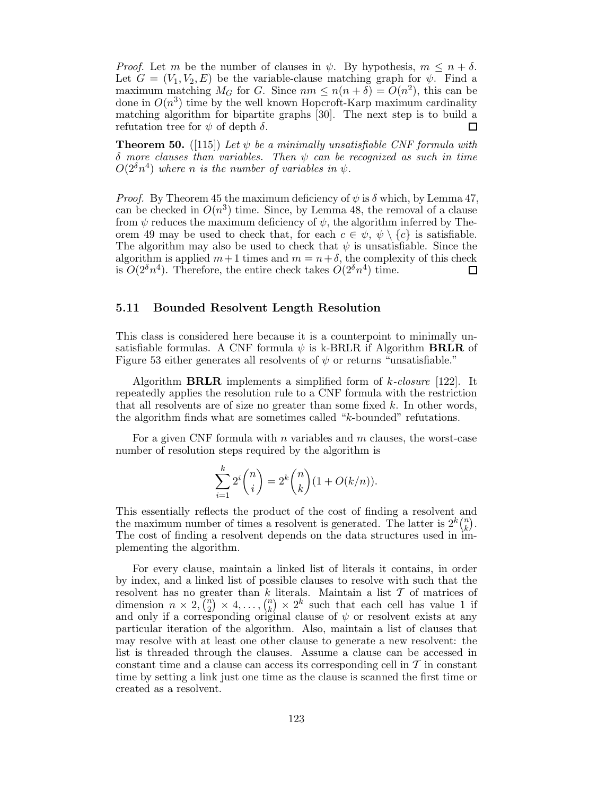*Proof.* Let m be the number of clauses in  $\psi$ . By hypothesis,  $m \leq n + \delta$ . Let  $G = (V_1, V_2, E)$  be the variable-clause matching graph for  $\psi$ . Find a maximum matching  $M_G$  for G. Since  $nm \leq n(n+\delta) = O(n^2)$ , this can be done in  $O(n^3)$  time by the well known Hopcroft-Karp maximum cardinality matching algorithm for bipartite graphs [30]. The next step is to build a refutation tree for  $\psi$  of depth  $\delta$ .  $\Box$ 

**Theorem 50.** ([115]) Let  $\psi$  be a minimally unsatisfiable CNF formula with  $\delta$  more clauses than variables. Then  $\psi$  can be recognized as such in time  $O(2^{\delta}n^4)$  where n is the number of variables in  $\psi$ .

*Proof.* By Theorem 45 the maximum deficiency of  $\psi$  is  $\delta$  which, by Lemma 47, can be checked in  $O(n^3)$  time. Since, by Lemma 48, the removal of a clause from  $\psi$  reduces the maximum deficiency of  $\psi$ , the algorithm inferred by Theorem 49 may be used to check that, for each  $c \in \psi$ ,  $\psi \setminus \{c\}$  is satisfiable. The algorithm may also be used to check that  $\psi$  is unsatisfiable. Since the algorithm is applied  $m+1$  times and  $m = n+\delta$ , the complexity of this check is  $O(2^{\delta}n^4)$ . Therefore, the entire check takes  $O(2^{\delta}n^4)$  time. □

#### 5.11 Bounded Resolvent Length Resolution

This class is considered here because it is a counterpoint to minimally unsatisfiable formulas. A CNF formula  $\psi$  is k-BRLR if Algorithm **BRLR** of Figure 53 either generates all resolvents of  $\psi$  or returns "unsatisfiable."

Algorithm **BRLR** implements a simplified form of  $k$ -closure [122]. It repeatedly applies the resolution rule to a CNF formula with the restriction that all resolvents are of size no greater than some fixed  $k$ . In other words, the algorithm finds what are sometimes called "k-bounded" refutations.

For a given CNF formula with n variables and  $m$  clauses, the worst-case number of resolution steps required by the algorithm is

$$
\sum_{i=1}^{k} 2^{i} \binom{n}{i} = 2^{k} \binom{n}{k} (1 + O(k/n)).
$$

This essentially reflects the product of the cost of finding a resolvent and the maximum number of times a resolvent is generated. The latter is  $2^k \binom{n}{k}$  $\binom{n}{k}$ . The cost of finding a resolvent depends on the data structures used in implementing the algorithm.

For every clause, maintain a linked list of literals it contains, in order by index, and a linked list of possible clauses to resolve with such that the resolvent has no greater than  $k$  literals. Maintain a list  $\mathcal T$  of matrices of dimension  $n \times 2, \tilde{\binom{n}{2}}$  $\binom{n}{2} \times 4, \ldots, \binom{n}{k}$  $\binom{n}{k} \times 2^k$  such that each cell has value 1 if and only if a corresponding original clause of  $\psi$  or resolvent exists at any particular iteration of the algorithm. Also, maintain a list of clauses that may resolve with at least one other clause to generate a new resolvent: the list is threaded through the clauses. Assume a clause can be accessed in constant time and a clause can access its corresponding cell in  $\mathcal T$  in constant time by setting a link just one time as the clause is scanned the first time or created as a resolvent.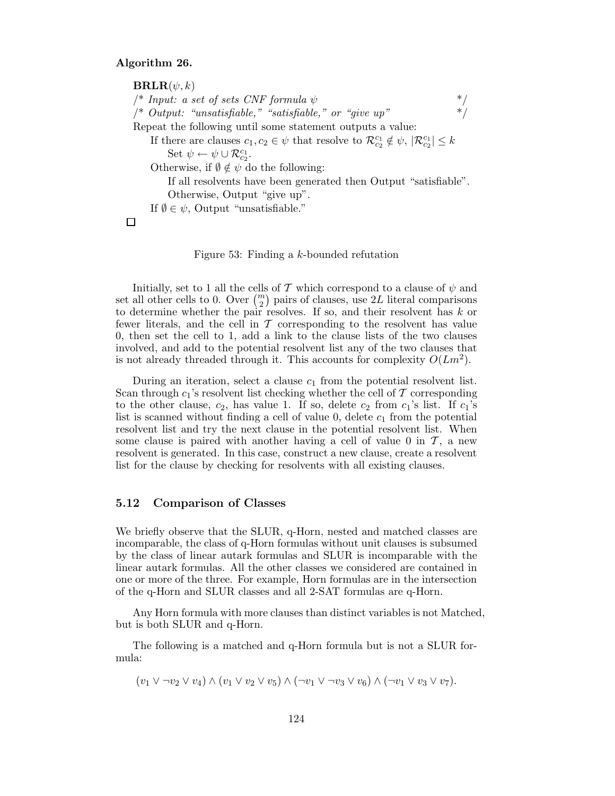#### Algorithm 26.

 $\mathbf{BRLR}(\psi, k)$  $\frac{1}{2}$  if  $\frac{1}{2}$  if  $\frac{1}{2}$  if  $\frac{1}{2}$  if  $\frac{1}{2}$  if  $\frac{1}{2}$  if  $\frac{1}{2}$  if  $\frac{1}{2}$  if  $\frac{1}{2}$  if  $\frac{1}{2}$  if  $\frac{1}{2}$  if  $\frac{1}{2}$  if  $\frac{1}{2}$  if  $\frac{1}{2}$  if  $\frac{1}{2}$  if  $\frac{1}{2}$  if  $\frac{1}{2}$  if  $\frac{1}{2}$  /\* Output: "unsatisfiable," "satisfiable," or "give up" \*/ Repeat the following until some statement outputs a value: If there are clauses  $c_1, c_2 \in \psi$  that resolve to  $\mathcal{R}_{c_2}^{c_1} \notin \psi$ ,  $|\mathcal{R}_{c_2}^{c_1}| \leq k$ Set  $\psi \leftarrow \psi \cup \mathcal{R}_{c_2}^{c_1}$ . Otherwise, if  $\emptyset \notin \psi$  do the following: If all resolvents have been generated then Output "satisfiable". Otherwise, Output "give up". If  $\emptyset \in \psi$ , Output "unsatisfiable."  $\Box$ 

Figure 53: Finding a k-bounded refutation

Initially, set to 1 all the cells of T which correspond to a clause of  $\psi$  and set all other cells to 0. Over  $\binom{m}{2}$  pairs of clauses, use 2L literal comparisons to determine whether the pair resolves. If so, and their resolvent has  $k$  or fewer literals, and the cell in  $\mathcal T$  corresponding to the resolvent has value 0, then set the cell to 1, add a link to the clause lists of the two clauses involved, and add to the potential resolvent list any of the two clauses that is not already threaded through it. This accounts for complexity  $O(Lm^2)$ .

During an iteration, select a clause  $c_1$  from the potential resolvent list. Scan through  $c_1$ 's resolvent list checking whether the cell of  $\mathcal T$  corresponding to the other clause,  $c_2$ , has value 1. If so, delete  $c_2$  from  $c_1$ 's list. If  $c_1$ 's list is scanned without finding a cell of value  $0$ , delete  $c_1$  from the potential resolvent list and try the next clause in the potential resolvent list. When some clause is paired with another having a cell of value 0 in  $\mathcal{T}$ , a new resolvent is generated. In this case, construct a new clause, create a resolvent list for the clause by checking for resolvents with all existing clauses.

## 5.12 Comparison of Classes

We briefly observe that the SLUR, q-Horn, nested and matched classes are incomparable, the class of q-Horn formulas without unit clauses is subsumed by the class of linear autark formulas and SLUR is incomparable with the linear autark formulas. All the other classes we considered are contained in one or more of the three. For example, Horn formulas are in the intersection of the q-Horn and SLUR classes and all 2-SAT formulas are q-Horn.

Any Horn formula with more clauses than distinct variables is not Matched, but is both SLUR and q-Horn.

The following is a matched and q-Horn formula but is not a SLUR formula:

$$
(v_1 \vee \neg v_2 \vee v_4) \wedge (v_1 \vee v_2 \vee v_5) \wedge (\neg v_1 \vee \neg v_3 \vee v_6) \wedge (\neg v_1 \vee v_3 \vee v_7).
$$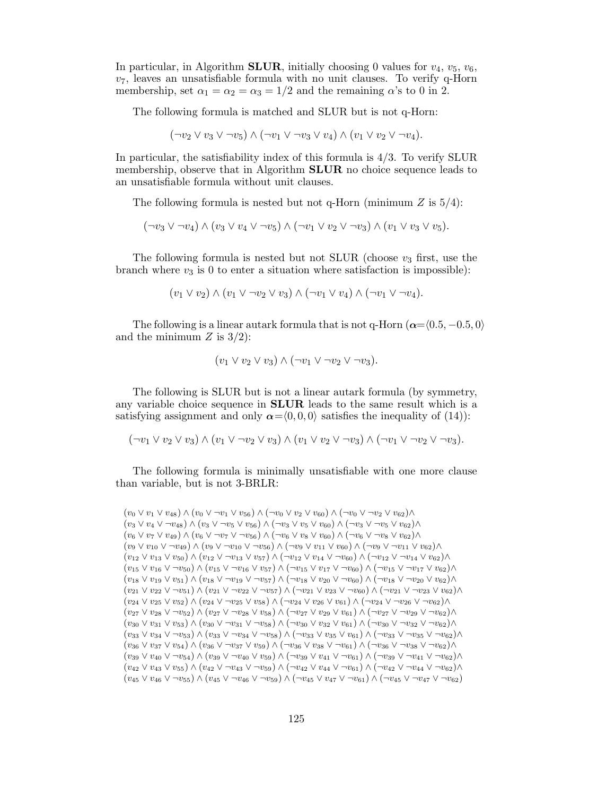In particular, in Algorithm **SLUR**, initially choosing 0 values for  $v_4$ ,  $v_5$ ,  $v_6$ ,  $v_7$ , leaves an unsatisfiable formula with no unit clauses. To verify q-Horn membership, set  $\alpha_1 = \alpha_2 = \alpha_3 = 1/2$  and the remaining  $\alpha$ 's to 0 in 2.

The following formula is matched and SLUR but is not q-Horn:

$$
(\neg v_2 \lor v_3 \lor \neg v_5) \land (\neg v_1 \lor \neg v_3 \lor v_4) \land (v_1 \lor v_2 \lor \neg v_4).
$$

In particular, the satisfiability index of this formula is 4/3. To verify SLUR membership, observe that in Algorithm SLUR no choice sequence leads to an unsatisfiable formula without unit clauses.

The following formula is nested but not q-Horn (minimum  $Z$  is  $5/4$ ):

$$
(\neg v_3 \vee \neg v_4) \wedge (v_3 \vee v_4 \vee \neg v_5) \wedge (\neg v_1 \vee v_2 \vee \neg v_3) \wedge (v_1 \vee v_3 \vee v_5).
$$

The following formula is nested but not SLUR (choose  $v_3$  first, use the branch where  $v_3$  is 0 to enter a situation where satisfaction is impossible):

 $(v_1 \vee v_2) \wedge (v_1 \vee \neg v_2 \vee v_3) \wedge (\neg v_1 \vee v_4) \wedge (\neg v_1 \vee \neg v_4).$ 

The following is a linear autark formula that is not q-Horn  $(\alpha=(0.5, -0.5, 0))$ and the minimum  $Z$  is  $3/2$ :

$$
(v_1 \vee v_2 \vee v_3) \wedge (\neg v_1 \vee \neg v_2 \vee \neg v_3).
$$

The following is SLUR but is not a linear autark formula (by symmetry, any variable choice sequence in SLUR leads to the same result which is a satisfying assignment and only  $\alpha = \langle 0, 0, 0 \rangle$  satisfies the inequality of (14)):

$$
(\neg v_1 \lor v_2 \lor v_3) \land (v_1 \lor \neg v_2 \lor v_3) \land (v_1 \lor v_2 \lor \neg v_3) \land (\neg v_1 \lor \neg v_2 \lor \neg v_3).
$$

The following formula is minimally unsatisfiable with one more clause than variable, but is not 3-BRLR:

```
(v_0 \vee v_1 \vee v_{48}) \wedge (v_0 \vee \neg v_1 \vee v_{56}) \wedge (\neg v_0 \vee v_2 \vee v_{60}) \wedge (\neg v_0 \vee \neg v_2 \vee v_{62}) \wedge(v_3 \vee v_4 \vee \neg v_{48}) \wedge (v_3 \vee \neg v_5 \vee v_{56}) \wedge (\neg v_3 \vee v_5 \vee v_{60}) \wedge (\neg v_3 \vee \neg v_5 \vee v_{62}) \wedge(v_6 \vee v_7 \vee v_{49}) \wedge (v_6 \vee \neg v_7 \vee \neg v_{56}) \wedge (\neg v_6 \vee v_8 \vee v_{60}) \wedge (\neg v_6 \vee \neg v_8 \vee v_{62}) \wedge(v_9 \vee v_{10} \vee \neg v_{49}) \wedge (v_9 \vee \neg v_{10} \vee \neg v_{56}) \wedge (\neg v_9 \vee v_{11} \vee v_{60}) \wedge (\neg v_9 \vee \neg v_{11} \vee v_{62}) \wedge(v_{12} \vee v_{13} \vee v_{50}) \wedge (v_{12} \vee \neg v_{13} \vee v_{57}) \wedge (\neg v_{12} \vee v_{14} \vee \neg v_{60}) \wedge (\neg v_{12} \vee \neg v_{14} \vee v_{62}) \wedge(v_{15} \vee v_{16} \vee \neg v_{50}) \wedge (v_{15} \vee \neg v_{16} \vee v_{57}) \wedge (\neg v_{15} \vee v_{17} \vee \neg v_{60}) \wedge (\neg v_{15} \vee \neg v_{17} \vee v_{62}) \wedge(v_{18} \vee v_{19} \vee v_{51}) \wedge (v_{18} \vee \neg v_{19} \vee \neg v_{57}) \wedge (\neg v_{18} \vee v_{20} \vee \neg v_{60}) \wedge (\neg v_{18} \vee \neg v_{20} \vee v_{62}) \wedge(v_{21} \vee v_{22} \vee \neg v_{51}) \wedge (v_{21} \vee \neg v_{22} \vee \neg v_{57}) \wedge (\neg v_{21} \vee v_{23} \vee \neg v_{60}) \wedge (\neg v_{21} \vee \neg v_{23} \vee v_{62}) \wedge(v_{24} \vee v_{25} \vee v_{52}) \wedge (v_{24} \vee \neg v_{25} \vee v_{58}) \wedge (\neg v_{24} \vee v_{26} \vee v_{61}) \wedge (\neg v_{24} \vee \neg v_{26} \vee \neg v_{62}) \wedge(v_{27} \vee v_{28} \vee \neg v_{52}) \wedge (v_{27} \vee \neg v_{28} \vee v_{58}) \wedge (\neg v_{27} \vee v_{29} \vee v_{61}) \wedge (\neg v_{27} \vee \neg v_{29} \vee \neg v_{62}) \wedge(v_{30} \vee v_{31} \vee v_{53}) \wedge (v_{30} \vee \neg v_{31} \vee \neg v_{58}) \wedge (\neg v_{30} \vee v_{32} \vee v_{61}) \wedge (\neg v_{30} \vee \neg v_{32} \vee \neg v_{62}) \wedge(v_{33} \vee v_{34} \vee \neg v_{53}) \wedge (v_{33} \vee \neg v_{34} \vee \neg v_{58}) \wedge (\neg v_{33} \vee v_{35} \vee v_{61}) \wedge (\neg v_{33} \vee \neg v_{35} \vee \neg v_{62}) \wedge(v_{36} \vee v_{37} \vee v_{54}) \wedge (v_{36} \vee \neg v_{37} \vee v_{59}) \wedge (\neg v_{36} \vee v_{38} \vee \neg v_{61}) \wedge (\neg v_{36} \vee \neg v_{38} \vee \neg v_{62}) \wedge(v_{39} \vee v_{40} \vee \neg v_{54}) \wedge (v_{39} \vee \neg v_{40} \vee v_{59}) \wedge (\neg v_{39} \vee v_{41} \vee \neg v_{61}) \wedge (\neg v_{39} \vee \neg v_{41} \vee \neg v_{62}) \wedge(v_{42} \vee v_{43} \vee v_{55}) \wedge (v_{42} \vee \neg v_{43} \vee \neg v_{59}) \wedge (\neg v_{42} \vee v_{44} \vee \neg v_{61}) \wedge (\neg v_{42} \vee \neg v_{44} \vee \neg v_{62}) \wedge(v_{45} \vee v_{46} \vee \neg v_{55}) \wedge (v_{45} \vee \neg v_{46} \vee \neg v_{59}) \wedge (\neg v_{45} \vee v_{47} \vee \neg v_{61}) \wedge (\neg v_{45} \vee \neg v_{47} \vee \neg v_{62})
```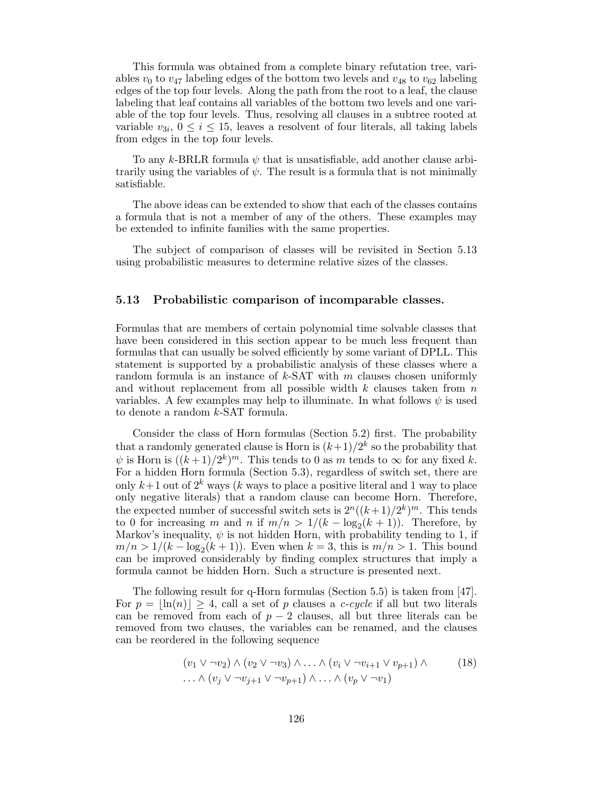This formula was obtained from a complete binary refutation tree, variables  $v_0$  to  $v_{47}$  labeling edges of the bottom two levels and  $v_{48}$  to  $v_{62}$  labeling edges of the top four levels. Along the path from the root to a leaf, the clause labeling that leaf contains all variables of the bottom two levels and one variable of the top four levels. Thus, resolving all clauses in a subtree rooted at variable  $v_{3i}$ ,  $0 \le i \le 15$ , leaves a resolvent of four literals, all taking labels from edges in the top four levels.

To any k-BRLR formula  $\psi$  that is unsatisfiable, add another clause arbitrarily using the variables of  $\psi$ . The result is a formula that is not minimally satisfiable.

The above ideas can be extended to show that each of the classes contains a formula that is not a member of any of the others. These examples may be extended to infinite families with the same properties.

The subject of comparison of classes will be revisited in Section 5.13 using probabilistic measures to determine relative sizes of the classes.

# 5.13 Probabilistic comparison of incomparable classes.

Formulas that are members of certain polynomial time solvable classes that have been considered in this section appear to be much less frequent than formulas that can usually be solved efficiently by some variant of DPLL. This statement is supported by a probabilistic analysis of these classes where a random formula is an instance of  $k$ -SAT with m clauses chosen uniformly and without replacement from all possible width  $k$  clauses taken from  $n$ variables. A few examples may help to illuminate. In what follows  $\psi$  is used to denote a random k-SAT formula.

Consider the class of Horn formulas (Section 5.2) first. The probability that a randomly generated clause is Horn is  $(k+1)/2^k$  so the probability that  $\psi$  is Horn is  $((k+1)/2^k)^m$ . This tends to 0 as m tends to  $\infty$  for any fixed k. For a hidden Horn formula (Section 5.3), regardless of switch set, there are only  $k+1$  out of  $2^k$  ways (k ways to place a positive literal and 1 way to place only negative literals) that a random clause can become Horn. Therefore, the expected number of successful switch sets is  $2^n((k+1)/2^k)^m$ . This tends to 0 for increasing m and n if  $m/n > 1/(k - \log_2(k + 1))$ . Therefore, by Markov's inequality,  $\psi$  is not hidden Horn, with probability tending to 1, if  $m/n > 1/(k - \log_2(k+1))$ . Even when  $k = 3$ , this is  $m/n > 1$ . This bound can be improved considerably by finding complex structures that imply a formula cannot be hidden Horn. Such a structure is presented next.

The following result for q-Horn formulas (Section 5.5) is taken from [47]. For  $p = |\ln(n)| \geq 4$ , call a set of p clauses a c-cycle if all but two literals can be removed from each of  $p-2$  clauses, all but three literals can be removed from two clauses, the variables can be renamed, and the clauses can be reordered in the following sequence

$$
(v_1 \lor \neg v_2) \land (v_2 \lor \neg v_3) \land \dots \land (v_i \lor \neg v_{i+1} \lor v_{p+1}) \land (18)
$$
  
... 
$$
\land (v_j \lor \neg v_{j+1} \lor \neg v_{p+1}) \land \dots \land (v_p \lor \neg v_1)
$$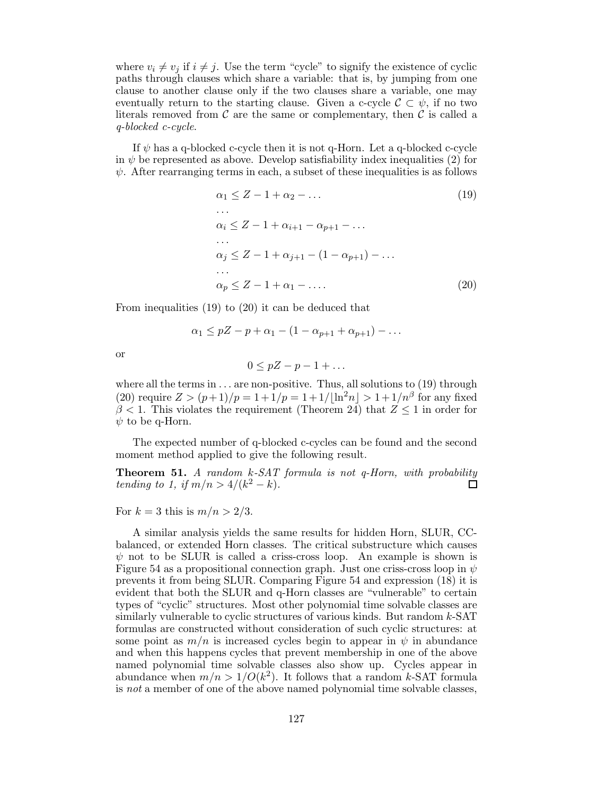where  $v_i \neq v_j$  if  $i \neq j$ . Use the term "cycle" to signify the existence of cyclic paths through clauses which share a variable: that is, by jumping from one clause to another clause only if the two clauses share a variable, one may eventually return to the starting clause. Given a c-cycle  $\mathcal{C} \subset \psi$ , if no two literals removed from  $\mathcal C$  are the same or complementary, then  $\mathcal C$  is called a q-blocked c-cycle.

If  $\psi$  has a q-blocked c-cycle then it is not q-Horn. Let a q-blocked c-cycle in  $\psi$  be represented as above. Develop satisfiability index inequalities (2) for  $\psi$ . After rearranging terms in each, a subset of these inequalities is as follows

$$
\alpha_1 \le Z - 1 + \alpha_2 - \dots \tag{19}
$$
  
\n...  
\n
$$
\alpha_i \le Z - 1 + \alpha_{i+1} - \alpha_{p+1} - \dots
$$
  
\n...  
\n
$$
\alpha_j \le Z - 1 + \alpha_{j+1} - (1 - \alpha_{p+1}) - \dots
$$
  
\n...

 $\alpha_p \leq Z - 1 + \alpha_1 - \dots$  (20)

From inequalities (19) to (20) it can be deduced that

$$
\alpha_1 \leq pZ - p + \alpha_1 - (1 - \alpha_{p+1} + \alpha_{p+1}) - \dots
$$

or

$$
0 \leq pZ - p - 1 + \dots
$$

where all the terms in  $\dots$  are non-positive. Thus, all solutions to (19) through (20) require  $Z > (p+1)/p = 1 + 1/p = 1 + 1/\lfloor \ln^2 n \rfloor > 1 + 1/n^{\beta}$  for any fixed  $\beta$  < 1. This violates the requirement (Theorem 24) that  $Z \leq 1$  in order for  $\psi$  to be q-Horn.

The expected number of q-blocked c-cycles can be found and the second moment method applied to give the following result.

**Theorem 51.** A random  $k$ -SAT formula is not  $q$ -Horn, with probability tending to 1, if  $m/n > 4/(k^2 - k)$ .  $\Box$ 

For  $k = 3$  this is  $m/n > 2/3$ .

A similar analysis yields the same results for hidden Horn, SLUR, CCbalanced, or extended Horn classes. The critical substructure which causes  $\psi$  not to be SLUR is called a criss-cross loop. An example is shown is Figure 54 as a propositional connection graph. Just one criss-cross loop in  $\psi$ prevents it from being SLUR. Comparing Figure 54 and expression (18) it is evident that both the SLUR and q-Horn classes are "vulnerable" to certain types of "cyclic" structures. Most other polynomial time solvable classes are similarly vulnerable to cyclic structures of various kinds. But random k-SAT formulas are constructed without consideration of such cyclic structures: at some point as  $m/n$  is increased cycles begin to appear in  $\psi$  in abundance and when this happens cycles that prevent membership in one of the above named polynomial time solvable classes also show up. Cycles appear in abundance when  $m/n > 1/O(k^2)$ . It follows that a random k-SAT formula is not a member of one of the above named polynomial time solvable classes,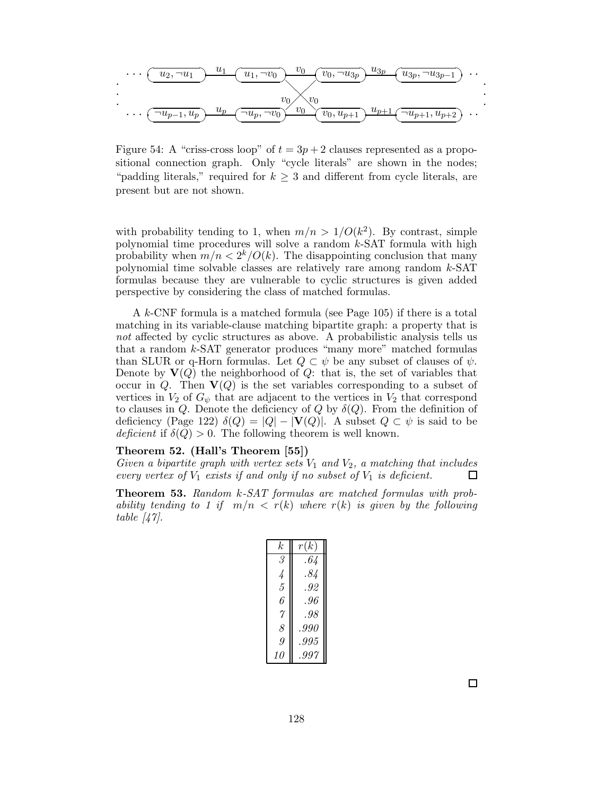

Figure 54: A "criss-cross loop" of  $t = 3p + 2$  clauses represented as a propositional connection graph. Only "cycle literals" are shown in the nodes; "padding literals," required for  $k \geq 3$  and different from cycle literals, are present but are not shown.

with probability tending to 1, when  $m/n > 1/O(k^2)$ . By contrast, simple polynomial time procedures will solve a random  $k$ -SAT formula with high probability when  $m/n < 2<sup>k</sup>/O(k)$ . The disappointing conclusion that many polynomial time solvable classes are relatively rare among random k-SAT formulas because they are vulnerable to cyclic structures is given added perspective by considering the class of matched formulas.

A k-CNF formula is a matched formula (see Page 105) if there is a total matching in its variable-clause matching bipartite graph: a property that is not affected by cyclic structures as above. A probabilistic analysis tells us that a random k-SAT generator produces "many more" matched formulas than SLUR or q-Horn formulas. Let  $Q \subset \psi$  be any subset of clauses of  $\psi$ . Denote by  $V(Q)$  the neighborhood of Q: that is, the set of variables that occur in  $Q$ . Then  $V(Q)$  is the set variables corresponding to a subset of vertices in  $V_2$  of  $G_{\psi}$  that are adjacent to the vertices in  $V_2$  that correspond to clauses in Q. Denote the deficiency of Q by  $\delta(Q)$ . From the definition of deficiency (Page 122)  $\delta(Q) = |Q| - |\mathbf{V}(Q)|$ . A subset  $Q \subset \psi$  is said to be deficient if  $\delta(Q) > 0$ . The following theorem is well known.

## Theorem 52. (Hall's Theorem [55])

Given a bipartite graph with vertex sets  $V_1$  and  $V_2$ , a matching that includes every vertex of  $V_1$  exists if and only if no subset of  $V_1$  is deficient. □

Theorem 53. Random k-SAT formulas are matched formulas with probability tending to 1 if  $m/n < r(k)$  where  $r(k)$  is given by the following table  $\frac{1}{4}$ .

| k. | r(k)    |
|----|---------|
| 3  | .64     |
| 4  | .84     |
| 5  | .92     |
| 6  | $.96\,$ |
| 7  | .98     |
| 8  | .990    |
| 9  | .995    |
| 10 | .997    |

 $\Box$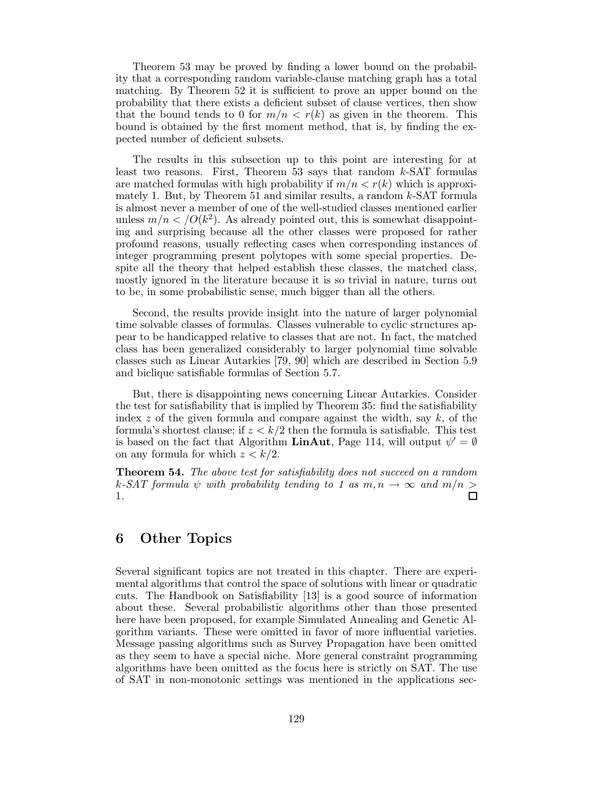Theorem 53 may be proved by finding a lower bound on the probability that a corresponding random variable-clause matching graph has a total matching. By Theorem 52 it is sufficient to prove an upper bound on the probability that there exists a deficient subset of clause vertices, then show that the bound tends to 0 for  $m/n < r(k)$  as given in the theorem. This bound is obtained by the first moment method, that is, by finding the expected number of deficient subsets.

The results in this subsection up to this point are interesting for at least two reasons. First, Theorem 53 says that random k-SAT formulas are matched formulas with high probability if  $m/n < r(k)$  which is approximately 1. But, by Theorem 51 and similar results, a random  $k$ -SAT formula is almost never a member of one of the well-studied classes mentioned earlier unless  $m/n < O(k^2)$ . As already pointed out, this is somewhat disappointing and surprising because all the other classes were proposed for rather profound reasons, usually reflecting cases when corresponding instances of integer programming present polytopes with some special properties. Despite all the theory that helped establish these classes, the matched class, mostly ignored in the literature because it is so trivial in nature, turns out to be, in some probabilistic sense, much bigger than all the others.

Second, the results provide insight into the nature of larger polynomial time solvable classes of formulas. Classes vulnerable to cyclic structures appear to be handicapped relative to classes that are not. In fact, the matched class has been generalized considerably to larger polynomial time solvable classes such as Linear Autarkies [79, 90] which are described in Section 5.9 and biclique satisfiable formulas of Section 5.7.

But, there is disappointing news concerning Linear Autarkies. Consider the test for satisfiability that is implied by Theorem 35: find the satisfiability index z of the given formula and compare against the width, say  $k$ , of the formula's shortest clause; if  $z < k/2$  then the formula is satisfiable. This test is based on the fact that Algorithm LinAut, Page 114, will output  $\psi' = \emptyset$ on any formula for which  $z < k/2$ .

**Theorem 54.** The above test for satisfiability does not succeed on a random k-SAT formula  $\psi$  with probability tending to 1 as  $m, n \to \infty$  and  $m/n >$ 1.  $\Box$ 

# 6 Other Topics

Several significant topics are not treated in this chapter. There are experimental algorithms that control the space of solutions with linear or quadratic cuts. The Handbook on Satisfiability [13] is a good source of information about these. Several probabilistic algorithms other than those presented here have been proposed, for example Simulated Annealing and Genetic Algorithm variants. These were omitted in favor of more influential varieties. Message passing algorithms such as Survey Propagation have been omitted as they seem to have a special niche. More general constraint programming algorithms have been omitted as the focus here is strictly on SAT. The use of SAT in non-monotonic settings was mentioned in the applications sec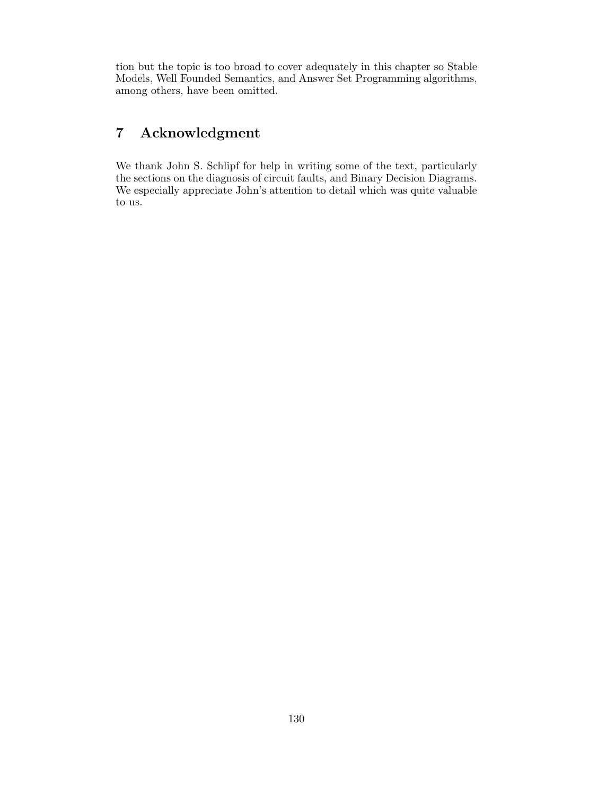tion but the topic is too broad to cover adequately in this chapter so Stable Models, Well Founded Semantics, and Answer Set Programming algorithms, among others, have been omitted.

# 7 Acknowledgment

We thank John S. Schlipf for help in writing some of the text, particularly the sections on the diagnosis of circuit faults, and Binary Decision Diagrams. We especially appreciate John's attention to detail which was quite valuable to us.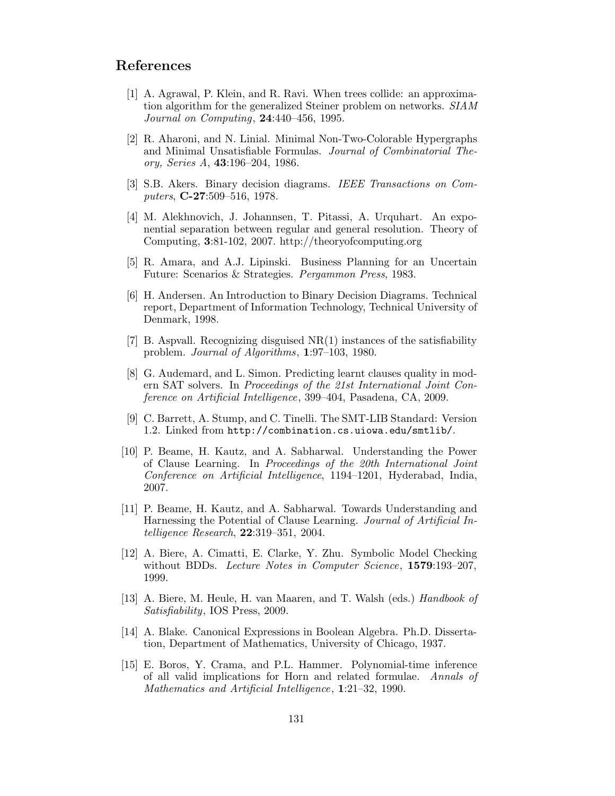# References

- [1] A. Agrawal, P. Klein, and R. Ravi. When trees collide: an approximation algorithm for the generalized Steiner problem on networks. SIAM Journal on Computing, 24:440–456, 1995.
- [2] R. Aharoni, and N. Linial. Minimal Non-Two-Colorable Hypergraphs and Minimal Unsatisfiable Formulas. Journal of Combinatorial Theory, Series A, 43:196–204, 1986.
- [3] S.B. Akers. Binary decision diagrams. IEEE Transactions on Computers, C-27:509–516, 1978.
- [4] M. Alekhnovich, J. Johannsen, T. Pitassi, A. Urquhart. An exponential separation between regular and general resolution. Theory of Computing, 3:81-102, 2007. http://theoryofcomputing.org
- [5] R. Amara, and A.J. Lipinski. Business Planning for an Uncertain Future: Scenarios & Strategies. Pergammon Press, 1983.
- [6] H. Andersen. An Introduction to Binary Decision Diagrams. Technical report, Department of Information Technology, Technical University of Denmark, 1998.
- [7] B. Aspvall. Recognizing disguised NR(1) instances of the satisfiability problem. Journal of Algorithms, 1:97–103, 1980.
- [8] G. Audemard, and L. Simon. Predicting learnt clauses quality in modern SAT solvers. In Proceedings of the 21st International Joint Conference on Artificial Intelligence, 399–404, Pasadena, CA, 2009.
- [9] C. Barrett, A. Stump, and C. Tinelli. The SMT-LIB Standard: Version 1.2. Linked from http://combination.cs.uiowa.edu/smtlib/.
- [10] P. Beame, H. Kautz, and A. Sabharwal. Understanding the Power of Clause Learning. In Proceedings of the 20th International Joint Conference on Artificial Intelligence, 1194–1201, Hyderabad, India, 2007.
- [11] P. Beame, H. Kautz, and A. Sabharwal. Towards Understanding and Harnessing the Potential of Clause Learning. Journal of Artificial Intelligence Research, 22:319–351, 2004.
- [12] A. Biere, A. Cimatti, E. Clarke, Y. Zhu. Symbolic Model Checking without BDDs. Lecture Notes in Computer Science, 1579:193-207, 1999.
- [13] A. Biere, M. Heule, H. van Maaren, and T. Walsh (eds.) Handbook of Satisfiability, IOS Press, 2009.
- [14] A. Blake. Canonical Expressions in Boolean Algebra. Ph.D. Dissertation, Department of Mathematics, University of Chicago, 1937.
- [15] E. Boros, Y. Crama, and P.L. Hammer. Polynomial-time inference of all valid implications for Horn and related formulae. Annals of Mathematics and Artificial Intelligence, 1:21–32, 1990.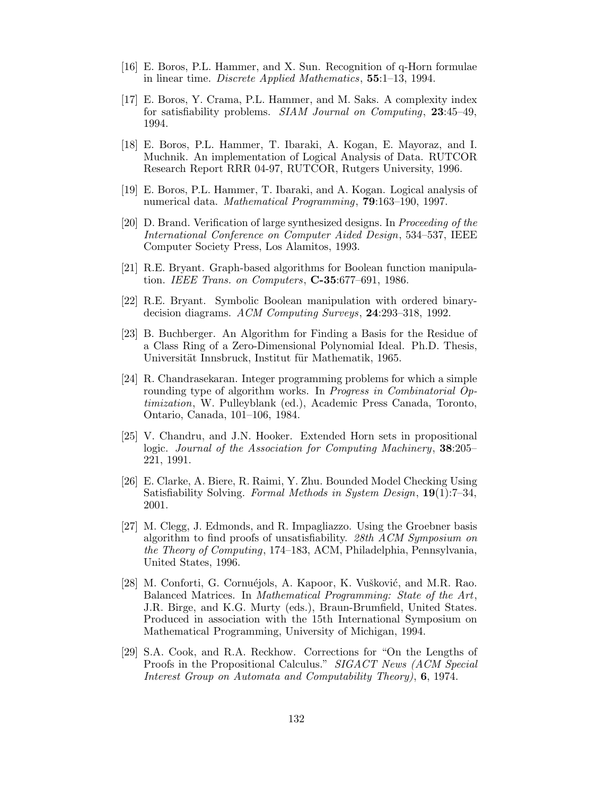- [16] E. Boros, P.L. Hammer, and X. Sun. Recognition of q-Horn formulae in linear time. Discrete Applied Mathematics, 55:1–13, 1994.
- [17] E. Boros, Y. Crama, P.L. Hammer, and M. Saks. A complexity index for satisfiability problems. SIAM Journal on Computing, 23:45–49, 1994.
- [18] E. Boros, P.L. Hammer, T. Ibaraki, A. Kogan, E. Mayoraz, and I. Muchnik. An implementation of Logical Analysis of Data. RUTCOR Research Report RRR 04-97, RUTCOR, Rutgers University, 1996.
- [19] E. Boros, P.L. Hammer, T. Ibaraki, and A. Kogan. Logical analysis of numerical data. Mathematical Programming, 79:163–190, 1997.
- [20] D. Brand. Verification of large synthesized designs. In Proceeding of the International Conference on Computer Aided Design, 534–537, IEEE Computer Society Press, Los Alamitos, 1993.
- [21] R.E. Bryant. Graph-based algorithms for Boolean function manipulation. IEEE Trans. on Computers, C-35:677–691, 1986.
- [22] R.E. Bryant. Symbolic Boolean manipulation with ordered binarydecision diagrams. ACM Computing Surveys, 24:293–318, 1992.
- [23] B. Buchberger. An Algorithm for Finding a Basis for the Residue of a Class Ring of a Zero-Dimensional Polynomial Ideal. Ph.D. Thesis, Universität Innsbruck, Institut für Mathematik, 1965.
- [24] R. Chandrasekaran. Integer programming problems for which a simple rounding type of algorithm works. In Progress in Combinatorial Optimization, W. Pulleyblank (ed.), Academic Press Canada, Toronto, Ontario, Canada, 101–106, 1984.
- [25] V. Chandru, and J.N. Hooker. Extended Horn sets in propositional logic. Journal of the Association for Computing Machinery, 38:205– 221, 1991.
- [26] E. Clarke, A. Biere, R. Raimi, Y. Zhu. Bounded Model Checking Using Satisfiability Solving. Formal Methods in System Design, 19(1):7–34, 2001.
- [27] M. Clegg, J. Edmonds, and R. Impagliazzo. Using the Groebner basis algorithm to find proofs of unsatisfiability. 28th ACM Symposium on the Theory of Computing, 174–183, ACM, Philadelphia, Pennsylvania, United States, 1996.
- [28] M. Conforti, G. Cornuéjols, A. Kapoor, K. Vušković, and M.R. Rao. Balanced Matrices. In Mathematical Programming: State of the Art, J.R. Birge, and K.G. Murty (eds.), Braun-Brumfield, United States. Produced in association with the 15th International Symposium on Mathematical Programming, University of Michigan, 1994.
- [29] S.A. Cook, and R.A. Reckhow. Corrections for "On the Lengths of Proofs in the Propositional Calculus." SIGACT News (ACM Special Interest Group on Automata and Computability Theory), 6, 1974.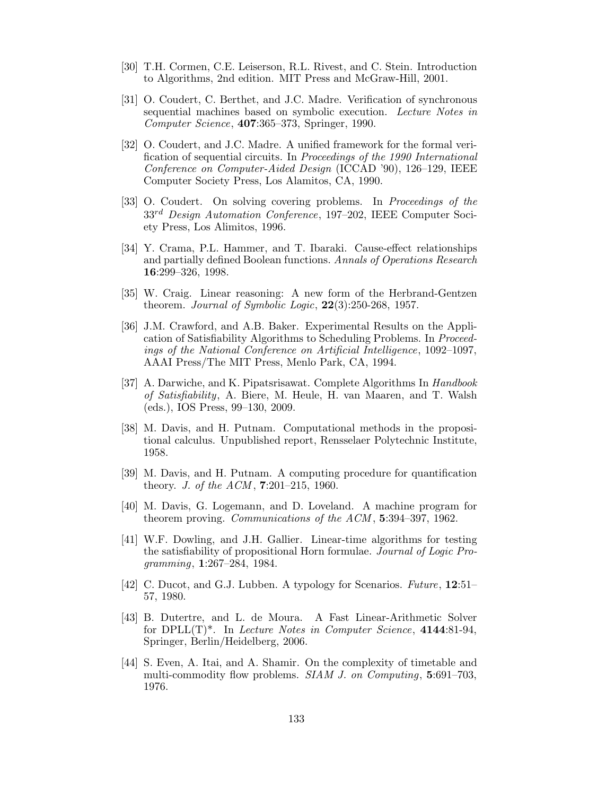- [30] T.H. Cormen, C.E. Leiserson, R.L. Rivest, and C. Stein. Introduction to Algorithms, 2nd edition. MIT Press and McGraw-Hill, 2001.
- [31] O. Coudert, C. Berthet, and J.C. Madre. Verification of synchronous sequential machines based on symbolic execution. Lecture Notes in Computer Science, 407:365–373, Springer, 1990.
- [32] O. Coudert, and J.C. Madre. A unified framework for the formal verification of sequential circuits. In Proceedings of the 1990 International Conference on Computer-Aided Design (ICCAD '90), 126–129, IEEE Computer Society Press, Los Alamitos, CA, 1990.
- [33] O. Coudert. On solving covering problems. In Proceedings of the  $33^{rd}$  Design Automation Conference, 197–202, IEEE Computer Society Press, Los Alimitos, 1996.
- [34] Y. Crama, P.L. Hammer, and T. Ibaraki. Cause-effect relationships and partially defined Boolean functions. Annals of Operations Research 16:299–326, 1998.
- [35] W. Craig. Linear reasoning: A new form of the Herbrand-Gentzen theorem. Journal of Symbolic Logic,  $22(3):250-268$ , 1957.
- [36] J.M. Crawford, and A.B. Baker. Experimental Results on the Application of Satisfiability Algorithms to Scheduling Problems. In Proceedings of the National Conference on Artificial Intelligence, 1092–1097, AAAI Press/The MIT Press, Menlo Park, CA, 1994.
- [37] A. Darwiche, and K. Pipatsrisawat. Complete Algorithms In Handbook of Satisfiability, A. Biere, M. Heule, H. van Maaren, and T. Walsh (eds.), IOS Press, 99–130, 2009.
- [38] M. Davis, and H. Putnam. Computational methods in the propositional calculus. Unpublished report, Rensselaer Polytechnic Institute, 1958.
- [39] M. Davis, and H. Putnam. A computing procedure for quantification theory. J. of the  $ACM$ ,  $7:201-215$ , 1960.
- [40] M. Davis, G. Logemann, and D. Loveland. A machine program for theorem proving. *Communications of the ACM*, **5**:394–397, 1962.
- [41] W.F. Dowling, and J.H. Gallier. Linear-time algorithms for testing the satisfiability of propositional Horn formulae. Journal of Logic Programming, 1:267–284, 1984.
- [42] C. Ducot, and G.J. Lubben. A typology for Scenarios. Future, 12:51– 57, 1980.
- [43] B. Dutertre, and L. de Moura. A Fast Linear-Arithmetic Solver for DPLL $(T)^*$ . In *Lecture Notes in Computer Science*, 4144:81-94, Springer, Berlin/Heidelberg, 2006.
- [44] S. Even, A. Itai, and A. Shamir. On the complexity of timetable and multi-commodity flow problems. SIAM J. on Computing, 5:691-703, 1976.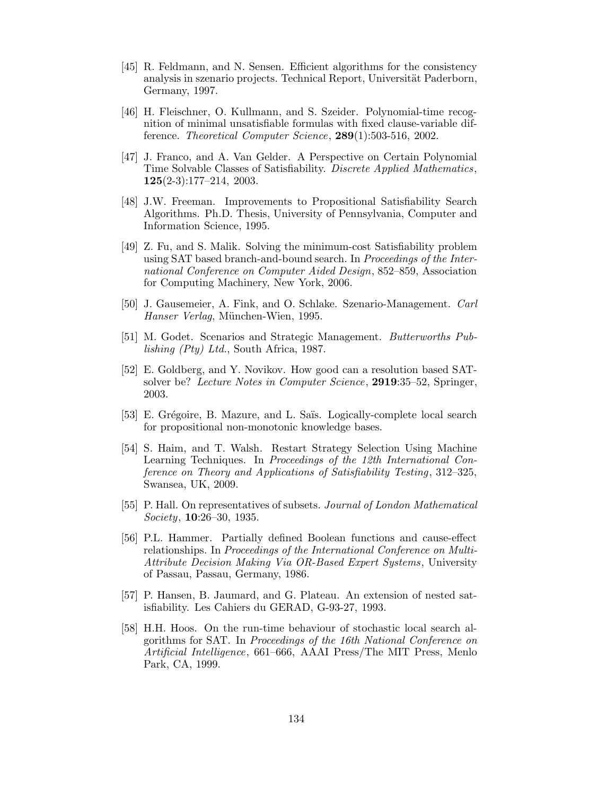- [45] R. Feldmann, and N. Sensen. Efficient algorithms for the consistency analysis in szenario projects. Technical Report, Universität Paderborn, Germany, 1997.
- [46] H. Fleischner, O. Kullmann, and S. Szeider. Polynomial-time recognition of minimal unsatisfiable formulas with fixed clause-variable difference. Theoretical Computer Science, 289(1):503-516, 2002.
- [47] J. Franco, and A. Van Gelder. A Perspective on Certain Polynomial Time Solvable Classes of Satisfiability. Discrete Applied Mathematics, 125(2-3):177–214, 2003.
- [48] J.W. Freeman. Improvements to Propositional Satisfiability Search Algorithms. Ph.D. Thesis, University of Pennsylvania, Computer and Information Science, 1995.
- [49] Z. Fu, and S. Malik. Solving the minimum-cost Satisfiability problem using SAT based branch-and-bound search. In Proceedings of the International Conference on Computer Aided Design, 852–859, Association for Computing Machinery, New York, 2006.
- [50] J. Gausemeier, A. Fink, and O. Schlake. Szenario-Management. Carl Hanser Verlag, München-Wien, 1995.
- [51] M. Godet. Scenarios and Strategic Management. Butterworths Publishing (Pty) Ltd., South Africa, 1987.
- [52] E. Goldberg, and Y. Novikov. How good can a resolution based SATsolver be? Lecture Notes in Computer Science, 2919:35–52, Springer, 2003.
- [53] E. Grégoire, B. Mazure, and L. Saïs. Logically-complete local search for propositional non-monotonic knowledge bases.
- [54] S. Haim, and T. Walsh. Restart Strategy Selection Using Machine Learning Techniques. In Proceedings of the 12th International Conference on Theory and Applications of Satisfiability Testing, 312–325, Swansea, UK, 2009.
- [55] P. Hall. On representatives of subsets. Journal of London Mathematical Society, 10:26–30, 1935.
- [56] P.L. Hammer. Partially defined Boolean functions and cause-effect relationships. In Proceedings of the International Conference on Multi-Attribute Decision Making Via OR-Based Expert Systems, University of Passau, Passau, Germany, 1986.
- [57] P. Hansen, B. Jaumard, and G. Plateau. An extension of nested satisfiability. Les Cahiers du GERAD, G-93-27, 1993.
- [58] H.H. Hoos. On the run-time behaviour of stochastic local search algorithms for SAT. In Proceedings of the 16th National Conference on Artificial Intelligence, 661–666, AAAI Press/The MIT Press, Menlo Park, CA, 1999.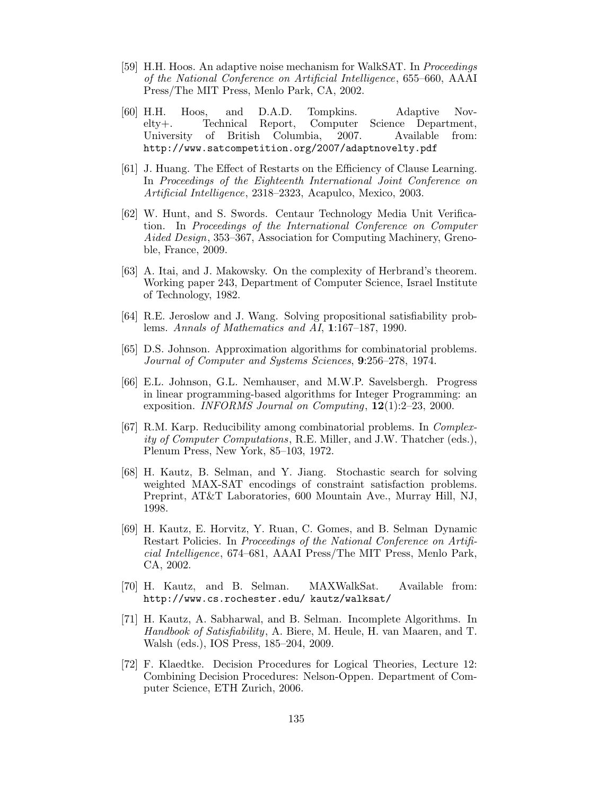- [59] H.H. Hoos. An adaptive noise mechanism for WalkSAT. In Proceedings of the National Conference on Artificial Intelligence, 655–660, AAAI Press/The MIT Press, Menlo Park, CA, 2002.
- [60] H.H. Hoos, and D.A.D. Tompkins. Adaptive Novelty+. Technical Report, Computer Science Department, University of British Columbia, 2007. Available from: http://www.satcompetition.org/2007/adaptnovelty.pdf
- [61] J. Huang. The Effect of Restarts on the Efficiency of Clause Learning. In Proceedings of the Eighteenth International Joint Conference on Artificial Intelligence, 2318–2323, Acapulco, Mexico, 2003.
- [62] W. Hunt, and S. Swords. Centaur Technology Media Unit Verification. In Proceedings of the International Conference on Computer Aided Design, 353–367, Association for Computing Machinery, Grenoble, France, 2009.
- [63] A. Itai, and J. Makowsky. On the complexity of Herbrand's theorem. Working paper 243, Department of Computer Science, Israel Institute of Technology, 1982.
- [64] R.E. Jeroslow and J. Wang. Solving propositional satisfiability problems. Annals of Mathematics and AI, 1:167–187, 1990.
- [65] D.S. Johnson. Approximation algorithms for combinatorial problems. Journal of Computer and Systems Sciences, 9:256–278, 1974.
- [66] E.L. Johnson, G.L. Nemhauser, and M.W.P. Savelsbergh. Progress in linear programming-based algorithms for Integer Programming: an exposition. INFORMS Journal on Computing, 12(1):2–23, 2000.
- [67] R.M. Karp. Reducibility among combinatorial problems. In Complexity of Computer Computations, R.E. Miller, and J.W. Thatcher (eds.), Plenum Press, New York, 85–103, 1972.
- [68] H. Kautz, B. Selman, and Y. Jiang. Stochastic search for solving weighted MAX-SAT encodings of constraint satisfaction problems. Preprint, AT&T Laboratories, 600 Mountain Ave., Murray Hill, NJ, 1998.
- [69] H. Kautz, E. Horvitz, Y. Ruan, C. Gomes, and B. Selman Dynamic Restart Policies. In Proceedings of the National Conference on Artificial Intelligence, 674–681, AAAI Press/The MIT Press, Menlo Park, CA, 2002.
- [70] H. Kautz, and B. Selman. MAXWalkSat. Available from: http://www.cs.rochester.edu/ kautz/walksat/
- [71] H. Kautz, A. Sabharwal, and B. Selman. Incomplete Algorithms. In Handbook of Satisfiability, A. Biere, M. Heule, H. van Maaren, and T. Walsh (eds.), IOS Press, 185–204, 2009.
- [72] F. Klaedtke. Decision Procedures for Logical Theories, Lecture 12: Combining Decision Procedures: Nelson-Oppen. Department of Computer Science, ETH Zurich, 2006.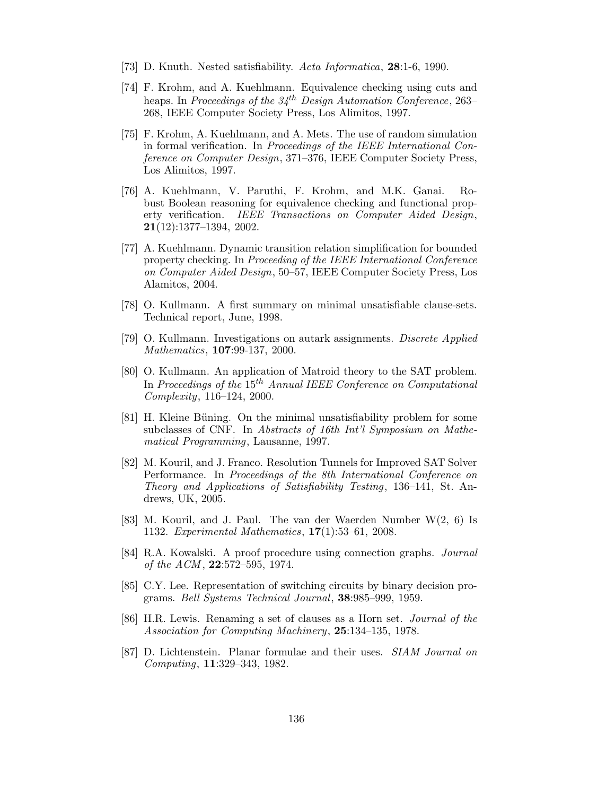- [73] D. Knuth. Nested satisfiability. Acta Informatica, 28:1-6, 1990.
- [74] F. Krohm, and A. Kuehlmann. Equivalence checking using cuts and heaps. In Proceedings of the  $34<sup>th</sup>$  Design Automation Conference, 263– 268, IEEE Computer Society Press, Los Alimitos, 1997.
- [75] F. Krohm, A. Kuehlmann, and A. Mets. The use of random simulation in formal verification. In Proceedings of the IEEE International Conference on Computer Design, 371–376, IEEE Computer Society Press, Los Alimitos, 1997.
- [76] A. Kuehlmann, V. Paruthi, F. Krohm, and M.K. Ganai. Robust Boolean reasoning for equivalence checking and functional property verification. IEEE Transactions on Computer Aided Design,  $21(12):1377-1394, 2002.$
- [77] A. Kuehlmann. Dynamic transition relation simplification for bounded property checking. In Proceeding of the IEEE International Conference on Computer Aided Design, 50–57, IEEE Computer Society Press, Los Alamitos, 2004.
- [78] O. Kullmann. A first summary on minimal unsatisfiable clause-sets. Technical report, June, 1998.
- [79] O. Kullmann. Investigations on autark assignments. Discrete Applied Mathematics, 107:99-137, 2000.
- [80] O. Kullmann. An application of Matroid theory to the SAT problem. In Proceedings of the  $15^{th}$  Annual IEEE Conference on Computational Complexity, 116–124, 2000.
- [81] H. Kleine Büning. On the minimal unsatisfiability problem for some subclasses of CNF. In Abstracts of 16th Int'l Symposium on Mathematical Programming, Lausanne, 1997.
- [82] M. Kouril, and J. Franco. Resolution Tunnels for Improved SAT Solver Performance. In Proceedings of the 8th International Conference on Theory and Applications of Satisfiability Testing, 136–141, St. Andrews, UK, 2005.
- [83] M. Kouril, and J. Paul. The van der Waerden Number W(2, 6) Is 1132. Experimental Mathematics, 17(1):53–61, 2008.
- [84] R.A. Kowalski. A proof procedure using connection graphs. Journal of the  $ACM$ , 22:572–595, 1974.
- [85] C.Y. Lee. Representation of switching circuits by binary decision programs. Bell Systems Technical Journal, 38:985–999, 1959.
- [86] H.R. Lewis. Renaming a set of clauses as a Horn set. Journal of the Association for Computing Machinery, 25:134–135, 1978.
- [87] D. Lichtenstein. Planar formulae and their uses. SIAM Journal on Computing, 11:329–343, 1982.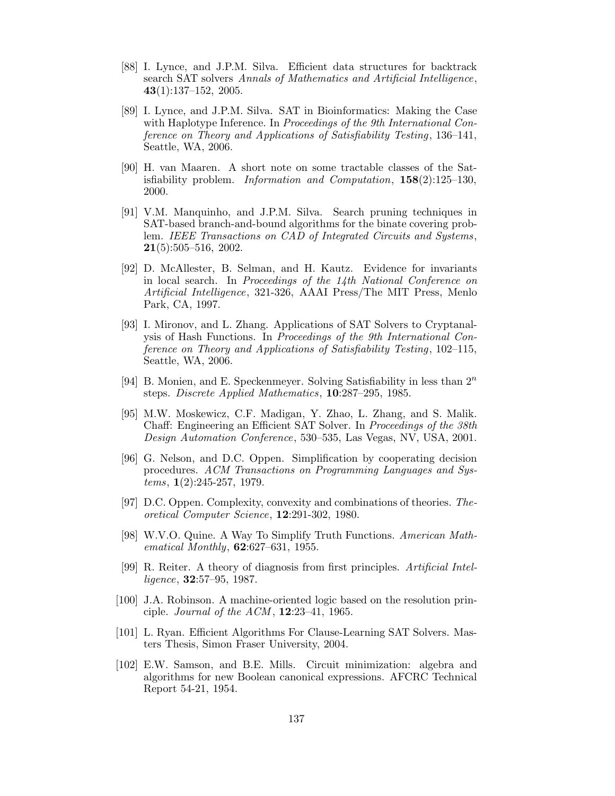- [88] I. Lynce, and J.P.M. Silva. Efficient data structures for backtrack search SAT solvers Annals of Mathematics and Artificial Intelligence, 43(1):137–152, 2005.
- [89] I. Lynce, and J.P.M. Silva. SAT in Bioinformatics: Making the Case with Haplotype Inference. In *Proceedings of the 9th International Con*ference on Theory and Applications of Satisfiability Testing, 136–141, Seattle, WA, 2006.
- [90] H. van Maaren. A short note on some tractable classes of the Satisfiability problem. *Information and Computation*,  $158(2):125-130$ , 2000.
- [91] V.M. Manquinho, and J.P.M. Silva. Search pruning techniques in SAT-based branch-and-bound algorithms for the binate covering problem. IEEE Transactions on CAD of Integrated Circuits and Systems,  $21(5):505-516, 2002.$
- [92] D. McAllester, B. Selman, and H. Kautz. Evidence for invariants in local search. In Proceedings of the 14th National Conference on Artificial Intelligence, 321-326, AAAI Press/The MIT Press, Menlo Park, CA, 1997.
- [93] I. Mironov, and L. Zhang. Applications of SAT Solvers to Cryptanalysis of Hash Functions. In Proceedings of the 9th International Conference on Theory and Applications of Satisfiability Testing, 102–115, Seattle, WA, 2006.
- [94] B. Monien, and E. Speckenmeyer. Solving Satisfiability in less than  $2^n$ steps. Discrete Applied Mathematics, 10:287–295, 1985.
- [95] M.W. Moskewicz, C.F. Madigan, Y. Zhao, L. Zhang, and S. Malik. Chaff: Engineering an Efficient SAT Solver. In Proceedings of the 38th Design Automation Conference, 530–535, Las Vegas, NV, USA, 2001.
- [96] G. Nelson, and D.C. Oppen. Simplification by cooperating decision procedures. ACM Transactions on Programming Languages and Sys $tems, 1(2):245-257, 1979.$
- [97] D.C. Oppen. Complexity, convexity and combinations of theories. Theoretical Computer Science, 12:291-302, 1980.
- [98] W.V.O. Quine. A Way To Simplify Truth Functions. American Mathematical Monthly, 62:627–631, 1955.
- [99] R. Reiter. A theory of diagnosis from first principles. Artificial Intelligence, 32:57–95, 1987.
- [100] J.A. Robinson. A machine-oriented logic based on the resolution principle. *Journal of the ACM*,  $12:23-41$ , 1965.
- [101] L. Ryan. Efficient Algorithms For Clause-Learning SAT Solvers. Masters Thesis, Simon Fraser University, 2004.
- [102] E.W. Samson, and B.E. Mills. Circuit minimization: algebra and algorithms for new Boolean canonical expressions. AFCRC Technical Report 54-21, 1954.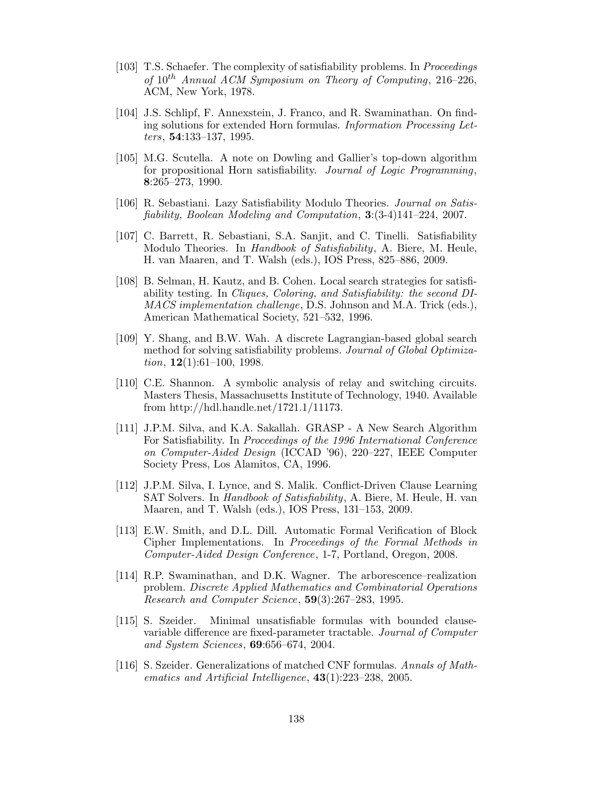- [103] T.S. Schaefer. The complexity of satisfiability problems. In *Proceedings* of  $10^{th}$  Annual ACM Symposium on Theory of Computing, 216–226, ACM, New York, 1978.
- [104] J.S. Schlipf, F. Annexstein, J. Franco, and R. Swaminathan. On finding solutions for extended Horn formulas. Information Processing Letters, 54:133–137, 1995.
- [105] M.G. Scutella. A note on Dowling and Gallier's top-down algorithm for propositional Horn satisfiability. Journal of Logic Programming, 8:265–273, 1990.
- [106] R. Sebastiani. Lazy Satisfiability Modulo Theories. Journal on Satisfiability, Boolean Modeling and Computation, 3:(3-4)141–224, 2007.
- [107] C. Barrett, R. Sebastiani, S.A. Sanjit, and C. Tinelli. Satisfiability Modulo Theories. In Handbook of Satisfiability, A. Biere, M. Heule, H. van Maaren, and T. Walsh (eds.), IOS Press, 825–886, 2009.
- [108] B. Selman, H. Kautz, and B. Cohen. Local search strategies for satisfiability testing. In Cliques, Coloring, and Satisfiability: the second DI-MACS implementation challenge, D.S. Johnson and M.A. Trick (eds.), American Mathematical Society, 521–532, 1996.
- [109] Y. Shang, and B.W. Wah. A discrete Lagrangian-based global search method for solving satisfiability problems. Journal of Global Optimiza*tion*,  $12(1):61-100$ , 1998.
- [110] C.E. Shannon. A symbolic analysis of relay and switching circuits. Masters Thesis, Massachusetts Institute of Technology, 1940. Available from http://hdl.handle.net/1721.1/11173.
- [111] J.P.M. Silva, and K.A. Sakallah. GRASP A New Search Algorithm For Satisfiability. In Proceedings of the 1996 International Conference on Computer-Aided Design (ICCAD '96), 220–227, IEEE Computer Society Press, Los Alamitos, CA, 1996.
- [112] J.P.M. Silva, I. Lynce, and S. Malik. Conflict-Driven Clause Learning SAT Solvers. In Handbook of Satisfiability, A. Biere, M. Heule, H. van Maaren, and T. Walsh (eds.), IOS Press, 131–153, 2009.
- [113] E.W. Smith, and D.L. Dill. Automatic Formal Verification of Block Cipher Implementations. In Proceedings of the Formal Methods in Computer-Aided Design Conference, 1-7, Portland, Oregon, 2008.
- [114] R.P. Swaminathan, and D.K. Wagner. The arborescence–realization problem. Discrete Applied Mathematics and Combinatorial Operations Research and Computer Science, 59(3):267–283, 1995.
- [115] S. Szeider. Minimal unsatisfiable formulas with bounded clausevariable difference are fixed-parameter tractable. Journal of Computer and System Sciences, 69:656–674, 2004.
- [116] S. Szeider. Generalizations of matched CNF formulas. Annals of Mathematics and Artificial Intelligence, 43(1):223–238, 2005.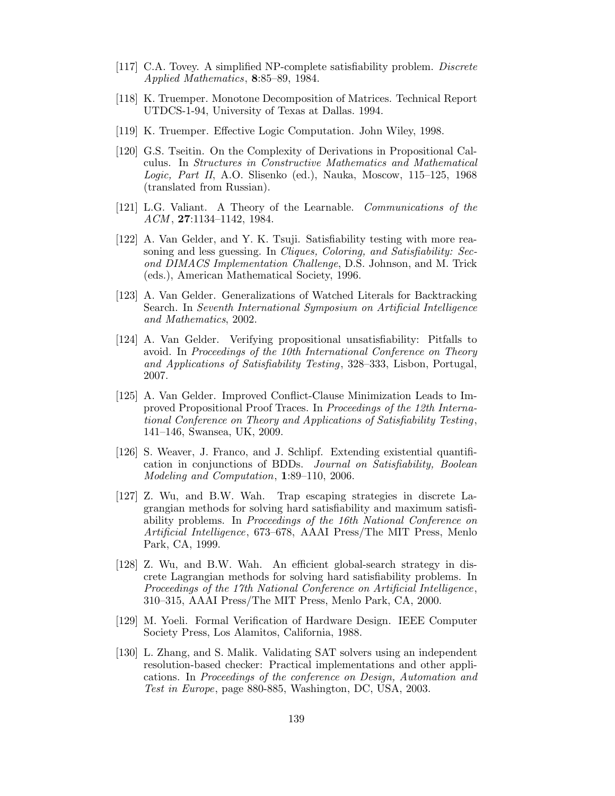- [117] C.A. Tovey. A simplified NP-complete satisfiability problem. Discrete Applied Mathematics, 8:85–89, 1984.
- [118] K. Truemper. Monotone Decomposition of Matrices. Technical Report UTDCS-1-94, University of Texas at Dallas. 1994.
- [119] K. Truemper. Effective Logic Computation. John Wiley, 1998.
- [120] G.S. Tseitin. On the Complexity of Derivations in Propositional Calculus. In Structures in Constructive Mathematics and Mathematical Logic, Part II, A.O. Slisenko (ed.), Nauka, Moscow, 115–125, 1968 (translated from Russian).
- [121] L.G. Valiant. A Theory of the Learnable. Communications of the  $ACM$ , 27:1134-1142, 1984.
- [122] A. Van Gelder, and Y. K. Tsuji. Satisfiability testing with more reasoning and less guessing. In Cliques, Coloring, and Satisfiability: Second DIMACS Implementation Challenge, D.S. Johnson, and M. Trick (eds.), American Mathematical Society, 1996.
- [123] A. Van Gelder. Generalizations of Watched Literals for Backtracking Search. In Seventh International Symposium on Artificial Intelligence and Mathematics, 2002.
- [124] A. Van Gelder. Verifying propositional unsatisfiability: Pitfalls to avoid. In Proceedings of the 10th International Conference on Theory and Applications of Satisfiability Testing, 328–333, Lisbon, Portugal, 2007.
- [125] A. Van Gelder. Improved Conflict-Clause Minimization Leads to Improved Propositional Proof Traces. In Proceedings of the 12th International Conference on Theory and Applications of Satisfiability Testing, 141–146, Swansea, UK, 2009.
- [126] S. Weaver, J. Franco, and J. Schlipf. Extending existential quantification in conjunctions of BDDs. Journal on Satisfiability, Boolean Modeling and Computation, 1:89–110, 2006.
- [127] Z. Wu, and B.W. Wah. Trap escaping strategies in discrete Lagrangian methods for solving hard satisfiability and maximum satisfiability problems. In Proceedings of the 16th National Conference on Artificial Intelligence, 673–678, AAAI Press/The MIT Press, Menlo Park, CA, 1999.
- [128] Z. Wu, and B.W. Wah. An efficient global-search strategy in discrete Lagrangian methods for solving hard satisfiability problems. In Proceedings of the 17th National Conference on Artificial Intelligence, 310–315, AAAI Press/The MIT Press, Menlo Park, CA, 2000.
- [129] M. Yoeli. Formal Verification of Hardware Design. IEEE Computer Society Press, Los Alamitos, California, 1988.
- [130] L. Zhang, and S. Malik. Validating SAT solvers using an independent resolution-based checker: Practical implementations and other applications. In Proceedings of the conference on Design, Automation and Test in Europe, page 880-885, Washington, DC, USA, 2003.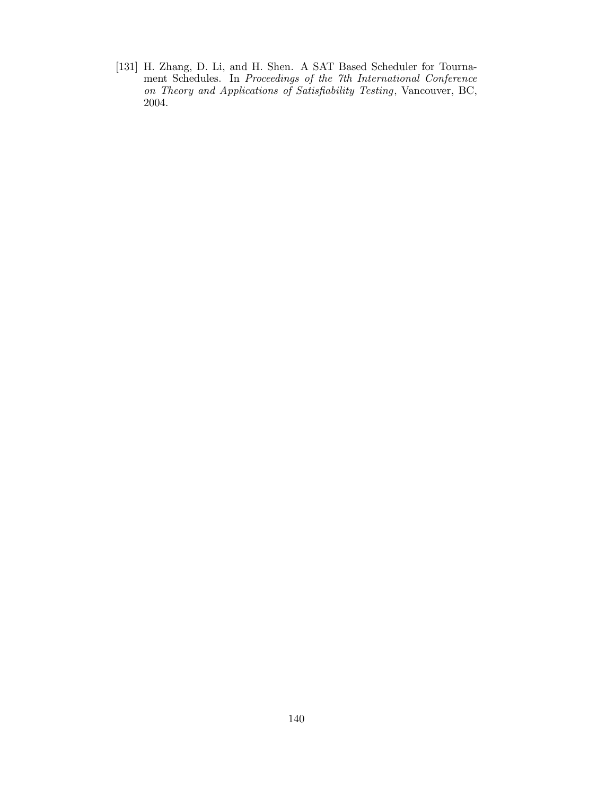[131] H. Zhang, D. Li, and H. Shen. A SAT Based Scheduler for Tournament Schedules. In Proceedings of the 7th International Conference on Theory and Applications of Satisfiability Testing, Vancouver, BC, 2004.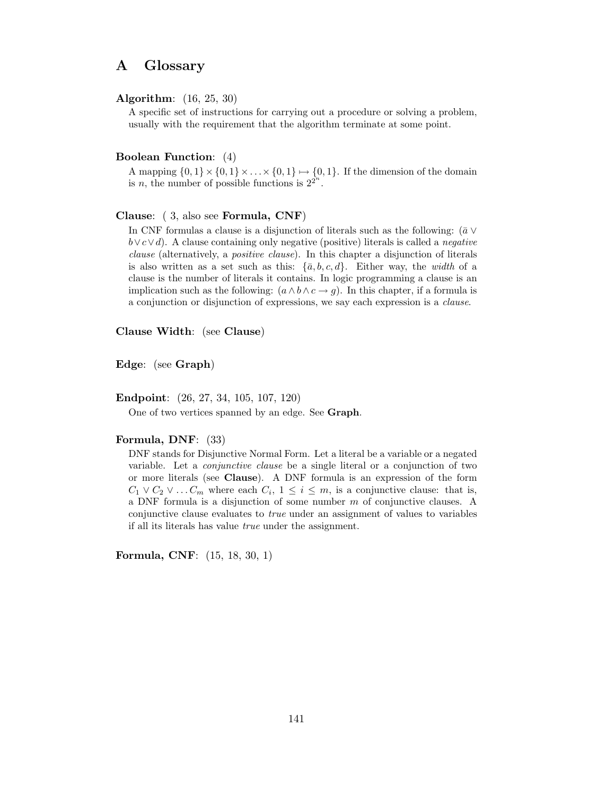# A Glossary

### Algorithm: (16, 25, 30)

A specific set of instructions for carrying out a procedure or solving a problem, usually with the requirement that the algorithm terminate at some point.

### Boolean Function: (4)

A mapping  $\{0,1\} \times \{0,1\} \times \ldots \times \{0,1\} \mapsto \{0,1\}.$  If the dimension of the domain is *n*, the number of possible functions is  $2^{2^n}$ .

### Clause: ( 3, also see Formula, CNF)

In CNF formulas a clause is a disjunction of literals such as the following: ( $\bar{a} \vee$  $b \vee c \vee d$ ). A clause containing only negative (positive) literals is called a *negative* clause (alternatively, a positive clause). In this chapter a disjunction of literals is also written as a set such as this:  $\{\bar{a}, b, c, d\}$ . Either way, the *width* of a clause is the number of literals it contains. In logic programming a clause is an implication such as the following:  $(a \wedge b \wedge c \rightarrow g)$ . In this chapter, if a formula is a conjunction or disjunction of expressions, we say each expression is a clause.

Clause Width: (see Clause)

Edge: (see Graph)

Endpoint: (26, 27, 34, 105, 107, 120)

One of two vertices spanned by an edge. See Graph.

### Formula, DNF: (33)

DNF stands for Disjunctive Normal Form. Let a literal be a variable or a negated variable. Let a conjunctive clause be a single literal or a conjunction of two or more literals (see Clause). A DNF formula is an expression of the form  $C_1 \vee C_2 \vee \ldots C_m$  where each  $C_i$ ,  $1 \leq i \leq m$ , is a conjunctive clause: that is, a DNF formula is a disjunction of some number m of conjunctive clauses. A conjunctive clause evaluates to true under an assignment of values to variables if all its literals has value true under the assignment.

Formula, CNF: (15, 18, 30, 1)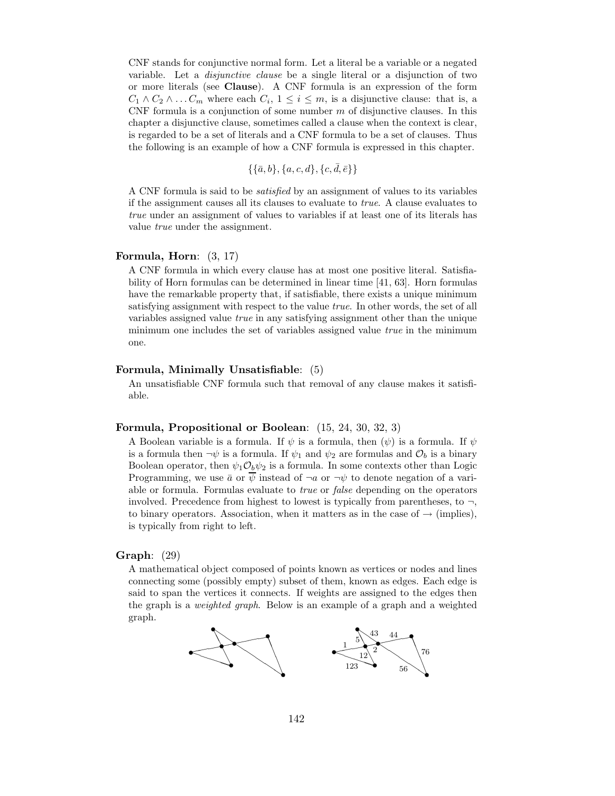CNF stands for conjunctive normal form. Let a literal be a variable or a negated variable. Let a disjunctive clause be a single literal or a disjunction of two or more literals (see Clause). A CNF formula is an expression of the form  $C_1 \wedge C_2 \wedge \ldots C_m$  where each  $C_i$ ,  $1 \leq i \leq m$ , is a disjunctive clause: that is, a CNF formula is a conjunction of some number  $m$  of disjunctive clauses. In this chapter a disjunctive clause, sometimes called a clause when the context is clear, is regarded to be a set of literals and a CNF formula to be a set of clauses. Thus the following is an example of how a CNF formula is expressed in this chapter.

$$
\{\{\bar{a},b\},\{a,c,d\},\{c,\bar{d},\bar{e}\}\}
$$

A CNF formula is said to be satisfied by an assignment of values to its variables if the assignment causes all its clauses to evaluate to true. A clause evaluates to true under an assignment of values to variables if at least one of its literals has value true under the assignment.

#### Formula, Horn: (3, 17)

A CNF formula in which every clause has at most one positive literal. Satisfiability of Horn formulas can be determined in linear time [41, 63]. Horn formulas have the remarkable property that, if satisfiable, there exists a unique minimum satisfying assignment with respect to the value true. In other words, the set of all variables assigned value true in any satisfying assignment other than the unique minimum one includes the set of variables assigned value true in the minimum one.

### Formula, Minimally Unsatisfiable: (5)

An unsatisfiable CNF formula such that removal of any clause makes it satisfiable.

### Formula, Propositional or Boolean: (15, 24, 30, 32, 3)

A Boolean variable is a formula. If  $\psi$  is a formula, then  $(\psi)$  is a formula. If  $\psi$ is a formula then  $\neg \psi$  is a formula. If  $\psi_1$  and  $\psi_2$  are formulas and  $\mathcal{O}_b$  is a binary Boolean operator, then  $\psi_1 \mathcal{O}_b \psi_2$  is a formula. In some contexts other than Logic Programming, we use  $\bar{a}$  or  $\bar{\psi}$  instead of  $\neg a$  or  $\neg \psi$  to denote negation of a variable or formula. Formulas evaluate to true or false depending on the operators involved. Precedence from highest to lowest is typically from parentheses, to  $\neg$ , to binary operators. Association, when it matters as in the case of  $\rightarrow$  (implies), is typically from right to left.

#### Graph: (29)

A mathematical object composed of points known as vertices or nodes and lines connecting some (possibly empty) subset of them, known as edges. Each edge is said to span the vertices it connects. If weights are assigned to the edges then the graph is a weighted graph. Below is an example of a graph and a weighted graph.

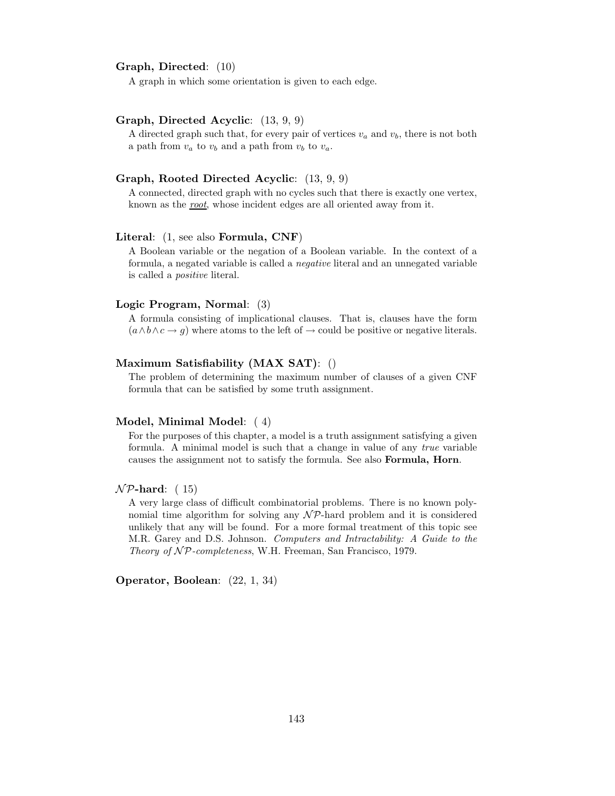### Graph, Directed: (10)

A graph in which some orientation is given to each edge.

#### Graph, Directed Acyclic: (13, 9, 9)

A directed graph such that, for every pair of vertices  $v_a$  and  $v_b$ , there is not both a path from  $v_a$  to  $v_b$  and a path from  $v_b$  to  $v_a$ .

#### Graph, Rooted Directed Acyclic: (13, 9, 9)

A connected, directed graph with no cycles such that there is exactly one vertex, known as the <u>root</u>, whose incident edges are all oriented away from it.

#### Literal: (1, see also Formula, CNF)

A Boolean variable or the negation of a Boolean variable. In the context of a formula, a negated variable is called a negative literal and an unnegated variable is called a positive literal.

#### Logic Program, Normal: (3)

A formula consisting of implicational clauses. That is, clauses have the form  $(a \wedge b \wedge c \rightarrow g)$  where atoms to the left of  $\rightarrow$  could be positive or negative literals.

### Maximum Satisfiability (MAX SAT): ()

The problem of determining the maximum number of clauses of a given CNF formula that can be satisfied by some truth assignment.

#### Model, Minimal Model: ( 4)

For the purposes of this chapter, a model is a truth assignment satisfying a given formula. A minimal model is such that a change in value of any true variable causes the assignment not to satisfy the formula. See also Formula, Horn.

### $\mathcal{NP}\text{-}\mathbf{hard}: (15)$

A very large class of difficult combinatorial problems. There is no known polynomial time algorithm for solving any  $\mathcal{NP}$ -hard problem and it is considered unlikely that any will be found. For a more formal treatment of this topic see M.R. Garey and D.S. Johnson. Computers and Intractability: A Guide to the Theory of  $\mathcal{NP}$ -completeness, W.H. Freeman, San Francisco, 1979.

Operator, Boolean: (22, 1, 34)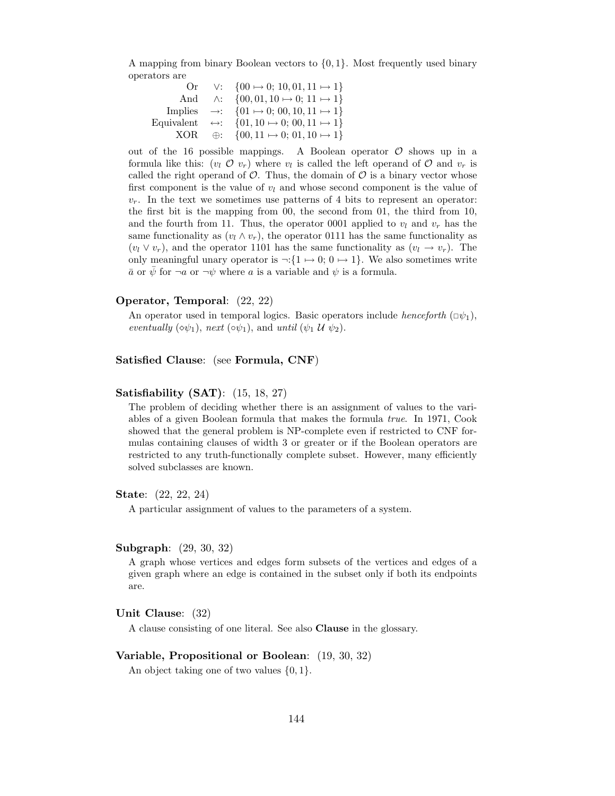A mapping from binary Boolean vectors to  $\{0, 1\}$ . Most frequently used binary operators are

| Or   | $\forall: \{00 \mapsto 0; 10, 01, 11 \mapsto 1\}$                       |
|------|-------------------------------------------------------------------------|
| And  | $\wedge: \{00, 01, 10 \mapsto 0; 11 \mapsto 1\}$                        |
|      | Implies $\rightarrow$ : $\{01 \mapsto 0; 00, 10, 11 \mapsto 1\}$        |
|      | Equivalent $\leftrightarrow$ : $\{01, 10 \mapsto 0; 00, 11 \mapsto 1\}$ |
| XOR. | $\oplus$ : {00, 11 $\mapsto$ 0; 01, 10 $\mapsto$ 1}                     |

out of the 16 possible mappings. A Boolean operator  $\mathcal O$  shows up in a formula like this:  $(v_l \mathcal{O} v_r)$  where  $v_l$  is called the left operand of  $\mathcal{O}$  and  $v_r$  is called the right operand of  $\mathcal{O}$ . Thus, the domain of  $\mathcal{O}$  is a binary vector whose first component is the value of  $v_l$  and whose second component is the value of  $v_r$ . In the text we sometimes use patterns of 4 bits to represent an operator: the first bit is the mapping from 00, the second from 01, the third from 10, and the fourth from 11. Thus, the operator 0001 applied to  $v_l$  and  $v_r$  has the same functionality as  $(v_l \wedge v_r)$ , the operator 0111 has the same functionality as  $(v_l \vee v_r)$ , and the operator 1101 has the same functionality as  $(v_l \rightarrow v_r)$ . The only meaningful unary operator is  $\neg: \{1 \mapsto 0; 0 \mapsto 1\}$ . We also sometimes write  $\bar{a}$  or  $\psi$  for  $\neg a$  or  $\neg \psi$  where a is a variable and  $\psi$  is a formula.

#### Operator, Temporal: (22, 22)

An operator used in temporal logics. Basic operators include henceforth  $(\Box \psi_1)$ , eventually  $({\diamond}\psi_1)$ , next  $({\diamond}\psi_1)$ , and until  $(\psi_1 \mathcal{U} \psi_2)$ .

### Satisfied Clause: (see Formula, CNF)

### Satisfiability (SAT): (15, 18, 27)

The problem of deciding whether there is an assignment of values to the variables of a given Boolean formula that makes the formula true. In 1971, Cook showed that the general problem is NP-complete even if restricted to CNF formulas containing clauses of width 3 or greater or if the Boolean operators are restricted to any truth-functionally complete subset. However, many efficiently solved subclasses are known.

#### State: (22, 22, 24)

A particular assignment of values to the parameters of a system.

### Subgraph: (29, 30, 32)

A graph whose vertices and edges form subsets of the vertices and edges of a given graph where an edge is contained in the subset only if both its endpoints are.

#### Unit Clause: (32)

A clause consisting of one literal. See also Clause in the glossary.

#### Variable, Propositional or Boolean: (19, 30, 32)

An object taking one of two values  $\{0, 1\}.$